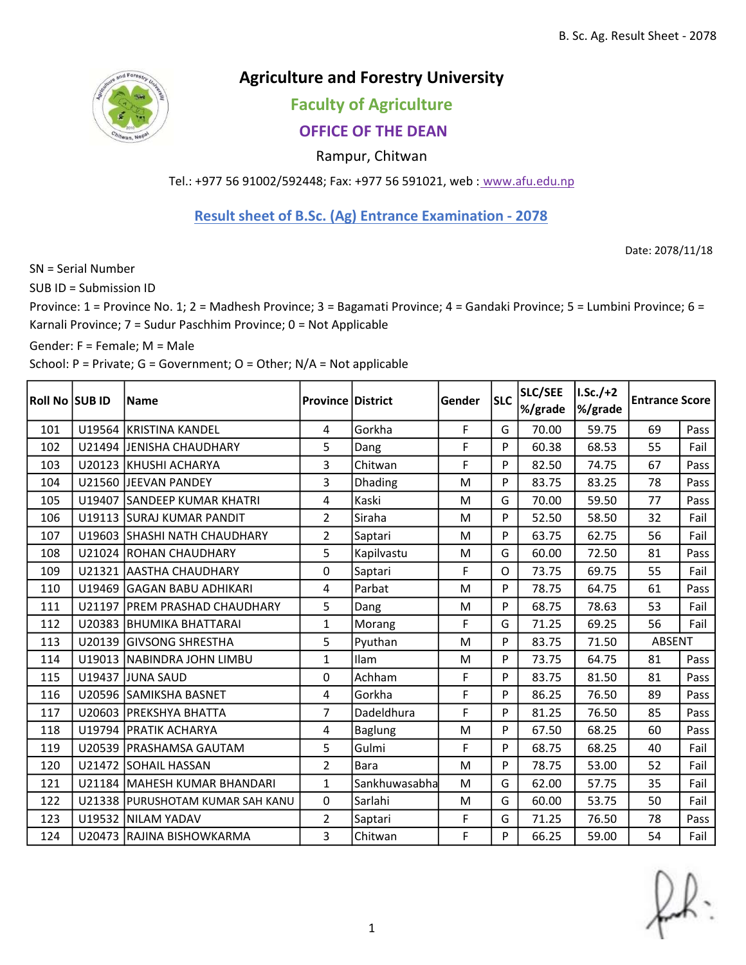

## Agriculture and Forestry University

## Faculty of Agriculture

## OFFICE OF THE DEAN

Rampur, Chitwan

Tel.: +977 56 91002/592448; Fax: +977 56 591021, web : www.afu.edu.np

## Result sheet of B.Sc. (Ag) Entrance Examination - 2078

Date: 2078/11/18

SN = Serial Number

SUB ID = Submission ID

Province: 1 = Province No. 1; 2 = Madhesh Province; 3 = Bagamati Province; 4 = Gandaki Province; 5 = Lumbini Province; 6 = Karnali Province; 7 = Sudur Paschhim Province; 0 = Not Applicable

Gender: F = Female; M = Male

School: P = Private; G = Government; O = Other; N/A = Not applicable

| Roll No SUB ID | <b>Name</b>                      | <b>Province District</b> |                | Gender | <b>SLC</b> | SLC/SEE<br>%/grade | $I.Sc./+2$<br>%/grade | <b>Entrance Score</b> |      |
|----------------|----------------------------------|--------------------------|----------------|--------|------------|--------------------|-----------------------|-----------------------|------|
| 101            | U19564 KRISTINA KANDEL           | 4                        | Gorkha         | F      | G          | 70.00              | 59.75                 | 69                    | Pass |
| 102            | U21494 JENISHA CHAUDHARY         | 5                        | Dang           | F      | P          | 60.38              | 68.53                 | 55                    | Fail |
| 103            | U20123 KHUSHI ACHARYA            | 3                        | Chitwan        | F      | P          | 82.50              | 74.75                 | 67                    | Pass |
| 104            | U21560 JEEVAN PANDEY             | 3                        | Dhading        | M      | P          | 83.75              | 83.25                 | 78                    | Pass |
| 105            | U19407 SANDEEP KUMAR KHATRI      | 4                        | Kaski          | M      | G          | 70.00              | 59.50                 | 77                    | Pass |
| 106            | U19113 SURAJ KUMAR PANDIT        | $\overline{2}$           | Siraha         | M      | P          | 52.50              | 58.50                 | 32                    | Fail |
| 107            | U19603 SHASHI NATH CHAUDHARY     | $\overline{2}$           | Saptari        | M      | P          | 63.75              | 62.75                 | 56                    | Fail |
| 108            | U21024 ROHAN CHAUDHARY           | 5                        | Kapilvastu     | M      | G          | 60.00              | 72.50                 | 81                    | Pass |
| 109            | U21321 AASTHA CHAUDHARY          | 0                        | Saptari        | F      | $\Omega$   | 73.75              | 69.75                 | 55                    | Fail |
| 110            | U19469 GAGAN BABU ADHIKARI       | 4                        | Parbat         | M      | P          | 78.75              | 64.75                 | 61                    | Pass |
| 111            | U21197   PREM PRASHAD CHAUDHARY  | 5                        | Dang           | M      | P          | 68.75              | 78.63                 | 53                    | Fail |
| 112            | U20383 BHUMIKA BHATTARAI         | $\mathbf{1}$             | Morang         | F      | G          | 71.25              | 69.25                 | 56                    | Fail |
| 113            | U20139 GIVSONG SHRESTHA          | 5                        | Pyuthan        | M      | P          | 83.75              | 71.50                 | ABSENT                |      |
| 114            | U19013 NABINDRA JOHN LIMBU       | $\mathbf{1}$             | Ilam           | M      | P          | 73.75              | 64.75                 | 81                    | Pass |
| 115            | U19437 JUNA SAUD                 | 0                        | Achham         | F      | P          | 83.75              | 81.50                 | 81                    | Pass |
| 116            | U20596 SAMIKSHA BASNET           | 4                        | Gorkha         | F      | P          | 86.25              | 76.50                 | 89                    | Pass |
| 117            | U20603   PREKSHYA BHATTA         | $\overline{7}$           | Dadeldhura     | F      | P          | 81.25              | 76.50                 | 85                    | Pass |
| 118            | U19794   PRATIK ACHARYA          | 4                        | <b>Baglung</b> | M      | P          | 67.50              | 68.25                 | 60                    | Pass |
| 119            | U20539   PRASHAMSA GAUTAM        | 5                        | Gulmi          | F      | P          | 68.75              | 68.25                 | 40                    | Fail |
| 120            | U21472 SOHAIL HASSAN             | $\overline{2}$           | Bara           | M      | P          | 78.75              | 53.00                 | 52                    | Fail |
| 121            | U21184   MAHESH KUMAR BHANDARI   | $\mathbf{1}$             | Sankhuwasabha  | M      | G          | 62.00              | 57.75                 | 35                    | Fail |
| 122            | U21338 PURUSHOTAM KUMAR SAH KANU | 0                        | Sarlahi        | M      | G          | 60.00              | 53.75                 | 50                    | Fail |
| 123            | U19532 NILAM YADAV               | $\overline{2}$           | Saptari        | F      | G          | 71.25              | 76.50                 | 78                    | Pass |
| 124            | U20473 RAJINA BISHOWKARMA        | 3                        | Chitwan        | F      | P          | 66.25              | 59.00                 | 54                    | Fail |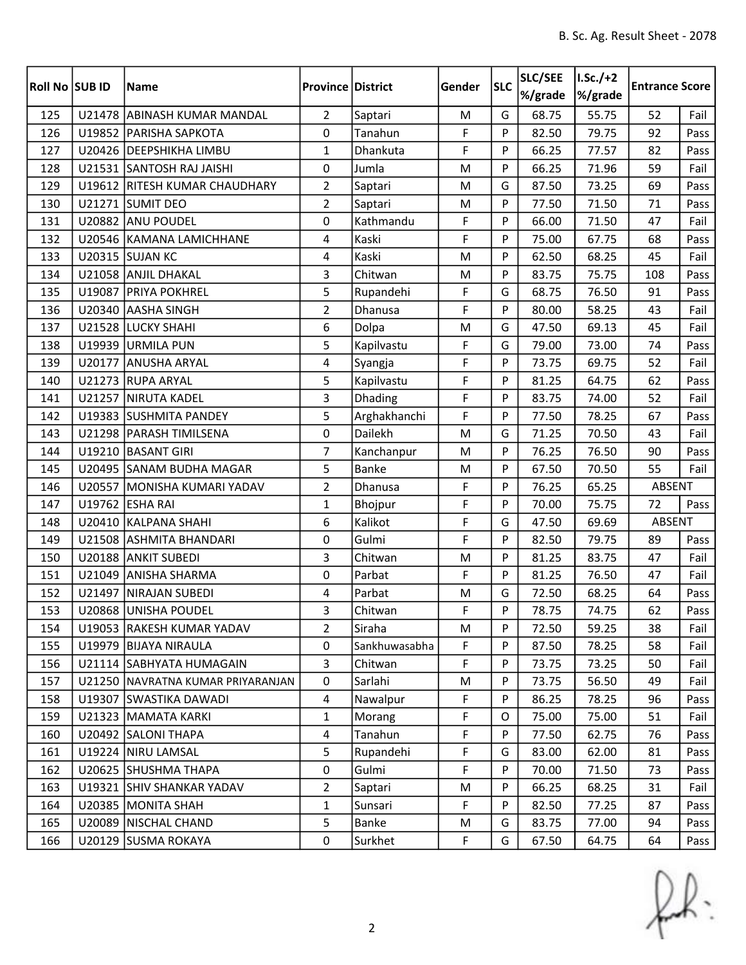| Roll No SUB ID |        | <b>Name</b>                       | <b>Province District</b> |               | Gender | <b>SLC</b> | SLC/SEE<br>%/grade | $I.Sc./+2$<br>%/grade | <b>Entrance Score</b> |      |
|----------------|--------|-----------------------------------|--------------------------|---------------|--------|------------|--------------------|-----------------------|-----------------------|------|
| 125            |        | U21478 ABINASH KUMAR MANDAL       | $\overline{2}$           | Saptari       | M      | G          | 68.75              | 55.75                 | 52                    | Fail |
| 126            |        | U19852 PARISHA SAPKOTA            | 0                        | Tanahun       | F      | P          | 82.50              | 79.75                 | 92                    | Pass |
| 127            |        | U20426 DEEPSHIKHA LIMBU           | $\mathbf{1}$             | Dhankuta      | F      | P          | 66.25              | 77.57                 | 82                    | Pass |
| 128            |        | U21531 SANTOSH RAJ JAISHI         | 0                        | Jumla         | M      | P          | 66.25              | 71.96                 | 59                    | Fail |
| 129            |        | U19612 RITESH KUMAR CHAUDHARY     | $\overline{2}$           | Saptari       | M      | G          | 87.50              | 73.25                 | 69                    | Pass |
| 130            |        | U21271 SUMIT DEO                  | $\overline{2}$           | Saptari       | M      | P          | 77.50              | 71.50                 | 71                    | Pass |
| 131            |        | U20882 ANU POUDEL                 | 0                        | Kathmandu     | F      | P          | 66.00              | 71.50                 | 47                    | Fail |
| 132            |        | U20546 KAMANA LAMICHHANE          | 4                        | Kaski         | F      | P          | 75.00              | 67.75                 | 68                    | Pass |
| 133            |        | <b>U20315 SUJAN KC</b>            | $\overline{4}$           | Kaski         | M      | P          | 62.50              | 68.25                 | 45                    | Fail |
| 134            |        | U21058 ANJIL DHAKAL               | $\overline{3}$           | Chitwan       | M      | P          | 83.75              | 75.75                 | 108                   | Pass |
| 135            |        | U19087 PRIYA POKHREL              | 5                        | Rupandehi     | F      | G          | 68.75              | 76.50                 | 91                    | Pass |
| 136            |        | U20340 AASHA SINGH                | $\overline{2}$           | Dhanusa       | F      | P          | 80.00              | 58.25                 | 43                    | Fail |
| 137            |        | U21528 LUCKY SHAHI                | 6                        | Dolpa         | M      | G          | 47.50              | 69.13                 | 45                    | Fail |
| 138            |        | U19939 URMILA PUN                 | 5                        | Kapilvastu    | F      | G          | 79.00              | 73.00                 | 74                    | Pass |
| 139            | U20177 | <b>ANUSHA ARYAL</b>               | $\overline{4}$           | Syangja       | F      | P          | 73.75              | 69.75                 | 52                    | Fail |
| 140            |        | U21273 RUPA ARYAL                 | 5                        | Kapilvastu    | F      | P          | 81.25              | 64.75                 | 62                    | Pass |
| 141            |        | U21257 NIRUTA KADEL               | 3                        | Dhading       | F      | P          | 83.75              | 74.00                 | 52                    | Fail |
| 142            |        | U19383 SUSHMITA PANDEY            | 5                        | Arghakhanchi  | F      | P          | 77.50              | 78.25                 | 67                    | Pass |
| 143            |        | U21298   PARASH TIMILSENA         | $\mathbf 0$              | Dailekh       | M      | G          | 71.25              | 70.50                 | 43                    | Fail |
| 144            |        | U19210 BASANT GIRI                | $\overline{7}$           | Kanchanpur    | M      | P          | 76.25              | 76.50                 | 90                    | Pass |
| 145            |        | U20495 SANAM BUDHA MAGAR          | 5                        | <b>Banke</b>  | M      | P          | 67.50              | 70.50                 | 55                    | Fail |
| 146            |        | U20557 MONISHA KUMARI YADAV       | $\overline{2}$           | Dhanusa       | F      | P          | 76.25              | 65.25                 | ABSENT                |      |
| 147            |        | U19762 ESHA RAI                   | $\mathbf{1}$             | Bhojpur       | F      | P          | 70.00              | 75.75                 | 72                    | Pass |
| 148            | U20410 | <b>KALPANA SHAHI</b>              | 6                        | Kalikot       | F      | G          | 47.50              | 69.69                 | ABSENT                |      |
| 149            |        | U21508 ASHMITA BHANDARI           | 0                        | Gulmi         | F      | P          | 82.50              | 79.75                 | 89                    | Pass |
| 150            |        | U20188 ANKIT SUBEDI               | 3                        | Chitwan       | M      | P          | 81.25              | 83.75                 | 47                    | Fail |
| 151            | U21049 | <b>ANISHA SHARMA</b>              | 0                        | Parbat        | F      | P          | 81.25              | 76.50                 | 47                    | Fail |
| 152            |        | U21497 NIRAJAN SUBEDI             | 4                        | Parbat        | M      | G          | 72.50              | 68.25                 | 64                    | Pass |
| 153            |        | U20868 UNISHA POUDEL              | 3                        | Chitwan       | F      | P          | 78.75              | 74.75                 | 62                    | Pass |
| 154            |        | U19053 RAKESH KUMAR YADAV         | 2                        | Siraha        | M      | P          | 72.50              | 59.25                 | 38                    | Fail |
| 155            |        | U19979 BIJAYA NIRAULA             | 0                        | Sankhuwasabha | F      | P          | 87.50              | 78.25                 | 58                    | Fail |
| 156            |        | U21114 SABHYATA HUMAGAIN          | 3                        | Chitwan       | F      | P          | 73.75              | 73.25                 | 50                    | Fail |
| 157            |        | U21250 NAVRATNA KUMAR PRIYARANJAN | 0                        | Sarlahi       | M      | P          | 73.75              | 56.50                 | 49                    | Fail |
| 158            |        | U19307 SWASTIKA DAWADI            | $\overline{4}$           | Nawalpur      | F      | P          | 86.25              | 78.25                 | 96                    | Pass |
| 159            |        | U21323   MAMATA KARKI             | $\mathbf{1}$             | Morang        | F      | 0          | 75.00              | 75.00                 | 51                    | Fail |
| 160            |        | U20492 SALONI THAPA               | $\overline{4}$           | Tanahun       | F      | P          | 77.50              | 62.75                 | 76                    | Pass |
| 161            |        | U19224 NIRU LAMSAL                | 5                        | Rupandehi     | F      | G          | 83.00              | 62.00                 | 81                    | Pass |
| 162            |        | U20625 SHUSHMA THAPA              | 0                        | Gulmi         | F      | P          | 70.00              | 71.50                 | 73                    | Pass |
| 163            |        | U19321 SHIV SHANKAR YADAV         | $\overline{2}$           | Saptari       | M      | P          | 66.25              | 68.25                 | 31                    | Fail |
| 164            |        | U20385   MONITA SHAH              | 1                        | Sunsari       | F      | P          | 82.50              | 77.25                 | 87                    | Pass |
| 165            | U20089 | NISCHAL CHAND                     | 5                        | Banke         | M      | G          | 83.75              | 77.00                 | 94                    | Pass |
| 166            |        | U20129 SUSMA ROKAYA               | $\pmb{0}$                | Surkhet       | F      | G          | 67.50              | 64.75                 | 64                    | Pass |

 $f(x)$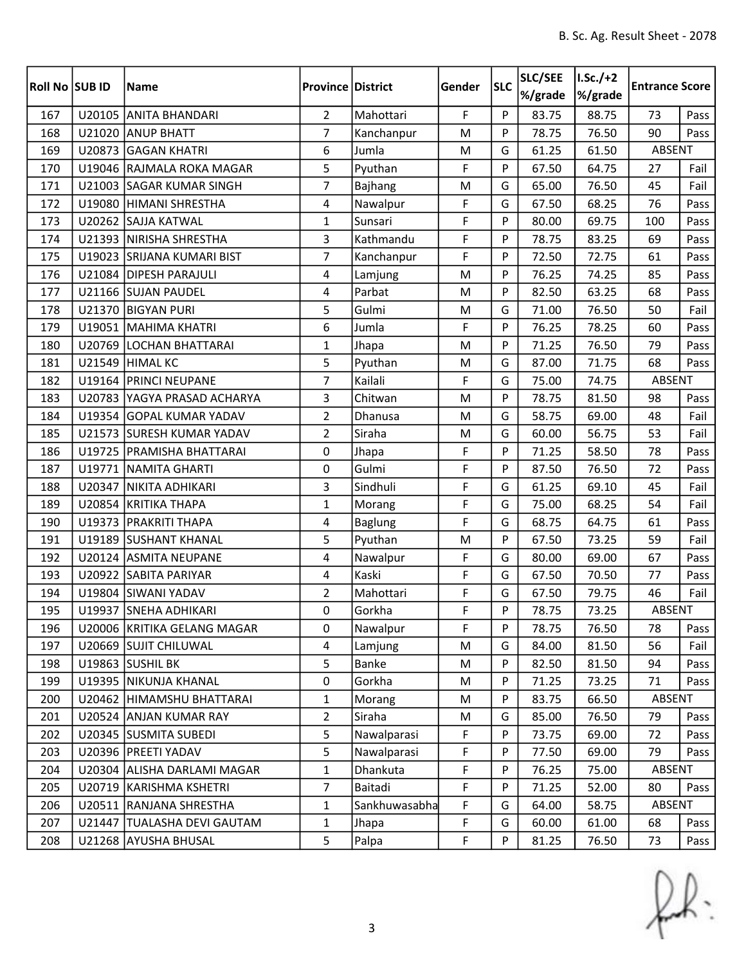| Roll No SUB ID |        | <b>Name</b>                 | <b>Province District</b> |                | Gender      | <b>SLC</b> | SLC/SEE<br>%/grade | $I.Sc./+2$<br>%/grade | <b>Entrance Score</b> |      |
|----------------|--------|-----------------------------|--------------------------|----------------|-------------|------------|--------------------|-----------------------|-----------------------|------|
| 167            |        | U20105 ANITA BHANDARI       | $\overline{2}$           | Mahottari      | $\mathsf F$ | P          | 83.75              | 88.75                 | 73                    | Pass |
| 168            |        | U21020 ANUP BHATT           | $\overline{7}$           | Kanchanpur     | M           | P          | 78.75              | 76.50                 | 90                    | Pass |
| 169            | U20873 | <b>GAGAN KHATRI</b>         | 6                        | Jumla          | ${\sf M}$   | G          | 61.25              | 61.50                 | ABSENT                |      |
| 170            |        | U19046 RAJMALA ROKA MAGAR   | 5                        | Pyuthan        | F           | P          | 67.50              | 64.75                 | 27                    | Fail |
| 171            |        | U21003 SAGAR KUMAR SINGH    | 7                        | <b>Bajhang</b> | M           | G          | 65.00              | 76.50                 | 45                    | Fail |
| 172            |        | U19080   HIMANI SHRESTHA    | 4                        | Nawalpur       | F           | G          | 67.50              | 68.25                 | 76                    | Pass |
| 173            |        | U20262 SAJJA KATWAL         | $\mathbf{1}$             | Sunsari        | F           | P          | 80.00              | 69.75                 | 100                   | Pass |
| 174            |        | U21393 NIRISHA SHRESTHA     | 3                        | Kathmandu      | F           | P          | 78.75              | 83.25                 | 69                    | Pass |
| 175            |        | U19023 SRIJANA KUMARI BIST  | $\overline{7}$           | Kanchanpur     | F           | P          | 72.50              | 72.75                 | 61                    | Pass |
| 176            |        | U21084 DIPESH PARAJULI      | $\overline{4}$           | Lamjung        | M           | P          | 76.25              | 74.25                 | 85                    | Pass |
| 177            |        | U21166 SUJAN PAUDEL         | $\overline{4}$           | Parbat         | M           | P          | 82.50              | 63.25                 | 68                    | Pass |
| 178            |        | U21370 BIGYAN PURI          | 5                        | Gulmi          | M           | G          | 71.00              | 76.50                 | 50                    | Fail |
| 179            |        | U19051 MAHIMA KHATRI        | 6                        | Jumla          | F           | P          | 76.25              | 78.25                 | 60                    | Pass |
| 180            |        | U20769 LOCHAN BHATTARAI     | $\mathbf{1}$             | Jhapa          | M           | P          | 71.25              | 76.50                 | 79                    | Pass |
| 181            |        | <b>U21549 HIMAL KC</b>      | 5                        | Pyuthan        | M           | G          | 87.00              | 71.75                 | 68                    | Pass |
| 182            |        | U19164 PRINCI NEUPANE       | $\overline{7}$           | Kailali        | F           | G          | 75.00              | 74.75                 | ABSENT                |      |
| 183            |        | U20783 YAGYA PRASAD ACHARYA | 3                        | Chitwan        | M           | P          | 78.75              | 81.50                 | 98                    | Pass |
| 184            |        | U19354 GOPAL KUMAR YADAV    | $\overline{2}$           | Dhanusa        | M           | G          | 58.75              | 69.00                 | 48                    | Fail |
| 185            |        | U21573 SURESH KUMAR YADAV   | $\overline{2}$           | Siraha         | M           | G          | 60.00              | 56.75                 | 53                    | Fail |
| 186            |        | U19725   PRAMISHA BHATTARAI | 0                        | Jhapa          | F           | P          | 71.25              | 58.50                 | 78                    | Pass |
| 187            |        | U19771 NAMITA GHARTI        | 0                        | Gulmi          | F           | P          | 87.50              | 76.50                 | 72                    | Pass |
| 188            |        | U20347 NIKITA ADHIKARI      | 3                        | Sindhuli       | F           | G          | 61.25              | 69.10                 | 45                    | Fail |
| 189            |        | U20854 KRITIKA THAPA        | $\mathbf{1}$             | Morang         | F           | G          | 75.00              | 68.25                 | 54                    | Fail |
| 190            | U19373 | <b>PRAKRITI THAPA</b>       | 4                        | <b>Baglung</b> | F           | G          | 68.75              | 64.75                 | 61                    | Pass |
| 191            |        | U19189 SUSHANT KHANAL       | 5                        | Pyuthan        | M           | P          | 67.50              | 73.25                 | 59                    | Fail |
| 192            |        | U20124 ASMITA NEUPANE       | 4                        | Nawalpur       | F           | G          | 80.00              | 69.00                 | 67                    | Pass |
| 193            |        | U20922 SABITA PARIYAR       | $\overline{4}$           | Kaski          | F           | G          | 67.50              | 70.50                 | 77                    | Pass |
| 194            |        | U19804 SIWANI YADAV         | $\overline{2}$           | Mahottari      | F           | G          | 67.50              | 79.75                 | 46                    | Fail |
| 195            |        | U19937 SNEHA ADHIKARI       | 0                        | Gorkha         | F           | Þ          | 78.75              | 73.25                 | ABSENT                |      |
| 196            |        | U20006 KRITIKA GELANG MAGAR | 0                        | Nawalpur       | F           | P          | 78.75              | 76.50                 | 78                    | Pass |
| 197            |        | U20669 SUJIT CHILUWAL       | 4                        | Lamjung        | M           | G          | 84.00              | 81.50                 | 56                    | Fail |
| 198            |        | U19863 SUSHIL BK            | 5                        | Banke          | M           | P          | 82.50              | 81.50                 | 94                    | Pass |
| 199            |        | U19395 NIKUNJA KHANAL       | 0                        | Gorkha         | M           | P          | 71.25              | 73.25                 | 71                    | Pass |
| 200            |        | U20462 HIMAMSHU BHATTARAI   | $\mathbf{1}$             | Morang         | M           | P          | 83.75              | 66.50                 | ABSENT                |      |
| 201            |        | U20524 ANJAN KUMAR RAY      | $\overline{2}$           | Siraha         | M           | G          | 85.00              | 76.50                 | 79                    | Pass |
| 202            |        | U20345 SUSMITA SUBEDI       | 5                        | Nawalparasi    | F           | P          | 73.75              | 69.00                 | 72                    | Pass |
| 203            |        | U20396   PREETI YADAV       | 5                        | Nawalparasi    | F           | P          | 77.50              | 69.00                 | 79                    | Pass |
| 204            |        | U20304 ALISHA DARLAMI MAGAR | $\mathbf{1}$             | Dhankuta       | F           | P          | 76.25              | 75.00                 | ABSENT                |      |
| 205            |        | U20719   KARISHMA KSHETRI   | $\overline{7}$           | Baitadi        | F           | P          | 71.25              | 52.00                 | 80                    | Pass |
| 206            |        | U20511   RANJANA SHRESTHA   | 1                        | Sankhuwasabha  | F           | G          | 64.00              | 58.75                 | ABSENT                |      |
| 207            |        | U21447 TUALASHA DEVI GAUTAM | 1                        | Jhapa          | F           | G          | 60.00              | 61.00                 | 68                    | Pass |
| 208            |        | U21268 AYUSHA BHUSAL        | 5                        | Palpa          | F           | P          | 81.25              | 76.50                 | 73                    | Pass |

 $f(x)$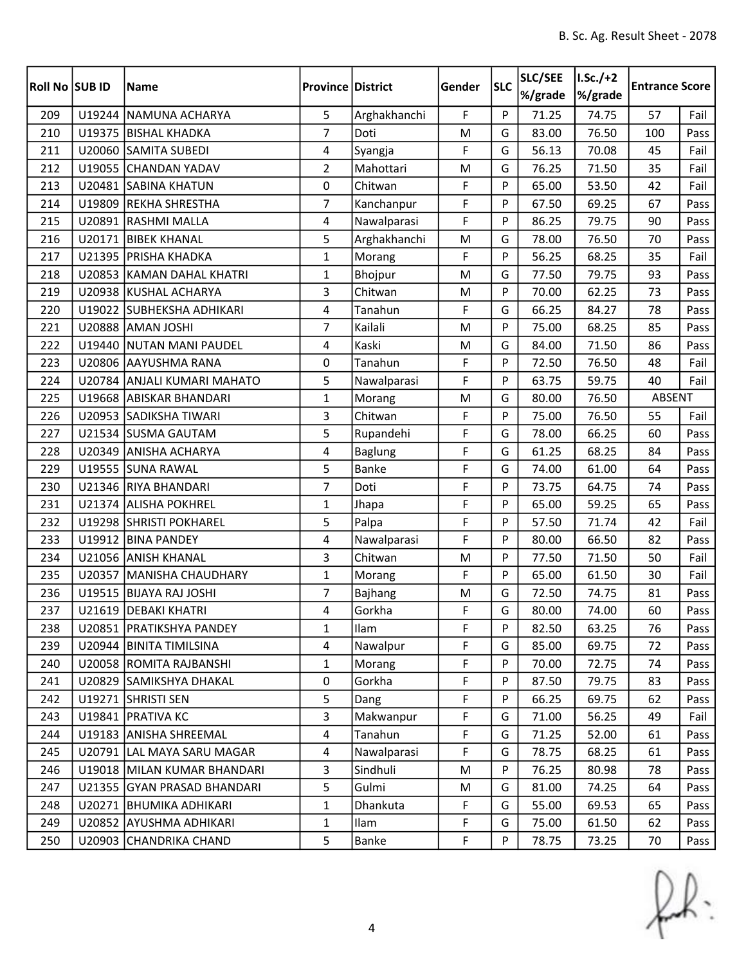| Roll No SUB ID |        | <b>Name</b>                 | <b>Province District</b> |                | Gender | <b>SLC</b> | SLC/SEE<br>%/grade | $I.Sc./+2$<br>%/grade | <b>Entrance Score</b> |      |
|----------------|--------|-----------------------------|--------------------------|----------------|--------|------------|--------------------|-----------------------|-----------------------|------|
| 209            |        | U19244 NAMUNA ACHARYA       | 5                        | Arghakhanchi   | F      | P          | 71.25              | 74.75                 | 57                    | Fail |
| 210            |        | U19375 BISHAL KHADKA        | $\overline{7}$           | Doti           | M      | G          | 83.00              | 76.50                 | 100                   | Pass |
| 211            |        | U20060 SAMITA SUBEDI        | $\overline{4}$           | Syangja        | F      | G          | 56.13              | 70.08                 | 45                    | Fail |
| 212            |        | U19055 CHANDAN YADAV        | $\overline{2}$           | Mahottari      | M      | G          | 76.25              | 71.50                 | 35                    | Fail |
| 213            |        | U20481 SABINA KHATUN        | 0                        | Chitwan        | F      | P          | 65.00              | 53.50                 | 42                    | Fail |
| 214            |        | U19809 REKHA SHRESTHA       | $\overline{7}$           | Kanchanpur     | F      | P          | 67.50              | 69.25                 | 67                    | Pass |
| 215            |        | U20891 RASHMI MALLA         | 4                        | Nawalparasi    | F      | P          | 86.25              | 79.75                 | 90                    | Pass |
| 216            |        | U20171 BIBEK KHANAL         | 5                        | Arghakhanchi   | M      | G          | 78.00              | 76.50                 | 70                    | Pass |
| 217            |        | U21395 PRISHA KHADKA        | $\mathbf 1$              | Morang         | F      | P          | 56.25              | 68.25                 | 35                    | Fail |
| 218            |        | U20853 KAMAN DAHAL KHATRI   | $\mathbf{1}$             | Bhojpur        | M      | G          | 77.50              | 79.75                 | 93                    | Pass |
| 219            |        | U20938 KUSHAL ACHARYA       | 3                        | Chitwan        | M      | P          | 70.00              | 62.25                 | 73                    | Pass |
| 220            |        | U19022 SUBHEKSHA ADHIKARI   | 4                        | Tanahun        | F      | G          | 66.25              | 84.27                 | 78                    | Pass |
| 221            |        | U20888 AMAN JOSHI           | 7                        | Kailali        | M      | P          | 75.00              | 68.25                 | 85                    | Pass |
| 222            |        | U19440 NUTAN MANI PAUDEL    | 4                        | Kaski          | M      | G          | 84.00              | 71.50                 | 86                    | Pass |
| 223            |        | U20806 AAYUSHMA RANA        | 0                        | Tanahun        | F      | P          | 72.50              | 76.50                 | 48                    | Fail |
| 224            |        | U20784 ANJALI KUMARI MAHATO | 5                        | Nawalparasi    | F      | P          | 63.75              | 59.75                 | 40                    | Fail |
| 225            |        | U19668 ABISKAR BHANDARI     | $\mathbf{1}$             | Morang         | M      | G          | 80.00              | 76.50                 | ABSENT                |      |
| 226            |        | U20953 SADIKSHA TIWARI      | 3                        | Chitwan        | F      | P          | 75.00              | 76.50                 | 55                    | Fail |
| 227            |        | U21534 SUSMA GAUTAM         | 5                        | Rupandehi      | F      | G          | 78.00              | 66.25                 | 60                    | Pass |
| 228            |        | U20349 ANISHA ACHARYA       | 4                        | <b>Baglung</b> | F      | G          | 61.25              | 68.25                 | 84                    | Pass |
| 229            |        | U19555 SUNA RAWAL           | 5                        | <b>Banke</b>   | F      | G          | 74.00              | 61.00                 | 64                    | Pass |
| 230            |        | U21346 RIYA BHANDARI        | $\overline{7}$           | Doti           | F      | P          | 73.75              | 64.75                 | 74                    | Pass |
| 231            |        | U21374 ALISHA POKHREL       | $\mathbf{1}$             | Jhapa          | F      | P          | 65.00              | 59.25                 | 65                    | Pass |
| 232            |        | U19298 SHRISTI POKHAREL     | 5                        | Palpa          | F      | P          | 57.50              | 71.74                 | 42                    | Fail |
| 233            |        | U19912 BINA PANDEY          | 4                        | Nawalparasi    | F      | P          | 80.00              | 66.50                 | 82                    | Pass |
| 234            |        | U21056 ANISH KHANAL         | $\overline{3}$           | Chitwan        | M      | P          | 77.50              | 71.50                 | 50                    | Fail |
| 235            | U20357 | MANISHA CHAUDHARY           | $\mathbf{1}$             | Morang         | F      | P          | 65.00              | 61.50                 | 30                    | Fail |
| 236            |        | U19515 BIJAYA RAJ JOSHI     | $\overline{7}$           | Bajhang        | M      | G          | 72.50              | 74.75                 | 81                    | Pass |
| 237            |        | U21619 DEBAKI KHATRI        | 4                        | Gorkha         | F      | G          | 80.00              | 74.00                 | 60                    | Pass |
| 238            |        | U20851   PRATIKSHYA PANDEY  | $\mathbf{1}$             | Ilam           | F      | P          | 82.50              | 63.25                 | 76                    | Pass |
| 239            |        | U20944 BINITA TIMILSINA     | 4                        | Nawalpur       | F      | G          | 85.00              | 69.75                 | 72                    | Pass |
| 240            |        | U20058 ROMITA RAJBANSHI     | $\mathbf{1}$             | Morang         | F      | P          | 70.00              | 72.75                 | 74                    | Pass |
| 241            |        | U20829 SAMIKSHYA DHAKAL     | 0                        | Gorkha         | F      | P          | 87.50              | 79.75                 | 83                    | Pass |
| 242            |        | U19271 SHRISTI SEN          | 5                        | Dang           | F      | P          | 66.25              | 69.75                 | 62                    | Pass |
| 243            |        | U19841   PRATIVA KC         | 3                        | Makwanpur      | F      | G          | 71.00              | 56.25                 | 49                    | Fail |
| 244            |        | U19183 ANISHA SHREEMAL      | $\overline{4}$           | Tanahun        | F      | G          | 71.25              | 52.00                 | 61                    | Pass |
| 245            |        | U20791 LAL MAYA SARU MAGAR  | 4                        | Nawalparasi    | F      | G          | 78.75              | 68.25                 | 61                    | Pass |
| 246            |        | U19018 MILAN KUMAR BHANDARI | $\overline{3}$           | Sindhuli       | M      | P          | 76.25              | 80.98                 | 78                    | Pass |
| 247            |        | U21355 GYAN PRASAD BHANDARI | 5                        | Gulmi          | M      | G          | 81.00              | 74.25                 | 64                    | Pass |
| 248            |        | U20271   BHUMIKA ADHIKARI   | $\mathbf{1}$             | Dhankuta       | F      | G          | 55.00              | 69.53                 | 65                    | Pass |
| 249            | U20852 | <b>AYUSHMA ADHIKARI</b>     | $\mathbf{1}$             | Ilam           | F      | G          | 75.00              | 61.50                 | 62                    | Pass |
| 250            |        | U20903 CHANDRIKA CHAND      | 5                        | Banke          | F      | P          | 78.75              | 73.25                 | 70                    | Pass |

 $f(x)$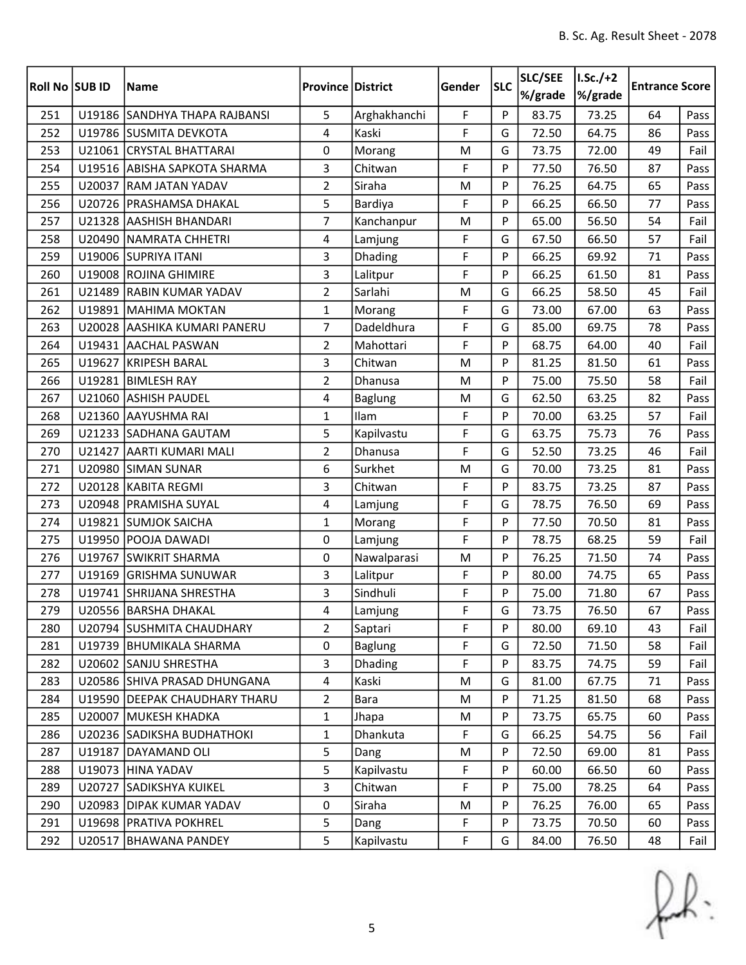| <b>Roll No SUB ID</b> |        | <b>Name</b>                   | <b>Province District</b> |                | Gender | <b>SLC</b> | SLC/SEE<br>%/grade | $I.Sc./+2$<br>%/grade | <b>Entrance Score</b> |      |
|-----------------------|--------|-------------------------------|--------------------------|----------------|--------|------------|--------------------|-----------------------|-----------------------|------|
| 251                   |        | U19186 SANDHYA THAPA RAJBANSI | 5                        | Arghakhanchi   | F      | P          | 83.75              | 73.25                 | 64                    | Pass |
| 252                   |        | U19786 SUSMITA DEVKOTA        | 4                        | Kaski          | F      | G          | 72.50              | 64.75                 | 86                    | Pass |
| 253                   |        | U21061 CRYSTAL BHATTARAI      | 0                        | Morang         | M      | G          | 73.75              | 72.00                 | 49                    | Fail |
| 254                   |        | U19516 ABISHA SAPKOTA SHARMA  | 3                        | Chitwan        | F      | P          | 77.50              | 76.50                 | 87                    | Pass |
| 255                   | U20037 | <b>RAM JATAN YADAV</b>        | $\overline{2}$           | Siraha         | M      | P          | 76.25              | 64.75                 | 65                    | Pass |
| 256                   |        | U20726   PRASHAMSA DHAKAL     | 5                        | Bardiya        | F      | P          | 66.25              | 66.50                 | 77                    | Pass |
| 257                   |        | U21328 AASHISH BHANDARI       | $\overline{7}$           | Kanchanpur     | M      | P          | 65.00              | 56.50                 | 54                    | Fail |
| 258                   |        | U20490 NAMRATA CHHETRI        | $\overline{4}$           | Lamjung        | F      | G          | 67.50              | 66.50                 | 57                    | Fail |
| 259                   |        | U19006 SUPRIYA ITANI          | 3                        | Dhading        | F      | P          | 66.25              | 69.92                 | 71                    | Pass |
| 260                   | U19008 | <b>ROJINA GHIMIRE</b>         | $\overline{3}$           | Lalitpur       | F      | P          | 66.25              | 61.50                 | 81                    | Pass |
| 261                   |        | U21489 RABIN KUMAR YADAV      | $\overline{2}$           | Sarlahi        | M      | G          | 66.25              | 58.50                 | 45                    | Fail |
| 262                   |        | U19891 MAHIMA MOKTAN          | $\mathbf{1}$             | Morang         | F      | G          | 73.00              | 67.00                 | 63                    | Pass |
| 263                   |        | U20028 AASHIKA KUMARI PANERU  | 7                        | Dadeldhura     | F      | G          | 85.00              | 69.75                 | 78                    | Pass |
| 264                   |        | U19431 AACHAL PASWAN          | $\overline{2}$           | Mahottari      | F      | P          | 68.75              | 64.00                 | 40                    | Fail |
| 265                   | U19627 | KRIPESH BARAL                 | 3                        | Chitwan        | M      | P          | 81.25              | 81.50                 | 61                    | Pass |
| 266                   |        | U19281 BIMLESH RAY            | $\overline{2}$           | Dhanusa        | M      | P          | 75.00              | 75.50                 | 58                    | Fail |
| 267                   | U21060 | <b>ASHISH PAUDEL</b>          | 4                        | <b>Baglung</b> | M      | G          | 62.50              | 63.25                 | 82                    | Pass |
| 268                   |        | U21360 AAYUSHMA RAI           | $\mathbf{1}$             | Ilam           | F      | P          | 70.00              | 63.25                 | 57                    | Fail |
| 269                   |        | U21233 SADHANA GAUTAM         | 5                        | Kapilvastu     | F      | G          | 63.75              | 75.73                 | 76                    | Pass |
| 270                   |        | U21427 AARTI KUMARI MALI      | $\overline{2}$           | Dhanusa        | F      | G          | 52.50              | 73.25                 | 46                    | Fail |
| 271                   |        | U20980 SIMAN SUNAR            | 6                        | Surkhet        | M      | G          | 70.00              | 73.25                 | 81                    | Pass |
| 272                   |        | U20128 KABITA REGMI           | 3                        | Chitwan        | F      | P          | 83.75              | 73.25                 | 87                    | Pass |
| 273                   |        | U20948   PRAMISHA SUYAL       | 4                        | Lamjung        | F      | G          | 78.75              | 76.50                 | 69                    | Pass |
| 274                   |        | U19821 SUMJOK SAICHA          | $\mathbf{1}$             | Morang         | F      | P          | 77.50              | 70.50                 | 81                    | Pass |
| 275                   |        | U19950 POOJA DAWADI           | 0                        | Lamjung        | F      | P          | 78.75              | 68.25                 | 59                    | Fail |
| 276                   |        | U19767 SWIKRIT SHARMA         | 0                        | Nawalparasi    | M      | P          | 76.25              | 71.50                 | 74                    | Pass |
| 277                   | U19169 | <b>GRISHMA SUNUWAR</b>        | 3                        | Lalitpur       | F      | P          | 80.00              | 74.75                 | 65                    | Pass |
| 278                   |        | U19741 SHRIJANA SHRESTHA      | 3                        | Sindhuli       | F      | P          | 75.00              | 71.80                 | 67                    | Pass |
| 279                   |        | U20556 BARSHA DHAKAL          | 4                        | Lamjung        | F      | G          | 73.75              | 76.50                 | 67                    | Pass |
| 280                   |        | U20794 SUSHMITA CHAUDHARY     | 2                        | Saptari        | F      | P          | 80.00              | 69.10                 | 43                    | Fail |
| 281                   |        | U19739   BHUMIKALA SHARMA     | 0                        | <b>Baglung</b> | F      | G          | 72.50              | 71.50                 | 58                    | Fail |
| 282                   |        | U20602 SANJU SHRESTHA         | $\overline{3}$           | Dhading        | F      | P          | 83.75              | 74.75                 | 59                    | Fail |
| 283                   |        | U20586 SHIVA PRASAD DHUNGANA  | $\overline{4}$           | Kaski          | M      | G          | 81.00              | 67.75                 | 71                    | Pass |
| 284                   |        | U19590 DEEPAK CHAUDHARY THARU | $\overline{2}$           | Bara           | M      | P          | 71.25              | 81.50                 | 68                    | Pass |
| 285                   |        | U20007   MUKESH KHADKA        | $\mathbf{1}$             | Jhapa          | M      | P          | 73.75              | 65.75                 | 60                    | Pass |
| 286                   |        | U20236 SADIKSHA BUDHATHOKI    | $\mathbf{1}$             | Dhankuta       | F      | G          | 66.25              | 54.75                 | 56                    | Fail |
| 287                   |        | U19187 DAYAMAND OLI           | 5                        | Dang           | M      | P          | 72.50              | 69.00                 | 81                    | Pass |
| 288                   |        | U19073 HINA YADAV             | 5                        | Kapilvastu     | F      | P          | 60.00              | 66.50                 | 60                    | Pass |
| 289                   |        | U20727 SADIKSHYA KUIKEL       | $\overline{3}$           | Chitwan        | F      | P          | 75.00              | 78.25                 | 64                    | Pass |
| 290                   |        | U20983 DIPAK KUMAR YADAV      | 0                        | Siraha         | M      | P          | 76.25              | 76.00                 | 65                    | Pass |
| 291                   |        | U19698   PRATIVA POKHREL      | 5                        | Dang           | F      | P          | 73.75              | 70.50                 | 60                    | Pass |
| 292                   |        | U20517 BHAWANA PANDEY         | 5                        | Kapilvastu     | F      | G          | 84.00              | 76.50                 | 48                    | Fail |

 $f(x)$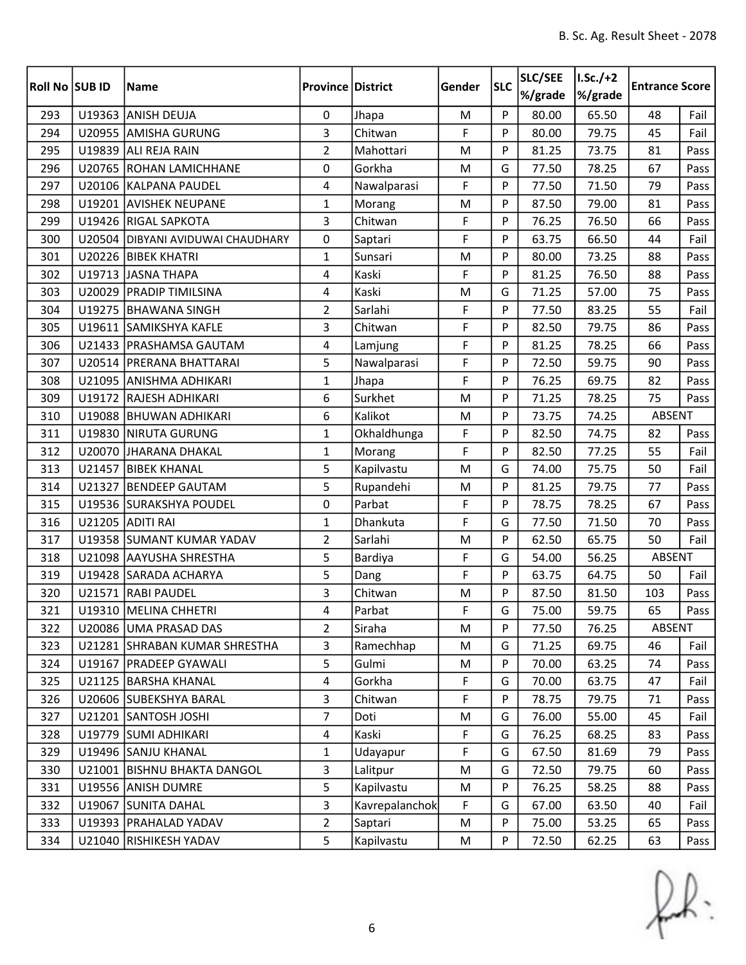| Roll No SUB ID |        | <b>Name</b>                       | <b>Province District</b> |                | Gender | <b>SLC</b> | SLC/SEE<br>%/grade | $I.Sc./+2$<br>%/grade | <b>Entrance Score</b> |      |
|----------------|--------|-----------------------------------|--------------------------|----------------|--------|------------|--------------------|-----------------------|-----------------------|------|
| 293            |        | U19363 ANISH DEUJA                | $\mathbf 0$              | Jhapa          | M      | P          | 80.00              | 65.50                 | 48                    | Fail |
| 294            |        | U20955 AMISHA GURUNG              | 3                        | Chitwan        | F      | P          | 80.00              | 79.75                 | 45                    | Fail |
| 295            |        | U19839 ALI REJA RAIN              | $\overline{2}$           | Mahottari      | M      | P          | 81.25              | 73.75                 | 81                    | Pass |
| 296            |        | U20765 ROHAN LAMICHHANE           | 0                        | Gorkha         | M      | G          | 77.50              | 78.25                 | 67                    | Pass |
| 297            |        | U20106 KALPANA PAUDEL             | 4                        | Nawalparasi    | F      | P          | 77.50              | 71.50                 | 79                    | Pass |
| 298            |        | U19201 AVISHEK NEUPANE            | $\mathbf{1}$             | Morang         | M      | P          | 87.50              | 79.00                 | 81                    | Pass |
| 299            |        | U19426 RIGAL SAPKOTA              | 3                        | Chitwan        | F      | P          | 76.25              | 76.50                 | 66                    | Pass |
| 300            |        | U20504 DIBYANI AVIDUWAI CHAUDHARY | 0                        | Saptari        | F      | P          | 63.75              | 66.50                 | 44                    | Fail |
| 301            |        | U20226 BIBEK KHATRI               | $\mathbf{1}$             | Sunsari        | M      | P          | 80.00              | 73.25                 | 88                    | Pass |
| 302            |        | U19713 JASNA THAPA                | $\overline{4}$           | Kaski          | F      | P          | 81.25              | 76.50                 | 88                    | Pass |
| 303            |        | U20029   PRADIP TIMILSINA         | $\overline{4}$           | Kaski          | M      | G          | 71.25              | 57.00                 | 75                    | Pass |
| 304            |        | U19275 BHAWANA SINGH              | $\overline{2}$           | Sarlahi        | F      | P          | 77.50              | 83.25                 | 55                    | Fail |
| 305            |        | U19611 SAMIKSHYA KAFLE            | 3                        | Chitwan        | F      | P          | 82.50              | 79.75                 | 86                    | Pass |
| 306            |        | U21433   PRASHAMSA GAUTAM         | 4                        | Lamjung        | F      | P          | 81.25              | 78.25                 | 66                    | Pass |
| 307            |        | U20514 PRERANA BHATTARAI          | 5                        | Nawalparasi    | F      | P          | 72.50              | 59.75                 | 90                    | Pass |
| 308            |        | U21095 ANISHMA ADHIKARI           | $\mathbf{1}$             | Jhapa          | F      | P          | 76.25              | 69.75                 | 82                    | Pass |
| 309            |        | U19172 RAJESH ADHIKARI            | 6                        | Surkhet        | M      | P          | 71.25              | 78.25                 | 75                    | Pass |
| 310            |        | U19088 BHUWAN ADHIKARI            | 6                        | Kalikot        | M      | P          | 73.75              | 74.25                 | ABSENT                |      |
| 311            |        | U19830 NIRUTA GURUNG              | $\mathbf{1}$             | Okhaldhunga    | F      | P          | 82.50              | 74.75                 | 82                    | Pass |
| 312            |        | U20070 JHARANA DHAKAL             | $\mathbf{1}$             | Morang         | F      | P          | 82.50              | 77.25                 | 55                    | Fail |
| 313            |        | U21457 BIBEK KHANAL               | 5                        | Kapilvastu     | M      | G          | 74.00              | 75.75                 | 50                    | Fail |
| 314            | U21327 | <b>BENDEEP GAUTAM</b>             | 5                        | Rupandehi      | M      | P          | 81.25              | 79.75                 | 77                    | Pass |
| 315            |        | U19536 SURAKSHYA POUDEL           | 0                        | Parbat         | F      | P          | 78.75              | 78.25                 | 67                    | Pass |
| 316            |        | U21205 ADITI RAI                  | $\mathbf{1}$             | Dhankuta       | F      | G          | 77.50              | 71.50                 | 70                    | Pass |
| 317            |        | U19358 SUMANT KUMAR YADAV         | $\overline{2}$           | Sarlahi        | M      | P          | 62.50              | 65.75                 | 50                    | Fail |
| 318            |        | U21098 AAYUSHA SHRESTHA           | 5                        | Bardiya        | F      | G          | 54.00              | 56.25                 | ABSENT                |      |
| 319            |        | U19428 SARADA ACHARYA             | 5                        | Dang           | F      | P          | 63.75              | 64.75                 | 50                    | Fail |
| 320            |        | U21571 RABI PAUDEL                | 3                        | Chitwan        | M      | P          | 87.50              | 81.50                 | 103                   | Pass |
| 321            |        | U19310 MELINA CHHETRI             | 4                        | Parbat         | F      | G          | 75.00              | 59.75                 | 65                    | Pass |
| 322            |        | U20086 UMA PRASAD DAS             | $\overline{2}$           | Siraha         | M      | P          | 77.50              | 76.25                 | ABSENT                |      |
| 323            |        | U21281 SHRABAN KUMAR SHRESTHA     | 3                        | Ramechhap      | M      | G          | 71.25              | 69.75                 | 46                    | Fail |
| 324            |        | U19167   PRADEEP GYAWALI          | 5                        | Gulmi          | M      | P          | 70.00              | 63.25                 | 74                    | Pass |
| 325            |        | U21125 BARSHA KHANAL              | $\overline{4}$           | Gorkha         | F      | G          | 70.00              | 63.75                 | 47                    | Fail |
| 326            |        | U20606 SUBEKSHYA BARAL            | 3                        | Chitwan        | F      | P          | 78.75              | 79.75                 | 71                    | Pass |
| 327            |        | U21201 SANTOSH JOSHI              | $\overline{7}$           | Doti           | M      | G          | 76.00              | 55.00                 | 45                    | Fail |
| 328            |        | U19779 SUMI ADHIKARI              | $\overline{4}$           | Kaski          | F      | G          | 76.25              | 68.25                 | 83                    | Pass |
| 329            |        | U19496 SANJU KHANAL               | $\mathbf{1}$             | Udayapur       | F      | G          | 67.50              | 81.69                 | 79                    | Pass |
| 330            |        | U21001   BISHNU BHAKTA DANGOL     | 3                        | Lalitpur       | M      | G          | 72.50              | 79.75                 | 60                    | Pass |
| 331            |        | U19556 ANISH DUMRE                | 5                        | Kapilvastu     | M      | P          | 76.25              | 58.25                 | 88                    | Pass |
| 332            |        | U19067 SUNITA DAHAL               | 3                        | Kavrepalanchok | F      | G          | 67.00              | 63.50                 | 40                    | Fail |
| 333            |        | U19393 PRAHALAD YADAV             | $\overline{2}$           | Saptari        | M      | P          | 75.00              | 53.25                 | 65                    | Pass |
| 334            |        | U21040 RISHIKESH YADAV            | 5                        | Kapilvastu     | M      | P          | 72.50              | 62.25                 | 63                    | Pass |

 $f(x)$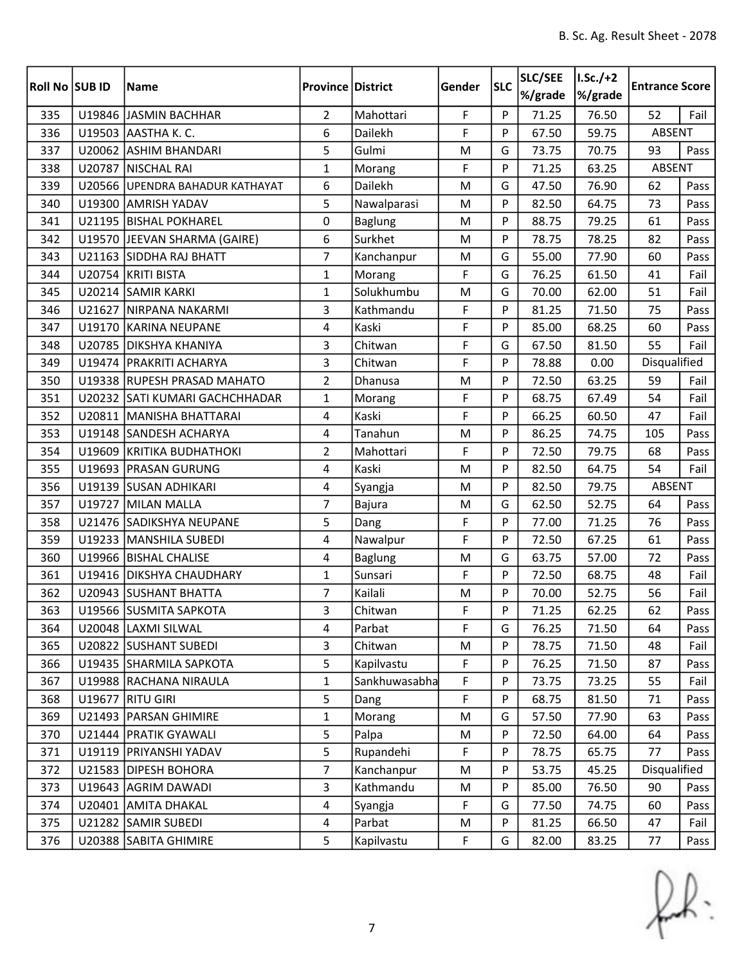| <b>Roll No SUB ID</b> |        | <b>Name</b>                     | <b>Province District</b> |               | Gender    | <b>SLC</b> | SLC/SEE<br>%/grade | $I.Sc./+2$<br>%/grade | <b>Entrance Score</b> |      |
|-----------------------|--------|---------------------------------|--------------------------|---------------|-----------|------------|--------------------|-----------------------|-----------------------|------|
| 335                   |        | U19846 JASMIN BACHHAR           | $\overline{2}$           | Mahottari     | F         | P          | 71.25              | 76.50                 | 52                    | Fail |
| 336                   |        | U19503 AASTHA K. C.             | 6                        | Dailekh       | F         | P          | 67.50              | 59.75                 | ABSENT                |      |
| 337                   |        | U20062 ASHIM BHANDARI           | 5                        | Gulmi         | M         | G          | 73.75              | 70.75                 | 93                    | Pass |
| 338                   |        | U20787   NISCHAL RAI            | $\mathbf{1}$             | Morang        | F         | P          | 71.25              | 63.25                 | <b>ABSENT</b>         |      |
| 339                   |        | U20566 UPENDRA BAHADUR KATHAYAT | 6                        | Dailekh       | M         | G          | 47.50              | 76.90                 | 62                    | Pass |
| 340                   |        | U19300 AMRISH YADAV             | 5                        | Nawalparasi   | M         | P          | 82.50              | 64.75                 | 73                    | Pass |
| 341                   |        | U21195 BISHAL POKHAREL          | $\mathbf 0$              | Baglung       | M         | P          | 88.75              | 79.25                 | 61                    | Pass |
| 342                   |        | U19570 JEEVAN SHARMA (GAIRE)    | 6                        | Surkhet       | ${\sf M}$ | P          | 78.75              | 78.25                 | 82                    | Pass |
| 343                   |        | U21163 SIDDHA RAJ BHATT         | $\overline{7}$           | Kanchanpur    | M         | G          | 55.00              | 77.90                 | 60                    | Pass |
| 344                   |        | U20754 KRITI BISTA              | $\mathbf{1}$             | Morang        | F         | G          | 76.25              | 61.50                 | 41                    | Fail |
| 345                   |        | U20214 SAMIR KARKI              | $\mathbf{1}$             | Solukhumbu    | M         | G          | 70.00              | 62.00                 | 51                    | Fail |
| 346                   |        | U21627 NIRPANA NAKARMI          | 3                        | Kathmandu     | F         | P          | 81.25              | 71.50                 | 75                    | Pass |
| 347                   |        | U19170 KARINA NEUPANE           | 4                        | Kaski         | F         | P          | 85.00              | 68.25                 | 60                    | Pass |
| 348                   |        | U20785 DIKSHYA KHANIYA          | 3                        | Chitwan       | F         | G          | 67.50              | 81.50                 | 55                    | Fail |
| 349                   |        | U19474   PRAKRITI ACHARYA       | 3                        | Chitwan       | F         | P          | 78.88              | 0.00                  | Disqualified          |      |
| 350                   |        | U19338 RUPESH PRASAD MAHATO     | $\overline{2}$           | Dhanusa       | M         | P          | 72.50              | 63.25                 | 59                    | Fail |
| 351                   |        | U20232 SATI KUMARI GACHCHHADAR  | 1                        | Morang        | F         | P          | 68.75              | 67.49                 | 54                    | Fail |
| 352                   |        | U20811   MANISHA BHATTARAI      | 4                        | Kaski         | F         | Þ          | 66.25              | 60.50                 | 47                    | Fail |
| 353                   |        | U19148 SANDESH ACHARYA          | 4                        | Tanahun       | M         | P          | 86.25              | 74.75                 | 105                   | Pass |
| 354                   |        | U19609 KRITIKA BUDHATHOKI       | $\overline{2}$           | Mahottari     | F         | P          | 72.50              | 79.75                 | 68                    | Pass |
| 355                   |        | U19693   PRASAN GURUNG          | 4                        | Kaski         | M         | P          | 82.50              | 64.75                 | 54                    | Fail |
| 356                   |        | U19139 SUSAN ADHIKARI           | $\overline{4}$           | Syangja       | M         | P          | 82.50              | 79.75                 | ABSENT                |      |
| 357                   |        | U19727 MILAN MALLA              | 7                        | Bajura        | M         | G          | 62.50              | 52.75                 | 64                    | Pass |
| 358                   |        | U21476 SADIKSHYA NEUPANE        | 5                        | Dang          | F         | P          | 77.00              | 71.25                 | 76                    | Pass |
| 359                   |        | U19233 MANSHILA SUBEDI          | 4                        | Nawalpur      | F         | P          | 72.50              | 67.25                 | 61                    | Pass |
| 360                   |        | U19966   BISHAL CHALISE         | 4                        | Baglung       | M         | G          | 63.75              | 57.00                 | 72                    | Pass |
| 361                   |        | U19416   DIKSHYA CHAUDHARY      | $\mathbf{1}$             | Sunsari       | F         | P          | 72.50              | 68.75                 | 48                    | Fail |
| 362                   |        | U20943 SUSHANT BHATTA           | 7                        | Kailali       | M         | P          | 70.00              | 52.75                 | 56                    | Fail |
| 363                   |        | U19566 SUSMITA SAPKOTA          | 3                        | Chitwan       | F         | P          | 71.25              | 62.25                 | 62                    | Pass |
| 364                   |        | U20048  LAXMI SILWAL            | 4                        | Parbat        | F         | G          | 76.25              | 71.50                 | 64                    | Pass |
| 365                   |        | U20822 SUSHANT SUBEDI           | 3                        | Chitwan       | M         | P          | 78.75              | 71.50                 | 48                    | Fail |
| 366                   |        | U19435 SHARMILA SAPKOTA         | 5                        | Kapilvastu    | F         | P          | 76.25              | 71.50                 | 87                    | Pass |
| 367                   |        | U19988 RACHANA NIRAULA          | $\mathbf{1}$             | Sankhuwasabha | F         | P          | 73.75              | 73.25                 | 55                    | Fail |
| 368                   | U19677 | <b>RITU GIRI</b>                | 5                        | Dang          | F         | P          | 68.75              | 81.50                 | 71                    | Pass |
| 369                   |        | U21493   PARSAN GHIMIRE         | $\mathbf{1}$             | Morang        | M         | G          | 57.50              | 77.90                 | 63                    | Pass |
| 370                   |        | U21444   PRATIK GYAWALI         | 5                        | Palpa         | M         | P          | 72.50              | 64.00                 | 64                    | Pass |
| 371                   |        | U19119   PRIYANSHI YADAV        | 5                        | Rupandehi     | F         | P          | 78.75              | 65.75                 | 77                    | Pass |
| 372                   |        | U21583 DIPESH BOHORA            | $\overline{7}$           | Kanchanpur    | M         | P          | 53.75              | 45.25                 | Disqualified          |      |
| 373                   |        | U19643 AGRIM DAWADI             | 3                        | Kathmandu     | M         | P          | 85.00              | 76.50                 | 90                    | Pass |
| 374                   |        | U20401 AMITA DHAKAL             | $\overline{4}$           | Syangja       | F         | G          | 77.50              | 74.75                 | 60                    | Pass |
| 375                   |        | U21282 SAMIR SUBEDI             | $\overline{4}$           | Parbat        | M         | P          | 81.25              | 66.50                 | 47                    | Fail |
| 376                   |        | U20388 SABITA GHIMIRE           | 5                        | Kapilvastu    | F         | G          | 82.00              | 83.25                 | 77                    | Pass |

 $f(x)$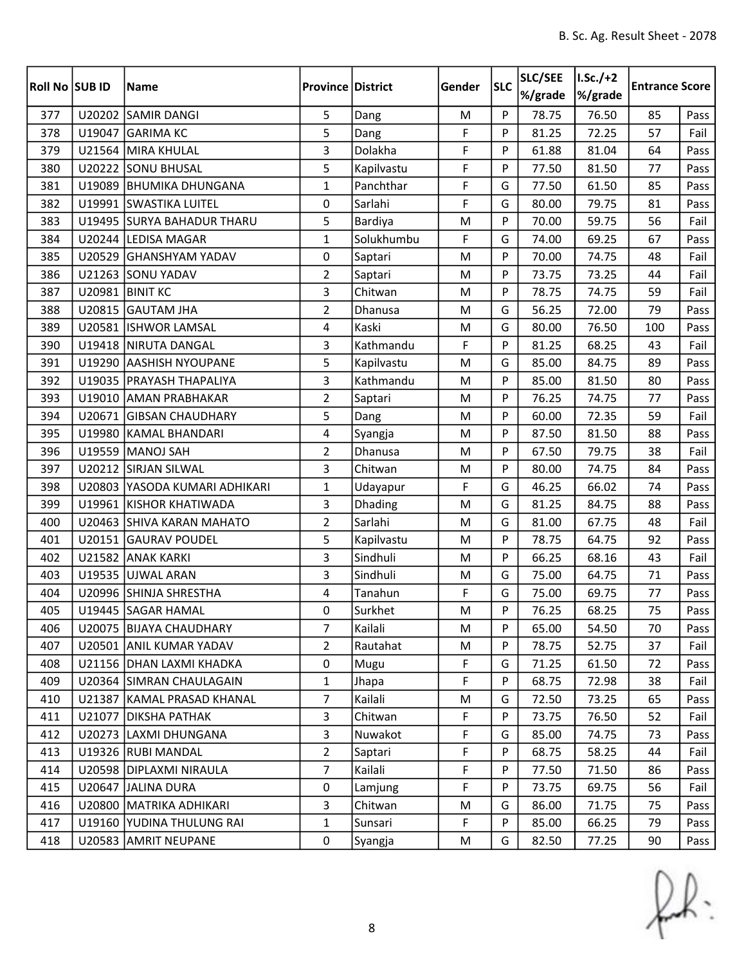| Roll No SUB ID |        | <b>Name</b>                   | <b>Province District</b> |            | Gender    | <b>SLC</b> | SLC/SEE<br>%/grade | $I.Sc./+2$<br>%/grade | <b>Entrance Score</b> |      |
|----------------|--------|-------------------------------|--------------------------|------------|-----------|------------|--------------------|-----------------------|-----------------------|------|
| 377            |        | U20202 SAMIR DANGI            | 5                        | Dang       | M         | P          | 78.75              | 76.50                 | 85                    | Pass |
| 378            |        | U19047 GARIMA KC              | 5                        | Dang       | F         | P          | 81.25              | 72.25                 | 57                    | Fail |
| 379            |        | U21564 MIRA KHULAL            | 3                        | Dolakha    | F         | P          | 61.88              | 81.04                 | 64                    | Pass |
| 380            |        | U20222 SONU BHUSAL            | 5                        | Kapilvastu | F         | P          | 77.50              | 81.50                 | 77                    | Pass |
| 381            | U19089 | <b>BHUMIKA DHUNGANA</b>       | $\mathbf{1}$             | Panchthar  | F         | G          | 77.50              | 61.50                 | 85                    | Pass |
| 382            |        | U19991 SWASTIKA LUITEL        | 0                        | Sarlahi    | F         | G          | 80.00              | 79.75                 | 81                    | Pass |
| 383            |        | U19495 SURYA BAHADUR THARU    | 5                        | Bardiya    | M         | P          | 70.00              | 59.75                 | 56                    | Fail |
| 384            |        | U20244 LEDISA MAGAR           | $\mathbf{1}$             | Solukhumbu | F         | G          | 74.00              | 69.25                 | 67                    | Pass |
| 385            | U20529 | <b>GHANSHYAM YADAV</b>        | 0                        | Saptari    | M         | P          | 70.00              | 74.75                 | 48                    | Fail |
| 386            |        | U21263 SONU YADAV             | $\overline{2}$           | Saptari    | M         | P          | 73.75              | 73.25                 | 44                    | Fail |
| 387            |        | <b>U20981 BINIT KC</b>        | 3                        | Chitwan    | M         | P          | 78.75              | 74.75                 | 59                    | Fail |
| 388            |        | U20815 GAUTAM JHA             | $\overline{2}$           | Dhanusa    | M         | G          | 56.25              | 72.00                 | 79                    | Pass |
| 389            |        | U20581 ISHWOR LAMSAL          | 4                        | Kaski      | M         | G          | 80.00              | 76.50                 | 100                   | Pass |
| 390            |        | U19418 NIRUTA DANGAL          | $\overline{3}$           | Kathmandu  | F         | P          | 81.25              | 68.25                 | 43                    | Fail |
| 391            |        | U19290 AASHISH NYOUPANE       | 5                        | Kapilvastu | M         | G          | 85.00              | 84.75                 | 89                    | Pass |
| 392            |        | U19035   PRAYASH THAPALIYA    | 3                        | Kathmandu  | M         | P          | 85.00              | 81.50                 | 80                    | Pass |
| 393            |        | U19010 AMAN PRABHAKAR         | $\overline{2}$           | Saptari    | M         | P          | 76.25              | 74.75                 | 77                    | Pass |
| 394            |        | U20671 GIBSAN CHAUDHARY       | 5                        | Dang       | M         | P          | 60.00              | 72.35                 | 59                    | Fail |
| 395            |        | U19980 KAMAL BHANDARI         | 4                        | Syangja    | M         | P          | 87.50              | 81.50                 | 88                    | Pass |
| 396            |        | U19559 MANOJ SAH              | $\overline{2}$           | Dhanusa    | M         | P          | 67.50              | 79.75                 | 38                    | Fail |
| 397            |        | U20212 SIRJAN SILWAL          | 3                        | Chitwan    | M         | P          | 80.00              | 74.75                 | 84                    | Pass |
| 398            |        | U20803 YASODA KUMARI ADHIKARI | $\mathbf{1}$             | Udayapur   | F         | G          | 46.25              | 66.02                 | 74                    | Pass |
| 399            |        | U19961 KISHOR KHATIWADA       | 3                        | Dhading    | M         | G          | 81.25              | 84.75                 | 88                    | Pass |
| 400            |        | U20463 SHIVA KARAN MAHATO     | $\overline{2}$           | Sarlahi    | M         | G          | 81.00              | 67.75                 | 48                    | Fail |
| 401            |        | U20151 GAURAV POUDEL          | 5                        | Kapilvastu | M         | P          | 78.75              | 64.75                 | 92                    | Pass |
| 402            |        | U21582 ANAK KARKI             | 3                        | Sindhuli   | ${\sf M}$ | P          | 66.25              | 68.16                 | 43                    | Fail |
| 403            |        | U19535 UJWAL ARAN             | 3                        | Sindhuli   | M         | G          | 75.00              | 64.75                 | 71                    | Pass |
| 404            |        | U20996 SHINJA SHRESTHA        | 4                        | Tanahun    | F         | G          | 75.00              | 69.75                 | 77                    | Pass |
| 405            |        | U19445 SAGAR HAMAL            | 0                        | Surkhet    | M         | P          | 76.25              | 68.25                 | 75                    | Pass |
| 406            |        | U20075 BIJAYA CHAUDHARY       | 7                        | Kailali    | M         | P          | 65.00              | 54.50                 | 70                    | Pass |
| 407            |        | U20501 ANIL KUMAR YADAV       | $\overline{2}$           | Rautahat   | M         | P          | 78.75              | 52.75                 | 37                    | Fail |
| 408            |        | U21156 DHAN LAXMI KHADKA      | 0                        | Mugu       | F         | G          | 71.25              | 61.50                 | 72                    | Pass |
| 409            |        | U20364 SIMRAN CHAULAGAIN      | $\mathbf{1}$             | Jhapa      | F         | P          | 68.75              | 72.98                 | 38                    | Fail |
| 410            |        | U21387 KAMAL PRASAD KHANAL    | $\overline{7}$           | Kailali    | M         | G          | 72.50              | 73.25                 | 65                    | Pass |
| 411            |        | U21077   DIKSHA PATHAK        | 3                        | Chitwan    | F         | P          | 73.75              | 76.50                 | 52                    | Fail |
| 412            |        | U20273 LAXMI DHUNGANA         | 3                        | Nuwakot    | F         | G          | 85.00              | 74.75                 | 73                    | Pass |
| 413            |        | U19326 RUBI MANDAL            | $\overline{2}$           | Saptari    | F         | P          | 68.75              | 58.25                 | 44                    | Fail |
| 414            |        | U20598 DIPLAXMI NIRAULA       | 7                        | Kailali    | F         | P          | 77.50              | 71.50                 | 86                    | Pass |
| 415            |        | U20647 JALINA DURA            | 0                        | Lamjung    | F         | P          | 73.75              | 69.75                 | 56                    | Fail |
| 416            |        | U20800   MATRIKA ADHIKARI     | 3                        | Chitwan    | M         | G          | 86.00              | 71.75                 | 75                    | Pass |
| 417            | U19160 | YUDINA THULUNG RAI            | $\mathbf{1}$             | Sunsari    | F         | P          | 85.00              | 66.25                 | 79                    | Pass |
| 418            |        | U20583 AMRIT NEUPANE          | $\mathbf 0$              | Syangja    | M         | G          | 82.50              | 77.25                 | 90                    | Pass |

 $f(x)$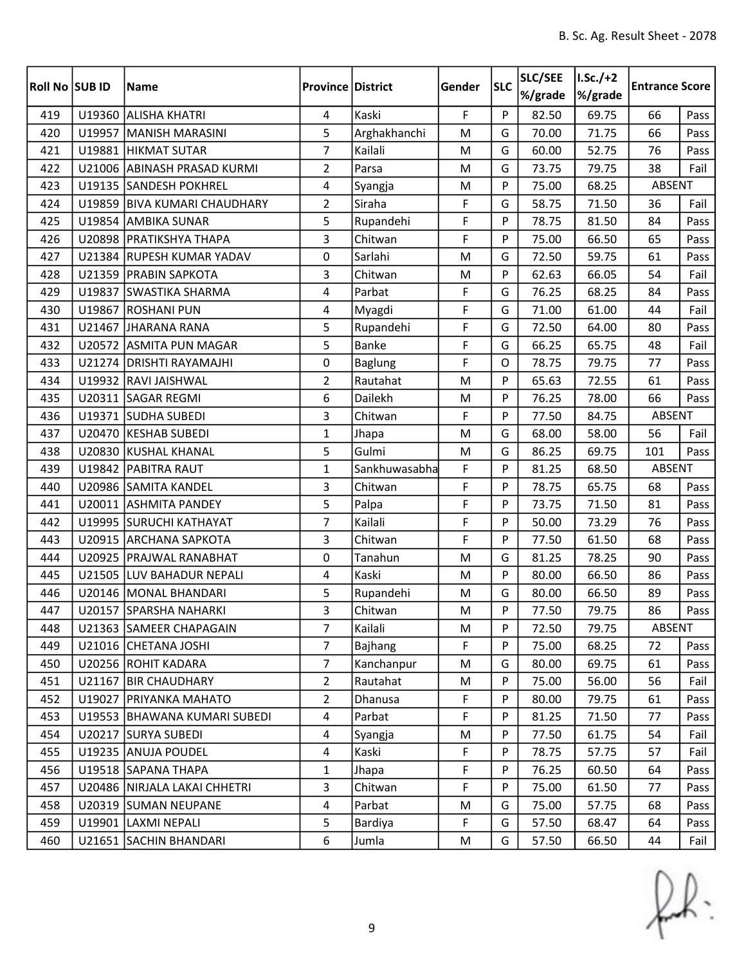| <b>Roll No SUB ID</b> |        | <b>Name</b>                  | <b>Province District</b> |                | Gender    | <b>SLC</b> | SLC/SEE<br>%/grade | $I.Sc./+2$<br>%/grade | <b>Entrance Score</b> |      |
|-----------------------|--------|------------------------------|--------------------------|----------------|-----------|------------|--------------------|-----------------------|-----------------------|------|
| 419                   |        | U19360 ALISHA KHATRI         | 4                        | Kaski          | F         | P          | 82.50              | 69.75                 | 66                    | Pass |
| 420                   |        | U19957 MANISH MARASINI       | 5                        | Arghakhanchi   | M         | G          | 70.00              | 71.75                 | 66                    | Pass |
| 421                   |        | U19881 HIKMAT SUTAR          | $\overline{7}$           | Kailali        | ${\sf M}$ | G          | 60.00              | 52.75                 | 76                    | Pass |
| 422                   |        | U21006 ABINASH PRASAD KURMI  | $\overline{2}$           | Parsa          | M         | G          | 73.75              | 79.75                 | 38                    | Fail |
| 423                   |        | U19135 SANDESH POKHREL       | 4                        | Syangja        | M         | P          | 75.00              | 68.25                 | ABSENT                |      |
| 424                   |        | U19859 BIVA KUMARI CHAUDHARY | $\overline{2}$           | Siraha         | F         | G          | 58.75              | 71.50                 | 36                    | Fail |
| 425                   |        | U19854 AMBIKA SUNAR          | 5                        | Rupandehi      | F         | P          | 78.75              | 81.50                 | 84                    | Pass |
| 426                   |        | U20898 PRATIKSHYA THAPA      | 3                        | Chitwan        | F         | P          | 75.00              | 66.50                 | 65                    | Pass |
| 427                   |        | U21384 RUPESH KUMAR YADAV    | 0                        | Sarlahi        | M         | G          | 72.50              | 59.75                 | 61                    | Pass |
| 428                   |        | U21359 PRABIN SAPKOTA        | 3                        | Chitwan        | M         | P          | 62.63              | 66.05                 | 54                    | Fail |
| 429                   |        | U19837 SWASTIKA SHARMA       | 4                        | Parbat         | F         | G          | 76.25              | 68.25                 | 84                    | Pass |
| 430                   | U19867 | <b>ROSHANI PUN</b>           | 4                        | Myagdi         | F         | G          | 71.00              | 61.00                 | 44                    | Fail |
| 431                   |        | U21467 JHARANA RANA          | 5                        | Rupandehi      | F         | G          | 72.50              | 64.00                 | 80                    | Pass |
| 432                   |        | U20572 ASMITA PUN MAGAR      | 5                        | Banke          | F         | G          | 66.25              | 65.75                 | 48                    | Fail |
| 433                   |        | U21274 DRISHTI RAYAMAJHI     | 0                        | <b>Baglung</b> | F         | O          | 78.75              | 79.75                 | 77                    | Pass |
| 434                   |        | U19932 RAVI JAISHWAL         | $\overline{2}$           | Rautahat       | M         | P          | 65.63              | 72.55                 | 61                    | Pass |
| 435                   |        | U20311 SAGAR REGMI           | 6                        | Dailekh        | M         | P          | 76.25              | 78.00                 | 66                    | Pass |
| 436                   |        | U19371 SUDHA SUBEDI          | 3                        | Chitwan        | F         | P          | 77.50              | 84.75                 | <b>ABSENT</b>         |      |
| 437                   |        | U20470 KESHAB SUBEDI         | $\mathbf{1}$             | Jhapa          | M         | G          | 68.00              | 58.00                 | 56                    | Fail |
| 438                   |        | U20830 KUSHAL KHANAL         | 5                        | Gulmi          | M         | G          | 86.25              | 69.75                 | 101                   | Pass |
| 439                   |        | U19842 PABITRA RAUT          | $\mathbf{1}$             | Sankhuwasabha  | F         | P          | 81.25              | 68.50                 | <b>ABSENT</b>         |      |
| 440                   |        | U20986 SAMITA KANDEL         | 3                        | Chitwan        | F         | P          | 78.75              | 65.75                 | 68                    | Pass |
| 441                   |        | U20011 ASHMITA PANDEY        | 5                        | Palpa          | F         | P          | 73.75              | 71.50                 | 81                    | Pass |
| 442                   |        | U19995 SURUCHI KATHAYAT      | $\overline{7}$           | Kailali        | F         | P          | 50.00              | 73.29                 | 76                    | Pass |
| 443                   |        | U20915 ARCHANA SAPKOTA       | 3                        | Chitwan        | F         | P          | 77.50              | 61.50                 | 68                    | Pass |
| 444                   |        | U20925   PRAJWAL RANABHAT    | 0                        | Tanahun        | M         | G          | 81.25              | 78.25                 | 90                    | Pass |
| 445                   |        | U21505 LUV BAHADUR NEPALI    | 4                        | Kaski          | M         | P          | 80.00              | 66.50                 | 86                    | Pass |
| 446                   |        | U20146   MONAL BHANDARI      | 5                        | Rupandehi      | M         | G          | 80.00              | 66.50                 | 89                    | Pass |
| 447                   |        | U20157 SPARSHA NAHARKI       | 3                        | Chitwan        | M         | Þ          | 77.50              | 79.75                 | 86                    | Pass |
| 448                   |        | U21363 SAMEER CHAPAGAIN      | 7                        | Kailali        | M         | P          | 72.50              | 79.75                 | ABSENT                |      |
| 449                   |        | U21016 CHETANA JOSHI         | $\overline{7}$           | Bajhang        | F         | P          | 75.00              | 68.25                 | 72                    | Pass |
| 450                   |        | U20256 ROHIT KADARA          | $\overline{7}$           | Kanchanpur     | M         | G          | 80.00              | 69.75                 | 61                    | Pass |
| 451                   |        | U21167 BIR CHAUDHARY         | $\overline{2}$           | Rautahat       | M         | P          | 75.00              | 56.00                 | 56                    | Fail |
| 452                   |        | U19027 PRIYANKA MAHATO       | $\overline{2}$           | Dhanusa        | F         | P          | 80.00              | 79.75                 | 61                    | Pass |
| 453                   |        | U19553 BHAWANA KUMARI SUBEDI | 4                        | Parbat         | F         | P          | 81.25              | 71.50                 | 77                    | Pass |
| 454                   |        | U20217 SURYA SUBEDI          | $\overline{4}$           | Syangja        | M         | P          | 77.50              | 61.75                 | 54                    | Fail |
| 455                   |        | U19235 ANUJA POUDEL          | $\overline{4}$           | Kaski          | F         | P          | 78.75              | 57.75                 | 57                    | Fail |
| 456                   |        | U19518 SAPANA THAPA          | $\mathbf{1}$             | Jhapa          | F         | P          | 76.25              | 60.50                 | 64                    | Pass |
| 457                   |        | U20486 NIRJALA LAKAI CHHETRI | 3                        | Chitwan        | F         | P          | 75.00              | 61.50                 | 77                    | Pass |
| 458                   |        | U20319 SUMAN NEUPANE         | 4                        | Parbat         | M         | G          | 75.00              | 57.75                 | 68                    | Pass |
| 459                   |        | U19901 LAXMI NEPALI          | 5                        | Bardiya        | F         | G          | 57.50              | 68.47                 | 64                    | Pass |
| 460                   |        | U21651 SACHIN BHANDARI       | 6                        | Jumla          | M         | G          | 57.50              | 66.50                 | 44                    | Fail |

 $f(x)$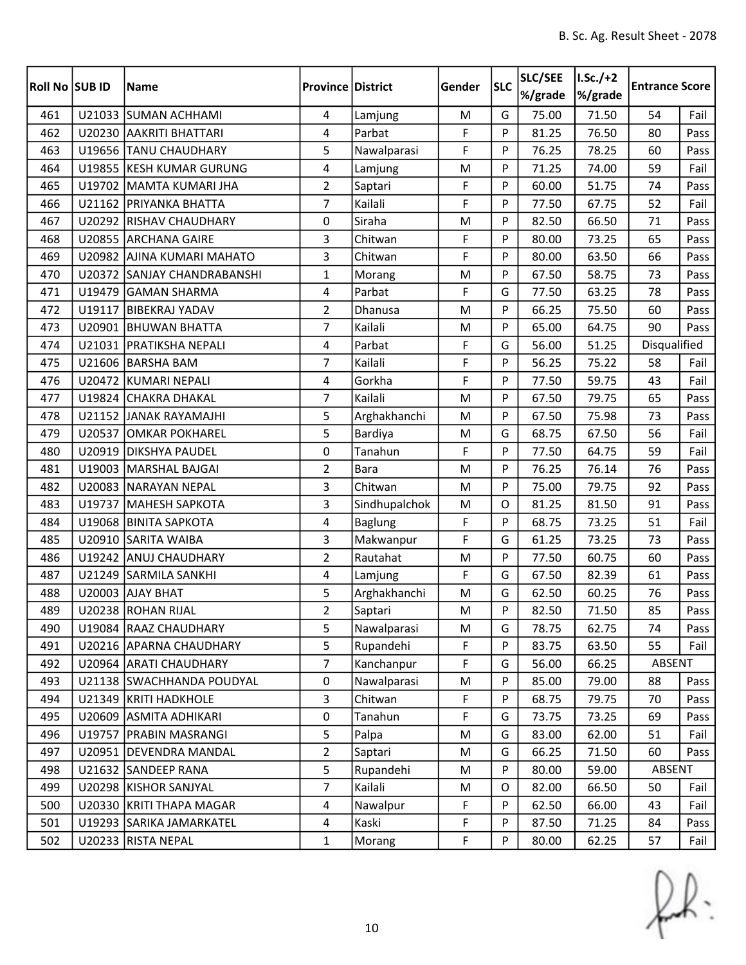| Roll No SUB ID |        | <b>Name</b>                 | <b>Province District</b> |                | Gender | <b>SLC</b> | SLC/SEE<br>%/grade | $I.Sc./+2$<br>%/grade | <b>Entrance Score</b> |      |
|----------------|--------|-----------------------------|--------------------------|----------------|--------|------------|--------------------|-----------------------|-----------------------|------|
| 461            |        | U21033 SUMAN ACHHAMI        | 4                        | Lamjung        | M      | G          | 75.00              | 71.50                 | 54                    | Fail |
| 462            |        | U20230 AAKRITI BHATTARI     | 4                        | Parbat         | F      | P          | 81.25              | 76.50                 | 80                    | Pass |
| 463            |        | U19656 TANU CHAUDHARY       | 5                        | Nawalparasi    | F      | P          | 76.25              | 78.25                 | 60                    | Pass |
| 464            |        | U19855 KESH KUMAR GURUNG    | $\overline{4}$           | Lamjung        | M      | P          | 71.25              | 74.00                 | 59                    | Fail |
| 465            |        | U19702 MAMTA KUMARI JHA     | $\overline{2}$           | Saptari        | F      | P          | 60.00              | 51.75                 | 74                    | Pass |
| 466            |        | U21162 PRIYANKA BHATTA      | $\overline{7}$           | Kailali        | F      | P          | 77.50              | 67.75                 | 52                    | Fail |
| 467            |        | U20292 RISHAV CHAUDHARY     | 0                        | Siraha         | M      | P          | 82.50              | 66.50                 | 71                    | Pass |
| 468            |        | U20855 ARCHANA GAIRE        | 3                        | Chitwan        | F      | P          | 80.00              | 73.25                 | 65                    | Pass |
| 469            |        | U20982 AJINA KUMARI MAHATO  | 3                        | Chitwan        | F      | P          | 80.00              | 63.50                 | 66                    | Pass |
| 470            |        | U20372 SANJAY CHANDRABANSHI | $\mathbf{1}$             | Morang         | M      | P          | 67.50              | 58.75                 | 73                    | Pass |
| 471            |        | U19479 GAMAN SHARMA         | $\overline{4}$           | Parbat         | F      | G          | 77.50              | 63.25                 | 78                    | Pass |
| 472            | U19117 | <b>BIBEKRAJ YADAV</b>       | $\overline{2}$           | Dhanusa        | M      | P          | 66.25              | 75.50                 | 60                    | Pass |
| 473            |        | U20901 BHUWAN BHATTA        | 7                        | Kailali        | M      | P          | 65.00              | 64.75                 | 90                    | Pass |
| 474            |        | U21031 PRATIKSHA NEPALI     | 4                        | Parbat         | F      | G          | 56.00              | 51.25                 | Disqualified          |      |
| 475            |        | U21606 BARSHA BAM           | $\overline{7}$           | Kailali        | F      | P          | 56.25              | 75.22                 | 58                    | Fail |
| 476            |        | U20472 KUMARI NEPALI        | $\overline{4}$           | Gorkha         | F      | P          | 77.50              | 59.75                 | 43                    | Fail |
| 477            |        | U19824 CHAKRA DHAKAL        | 7                        | Kailali        | M      | P          | 67.50              | 79.75                 | 65                    | Pass |
| 478            |        | U21152 JJANAK RAYAMAJHI     | 5                        | Arghakhanchi   | M      | P          | 67.50              | 75.98                 | 73                    | Pass |
| 479            | U20537 | <b>OMKAR POKHAREL</b>       | 5                        | Bardiya        | M      | G          | 68.75              | 67.50                 | 56                    | Fail |
| 480            |        | U20919 DIKSHYA PAUDEL       | 0                        | Tanahun        | F      | P          | 77.50              | 64.75                 | 59                    | Fail |
| 481            |        | U19003 MARSHAL BAJGAI       | $\overline{2}$           | <b>Bara</b>    | M      | P          | 76.25              | 76.14                 | 76                    | Pass |
| 482            |        | U20083 NARAYAN NEPAL        | 3                        | Chitwan        | M      | P          | 75.00              | 79.75                 | 92                    | Pass |
| 483            |        | U19737 MAHESH SAPKOTA       | 3                        | Sindhupalchok  | M      | O          | 81.25              | 81.50                 | 91                    | Pass |
| 484            | U19068 | <b>BINITA SAPKOTA</b>       | 4                        | <b>Baglung</b> | F      | P          | 68.75              | 73.25                 | 51                    | Fail |
| 485            |        | U20910 SARITA WAIBA         | 3                        | Makwanpur      | F      | G          | 61.25              | 73.25                 | 73                    | Pass |
| 486            |        | U19242 ANUJ CHAUDHARY       | $\overline{2}$           | Rautahat       | M      | P          | 77.50              | 60.75                 | 60                    | Pass |
| 487            | U21249 | <b>SARMILA SANKHI</b>       | $\overline{4}$           | Lamjung        | F      | G          | 67.50              | 82.39                 | 61                    | Pass |
| 488            |        | U20003 AJAY BHAT            | 5                        | Arghakhanchi   | M      | G          | 62.50              | 60.25                 | 76                    | Pass |
| 489            |        | U20238 ROHAN RIJAL          | $\overline{2}$           | Saptari        | M      | Þ          | 82.50              | 71.50                 | 85                    | Pass |
| 490            |        | U19084   RAAZ CHAUDHARY     | 5                        | Nawalparasi    | M      | G          | 78.75              | 62.75                 | 74                    | Pass |
| 491            |        | U20216 APARNA CHAUDHARY     | 5                        | Rupandehi      | F      | P          | 83.75              | 63.50                 | 55                    | Fail |
| 492            |        | U20964 ARATI CHAUDHARY      | $\overline{7}$           | Kanchanpur     | F      | G          | 56.00              | 66.25                 | ABSENT                |      |
| 493            |        | U21138 SWACHHANDA POUDYAL   | $\pmb{0}$                | Nawalparasi    | M      | P          | 85.00              | 79.00                 | 88                    | Pass |
| 494            |        | U21349 KRITI HADKHOLE       | $\overline{3}$           | Chitwan        | F      | P          | 68.75              | 79.75                 | 70                    | Pass |
| 495            |        | U20609 ASMITA ADHIKARI      | $\mathbf 0$              | Tanahun        | F      | G          | 73.75              | 73.25                 | 69                    | Pass |
| 496            | U19757 | <b>PRABIN MASRANGI</b>      | 5                        | Palpa          | M      | G          | 83.00              | 62.00                 | 51                    | Fail |
| 497            |        | U20951 DEVENDRA MANDAL      | $\overline{2}$           | Saptari        | M      | G          | 66.25              | 71.50                 | 60                    | Pass |
| 498            |        | U21632 SANDEEP RANA         | 5                        | Rupandehi      | M      | P          | 80.00              | 59.00                 | ABSENT                |      |
| 499            |        | U20298 KISHOR SANJYAL       | $\overline{7}$           | Kailali        | M      | O          | 82.00              | 66.50                 | 50                    | Fail |
| 500            |        | U20330 KRITI THAPA MAGAR    | 4                        | Nawalpur       | F      | P          | 62.50              | 66.00                 | 43                    | Fail |
| 501            |        | U19293 SARIKA JAMARKATEL    | 4                        | Kaski          | F      | P          | 87.50              | 71.25                 | 84                    | Pass |
| 502            |        | U20233 RISTA NEPAL          | $\mathbf{1}$             | Morang         | F      | P          | 80.00              | 62.25                 | 57                    | Fail |

 $f(x)$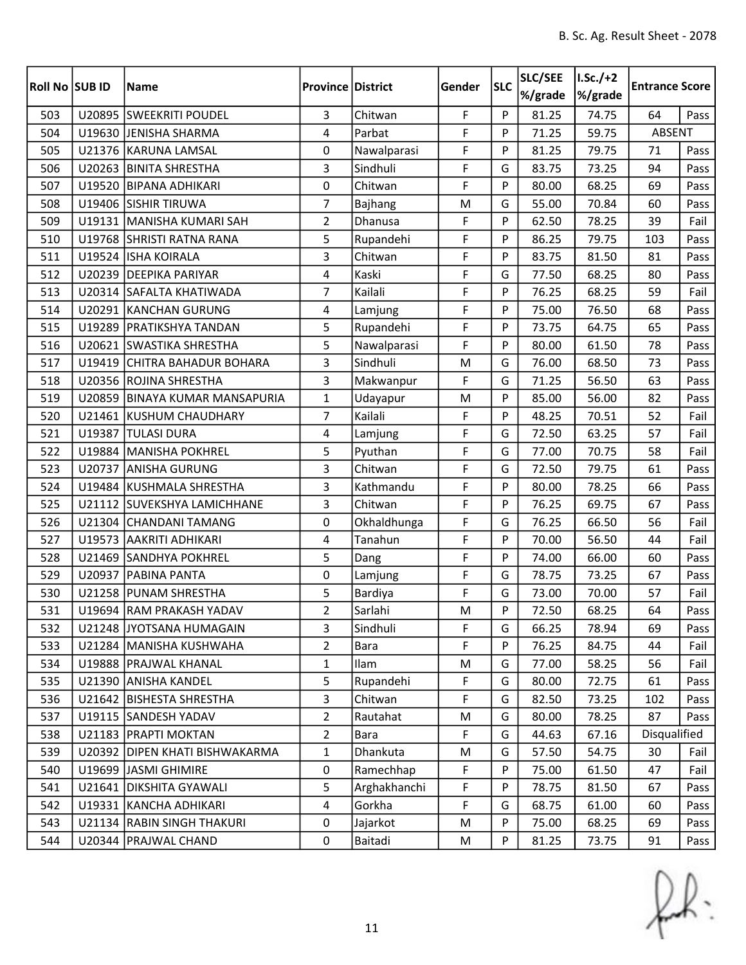| <b>Roll No SUB ID</b> |        | <b>Name</b>                      | <b>Province District</b> |              | Gender | <b>SLC</b> | SLC/SEE<br>%/grade | $I.Sc./+2$<br>%/grade | <b>Entrance Score</b> |      |
|-----------------------|--------|----------------------------------|--------------------------|--------------|--------|------------|--------------------|-----------------------|-----------------------|------|
| 503                   |        | U20895 SWEEKRITI POUDEL          | 3                        | Chitwan      | F      | P          | 81.25              | 74.75                 | 64                    | Pass |
| 504                   |        | U19630 JENISHA SHARMA            | 4                        | Parbat       | F      | P          | 71.25              | 59.75                 | ABSENT                |      |
| 505                   |        | U21376 KARUNA LAMSAL             | 0                        | Nawalparasi  | F      | P          | 81.25              | 79.75                 | 71                    | Pass |
| 506                   |        | U20263 BINITA SHRESTHA           | 3                        | Sindhuli     | F      | G          | 83.75              | 73.25                 | 94                    | Pass |
| 507                   | U19520 | <b>BIPANA ADHIKARI</b>           | 0                        | Chitwan      | F      | P          | 80.00              | 68.25                 | 69                    | Pass |
| 508                   |        | U19406 SISHIR TIRUWA             | 7                        | Bajhang      | M      | G          | 55.00              | 70.84                 | 60                    | Pass |
| 509                   |        | U19131 MANISHA KUMARI SAH        | $\overline{2}$           | Dhanusa      | F      | P          | 62.50              | 78.25                 | 39                    | Fail |
| 510                   |        | U19768 SHRISTI RATNA RANA        | 5                        | Rupandehi    | F      | P          | 86.25              | 79.75                 | 103                   | Pass |
| 511                   |        | U19524 ISHA KOIRALA              | 3                        | Chitwan      | F      | P          | 83.75              | 81.50                 | 81                    | Pass |
| 512                   |        | U20239 DEEPIKA PARIYAR           | 4                        | Kaski        | F      | G          | 77.50              | 68.25                 | 80                    | Pass |
| 513                   |        | U20314 SAFALTA KHATIWADA         | $\overline{7}$           | Kailali      | F      | P          | 76.25              | 68.25                 | 59                    | Fail |
| 514                   |        | U20291 KANCHAN GURUNG            | 4                        | Lamjung      | F      | P          | 75.00              | 76.50                 | 68                    | Pass |
| 515                   |        | U19289 PRATIKSHYA TANDAN         | 5                        | Rupandehi    | F      | P          | 73.75              | 64.75                 | 65                    | Pass |
| 516                   |        | U20621 SWASTIKA SHRESTHA         | 5                        | Nawalparasi  | F      | P          | 80.00              | 61.50                 | 78                    | Pass |
| 517                   |        | U19419 CHITRA BAHADUR BOHARA     | 3                        | Sindhuli     | M      | G          | 76.00              | 68.50                 | 73                    | Pass |
| 518                   |        | U20356 ROJINA SHRESTHA           | 3                        | Makwanpur    | F      | G          | 71.25              | 56.50                 | 63                    | Pass |
| 519                   | U20859 | <b>BINAYA KUMAR MANSAPURIA</b>   | 1                        | Udayapur     | M      | P          | 85.00              | 56.00                 | 82                    | Pass |
| 520                   |        | U21461 KUSHUM CHAUDHARY          | $\overline{7}$           | Kailali      | F      | P          | 48.25              | 70.51                 | 52                    | Fail |
| 521                   |        | U19387 TULASI DURA               | 4                        | Lamjung      | F      | G          | 72.50              | 63.25                 | 57                    | Fail |
| 522                   |        | U19884 MANISHA POKHREL           | 5                        | Pyuthan      | F      | G          | 77.00              | 70.75                 | 58                    | Fail |
| 523                   |        | U20737 ANISHA GURUNG             | 3                        | Chitwan      | F      | G          | 72.50              | 79.75                 | 61                    | Pass |
| 524                   |        | U19484 KUSHMALA SHRESTHA         | 3                        | Kathmandu    | F      | P          | 80.00              | 78.25                 | 66                    | Pass |
| 525                   |        | U21112 SUVEKSHYA LAMICHHANE      | 3                        | Chitwan      | F      | P          | 76.25              | 69.75                 | 67                    | Pass |
| 526                   |        | U21304 CHANDANI TAMANG           | 0                        | Okhaldhunga  | F      | G          | 76.25              | 66.50                 | 56                    | Fail |
| 527                   |        | U19573 AAKRITI ADHIKARI          | 4                        | Tanahun      | F      | P          | 70.00              | 56.50                 | 44                    | Fail |
| 528                   |        | U21469 SANDHYA POKHREL           | 5                        | Dang         | F      | P          | 74.00              | 66.00                 | 60                    | Pass |
| 529                   |        | U20937 PABINA PANTA              | 0                        | Lamjung      | F      | G          | 78.75              | 73.25                 | 67                    | Pass |
| 530                   |        | U21258 PUNAM SHRESTHA            | 5                        | Bardiya      | F      | G          | 73.00              | 70.00                 | 57                    | Fail |
| 531                   |        | U19694 RAM PRAKASH YADAV         | $\overline{2}$           | Sarlahi      | M      | P          | 72.50              | 68.25                 | 64                    | Pass |
| 532                   |        | U21248 JYOTSANA HUMAGAIN         | 3                        | Sindhuli     | F      | G          | 66.25              | 78.94                 | 69                    | Pass |
| 533                   |        | U21284 MANISHA KUSHWAHA          | $\overline{2}$           | Bara         | F      | P          | 76.25              | 84.75                 | 44                    | Fail |
| 534                   |        | U19888 PRAJWAL KHANAL            | $\mathbf{1}$             | Ilam         | M      | G          | 77.00              | 58.25                 | 56                    | Fail |
| 535                   |        | U21390 ANISHA KANDEL             | 5                        | Rupandehi    | F      | G          | 80.00              | 72.75                 | 61                    | Pass |
| 536                   |        | U21642 BISHESTA SHRESTHA         | 3                        | Chitwan      | F      | G          | 82.50              | 73.25                 | 102                   | Pass |
| 537                   |        | U19115 SANDESH YADAV             | $\overline{2}$           | Rautahat     | M      | G          | 80.00              | 78.25                 | 87                    | Pass |
| 538                   |        | U21183   PRAPTI MOKTAN           | $\overline{2}$           | Bara         | F      | G          | 44.63              | 67.16                 | Disqualified          |      |
| 539                   |        | U20392   DIPEN KHATI BISHWAKARMA | $\mathbf{1}$             | Dhankuta     | M      | G          | 57.50              | 54.75                 | 30                    | Fail |
| 540                   |        | U19699   JASMI GHIMIRE           | 0                        | Ramechhap    | F      | P          | 75.00              | 61.50                 | 47                    | Fail |
| 541                   |        | U21641   DIKSHITA GYAWALI        | 5                        | Arghakhanchi | F      | P          | 78.75              | 81.50                 | 67                    | Pass |
| 542                   |        | U19331 KANCHA ADHIKARI           | $\overline{4}$           | Gorkha       | F      | G          | 68.75              | 61.00                 | 60                    | Pass |
| 543                   |        | U21134 RABIN SINGH THAKURI       | 0                        | Jajarkot     | M      | P          | 75.00              | 68.25                 | 69                    | Pass |
| 544                   |        | U20344   PRAJWAL CHAND           | 0                        | Baitadi      | M      | P          | 81.25              | 73.75                 | 91                    | Pass |

 $f(x)$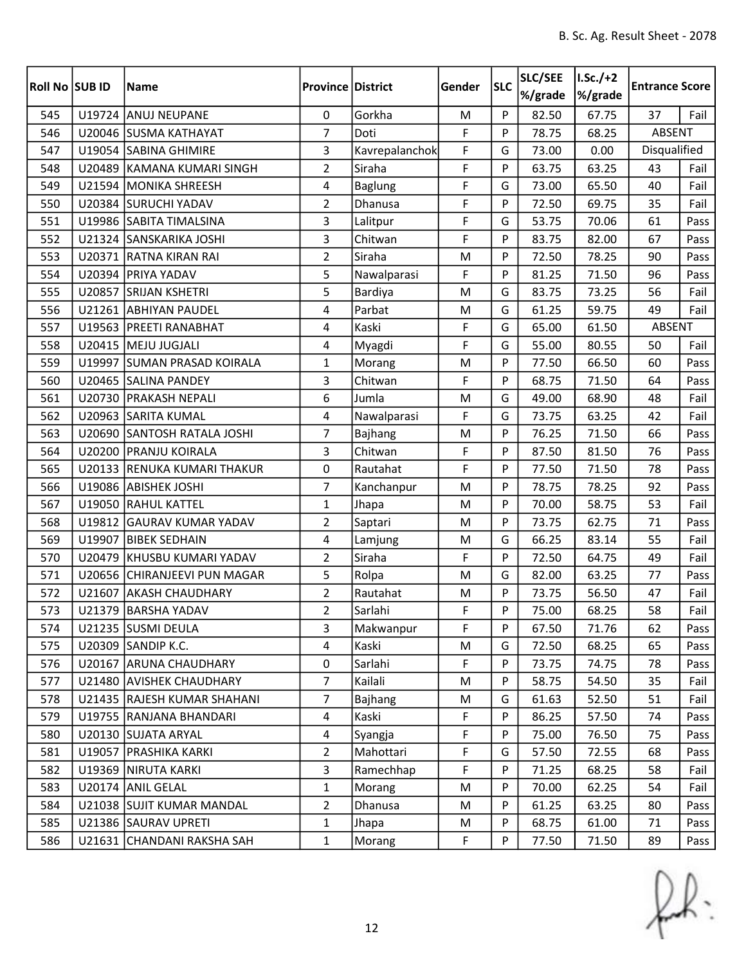| <b>Roll No SUB ID</b> |        | <b>Name</b>                  | <b>Province District</b> |                | Gender | <b>SLC</b> | SLC/SEE<br>%/grade | $I.Sc./+2$<br>%/grade | <b>Entrance Score</b> |      |
|-----------------------|--------|------------------------------|--------------------------|----------------|--------|------------|--------------------|-----------------------|-----------------------|------|
| 545                   |        | U19724 ANUJ NEUPANE          | $\mathbf 0$              | Gorkha         | M      | P          | 82.50              | 67.75                 | 37                    | Fail |
| 546                   |        | U20046 SUSMA KATHAYAT        | $\overline{7}$           | Doti           | F      | P          | 78.75              | 68.25                 | ABSENT                |      |
| 547                   |        | U19054 SABINA GHIMIRE        | 3                        | Kavrepalanchok | F      | G          | 73.00              | 0.00                  | Disqualified          |      |
| 548                   |        | U20489 KAMANA KUMARI SINGH   | $\overline{2}$           | Siraha         | F      | P          | 63.75              | 63.25                 | 43                    | Fail |
| 549                   |        | U21594 MONIKA SHREESH        | 4                        | <b>Baglung</b> | F      | G          | 73.00              | 65.50                 | 40                    | Fail |
| 550                   |        | U20384 SURUCHI YADAV         | $\overline{2}$           | Dhanusa        | F      | P          | 72.50              | 69.75                 | 35                    | Fail |
| 551                   |        | U19986 SABITA TIMALSINA      | 3                        | Lalitpur       | F      | G          | 53.75              | 70.06                 | 61                    | Pass |
| 552                   |        | U21324 SANSKARIKA JOSHI      | 3                        | Chitwan        | F      | P          | 83.75              | 82.00                 | 67                    | Pass |
| 553                   |        | U20371 RATNA KIRAN RAI       | $\overline{2}$           | Siraha         | M      | P          | 72.50              | 78.25                 | 90                    | Pass |
| 554                   |        | U20394 PRIYA YADAV           | 5                        | Nawalparasi    | F      | P          | 81.25              | 71.50                 | 96                    | Pass |
| 555                   |        | U20857 SRIJAN KSHETRI        | 5                        | Bardiya        | M      | G          | 83.75              | 73.25                 | 56                    | Fail |
| 556                   |        | U21261 ABHIYAN PAUDEL        | 4                        | Parbat         | M      | G          | 61.25              | 59.75                 | 49                    | Fail |
| 557                   |        | U19563 PREETI RANABHAT       | 4                        | Kaski          | F      | G          | 65.00              | 61.50                 | ABSENT                |      |
| 558                   |        | U20415   MEJU JUGJALI        | 4                        | Myagdi         | F      | G          | 55.00              | 80.55                 | 50                    | Fail |
| 559                   |        | U19997 SUMAN PRASAD KOIRALA  | $\mathbf{1}$             | Morang         | M      | P          | 77.50              | 66.50                 | 60                    | Pass |
| 560                   |        | U20465 SALINA PANDEY         | 3                        | Chitwan        | F      | P          | 68.75              | 71.50                 | 64                    | Pass |
| 561                   |        | U20730 PRAKASH NEPALI        | 6                        | Jumla          | M      | G          | 49.00              | 68.90                 | 48                    | Fail |
| 562                   |        | U20963 SARITA KUMAL          | 4                        | Nawalparasi    | F      | G          | 73.75              | 63.25                 | 42                    | Fail |
| 563                   |        | U20690 SANTOSH RATALA JOSHI  | 7                        | Bajhang        | M      | P          | 76.25              | 71.50                 | 66                    | Pass |
| 564                   |        | U20200 PRANJU KOIRALA        | $\overline{3}$           | Chitwan        | F      | P          | 87.50              | 81.50                 | 76                    | Pass |
| 565                   |        | U20133 RENUKA KUMARI THAKUR  | 0                        | Rautahat       | F      | P          | 77.50              | 71.50                 | 78                    | Pass |
| 566                   |        | U19086 ABISHEK JOSHI         | $\overline{7}$           | Kanchanpur     | M      | P          | 78.75              | 78.25                 | 92                    | Pass |
| 567                   |        | U19050 RAHUL KATTEL          | $\mathbf{1}$             | Jhapa          | M      | P          | 70.00              | 58.75                 | 53                    | Fail |
| 568                   | U19812 | <b>GAURAV KUMAR YADAV</b>    | $\overline{2}$           | Saptari        | M      | P          | 73.75              | 62.75                 | 71                    | Pass |
| 569                   |        | U19907 BIBEK SEDHAIN         | 4                        | Lamjung        | M      | G          | 66.25              | 83.14                 | 55                    | Fail |
| 570                   |        | U20479 KHUSBU KUMARI YADAV   | $\overline{2}$           | Siraha         | F      | P          | 72.50              | 64.75                 | 49                    | Fail |
| 571                   |        | U20656 CHIRANJEEVI PUN MAGAR | 5                        | Rolpa          | M      | G          | 82.00              | 63.25                 | 77                    | Pass |
| 572                   |        | U21607 AKASH CHAUDHARY       | $\overline{2}$           | Rautahat       | M      | P          | 73.75              | 56.50                 | 47                    | Fail |
| 573                   |        | U21379 BARSHA YADAV          | $\overline{2}$           | Sarlahi        | F      | Þ          | 75.00              | 68.25                 | 58                    | Fail |
| 574                   |        | U21235 SUSMI DEULA           | 3                        | Makwanpur      | F      | P          | 67.50              | 71.76                 | 62                    | Pass |
| 575                   |        | U20309 SANDIP K.C.           | 4                        | Kaski          | M      | G          | 72.50              | 68.25                 | 65                    | Pass |
| 576                   |        | U20167 ARUNA CHAUDHARY       | $\mathbf 0$              | Sarlahi        | F      | P          | 73.75              | 74.75                 | 78                    | Pass |
| 577                   |        | U21480 AVISHEK CHAUDHARY     | $\overline{7}$           | Kailali        | M      | P          | 58.75              | 54.50                 | 35                    | Fail |
| 578                   |        | U21435 RAJESH KUMAR SHAHANI  | $\overline{7}$           | Bajhang        | M      | G          | 61.63              | 52.50                 | 51                    | Fail |
| 579                   |        | U19755 RANJANA BHANDARI      | $\overline{4}$           | Kaski          | F      | P          | 86.25              | 57.50                 | 74                    | Pass |
| 580                   |        | U20130 SUJATA ARYAL          | $\overline{4}$           | Syangja        | F      | P          | 75.00              | 76.50                 | 75                    | Pass |
| 581                   |        | U19057 PRASHIKA KARKI        | $\overline{2}$           | Mahottari      | F      | G          | 57.50              | 72.55                 | 68                    | Pass |
| 582                   |        | U19369   NIRUTA KARKI        | 3                        | Ramechhap      | F      | P          | 71.25              | 68.25                 | 58                    | Fail |
| 583                   |        | U20174 ANIL GELAL            | $\mathbf{1}$             | Morang         | M      | P          | 70.00              | 62.25                 | 54                    | Fail |
| 584                   |        | U21038 SUJIT KUMAR MANDAL    | $\overline{2}$           | Dhanusa        | M      | P          | 61.25              | 63.25                 | 80                    | Pass |
| 585                   |        | U21386 SAURAV UPRETI         | $\mathbf{1}$             | Jhapa          | M      | P          | 68.75              | 61.00                 | 71                    | Pass |
| 586                   |        | U21631 CHANDANI RAKSHA SAH   | $\mathbf{1}$             | Morang         | F      | P          | 77.50              | 71.50                 | 89                    | Pass |

 $f(x)$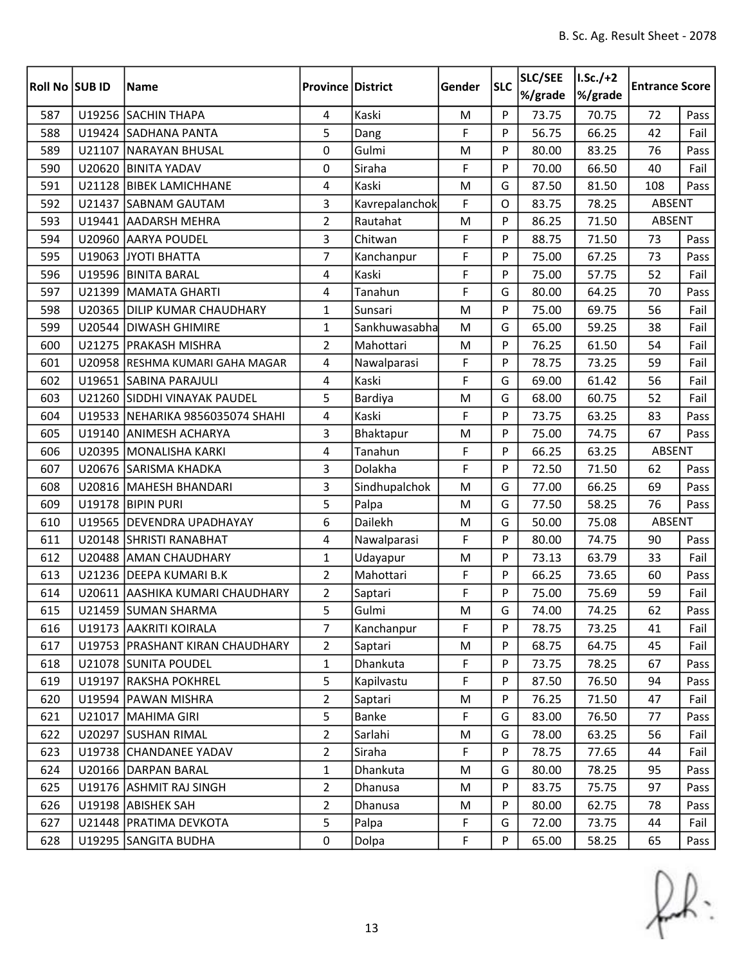| <b>Roll No SUB ID</b> |        | <b>Name</b>                      | <b>Province District</b> |                | Gender | <b>SLC</b> | SLC/SEE<br>%/grade | $I.Sc./+2$<br>%/grade | <b>Entrance Score</b> |      |
|-----------------------|--------|----------------------------------|--------------------------|----------------|--------|------------|--------------------|-----------------------|-----------------------|------|
| 587                   |        | U19256 SACHIN THAPA              | 4                        | Kaski          | M      | P          | 73.75              | 70.75                 | 72                    | Pass |
| 588                   |        | U19424 SADHANA PANTA             | 5                        | Dang           | F      | P          | 56.75              | 66.25                 | 42                    | Fail |
| 589                   |        | U21107 NARAYAN BHUSAL            | 0                        | Gulmi          | M      | P          | 80.00              | 83.25                 | 76                    | Pass |
| 590                   | U20620 | <b>BINITA YADAV</b>              | 0                        | Siraha         | F      | P          | 70.00              | 66.50                 | 40                    | Fail |
| 591                   | U21128 | <b>BIBEK LAMICHHANE</b>          | 4                        | Kaski          | M      | G          | 87.50              | 81.50                 | 108                   | Pass |
| 592                   |        | U21437 SABNAM GAUTAM             | 3                        | Kavrepalanchok | F      | O          | 83.75              | 78.25                 | ABSENT                |      |
| 593                   |        | U19441 AADARSH MEHRA             | $\overline{2}$           | Rautahat       | M      | P          | 86.25              | 71.50                 | ABSENT                |      |
| 594                   | U20960 | <b>AARYA POUDEL</b>              | 3                        | Chitwan        | F      | P          | 88.75              | 71.50                 | 73                    | Pass |
| 595                   |        | U19063 JYOTI BHATTA              | $\overline{7}$           | Kanchanpur     | F      | P          | 75.00              | 67.25                 | 73                    | Pass |
| 596                   |        | U19596 BINITA BARAL              | $\overline{4}$           | Kaski          | F      | P          | 75.00              | 57.75                 | 52                    | Fail |
| 597                   |        | U21399 MAMATA GHARTI             | 4                        | Tanahun        | F      | G          | 80.00              | 64.25                 | 70                    | Pass |
| 598                   |        | U20365 DILIP KUMAR CHAUDHARY     | $\mathbf{1}$             | Sunsari        | M      | P          | 75.00              | 69.75                 | 56                    | Fail |
| 599                   |        | U20544 DIWASH GHIMIRE            | $\mathbf{1}$             | Sankhuwasabha  | M      | G          | 65.00              | 59.25                 | 38                    | Fail |
| 600                   |        | U21275   PRAKASH MISHRA          | $\overline{2}$           | Mahottari      | M      | P          | 76.25              | 61.50                 | 54                    | Fail |
| 601                   |        | U20958 RESHMA KUMARI GAHA MAGAR  | 4                        | Nawalparasi    | F      | P          | 78.75              | 73.25                 | 59                    | Fail |
| 602                   |        | U19651 SABINA PARAJULI           | $\overline{4}$           | Kaski          | F      | G          | 69.00              | 61.42                 | 56                    | Fail |
| 603                   |        | U21260 SIDDHI VINAYAK PAUDEL     | 5                        | Bardiya        | M      | G          | 68.00              | 60.75                 | 52                    | Fail |
| 604                   |        | U19533 NEHARIKA 9856035074 SHAHI | 4                        | Kaski          | F      | P          | 73.75              | 63.25                 | 83                    | Pass |
| 605                   |        | U19140 ANIMESH ACHARYA           | $\mathbf{3}$             | Bhaktapur      | M      | P          | 75.00              | 74.75                 | 67                    | Pass |
| 606                   |        | U20395 MONALISHA KARKI           | 4                        | Tanahun        | F      | P          | 66.25              | 63.25                 | ABSENT                |      |
| 607                   |        | U20676 SARISMA KHADKA            | 3                        | Dolakha        | F      | P          | 72.50              | 71.50                 | 62                    | Pass |
| 608                   |        | U20816   MAHESH BHANDARI         | 3                        | Sindhupalchok  | M      | G          | 77.00              | 66.25                 | 69                    | Pass |
| 609                   |        | U19178 BIPIN PURI                | 5                        | Palpa          | M      | G          | 77.50              | 58.25                 | 76                    | Pass |
| 610                   | U19565 | <b>DEVENDRA UPADHAYAY</b>        | 6                        | Dailekh        | M      | G          | 50.00              | 75.08                 | ABSENT                |      |
| 611                   |        | U20148 SHRISTI RANABHAT          | 4                        | Nawalparasi    | F      | P          | 80.00              | 74.75                 | 90                    | Pass |
| 612                   |        | U20488 AMAN CHAUDHARY            | $\mathbf{1}$             | Udayapur       | M      | P          | 73.13              | 63.79                 | 33                    | Fail |
| 613                   |        | U21236 DEEPA KUMARI B.K          | $\overline{2}$           | Mahottari      | F      | P          | 66.25              | 73.65                 | 60                    | Pass |
| 614                   |        | U20611 AASHIKA KUMARI CHAUDHARY  | $\overline{2}$           | Saptari        | F      | P          | 75.00              | 75.69                 | 59                    | Fail |
| 615                   |        | U21459 SUMAN SHARMA              | 5                        | Gulmi          | M      | G          | 74.00              | 74.25                 | 62                    | Pass |
| 616                   |        | U19173 AAKRITI KOIRALA           | $\overline{7}$           | Kanchanpur     | F      | P          | 78.75              | 73.25                 | 41                    | Fail |
| 617                   |        | U19753 PRASHANT KIRAN CHAUDHARY  | $\overline{2}$           | Saptari        | M      | P          | 68.75              | 64.75                 | 45                    | Fail |
| 618                   |        | U21078 SUNITA POUDEL             | $\mathbf{1}$             | Dhankuta       | F      | P          | 73.75              | 78.25                 | 67                    | Pass |
| 619                   |        | U19197 RAKSHA POKHREL            | 5                        | Kapilvastu     | F      | P          | 87.50              | 76.50                 | 94                    | Pass |
| 620                   |        | U19594 PAWAN MISHRA              | $\overline{2}$           | Saptari        | M      | P          | 76.25              | 71.50                 | 47                    | Fail |
| 621                   |        | U21017 MAHIMA GIRI               | 5                        | Banke          | F      | G          | 83.00              | 76.50                 | 77                    | Pass |
| 622                   |        | U20297 SUSHAN RIMAL              | $\overline{2}$           | Sarlahi        | M      | G          | 78.00              | 63.25                 | 56                    | Fail |
| 623                   |        | U19738 CHANDANEE YADAV           | $\overline{2}$           | Siraha         | F      | P          | 78.75              | 77.65                 | 44                    | Fail |
| 624                   |        | U20166 DARPAN BARAL              | 1                        | Dhankuta       | M      | G          | 80.00              | 78.25                 | 95                    | Pass |
| 625                   |        | U19176 ASHMIT RAJ SINGH          | $\overline{2}$           | Dhanusa        | M      | P          | 83.75              | 75.75                 | 97                    | Pass |
| 626                   |        | U19198 ABISHEK SAH               | $\overline{2}$           | Dhanusa        | M      | P          | 80.00              | 62.75                 | 78                    | Pass |
| 627                   |        | U21448 PRATIMA DEVKOTA           | 5                        | Palpa          | F      | G          | 72.00              | 73.75                 | 44                    | Fail |
| 628                   |        | U19295 SANGITA BUDHA             | $\pmb{0}$                | Dolpa          | F      | P          | 65.00              | 58.25                 | 65                    | Pass |

 $f(x)$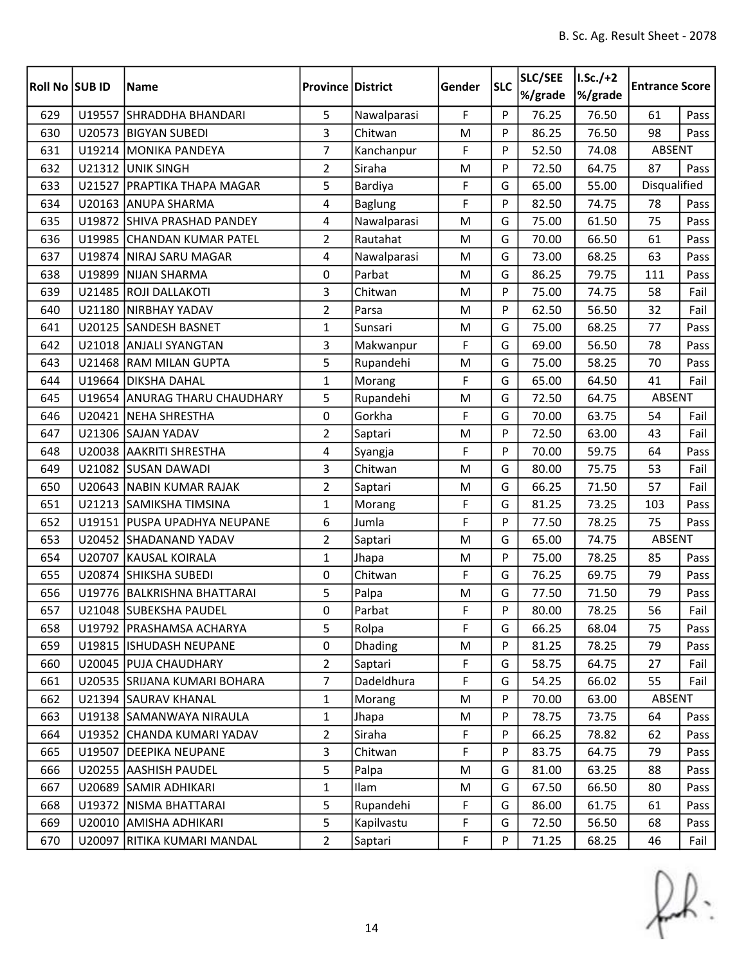| Roll No SUB ID |        | <b>Name</b>                   | <b>Province District</b> |                | Gender | <b>SLC</b> | SLC/SEE<br>%/grade | $I.Sc./+2$<br>%/grade | <b>Entrance Score</b> |      |
|----------------|--------|-------------------------------|--------------------------|----------------|--------|------------|--------------------|-----------------------|-----------------------|------|
| 629            | U19557 | <b>SHRADDHA BHANDARI</b>      | 5                        | Nawalparasi    | F      | P          | 76.25              | 76.50                 | 61                    | Pass |
| 630            |        | U20573 BIGYAN SUBEDI          | 3                        | Chitwan        | M      | P          | 86.25              | 76.50                 | 98                    | Pass |
| 631            |        | U19214 MONIKA PANDEYA         | $\overline{7}$           | Kanchanpur     | F      | P          | 52.50              | 74.08                 | ABSENT                |      |
| 632            |        | U21312 UNIK SINGH             | $\overline{2}$           | Siraha         | M      | P          | 72.50              | 64.75                 | 87                    | Pass |
| 633            | U21527 | <b>PRAPTIKA THAPA MAGAR</b>   | 5                        | Bardiya        | F      | G          | 65.00              | 55.00                 | Disqualified          |      |
| 634            |        | U20163 ANUPA SHARMA           | 4                        | <b>Baglung</b> | F      | P          | 82.50              | 74.75                 | 78                    | Pass |
| 635            |        | U19872 SHIVA PRASHAD PANDEY   | 4                        | Nawalparasi    | M      | G          | 75.00              | 61.50                 | 75                    | Pass |
| 636            |        | U19985 CHANDAN KUMAR PATEL    | $\overline{2}$           | Rautahat       | M      | G          | 70.00              | 66.50                 | 61                    | Pass |
| 637            |        | U19874 NIRAJ SARU MAGAR       | 4                        | Nawalparasi    | M      | G          | 73.00              | 68.25                 | 63                    | Pass |
| 638            | U19899 | NIJAN SHARMA                  | 0                        | Parbat         | M      | G          | 86.25              | 79.75                 | 111                   | Pass |
| 639            |        | U21485 ROJI DALLAKOTI         | 3                        | Chitwan        | M      | P          | 75.00              | 74.75                 | 58                    | Fail |
| 640            | U21180 | NIRBHAY YADAV                 | $\overline{2}$           | Parsa          | M      | P          | 62.50              | 56.50                 | 32                    | Fail |
| 641            | U20125 | <b>SANDESH BASNET</b>         | $\mathbf{1}$             | Sunsari        | M      | G          | 75.00              | 68.25                 | 77                    | Pass |
| 642            |        | U21018 ANJALI SYANGTAN        | 3                        | Makwanpur      | F      | G          | 69.00              | 56.50                 | 78                    | Pass |
| 643            |        | U21468 RAM MILAN GUPTA        | 5                        | Rupandehi      | M      | G          | 75.00              | 58.25                 | 70                    | Pass |
| 644            |        | U19664 DIKSHA DAHAL           | $\mathbf{1}$             | Morang         | F      | G          | 65.00              | 64.50                 | 41                    | Fail |
| 645            | U19654 | <b>ANURAG THARU CHAUDHARY</b> | 5                        | Rupandehi      | M      | G          | 72.50              | 64.75                 | ABSENT                |      |
| 646            |        | U20421 NEHA SHRESTHA          | 0                        | Gorkha         | F      | G          | 70.00              | 63.75                 | 54                    | Fail |
| 647            |        | U21306 SAJAN YADAV            | $\overline{2}$           | Saptari        | M      | P          | 72.50              | 63.00                 | 43                    | Fail |
| 648            |        | U20038 AAKRITI SHRESTHA       | 4                        | Syangja        | F      | P          | 70.00              | 59.75                 | 64                    | Pass |
| 649            |        | U21082 SUSAN DAWADI           | 3                        | Chitwan        | M      | G          | 80.00              | 75.75                 | 53                    | Fail |
| 650            |        | U20643 NABIN KUMAR RAJAK      | $\overline{2}$           | Saptari        | M      | G          | 66.25              | 71.50                 | 57                    | Fail |
| 651            |        | U21213 SAMIKSHA TIMSINA       | $\mathbf{1}$             | Morang         | F      | G          | 81.25              | 73.25                 | 103                   | Pass |
| 652            | U19151 | <b>PUSPA UPADHYA NEUPANE</b>  | 6                        | Jumla          | F      | P          | 77.50              | 78.25                 | 75                    | Pass |
| 653            |        | U20452 SHADANAND YADAV        | $\overline{2}$           | Saptari        | M      | G          | 65.00              | 74.75                 | ABSENT                |      |
| 654            |        | U20707 KAUSAL KOIRALA         | $\mathbf{1}$             | Jhapa          | M      | P          | 75.00              | 78.25                 | 85                    | Pass |
| 655            |        | U20874 SHIKSHA SUBEDI         | 0                        | Chitwan        | F      | G          | 76.25              | 69.75                 | 79                    | Pass |
| 656            |        | U19776 BALKRISHNA BHATTARAI   | 5                        | Palpa          | M      | G          | 77.50              | 71.50                 | 79                    | Pass |
| 657            |        | U21048 SUBEKSHA PAUDEL        | $\mathbf 0$              | Parbat         | F      | Þ          | 80.00              | 78.25                 | 56                    | Fail |
| 658            |        | U19792   PRASHAMSA ACHARYA    | 5                        | Rolpa          | F      | G          | 66.25              | 68.04                 | 75                    | Pass |
| 659            |        | U19815   ISHUDASH NEUPANE     | 0                        | Dhading        | M      | P          | 81.25              | 78.25                 | 79                    | Pass |
| 660            |        | U20045 PUJA CHAUDHARY         | $\overline{2}$           | Saptari        | F      | G          | 58.75              | 64.75                 | 27                    | Fail |
| 661            |        | U20535 SRIJANA KUMARI BOHARA  | $\overline{7}$           | Dadeldhura     | F      | G          | 54.25              | 66.02                 | 55                    | Fail |
| 662            |        | U21394 SAURAV KHANAL          | $\mathbf{1}$             | Morang         | M      | P          | 70.00              | 63.00                 | ABSENT                |      |
| 663            |        | U19138 SAMANWAYA NIRAULA      | $\mathbf{1}$             | Jhapa          | M      | P          | 78.75              | 73.75                 | 64                    | Pass |
| 664            |        | U19352 CHANDA KUMARI YADAV    | $\overline{2}$           | Siraha         | F      | P          | 66.25              | 78.82                 | 62                    | Pass |
| 665            |        | U19507 DEEPIKA NEUPANE        | 3                        | Chitwan        | F      | P          | 83.75              | 64.75                 | 79                    | Pass |
| 666            |        | U20255 AASHISH PAUDEL         | 5                        | Palpa          | M      | G          | 81.00              | 63.25                 | 88                    | Pass |
| 667            |        | U20689 SAMIR ADHIKARI         | $\mathbf{1}$             | Ilam           | M      | G          | 67.50              | 66.50                 | 80                    | Pass |
| 668            |        | U19372   NISMA BHATTARAI      | 5                        | Rupandehi      | F      | G          | 86.00              | 61.75                 | 61                    | Pass |
| 669            | U20010 | <b>AMISHA ADHIKARI</b>        | 5                        | Kapilvastu     | F      | G          | 72.50              | 56.50                 | 68                    | Pass |
| 670            |        | U20097   RITIKA KUMARI MANDAL | $\overline{2}$           | Saptari        | F      | P          | 71.25              | 68.25                 | 46                    | Fail |

 $f(x)$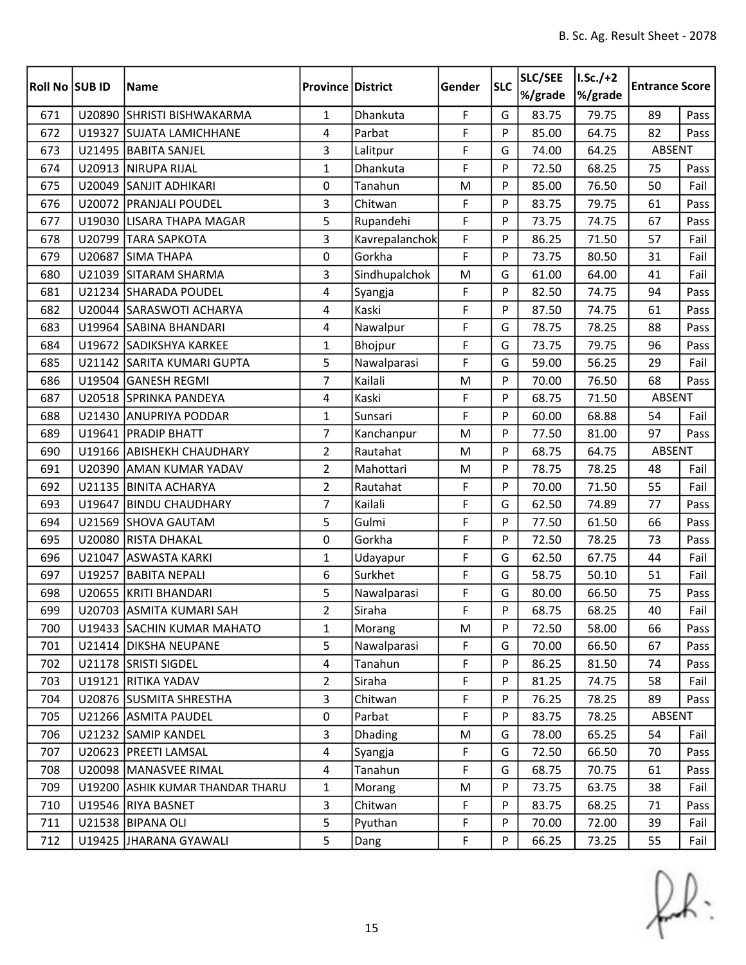| Roll No SUB ID |        | <b>Name</b>                      | <b>Province District</b> |                | Gender | <b>SLC</b> | SLC/SEE<br>%/grade | $I.Sc./+2$<br>%/grade | <b>Entrance Score</b> |      |
|----------------|--------|----------------------------------|--------------------------|----------------|--------|------------|--------------------|-----------------------|-----------------------|------|
| 671            |        | U20890 SHRISTI BISHWAKARMA       | $\mathbf{1}$             | Dhankuta       | F      | G          | 83.75              | 79.75                 | 89                    | Pass |
| 672            |        | U19327 SUJATA LAMICHHANE         | 4                        | Parbat         | F      | P          | 85.00              | 64.75                 | 82                    | Pass |
| 673            |        | U21495   BABITA SANJEL           | 3                        | Lalitpur       | F      | G          | 74.00              | 64.25                 | ABSENT                |      |
| 674            |        | U20913 NIRUPA RIJAL              | $\mathbf{1}$             | Dhankuta       | F      | P          | 72.50              | 68.25                 | 75                    | Pass |
| 675            |        | U20049 SANJIT ADHIKARI           | 0                        | Tanahun        | M      | P          | 85.00              | 76.50                 | 50                    | Fail |
| 676            |        | U20072   PRANJALI POUDEL         | 3                        | Chitwan        | F      | P          | 83.75              | 79.75                 | 61                    | Pass |
| 677            |        | U19030 LISARA THAPA MAGAR        | 5                        | Rupandehi      | F      | P          | 73.75              | 74.75                 | 67                    | Pass |
| 678            |        | U20799 TARA SAPKOTA              | 3                        | Kavrepalanchok | F      | P          | 86.25              | 71.50                 | 57                    | Fail |
| 679            | U20687 | <b>SIMA THAPA</b>                | 0                        | Gorkha         | F      | P          | 73.75              | 80.50                 | 31                    | Fail |
| 680            |        | U21039 SITARAM SHARMA            | 3                        | Sindhupalchok  | M      | G          | 61.00              | 64.00                 | 41                    | Fail |
| 681            |        | U21234 SHARADA POUDEL            | 4                        | Syangja        | F      | P          | 82.50              | 74.75                 | 94                    | Pass |
| 682            |        | U20044 SARASWOTI ACHARYA         | 4                        | Kaski          | F      | P          | 87.50              | 74.75                 | 61                    | Pass |
| 683            |        | U19964 SABINA BHANDARI           | 4                        | Nawalpur       | F      | G          | 78.75              | 78.25                 | 88                    | Pass |
| 684            |        | U19672 SADIKSHYA KARKEE          | $\mathbf{1}$             | Bhojpur        | F      | G          | 73.75              | 79.75                 | 96                    | Pass |
| 685            |        | U21142 SARITA KUMARI GUPTA       | 5                        | Nawalparasi    | F      | G          | 59.00              | 56.25                 | 29                    | Fail |
| 686            |        | U19504 GANESH REGMI              | $\overline{7}$           | Kailali        | M      | P          | 70.00              | 76.50                 | 68                    | Pass |
| 687            |        | U20518 SPRINKA PANDEYA           | 4                        | Kaski          | F      | P          | 68.75              | 71.50                 | ABSENT                |      |
| 688            |        | U21430 ANUPRIYA PODDAR           | $\mathbf{1}$             | Sunsari        | F      | P          | 60.00              | 68.88                 | 54                    | Fail |
| 689            |        | U19641 PRADIP BHATT              | 7                        | Kanchanpur     | M      | P          | 77.50              | 81.00                 | 97                    | Pass |
| 690            |        | U19166 ABISHEKH CHAUDHARY        | $\overline{2}$           | Rautahat       | M      | P          | 68.75              | 64.75                 | ABSENT                |      |
| 691            | U20390 | <b>AMAN KUMAR YADAV</b>          | $\overline{2}$           | Mahottari      | M      | P          | 78.75              | 78.25                 | 48                    | Fail |
| 692            |        | U21135 BINITA ACHARYA            | $\overline{2}$           | Rautahat       | F      | P          | 70.00              | 71.50                 | 55                    | Fail |
| 693            |        | U19647   BINDU CHAUDHARY         | 7                        | Kailali        | F      | G          | 62.50              | 74.89                 | 77                    | Pass |
| 694            |        | U21569 SHOVA GAUTAM              | 5                        | Gulmi          | F      | P          | 77.50              | 61.50                 | 66                    | Pass |
| 695            |        | U20080 RISTA DHAKAL              | 0                        | Gorkha         | F      | P          | 72.50              | 78.25                 | 73                    | Pass |
| 696            |        | U21047 ASWASTA KARKI             | $\mathbf{1}$             | Udayapur       | F      | G          | 62.50              | 67.75                 | 44                    | Fail |
| 697            | U19257 | <b>BABITA NEPALI</b>             | 6                        | Surkhet        | F      | G          | 58.75              | 50.10                 | 51                    | Fail |
| 698            |        | U20655 KRITI BHANDARI            | 5                        | Nawalparasi    | F      | G          | 80.00              | 66.50                 | 75                    | Pass |
| 699            |        | U20703 ASMITA KUMARI SAH         | $\overline{2}$           | Siraha         | F      | Þ          | 68.75              | 68.25                 | 40                    | Fail |
| 700            |        | U19433 SACHIN KUMAR MAHATO       | 1                        | Morang         | M      | P          | 72.50              | 58.00                 | 66                    | Pass |
| 701            |        | U21414   DIKSHA NEUPANE          | 5                        | Nawalparasi    | F      | G          | 70.00              | 66.50                 | 67                    | Pass |
| 702            |        | U21178 SRISTI SIGDEL             | 4                        | Tanahun        | F      | P          | 86.25              | 81.50                 | 74                    | Pass |
| 703            |        | U19121 RITIKA YADAV              | $\overline{2}$           | Siraha         | F      | P          | 81.25              | 74.75                 | 58                    | Fail |
| 704            |        | U20876 SUSMITA SHRESTHA          | 3                        | Chitwan        | F      | P          | 76.25              | 78.25                 | 89                    | Pass |
| 705            |        | U21266 ASMITA PAUDEL             | $\pmb{0}$                | Parbat         | F      | P          | 83.75              | 78.25                 | ABSENT                |      |
| 706            |        | U21232 SAMIP KANDEL              | 3                        | <b>Dhading</b> | M      | G          | 78.00              | 65.25                 | 54                    | Fail |
| 707            |        | U20623 PREETI LAMSAL             | 4                        | Syangja        | F      | G          | 72.50              | 66.50                 | 70                    | Pass |
| 708            |        | U20098 MANASVEE RIMAL            | 4                        | Tanahun        | F      | G          | 68.75              | 70.75                 | 61                    | Pass |
| 709            |        | U19200 ASHIK KUMAR THANDAR THARU | $\mathbf{1}$             | Morang         | M      | P          | 73.75              | 63.75                 | 38                    | Fail |
| 710            |        | U19546 RIYA BASNET               | 3                        | Chitwan        | F      | P          | 83.75              | 68.25                 | 71                    | Pass |
| 711            |        | U21538 BIPANA OLI                | 5                        | Pyuthan        | F      | P          | 70.00              | 72.00                 | 39                    | Fail |
| 712            |        | U19425 JHARANA GYAWALI           | 5                        | Dang           | F      | P          | 66.25              | 73.25                 | 55                    | Fail |

 $f(x)$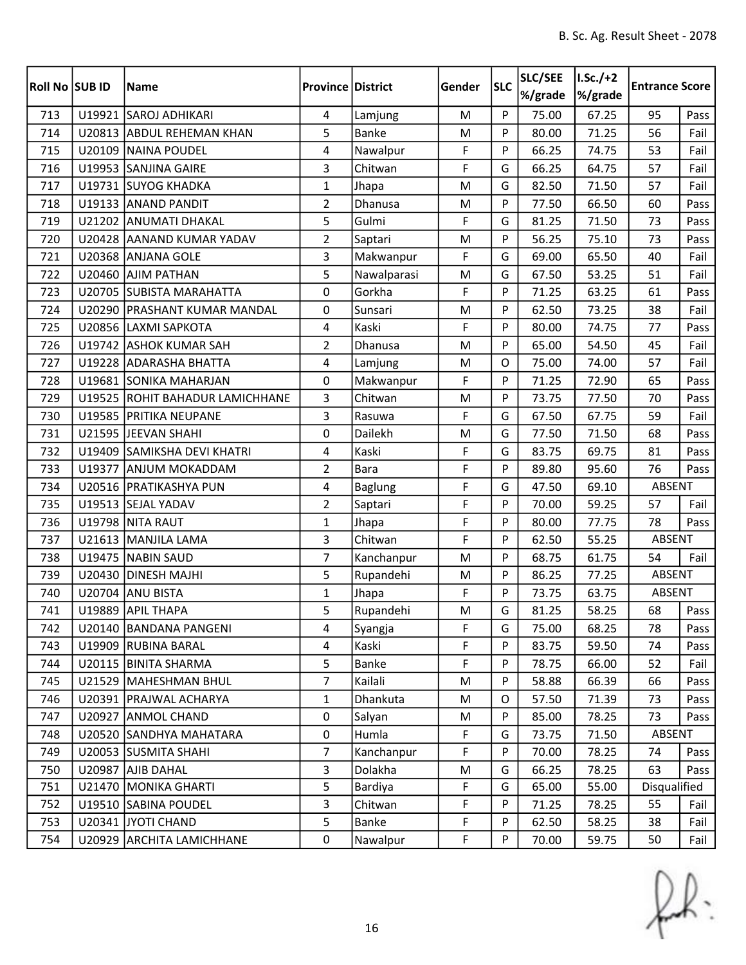| <b>Roll No SUB ID</b> |        | <b>Name</b>                     | <b>Province District</b> |                | Gender | <b>SLC</b> | SLC/SEE<br>%/grade | $I.Sc./+2$<br>%/grade | <b>Entrance Score</b> |      |
|-----------------------|--------|---------------------------------|--------------------------|----------------|--------|------------|--------------------|-----------------------|-----------------------|------|
| 713                   |        | U19921 SAROJ ADHIKARI           | 4                        | Lamjung        | M      | P          | 75.00              | 67.25                 | 95                    | Pass |
| 714                   |        | U20813 ABDUL REHEMAN KHAN       | 5                        | <b>Banke</b>   | M      | P          | 80.00              | 71.25                 | 56                    | Fail |
| 715                   |        | U20109 NAINA POUDEL             | $\overline{4}$           | Nawalpur       | F      | P          | 66.25              | 74.75                 | 53                    | Fail |
| 716                   |        | U19953 SANJINA GAIRE            | 3                        | Chitwan        | F      | G          | 66.25              | 64.75                 | 57                    | Fail |
| 717                   |        | U19731 SUYOG KHADKA             | $\mathbf{1}$             | Jhapa          | M      | G          | 82.50              | 71.50                 | 57                    | Fail |
| 718                   |        | U19133 ANAND PANDIT             | $\overline{2}$           | Dhanusa        | M      | P          | 77.50              | 66.50                 | 60                    | Pass |
| 719                   |        | U21202 ANUMATI DHAKAL           | 5                        | Gulmi          | F      | G          | 81.25              | 71.50                 | 73                    | Pass |
| 720                   |        | U20428 AANAND KUMAR YADAV       | $\overline{2}$           | Saptari        | M      | P          | 56.25              | 75.10                 | 73                    | Pass |
| 721                   |        | U20368 ANJANA GOLE              | 3                        | Makwanpur      | F      | G          | 69.00              | 65.50                 | 40                    | Fail |
| 722                   | U20460 | <b>AJIM PATHAN</b>              | 5                        | Nawalparasi    | M      | G          | 67.50              | 53.25                 | 51                    | Fail |
| 723                   |        | U20705 SUBISTA MARAHATTA        | 0                        | Gorkha         | F      | P          | 71.25              | 63.25                 | 61                    | Pass |
| 724                   |        | U20290   PRASHANT KUMAR MANDAL  | 0                        | Sunsari        | M      | P          | 62.50              | 73.25                 | 38                    | Fail |
| 725                   |        | U20856 LAXMI SAPKOTA            | 4                        | Kaski          | F      | P          | 80.00              | 74.75                 | 77                    | Pass |
| 726                   |        | U19742 ASHOK KUMAR SAH          | $\overline{2}$           | Dhanusa        | M      | P          | 65.00              | 54.50                 | 45                    | Fail |
| 727                   |        | U19228 ADARASHA BHATTA          | 4                        | Lamjung        | M      | O          | 75.00              | 74.00                 | 57                    | Fail |
| 728                   |        | U19681 SONIKA MAHARJAN          | 0                        | Makwanpur      | F      | P          | 71.25              | 72.90                 | 65                    | Pass |
| 729                   |        | U19525 ROHIT BAHADUR LAMICHHANE | 3                        | Chitwan        | M      | P          | 73.75              | 77.50                 | 70                    | Pass |
| 730                   |        | U19585 PRITIKA NEUPANE          | 3                        | Rasuwa         | F      | G          | 67.50              | 67.75                 | 59                    | Fail |
| 731                   |        | U21595 JEEVAN SHAHI             | $\mathbf 0$              | Dailekh        | M      | G          | 77.50              | 71.50                 | 68                    | Pass |
| 732                   |        | U19409 SAMIKSHA DEVI KHATRI     | 4                        | Kaski          | F      | G          | 83.75              | 69.75                 | 81                    | Pass |
| 733                   | U19377 | <b>ANJUM MOKADDAM</b>           | $\overline{2}$           | <b>Bara</b>    | F      | P          | 89.80              | 95.60                 | 76                    | Pass |
| 734                   |        | U20516 PRATIKASHYA PUN          | 4                        | <b>Baglung</b> | F      | G          | 47.50              | 69.10                 | ABSENT                |      |
| 735                   |        | U19513 SEJAL YADAV              | $\overline{2}$           | Saptari        | F      | P          | 70.00              | 59.25                 | 57                    | Fail |
| 736                   |        | U19798 NITA RAUT                | $\mathbf{1}$             | Jhapa          | F      | P          | 80.00              | 77.75                 | 78                    | Pass |
| 737                   |        | U21613 MANJILA LAMA             | 3                        | Chitwan        | F      | P          | 62.50              | 55.25                 | ABSENT                |      |
| 738                   |        | U19475 NABIN SAUD               | $\overline{7}$           | Kanchanpur     | M      | P          | 68.75              | 61.75                 | 54                    | Fail |
| 739                   | U20430 | <b>DINESH MAJHI</b>             | 5                        | Rupandehi      | M      | P          | 86.25              | 77.25                 | ABSENT                |      |
| 740                   |        | U20704 ANU BISTA                | $\mathbf{1}$             | Jhapa          | F      | P          | 73.75              | 63.75                 | <b>ABSENT</b>         |      |
| 741                   |        | U19889 APIL THAPA               | 5                        | Rupandehi      | M      | G          | 81.25              | 58.25                 | 68                    | Pass |
| 742                   |        | U20140 BANDANA PANGENI          | 4                        | Syangja        | F      | G          | 75.00              | 68.25                 | 78                    | Pass |
| 743                   |        | U19909 RUBINA BARAL             | 4                        | Kaski          | F      | P          | 83.75              | 59.50                 | 74                    | Pass |
| 744                   |        | U20115 BINITA SHARMA            | 5                        | Banke          | F      | P          | 78.75              | 66.00                 | 52                    | Fail |
| 745                   |        | U21529 MAHESHMAN BHUL           | $\overline{7}$           | Kailali        | M      | P          | 58.88              | 66.39                 | 66                    | Pass |
| 746                   |        | U20391 PRAJWAL ACHARYA          | $\mathbf{1}$             | Dhankuta       | M      | O          | 57.50              | 71.39                 | 73                    | Pass |
| 747                   |        | U20927 ANMOL CHAND              | $\mathbf 0$              | Salyan         | M      | P          | 85.00              | 78.25                 | 73                    | Pass |
| 748                   |        | U20520 SANDHYA MAHATARA         | $\mathbf 0$              | Humla          | F      | G          | 73.75              | 71.50                 | ABSENT                |      |
| 749                   |        | U20053 SUSMITA SHAHI            | $\overline{7}$           | Kanchanpur     | F      | P          | 70.00              | 78.25                 | 74                    | Pass |
| 750                   |        | U20987 AJIB DAHAL               | $\overline{3}$           | Dolakha        | M      | G          | 66.25              | 78.25                 | 63                    | Pass |
| 751                   |        | U21470 MONIKA GHARTI            | 5                        | Bardiya        | F      | G          | 65.00              | 55.00                 | Disqualified          |      |
| 752                   |        | U19510 SABINA POUDEL            | 3                        | Chitwan        | F      | P          | 71.25              | 78.25                 | 55                    | Fail |
| 753                   |        | U20341 JYOTI CHAND              | 5                        | Banke          | F      | P          | 62.50              | 58.25                 | 38                    | Fail |
| 754                   |        | U20929 ARCHITA LAMICHHANE       | 0                        | Nawalpur       | F      | P          | 70.00              | 59.75                 | 50                    | Fail |

 $f(x)$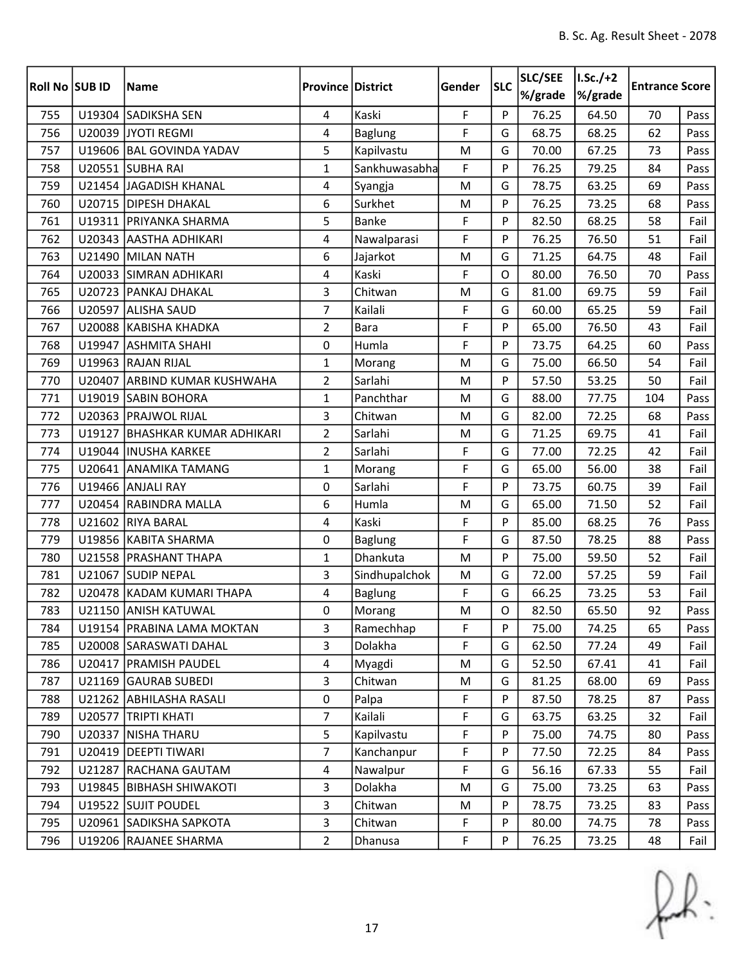| <b>Roll No SUB ID</b> |        | <b>Name</b>                    | <b>Province District</b> |                | Gender | <b>SLC</b>  | SLC/SEE<br>%/grade | $I.Sc./+2$<br>%/grade | <b>Entrance Score</b> |      |
|-----------------------|--------|--------------------------------|--------------------------|----------------|--------|-------------|--------------------|-----------------------|-----------------------|------|
| 755                   |        | U19304 SADIKSHA SEN            | 4                        | Kaski          | F.     | P           | 76.25              | 64.50                 | 70                    | Pass |
| 756                   |        | U20039 JYOTI REGMI             | 4                        | <b>Baglung</b> | F      | G           | 68.75              | 68.25                 | 62                    | Pass |
| 757                   |        | U19606 BAL GOVINDA YADAV       | 5                        | Kapilvastu     | M      | G           | 70.00              | 67.25                 | 73                    | Pass |
| 758                   |        | U20551 SUBHA RAI               | $\mathbf{1}$             | Sankhuwasabha  | F      | P           | 76.25              | 79.25                 | 84                    | Pass |
| 759                   |        | U21454 JAGADISH KHANAL         | 4                        | Syangja        | M      | G           | 78.75              | 63.25                 | 69                    | Pass |
| 760                   |        | U20715 DIPESH DHAKAL           | 6                        | Surkhet        | M      | P           | 76.25              | 73.25                 | 68                    | Pass |
| 761                   |        | U19311 PRIYANKA SHARMA         | 5                        | <b>Banke</b>   | F      | P           | 82.50              | 68.25                 | 58                    | Fail |
| 762                   |        | U20343 AASTHA ADHIKARI         | 4                        | Nawalparasi    | F      | P           | 76.25              | 76.50                 | 51                    | Fail |
| 763                   |        | U21490 MILAN NATH              | 6                        | Jajarkot       | M      | G           | 71.25              | 64.75                 | 48                    | Fail |
| 764                   |        | U20033 SIMRAN ADHIKARI         | 4                        | Kaski          | F      | $\Omega$    | 80.00              | 76.50                 | 70                    | Pass |
| 765                   |        | U20723 PANKAJ DHAKAL           | 3                        | Chitwan        | M      | G           | 81.00              | 69.75                 | 59                    | Fail |
| 766                   | U20597 | <b>ALISHA SAUD</b>             | $\overline{7}$           | Kailali        | F      | G           | 60.00              | 65.25                 | 59                    | Fail |
| 767                   |        | U20088 KABISHA KHADKA          | $\overline{2}$           | <b>Bara</b>    | F      | P           | 65.00              | 76.50                 | 43                    | Fail |
| 768                   | U19947 | <b>ASHMITA SHAHI</b>           | 0                        | Humla          | F      | P           | 73.75              | 64.25                 | 60                    | Pass |
| 769                   |        | U19963 RAJAN RIJAL             | $\mathbf{1}$             | Morang         | M      | G           | 75.00              | 66.50                 | 54                    | Fail |
| 770                   | U20407 | <b>ARBIND KUMAR KUSHWAHA</b>   | $\overline{2}$           | Sarlahi        | M      | P           | 57.50              | 53.25                 | 50                    | Fail |
| 771                   | U19019 | <b>SABIN BOHORA</b>            | $\mathbf{1}$             | Panchthar      | M      | G           | 88.00              | 77.75                 | 104                   | Pass |
| 772                   |        | U20363 PRAJWOL RIJAL           | 3                        | Chitwan        | M      | G           | 82.00              | 72.25                 | 68                    | Pass |
| 773                   | U19127 | <b>BHASHKAR KUMAR ADHIKARI</b> | $\overline{2}$           | Sarlahi        | M      | G           | 71.25              | 69.75                 | 41                    | Fail |
| 774                   |        | U19044  INUSHA KARKEE          | $\overline{2}$           | Sarlahi        | F      | G           | 77.00              | 72.25                 | 42                    | Fail |
| 775                   |        | U20641 ANAMIKA TAMANG          | $\mathbf{1}$             | Morang         | F      | G           | 65.00              | 56.00                 | 38                    | Fail |
| 776                   |        | U19466 ANJALI RAY              | 0                        | Sarlahi        | F      | P           | 73.75              | 60.75                 | 39                    | Fail |
| 777                   |        | U20454 RABINDRA MALLA          | 6                        | Humla          | M      | G           | 65.00              | 71.50                 | 52                    | Fail |
| 778                   |        | U21602 RIYA BARAL              | 4                        | Kaski          | F      | P           | 85.00              | 68.25                 | 76                    | Pass |
| 779                   |        | U19856 KABITA SHARMA           | 0                        | <b>Baglung</b> | F      | G           | 87.50              | 78.25                 | 88                    | Pass |
| 780                   |        | U21558 PRASHANT THAPA          | $\mathbf{1}$             | Dhankuta       | M      | P           | 75.00              | 59.50                 | 52                    | Fail |
| 781                   | U21067 | <b>SUDIP NEPAL</b>             | 3                        | Sindhupalchok  | M      | G           | 72.00              | 57.25                 | 59                    | Fail |
| 782                   |        | U20478 KADAM KUMARI THAPA      | 4                        | <b>Baglung</b> | F      | G           | 66.25              | 73.25                 | 53                    | Fail |
| 783                   |        | U21150 ANISH KATUWAL           | $\pmb{0}$                | Morang         | M      | $\mathsf O$ | 82.50              | 65.50                 | 92                    | Pass |
| 784                   |        | U19154   PRABINA LAMA MOKTAN   | 3                        | Ramechhap      | F      | P           | 75.00              | 74.25                 | 65                    | Pass |
| 785                   |        | U20008 SARASWATI DAHAL         | 3                        | Dolakha        | F      | G           | 62.50              | 77.24                 | 49                    | Fail |
| 786                   |        | U20417 PRAMISH PAUDEL          | 4                        | Myagdi         | M      | G           | 52.50              | 67.41                 | 41                    | Fail |
| 787                   |        | U21169 GAURAB SUBEDI           | $\overline{3}$           | Chitwan        | M      | G           | 81.25              | 68.00                 | 69                    | Pass |
| 788                   |        | U21262 ABHILASHA RASALI        | $\pmb{0}$                | Palpa          | F      | P           | 87.50              | 78.25                 | 87                    | Pass |
| 789                   | U20577 | <b>TRIPTI KHATI</b>            | $\overline{7}$           | Kailali        | F      | G           | 63.75              | 63.25                 | 32                    | Fail |
| 790                   | U20337 | <b>NISHA THARU</b>             | 5                        | Kapilvastu     | F      | P           | 75.00              | 74.75                 | 80                    | Pass |
| 791                   |        | U20419 DEEPTI TIWARI           | $\overline{7}$           | Kanchanpur     | F      | P           | 77.50              | 72.25                 | 84                    | Pass |
| 792                   |        | U21287 RACHANA GAUTAM          | 4                        | Nawalpur       | F      | G           | 56.16              | 67.33                 | 55                    | Fail |
| 793                   |        | U19845   BIBHASH SHIWAKOTI     | $\overline{3}$           | Dolakha        | M      | G           | 75.00              | 73.25                 | 63                    | Pass |
| 794                   |        | U19522 SUJIT POUDEL            | 3                        | Chitwan        | M      | P           | 78.75              | 73.25                 | 83                    | Pass |
| 795                   |        | U20961 SADIKSHA SAPKOTA        | 3                        | Chitwan        | F      | P           | 80.00              | 74.75                 | 78                    | Pass |
| 796                   |        | U19206 RAJANEE SHARMA          | $\overline{2}$           | Dhanusa        | F      | P           | 76.25              | 73.25                 | 48                    | Fail |

 $f(x)$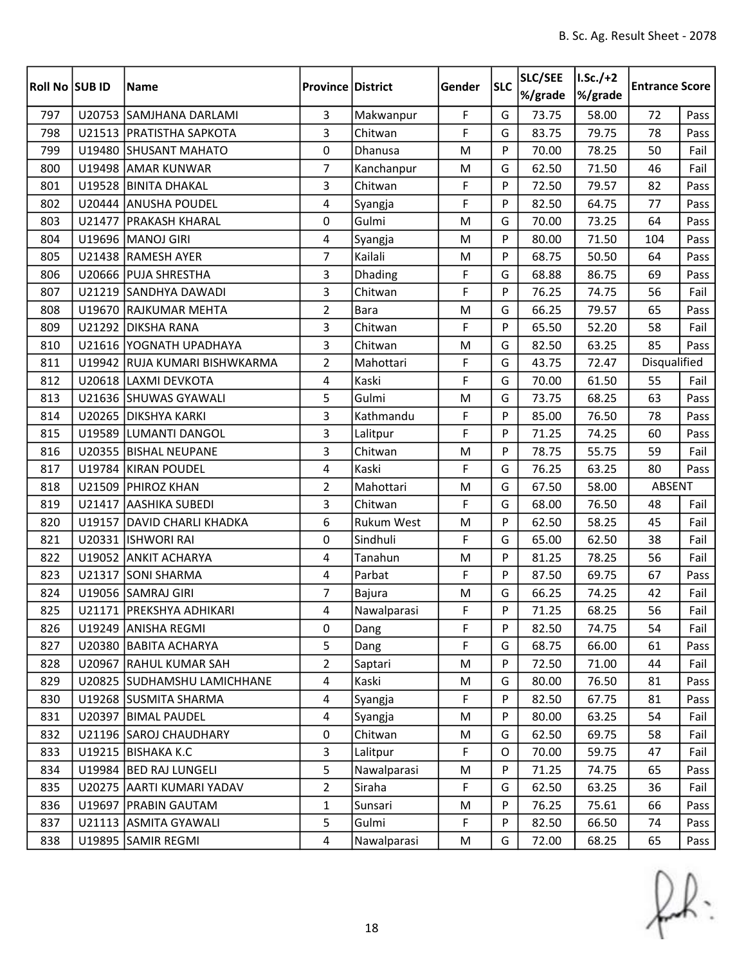| Roll No SUB ID |        | <b>Name</b>                   | <b>Province District</b> |                   | Gender      | <b>SLC</b> | SLC/SEE<br>%/grade | $I.Sc./+2$<br>%/grade | <b>Entrance Score</b> |      |
|----------------|--------|-------------------------------|--------------------------|-------------------|-------------|------------|--------------------|-----------------------|-----------------------|------|
| 797            |        | U20753 SAMJHANA DARLAMI       | $\overline{3}$           | Makwanpur         | F           | G          | 73.75              | 58.00                 | 72                    | Pass |
| 798            |        | U21513 PRATISTHA SAPKOTA      | 3                        | Chitwan           | F           | G          | 83.75              | 79.75                 | 78                    | Pass |
| 799            |        | U19480 SHUSANT MAHATO         | $\mathbf 0$              | Dhanusa           | M           | P          | 70.00              | 78.25                 | 50                    | Fail |
| 800            |        | U19498 AMAR KUNWAR            | 7                        | Kanchanpur        | M           | G          | 62.50              | 71.50                 | 46                    | Fail |
| 801            | U19528 | <b>BINITA DHAKAL</b>          | 3                        | Chitwan           | F           | P          | 72.50              | 79.57                 | 82                    | Pass |
| 802            |        | U20444 ANUSHA POUDEL          | 4                        | Syangja           | F           | P          | 82.50              | 64.75                 | 77                    | Pass |
| 803            |        | U21477 PRAKASH KHARAL         | 0                        | Gulmi             | M           | G          | 70.00              | 73.25                 | 64                    | Pass |
| 804            |        | U19696 MANOJ GIRI             | 4                        | Syangja           | M           | P          | 80.00              | 71.50                 | 104                   | Pass |
| 805            |        | U21438 RAMESH AYER            | $\overline{7}$           | Kailali           | M           | P          | 68.75              | 50.50                 | 64                    | Pass |
| 806            |        | U20666 PUJA SHRESTHA          | $\overline{3}$           | Dhading           | F           | G          | 68.88              | 86.75                 | 69                    | Pass |
| 807            |        | U21219 SANDHYA DAWADI         | 3                        | Chitwan           | F           | P          | 76.25              | 74.75                 | 56                    | Fail |
| 808            | U19670 | <b>RAJKUMAR MEHTA</b>         | $\overline{2}$           | <b>Bara</b>       | M           | G          | 66.25              | 79.57                 | 65                    | Pass |
| 809            |        | U21292 DIKSHA RANA            | 3                        | Chitwan           | F           | P          | 65.50              | 52.20                 | 58                    | Fail |
| 810            |        | U21616 YOGNATH UPADHAYA       | $\overline{3}$           | Chitwan           | M           | G          | 82.50              | 63.25                 | 85                    | Pass |
| 811            |        | U19942 RUJA KUMARI BISHWKARMA | $\overline{2}$           | Mahottari         | F           | G          | 43.75              | 72.47                 | Disqualified          |      |
| 812            |        | U20618 LAXMI DEVKOTA          | $\overline{4}$           | Kaski             | F           | G          | 70.00              | 61.50                 | 55                    | Fail |
| 813            |        | U21636 SHUWAS GYAWALI         | 5                        | Gulmi             | M           | G          | 73.75              | 68.25                 | 63                    | Pass |
| 814            |        | U20265 DIKSHYA KARKI          | 3                        | Kathmandu         | F           | P          | 85.00              | 76.50                 | 78                    | Pass |
| 815            |        | U19589 LUMANTI DANGOL         | $\overline{3}$           | Lalitpur          | F           | P          | 71.25              | 74.25                 | 60                    | Pass |
| 816            |        | U20355 BISHAL NEUPANE         | 3                        | Chitwan           | M           | P          | 78.75              | 55.75                 | 59                    | Fail |
| 817            |        | U19784 KIRAN POUDEL           | 4                        | Kaski             | F           | G          | 76.25              | 63.25                 | 80                    | Pass |
| 818            |        | U21509 PHIROZ KHAN            | $\overline{2}$           | Mahottari         | M           | G          | 67.50              | 58.00                 | ABSENT                |      |
| 819            |        | U21417 AASHIKA SUBEDI         | 3                        | Chitwan           | F           | G          | 68.00              | 76.50                 | 48                    | Fail |
| 820            | U19157 | DAVID CHARLI KHADKA           | 6                        | <b>Rukum West</b> | M           | P          | 62.50              | 58.25                 | 45                    | Fail |
| 821            |        | U20331 ISHWORI RAI            | 0                        | Sindhuli          | F           | G          | 65.00              | 62.50                 | 38                    | Fail |
| 822            |        | U19052 ANKIT ACHARYA          | 4                        | Tanahun           | M           | P          | 81.25              | 78.25                 | 56                    | Fail |
| 823            | U21317 | <b>SONI SHARMA</b>            | 4                        | Parbat            | F           | P          | 87.50              | 69.75                 | 67                    | Pass |
| 824            |        | U19056 SAMRAJ GIRI            | $\overline{7}$           | Bajura            | M           | G          | 66.25              | 74.25                 | 42                    | Fail |
| 825            |        | U21171   PREKSHYA ADHIKARI    | 4                        | Nawalparasi       | F           | P          | 71.25              | 68.25                 | 56                    | Fail |
| 826            |        | U19249 ANISHA REGMI           | 0                        | Dang              | F           | P          | 82.50              | 74.75                 | 54                    | Fail |
| 827            |        | U20380 BABITA ACHARYA         | 5                        | Dang              | F           | G          | 68.75              | 66.00                 | 61                    | Pass |
| 828            |        | U20967 RAHUL KUMAR SAH        | $\overline{2}$           | Saptari           | M           | P          | 72.50              | 71.00                 | 44                    | Fail |
| 829            |        | U20825 SUDHAMSHU LAMICHHANE   | $\overline{4}$           | Kaski             | M           | G          | 80.00              | 76.50                 | 81                    | Pass |
| 830            |        | U19268 SUSMITA SHARMA         | $\overline{4}$           | Syangja           | F           | P          | 82.50              | 67.75                 | 81                    | Pass |
| 831            |        | U20397 BIMAL PAUDEL           | $\overline{4}$           | Syangja           | M           | P          | 80.00              | 63.25                 | 54                    | Fail |
| 832            |        | U21196 SAROJ CHAUDHARY        | $\mathbf 0$              | Chitwan           | M           | G          | 62.50              | 69.75                 | 58                    | Fail |
| 833            |        | U19215 BISHAKA K.C            | 3                        | Lalitpur          | F           | 0          | 70.00              | 59.75                 | 47                    | Fail |
| 834            |        | U19984 BED RAJ LUNGELI        | 5                        | Nawalparasi       | M           | P          | 71.25              | 74.75                 | 65                    | Pass |
| 835            |        | U20275 AARTI KUMARI YADAV     | $\overline{2}$           | Siraha            | $\mathsf F$ | G          | 62.50              | 63.25                 | 36                    | Fail |
| 836            |        | U19697   PRABIN GAUTAM        | 1                        | Sunsari           | M           | P          | 76.25              | 75.61                 | 66                    | Pass |
| 837            |        | U21113 ASMITA GYAWALI         | 5                        | Gulmi             | F           | P          | 82.50              | 66.50                 | 74                    | Pass |
| 838            |        | U19895 SAMIR REGMI            | $\overline{4}$           | Nawalparasi       | M           | G          | 72.00              | 68.25                 | 65                    | Pass |

 $f(x)$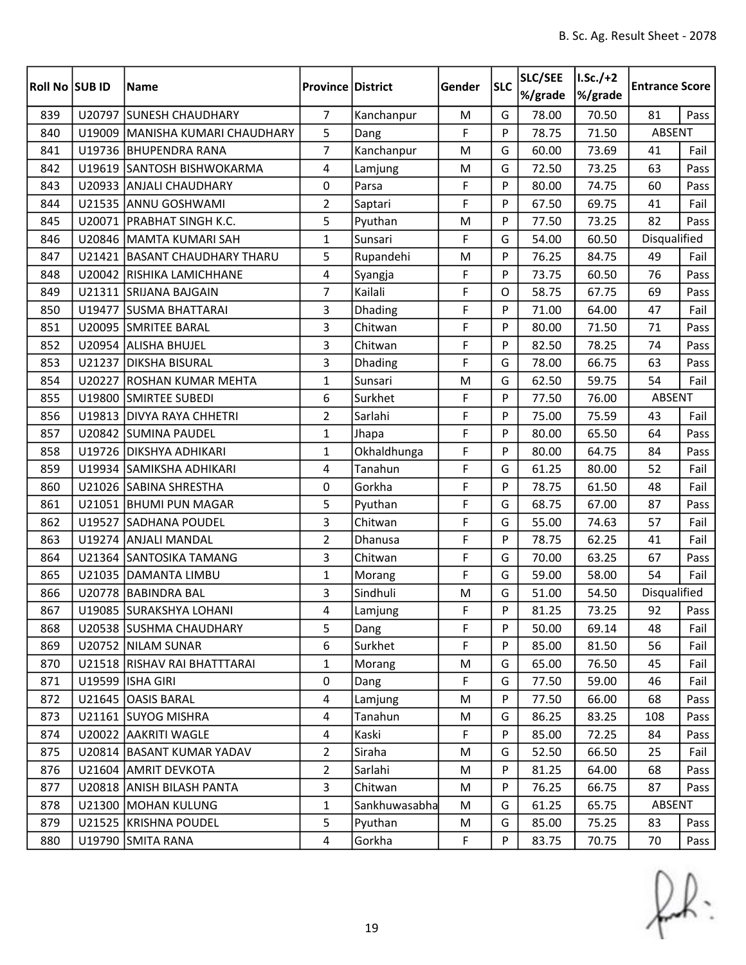| Roll No SUB ID |        | <b>Name</b>                     | <b>Province District</b> |               | Gender | <b>SLC</b> | <b>SLC/SEE</b><br>%/grade | $I.Sc./+2$<br>%/grade | <b>Entrance Score</b> |      |
|----------------|--------|---------------------------------|--------------------------|---------------|--------|------------|---------------------------|-----------------------|-----------------------|------|
| 839            |        | U20797 SUNESH CHAUDHARY         | $\overline{7}$           | Kanchanpur    | M      | G          | 78.00                     | 70.50                 | 81                    | Pass |
| 840            |        | U19009 MANISHA KUMARI CHAUDHARY | 5                        | Dang          | F      | P          | 78.75                     | 71.50                 | ABSENT                |      |
| 841            |        | U19736 BHUPENDRA RANA           | 7                        | Kanchanpur    | M      | G          | 60.00                     | 73.69                 | 41                    | Fail |
| 842            |        | U19619 SANTOSH BISHWOKARMA      | 4                        | Lamjung       | M      | G          | 72.50                     | 73.25                 | 63                    | Pass |
| 843            | U20933 | <b>ANJALI CHAUDHARY</b>         | 0                        | Parsa         | F      | P          | 80.00                     | 74.75                 | 60                    | Pass |
| 844            |        | U21535 ANNU GOSHWAMI            | $\overline{2}$           | Saptari       | F      | P          | 67.50                     | 69.75                 | 41                    | Fail |
| 845            |        | U20071   PRABHAT SINGH K.C.     | 5                        | Pyuthan       | M      | P          | 77.50                     | 73.25                 | 82                    | Pass |
| 846            |        | U20846 MAMTA KUMARI SAH         | 1                        | Sunsari       | F      | G          | 54.00                     | 60.50                 | Disqualified          |      |
| 847            | U21421 | <b>BASANT CHAUDHARY THARU</b>   | 5                        | Rupandehi     | M      | P          | 76.25                     | 84.75                 | 49                    | Fail |
| 848            |        | U20042 RISHIKA LAMICHHANE       | 4                        | Syangja       | F      | P          | 73.75                     | 60.50                 | 76                    | Pass |
| 849            |        | U21311 SRIJANA BAJGAIN          | 7                        | Kailali       | F      | O          | 58.75                     | 67.75                 | 69                    | Pass |
| 850            |        | U19477 SUSMA BHATTARAI          | 3                        | Dhading       | F      | P          | 71.00                     | 64.00                 | 47                    | Fail |
| 851            |        | U20095 SMRITEE BARAL            | 3                        | Chitwan       | F      | P          | 80.00                     | 71.50                 | 71                    | Pass |
| 852            |        | U20954 ALISHA BHUJEL            | 3                        | Chitwan       | F      | P          | 82.50                     | 78.25                 | 74                    | Pass |
| 853            | U21237 | <b>DIKSHA BISURAL</b>           | 3                        | Dhading       | F      | G          | 78.00                     | 66.75                 | 63                    | Pass |
| 854            |        | U20227 ROSHAN KUMAR MEHTA       | $\mathbf{1}$             | Sunsari       | M      | G          | 62.50                     | 59.75                 | 54                    | Fail |
| 855            | U19800 | <b>SMIRTEE SUBEDI</b>           | 6                        | Surkhet       | F      | P          | 77.50                     | 76.00                 | <b>ABSENT</b>         |      |
| 856            |        | U19813 DIVYA RAYA CHHETRI       | $\overline{2}$           | Sarlahi       | F      | P          | 75.00                     | 75.59                 | 43                    | Fail |
| 857            |        | U20842 SUMINA PAUDEL            | $\mathbf{1}$             | Jhapa         | F      | P          | 80.00                     | 65.50                 | 64                    | Pass |
| 858            |        | U19726 DIKSHYA ADHIKARI         | 1                        | Okhaldhunga   | F      | P          | 80.00                     | 64.75                 | 84                    | Pass |
| 859            |        | U19934 SAMIKSHA ADHIKARI        | 4                        | Tanahun       | F      | G          | 61.25                     | 80.00                 | 52                    | Fail |
| 860            |        | U21026 SABINA SHRESTHA          | 0                        | Gorkha        | F      | P          | 78.75                     | 61.50                 | 48                    | Fail |
| 861            |        | U21051 BHUMI PUN MAGAR          | 5                        | Pyuthan       | F      | G          | 68.75                     | 67.00                 | 87                    | Pass |
| 862            | U19527 | <b>SADHANA POUDEL</b>           | 3                        | Chitwan       | F      | G          | 55.00                     | 74.63                 | 57                    | Fail |
| 863            |        | U19274 ANJALI MANDAL            | $\overline{2}$           | Dhanusa       | F      | P          | 78.75                     | 62.25                 | 41                    | Fail |
| 864            |        | U21364 SANTOSIKA TAMANG         | 3                        | Chitwan       | F      | G          | 70.00                     | 63.25                 | 67                    | Pass |
| 865            | U21035 | DAMANTA LIMBU                   | $\mathbf{1}$             | Morang        | F      | G          | 59.00                     | 58.00                 | 54                    | Fail |
| 866            | U20778 | <b>BABINDRA BAL</b>             | 3                        | Sindhuli      | M      | G          | 51.00                     | 54.50                 | Disqualified          |      |
| 867            |        | U19085 SURAKSHYA LOHANI         | 4                        | Lamjung       | F      | P          | 81.25                     | 73.25                 | 92                    | Pass |
| 868            |        | U20538 SUSHMA CHAUDHARY         | 5                        | Dang          | F      | P          | 50.00                     | 69.14                 | 48                    | Fail |
| 869            |        | U20752 NILAM SUNAR              | 6                        | Surkhet       | F      | P          | 85.00                     | 81.50                 | 56                    | Fail |
| 870            |        | U21518 RISHAV RAI BHATTTARAI    | $\mathbf{1}$             | Morang        | M      | G          | 65.00                     | 76.50                 | 45                    | Fail |
| 871            |        | U19599   ISHA GIRI              | $\mathbf 0$              | Dang          | F      | G          | 77.50                     | 59.00                 | 46                    | Fail |
| 872            |        | U21645 OASIS BARAL              | 4                        | Lamjung       | M      | P          | 77.50                     | 66.00                 | 68                    | Pass |
| 873            |        | U21161 SUYOG MISHRA             | 4                        | Tanahun       | M      | G          | 86.25                     | 83.25                 | 108                   | Pass |
| 874            |        | U20022 AAKRITI WAGLE            | 4                        | Kaski         | F      | P          | 85.00                     | 72.25                 | 84                    | Pass |
| 875            |        | U20814 BASANT KUMAR YADAV       | $\overline{2}$           | Siraha        | M      | G          | 52.50                     | 66.50                 | 25                    | Fail |
| 876            |        | U21604 AMRIT DEVKOTA            | $\overline{2}$           | Sarlahi       | M      | P          | 81.25                     | 64.00                 | 68                    | Pass |
| 877            |        | U20818 ANISH BILASH PANTA       | 3                        | Chitwan       | M      | P          | 76.25                     | 66.75                 | 87                    | Pass |
| 878            |        | U21300 MOHAN KULUNG             | $\mathbf{1}$             | Sankhuwasabha | M      | G          | 61.25                     | 65.75                 | ABSENT                |      |
| 879            |        | U21525 KRISHNA POUDEL           | 5                        | Pyuthan       | M      | G          | 85.00                     | 75.25                 | 83                    | Pass |
| 880            |        | U19790 SMITA RANA               | 4                        | Gorkha        | F      | P          | 83.75                     | 70.75                 | 70                    | Pass |

 $f(x)$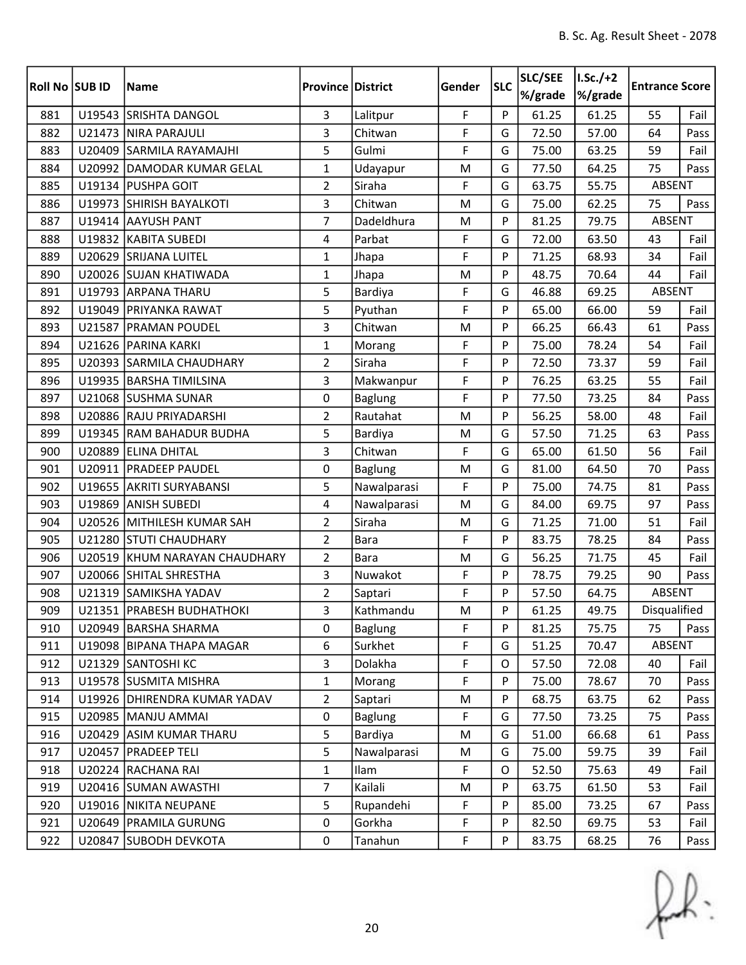| Roll No SUB ID | <b>Name</b>                   | <b>Province District</b> |                | Gender | <b>SLC</b> | SLC/SEE<br>%/grade | $I.Sc./+2$<br>%/grade | <b>Entrance Score</b> |      |
|----------------|-------------------------------|--------------------------|----------------|--------|------------|--------------------|-----------------------|-----------------------|------|
| 881            | U19543 SRISHTA DANGOL         | $\overline{3}$           | Lalitpur       | F      | P          | 61.25              | 61.25                 | 55                    | Fail |
| 882            | U21473 NIRA PARAJULI          | 3                        | Chitwan        | F      | G          | 72.50              | 57.00                 | 64                    | Pass |
| 883            | U20409 SARMILA RAYAMAJHI      | 5                        | Gulmi          | F      | G          | 75.00              | 63.25                 | 59                    | Fail |
| 884            | U20992 DAMODAR KUMAR GELAL    | $\mathbf{1}$             | Udayapur       | M      | G          | 77.50              | 64.25                 | 75                    | Pass |
| 885            | U19134 PUSHPA GOIT            | $\overline{2}$           | Siraha         | F      | G          | 63.75              | 55.75                 | <b>ABSENT</b>         |      |
| 886            | U19973 SHIRISH BAYALKOTI      | 3                        | Chitwan        | M      | G          | 75.00              | 62.25                 | 75                    | Pass |
| 887            | U19414 AAYUSH PANT            | $\overline{7}$           | Dadeldhura     | M      | P          | 81.25              | 79.75                 | ABSENT                |      |
| 888            | U19832 KABITA SUBEDI          | 4                        | Parbat         | F      | G          | 72.00              | 63.50                 | 43                    | Fail |
| 889            | U20629 SRIJANA LUITEL         | $\mathbf 1$              | Jhapa          | F      | P          | 71.25              | 68.93                 | 34                    | Fail |
| 890            | U20026 SUJAN KHATIWADA        | $\mathbf{1}$             | Jhapa          | M      | P          | 48.75              | 70.64                 | 44                    | Fail |
| 891            | U19793 ARPANA THARU           | 5                        | Bardiya        | F      | G          | 46.88              | 69.25                 | ABSENT                |      |
| 892            | U19049 PRIYANKA RAWAT         | 5                        | Pyuthan        | F      | P          | 65.00              | 66.00                 | 59                    | Fail |
| 893            | U21587 PRAMAN POUDEL          | 3                        | Chitwan        | M      | P          | 66.25              | 66.43                 | 61                    | Pass |
| 894            | U21626 PARINA KARKI           | $\mathbf{1}$             | Morang         | F      | P          | 75.00              | 78.24                 | 54                    | Fail |
| 895            | U20393 SARMILA CHAUDHARY      | $\overline{2}$           | Siraha         | F      | P          | 72.50              | 73.37                 | 59                    | Fail |
| 896            | U19935 BARSHA TIMILSINA       | 3                        | Makwanpur      | F      | P          | 76.25              | 63.25                 | 55                    | Fail |
| 897            | U21068 SUSHMA SUNAR           | 0                        | <b>Baglung</b> | F      | P          | 77.50              | 73.25                 | 84                    | Pass |
| 898            | U20886 RAJU PRIYADARSHI       | $\overline{2}$           | Rautahat       | M      | P          | 56.25              | 58.00                 | 48                    | Fail |
| 899            | U19345 RAM BAHADUR BUDHA      | 5                        | Bardiya        | M      | G          | 57.50              | 71.25                 | 63                    | Pass |
| 900            | U20889 ELINA DHITAL           | 3                        | Chitwan        | F      | G          | 65.00              | 61.50                 | 56                    | Fail |
| 901            | U20911   PRADEEP PAUDEL       | 0                        | <b>Baglung</b> | M      | G          | 81.00              | 64.50                 | 70                    | Pass |
| 902            | U19655 AKRITI SURYABANSI      | 5                        | Nawalparasi    | F      | P          | 75.00              | 74.75                 | 81                    | Pass |
| 903            | U19869 ANISH SUBEDI           | 4                        | Nawalparasi    | M      | G          | 84.00              | 69.75                 | 97                    | Pass |
| 904            | U20526 MITHILESH KUMAR SAH    | $\overline{2}$           | Siraha         | M      | G          | 71.25              | 71.00                 | 51                    | Fail |
| 905            | U21280 STUTI CHAUDHARY        | $\overline{2}$           | <b>Bara</b>    | F      | P          | 83.75              | 78.25                 | 84                    | Pass |
| 906            | U20519 KHUM NARAYAN CHAUDHARY | $\overline{2}$           | <b>Bara</b>    | M      | G          | 56.25              | 71.75                 | 45                    | Fail |
| 907            | U20066 SHITAL SHRESTHA        | 3                        | Nuwakot        | F      | P          | 78.75              | 79.25                 | 90                    | Pass |
| 908            | U21319 SAMIKSHA YADAV         | $\overline{2}$           | Saptari        | F      | P          | 57.50              | 64.75                 | <b>ABSENT</b>         |      |
| 909            | U21351 PRABESH BUDHATHOKI     | 3                        | Kathmandu      | M      | Þ          | 61.25              | 49.75                 | Disqualified          |      |
| 910            | U20949 BARSHA SHARMA          | 0                        | <b>Baglung</b> | F      | P          | 81.25              | 75.75                 | 75                    | Pass |
| 911            | U19098 BIPANA THAPA MAGAR     | 6                        | Surkhet        | F      | G          | 51.25              | 70.47                 | ABSENT                |      |
| 912            | U21329 SANTOSHI KC            | 3                        | Dolakha        | F      | 0          | 57.50              | 72.08                 | 40                    | Fail |
| 913            | U19578 SUSMITA MISHRA         | $\mathbf{1}$             | Morang         | F      | P          | 75.00              | 78.67                 | 70                    | Pass |
| 914            | U19926 DHIRENDRA KUMAR YADAV  | $\overline{2}$           | Saptari        | M      | P          | 68.75              | 63.75                 | 62                    | Pass |
| 915            | U20985   MANJU AMMAI          | $\pmb{0}$                | <b>Baglung</b> | F      | G          | 77.50              | 73.25                 | 75                    | Pass |
| 916            | U20429 ASIM KUMAR THARU       | 5                        | Bardiya        | M      | G          | 51.00              | 66.68                 | 61                    | Pass |
| 917            | U20457 PRADEEP TELI           | 5                        | Nawalparasi    | M      | G          | 75.00              | 59.75                 | 39                    | Fail |
| 918            | U20224 RACHANA RAI            | $\mathbf{1}$             | Ilam           | F      | 0          | 52.50              | 75.63                 | 49                    | Fail |
| 919            | U20416 SUMAN AWASTHI          | $\overline{7}$           | Kailali        | M      | P          | 63.75              | 61.50                 | 53                    | Fail |
| 920            | U19016   NIKITA NEUPANE       | 5                        | Rupandehi      | F      | P          | 85.00              | 73.25                 | 67                    | Pass |
| 921            | U20649   PRAMILA GURUNG       | 0                        | Gorkha         | F      | P          | 82.50              | 69.75                 | 53                    | Fail |
| 922            | U20847 SUBODH DEVKOTA         | $\pmb{0}$                | Tanahun        | F      | P          | 83.75              | 68.25                 | 76                    | Pass |

 $f(x)$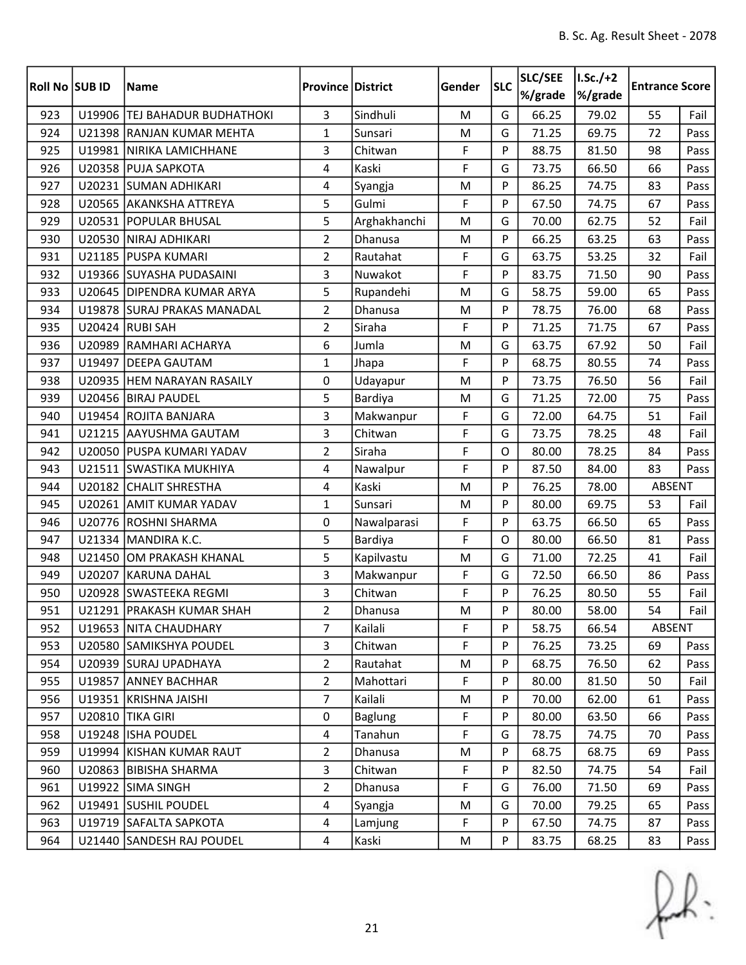| Roll No SUB ID |        | <b>Name</b>                   | <b>Province District</b> |                | Gender    | <b>SLC</b> | SLC/SEE<br>%/grade | $I.Sc./+2$<br>%/grade | <b>Entrance Score</b> |      |
|----------------|--------|-------------------------------|--------------------------|----------------|-----------|------------|--------------------|-----------------------|-----------------------|------|
| 923            |        | U19906 TEJ BAHADUR BUDHATHOKI | $\overline{3}$           | Sindhuli       | ${\sf M}$ | G          | 66.25              | 79.02                 | 55                    | Fail |
| 924            |        | U21398 RANJAN KUMAR MEHTA     | $\mathbf{1}$             | Sunsari        | M         | G          | 71.25              | 69.75                 | 72                    | Pass |
| 925            |        | U19981 NIRIKA LAMICHHANE      | 3                        | Chitwan        | F         | P          | 88.75              | 81.50                 | 98                    | Pass |
| 926            |        | U20358 PUJA SAPKOTA           | 4                        | Kaski          | F         | G          | 73.75              | 66.50                 | 66                    | Pass |
| 927            |        | U20231 SUMAN ADHIKARI         | 4                        | Syangja        | M         | P          | 86.25              | 74.75                 | 83                    | Pass |
| 928            |        | U20565 AKANKSHA ATTREYA       | 5                        | Gulmi          | F         | P          | 67.50              | 74.75                 | 67                    | Pass |
| 929            |        | U20531   POPULAR BHUSAL       | 5                        | Arghakhanchi   | M         | G          | 70.00              | 62.75                 | 52                    | Fail |
| 930            |        | U20530 NIRAJ ADHIKARI         | $\overline{2}$           | Dhanusa        | M         | P          | 66.25              | 63.25                 | 63                    | Pass |
| 931            |        | U21185 PUSPA KUMARI           | $\overline{2}$           | Rautahat       | F         | G          | 63.75              | 53.25                 | 32                    | Fail |
| 932            |        | U19366 SUYASHA PUDASAINI      | $\mathbf{3}$             | Nuwakot        | F         | P          | 83.75              | 71.50                 | 90                    | Pass |
| 933            |        | U20645   DIPENDRA KUMAR ARYA  | 5                        | Rupandehi      | M         | G          | 58.75              | 59.00                 | 65                    | Pass |
| 934            |        | U19878 SURAJ PRAKAS MANADAL   | $\overline{2}$           | Dhanusa        | M         | P          | 78.75              | 76.00                 | 68                    | Pass |
| 935            |        | U20424 RUBI SAH               | $\overline{2}$           | Siraha         | F         | P          | 71.25              | 71.75                 | 67                    | Pass |
| 936            |        | U20989 RAMHARI ACHARYA        | 6                        | Jumla          | M         | G          | 63.75              | 67.92                 | 50                    | Fail |
| 937            |        | U19497 DEEPA GAUTAM           | $\mathbf{1}$             | Jhapa          | F         | P          | 68.75              | 80.55                 | 74                    | Pass |
| 938            |        | U20935 HEM NARAYAN RASAILY    | 0                        | Udayapur       | M         | P          | 73.75              | 76.50                 | 56                    | Fail |
| 939            |        | U20456 BIRAJ PAUDEL           | 5                        | Bardiya        | M         | G          | 71.25              | 72.00                 | 75                    | Pass |
| 940            |        | U19454 ROJITA BANJARA         | 3                        | Makwanpur      | F         | G          | 72.00              | 64.75                 | 51                    | Fail |
| 941            |        | U21215 AAYUSHMA GAUTAM        | $\mathbf{3}$             | Chitwan        | F         | G          | 73.75              | 78.25                 | 48                    | Fail |
| 942            |        | U20050 PUSPA KUMARI YADAV     | $\overline{2}$           | Siraha         | F         | O          | 80.00              | 78.25                 | 84                    | Pass |
| 943            |        | U21511 SWASTIKA MUKHIYA       | 4                        | Nawalpur       | F         | P          | 87.50              | 84.00                 | 83                    | Pass |
| 944            |        | U20182 CHALIT SHRESTHA        | $\overline{4}$           | Kaski          | M         | P          | 76.25              | 78.00                 | ABSENT                |      |
| 945            |        | U20261 AMIT KUMAR YADAV       | $\mathbf{1}$             | Sunsari        | M         | P          | 80.00              | 69.75                 | 53                    | Fail |
| 946            | U20776 | <b>ROSHNI SHARMA</b>          | 0                        | Nawalparasi    | F         | P          | 63.75              | 66.50                 | 65                    | Pass |
| 947            |        | U21334 MANDIRA K.C.           | 5                        | Bardiya        | F         | O          | 80.00              | 66.50                 | 81                    | Pass |
| 948            |        | U21450 OM PRAKASH KHANAL      | 5                        | Kapilvastu     | M         | G          | 71.00              | 72.25                 | 41                    | Fail |
| 949            | U20207 | KARUNA DAHAL                  | 3                        | Makwanpur      | F         | G          | 72.50              | 66.50                 | 86                    | Pass |
| 950            |        | U20928 SWASTEEKA REGMI        | 3                        | Chitwan        | F         | P          | 76.25              | 80.50                 | 55                    | Fail |
| 951            |        | U21291   PRAKASH KUMAR SHAH   | $\overline{2}$           | Dhanusa        | M         | Þ          | 80.00              | 58.00                 | 54                    | Fail |
| 952            |        | U19653 NITA CHAUDHARY         | $\overline{7}$           | Kailali        | F         | P          | 58.75              | 66.54                 | ABSENT                |      |
| 953            |        | U20580 SAMIKSHYA POUDEL       | 3                        | Chitwan        | F         | P          | 76.25              | 73.25                 | 69                    | Pass |
| 954            |        | U20939 SURAJ UPADHAYA         | $\overline{2}$           | Rautahat       | M         | P          | 68.75              | 76.50                 | 62                    | Pass |
| 955            |        | U19857 ANNEY BACHHAR          | $\overline{2}$           | Mahottari      | F         | P          | 80.00              | 81.50                 | 50                    | Fail |
| 956            |        | U19351 KRISHNA JAISHI         | $\overline{7}$           | Kailali        | M         | P          | 70.00              | 62.00                 | 61                    | Pass |
| 957            |        | U20810 TIKA GIRI              | $\mathbf 0$              | <b>Baglung</b> | F         | P          | 80.00              | 63.50                 | 66                    | Pass |
| 958            |        | U19248 ISHA POUDEL            | $\overline{4}$           | Tanahun        | F         | G          | 78.75              | 74.75                 | 70                    | Pass |
| 959            |        | U19994 KISHAN KUMAR RAUT      | $\overline{2}$           | Dhanusa        | M         | P          | 68.75              | 68.75                 | 69                    | Pass |
| 960            |        | U20863 BIBISHA SHARMA         | 3                        | Chitwan        | F         | P          | 82.50              | 74.75                 | 54                    | Fail |
| 961            |        | U19922 SIMA SINGH             | $\overline{2}$           | Dhanusa        | F         | G          | 76.00              | 71.50                 | 69                    | Pass |
| 962            |        | U19491 SUSHIL POUDEL          | 4                        | Syangja        | M         | G          | 70.00              | 79.25                 | 65                    | Pass |
| 963            |        | U19719 SAFALTA SAPKOTA        | $\overline{a}$           | Lamjung        | F         | P          | 67.50              | 74.75                 | 87                    | Pass |
| 964            |        | U21440 SANDESH RAJ POUDEL     | $\overline{4}$           | Kaski          | M         | P          | 83.75              | 68.25                 | 83                    | Pass |

 $f(x)$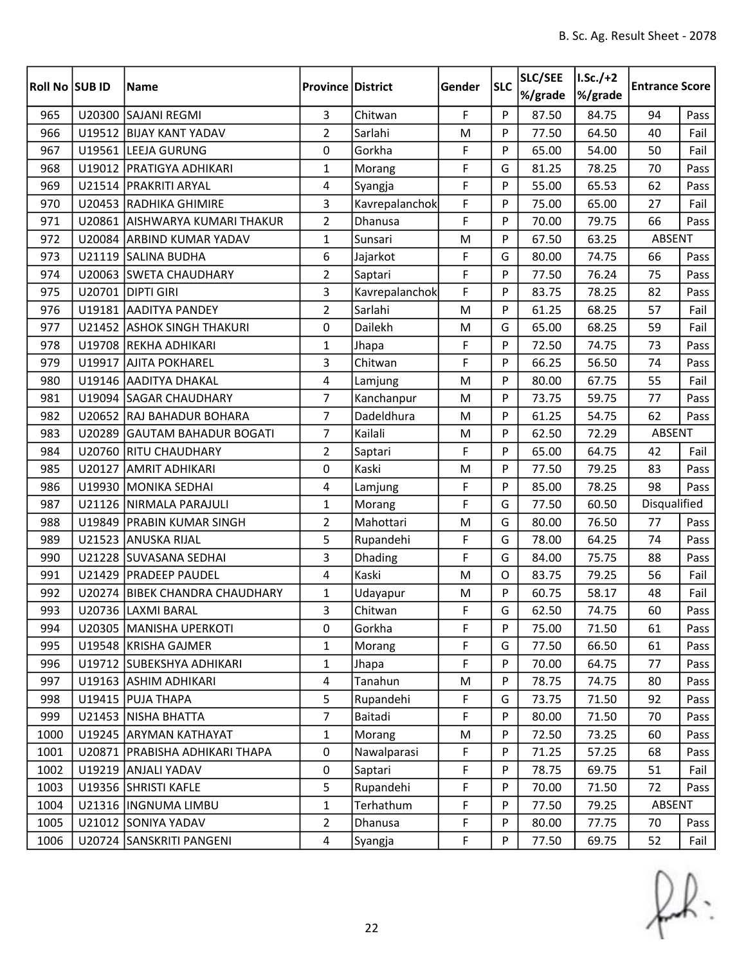| Roll No SUB ID |        | <b>Name</b>                      | <b>Province District</b> |                | Gender | <b>SLC</b> | SLC/SEE<br>%/grade | $I.Sc./+2$<br>%/grade | <b>Entrance Score</b> |      |
|----------------|--------|----------------------------------|--------------------------|----------------|--------|------------|--------------------|-----------------------|-----------------------|------|
| 965            |        | U20300 SAJANI REGMI              | $\overline{3}$           | Chitwan        | F      | P          | 87.50              | 84.75                 | 94                    | Pass |
| 966            |        | U19512 BIJAY KANT YADAV          | $\overline{2}$           | Sarlahi        | M      | P          | 77.50              | 64.50                 | 40                    | Fail |
| 967            |        | U19561 LEEJA GURUNG              | 0                        | Gorkha         | F      | P          | 65.00              | 54.00                 | 50                    | Fail |
| 968            |        | U19012   PRATIGYA ADHIKARI       | $\mathbf{1}$             | Morang         | F      | G          | 81.25              | 78.25                 | 70                    | Pass |
| 969            |        | U21514   PRAKRITI ARYAL          | 4                        | Syangja        | F      | P          | 55.00              | 65.53                 | 62                    | Pass |
| 970            |        | U20453 RADHIKA GHIMIRE           | 3                        | Kavrepalanchok | F      | P          | 75.00              | 65.00                 | 27                    | Fail |
| 971            |        | U20861 AISHWARYA KUMARI THAKUR   | $\overline{2}$           | Dhanusa        | F      | P          | 70.00              | 79.75                 | 66                    | Pass |
| 972            |        | U20084 ARBIND KUMAR YADAV        | $\mathbf{1}$             | Sunsari        | M      | P          | 67.50              | 63.25                 | ABSENT                |      |
| 973            |        | U21119 SALINA BUDHA              | 6                        | Jajarkot       | F      | G          | 80.00              | 74.75                 | 66                    | Pass |
| 974            |        | U20063 SWETA CHAUDHARY           | $\overline{2}$           | Saptari        | F      | P          | 77.50              | 76.24                 | 75                    | Pass |
| 975            |        | U20701 DIPTI GIRI                | 3                        | Kavrepalanchok | F      | P          | 83.75              | 78.25                 | 82                    | Pass |
| 976            |        | U19181 AADITYA PANDEY            | $\overline{2}$           | Sarlahi        | M      | P          | 61.25              | 68.25                 | 57                    | Fail |
| 977            |        | U21452 ASHOK SINGH THAKURI       | 0                        | Dailekh        | M      | G          | 65.00              | 68.25                 | 59                    | Fail |
| 978            |        | U19708 REKHA ADHIKARI            | $\mathbf{1}$             | Jhapa          | F      | P          | 72.50              | 74.75                 | 73                    | Pass |
| 979            | U19917 | <b>AJITA POKHAREL</b>            | 3                        | Chitwan        | F      | P          | 66.25              | 56.50                 | 74                    | Pass |
| 980            |        | U19146 AADITYA DHAKAL            | 4                        | Lamjung        | M      | P          | 80.00              | 67.75                 | 55                    | Fail |
| 981            |        | U19094 SAGAR CHAUDHARY           | 7                        | Kanchanpur     | M      | P          | 73.75              | 59.75                 | 77                    | Pass |
| 982            |        | U20652 RAJ BAHADUR BOHARA        | 7                        | Dadeldhura     | M      | P          | 61.25              | 54.75                 | 62                    | Pass |
| 983            | U20289 | <b>GAUTAM BAHADUR BOGATI</b>     | $\overline{7}$           | Kailali        | M      | P          | 62.50              | 72.29                 | <b>ABSENT</b>         |      |
| 984            |        | U20760 RITU CHAUDHARY            | $\overline{2}$           | Saptari        | F      | P          | 65.00              | 64.75                 | 42                    | Fail |
| 985            | U20127 | <b>AMRIT ADHIKARI</b>            | 0                        | Kaski          | M      | P          | 77.50              | 79.25                 | 83                    | Pass |
| 986            | U19930 | MONIKA SEDHAI                    | 4                        | Lamjung        | F      | P          | 85.00              | 78.25                 | 98                    | Pass |
| 987            |        | U21126 NIRMALA PARAJULI          | $\mathbf{1}$             | Morang         | F      | G          | 77.50              | 60.50                 | Disqualified          |      |
| 988            | U19849 | <b>PRABIN KUMAR SINGH</b>        | $\overline{2}$           | Mahottari      | M      | G          | 80.00              | 76.50                 | 77                    | Pass |
| 989            |        | U21523 ANUSKA RIJAL              | 5                        | Rupandehi      | F      | G          | 78.00              | 64.25                 | 74                    | Pass |
| 990            |        | U21228 SUVASANA SEDHAI           | 3                        | Dhading        | F      | G          | 84.00              | 75.75                 | 88                    | Pass |
| 991            |        | U21429   PRADEEP PAUDEL          | 4                        | Kaski          | M      | O          | 83.75              | 79.25                 | 56                    | Fail |
| 992            |        | U20274 BIBEK CHANDRA CHAUDHARY   | $\mathbf{1}$             | Udayapur       | M      | P          | 60.75              | 58.17                 | 48                    | Fail |
| 993            |        | U20736 LAXMI BARAL               | 3                        | Chitwan        | F      | G          | 62.50              | 74.75                 | 60                    | Pass |
| 994            |        | U20305   MANISHA UPERKOTI        | 0                        | Gorkha         | F      | P          | 75.00              | 71.50                 | 61                    | Pass |
| 995            |        | U19548 KRISHA GAJMER             | 1                        | Morang         | F      | G          | 77.50              | 66.50                 | 61                    | Pass |
| 996            |        | U19712 SUBEKSHYA ADHIKARI        | $\mathbf{1}$             | Jhapa          | F      | P          | 70.00              | 64.75                 | 77                    | Pass |
| 997            |        | U19163 ASHIM ADHIKARI            | $\overline{4}$           | Tanahun        | M      | P          | 78.75              | 74.75                 | 80                    | Pass |
| 998            |        | U19415   PUJA THAPA              | 5                        | Rupandehi      | F      | G          | 73.75              | 71.50                 | 92                    | Pass |
| 999            |        | U21453 NISHA BHATTA              | $\overline{7}$           | Baitadi        | F      | P          | 80.00              | 71.50                 | 70                    | Pass |
| 1000           |        | U19245 ARYMAN KATHAYAT           | $\mathbf{1}$             | Morang         | M      | P          | 72.50              | 73.25                 | 60                    | Pass |
| 1001           |        | U20871   PRABISHA ADHIKARI THAPA | 0                        | Nawalparasi    | F      | P          | 71.25              | 57.25                 | 68                    | Pass |
| 1002           |        | U19219 ANJALI YADAV              | 0                        | Saptari        | F      | P          | 78.75              | 69.75                 | 51                    | Fail |
| 1003           |        | U19356 SHRISTI KAFLE             | 5                        | Rupandehi      | F      | P          | 70.00              | 71.50                 | 72                    | Pass |
| 1004           |        | U21316  INGNUMA LIMBU            | $\mathbf{1}$             | Terhathum      | F      | P          | 77.50              | 79.25                 | ABSENT                |      |
| 1005           |        | U21012 SONIYA YADAV              | $\overline{2}$           | Dhanusa        | F      | P          | 80.00              | 77.75                 | 70                    | Pass |
| 1006           |        | U20724 SANSKRITI PANGENI         | $\overline{4}$           | Syangja        | F      | P          | 77.50              | 69.75                 | 52                    | Fail |

 $f(x)$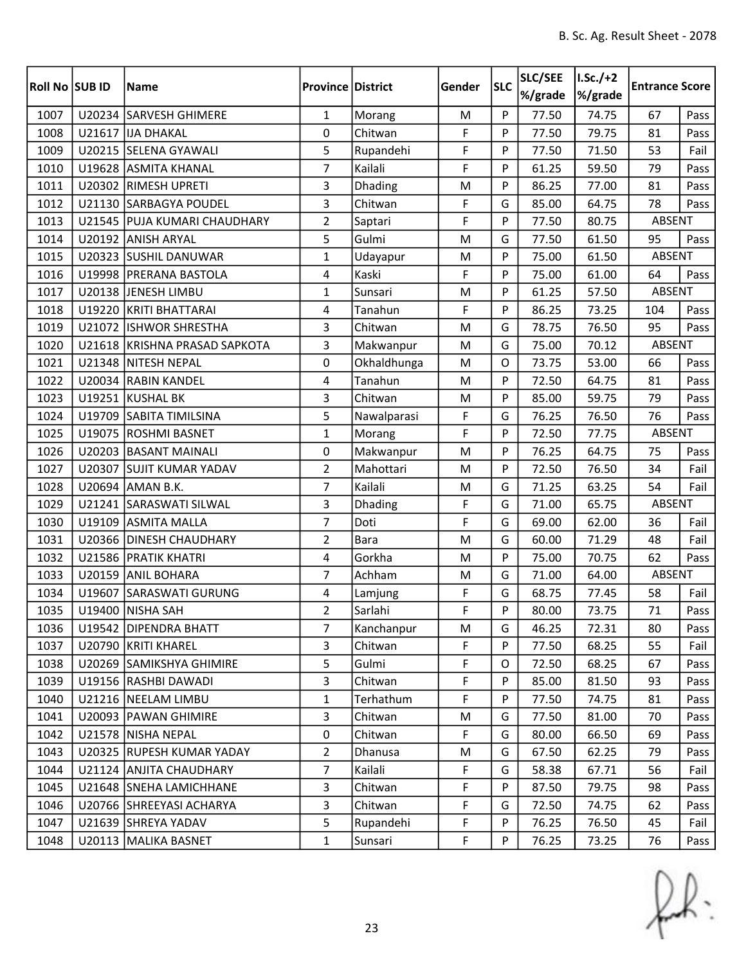| <b>Roll No SUB ID</b> |        | <b>Name</b>                   | <b>Province District</b> |             | Gender      | <b>SLC</b> | SLC/SEE<br>%/grade | $I.Sc./+2$<br>%/grade | <b>Entrance Score</b> |      |
|-----------------------|--------|-------------------------------|--------------------------|-------------|-------------|------------|--------------------|-----------------------|-----------------------|------|
| 1007                  |        | U20234 SARVESH GHIMERE        | $\mathbf{1}$             | Morang      | M           | P          | 77.50              | 74.75                 | 67                    | Pass |
| 1008                  |        | U21617 JJA DHAKAL             | 0                        | Chitwan     | F           | P          | 77.50              | 79.75                 | 81                    | Pass |
| 1009                  |        | U20215 SELENA GYAWALI         | 5                        | Rupandehi   | F           | P          | 77.50              | 71.50                 | 53                    | Fail |
| 1010                  |        | U19628 ASMITA KHANAL          | 7                        | Kailali     | F           | P          | 61.25              | 59.50                 | 79                    | Pass |
| 1011                  |        | U20302 RIMESH UPRETI          | 3                        | Dhading     | M           | P          | 86.25              | 77.00                 | 81                    | Pass |
| 1012                  |        | U21130 SARBAGYA POUDEL        | 3                        | Chitwan     | F           | G          | 85.00              | 64.75                 | 78                    | Pass |
| 1013                  |        | U21545 PUJA KUMARI CHAUDHARY  | $\overline{2}$           | Saptari     | F           | P          | 77.50              | 80.75                 | ABSENT                |      |
| 1014                  |        | U20192 ANISH ARYAL            | 5                        | Gulmi       | M           | G          | 77.50              | 61.50                 | 95                    | Pass |
| 1015                  |        | U20323 SUSHIL DANUWAR         | $\mathbf{1}$             | Udayapur    | M           | P          | 75.00              | 61.50                 | ABSENT                |      |
| 1016                  |        | U19998 PRERANA BASTOLA        | $\overline{4}$           | Kaski       | F           | P          | 75.00              | 61.00                 | 64                    | Pass |
| 1017                  |        | U20138 JENESH LIMBU           | $\mathbf{1}$             | Sunsari     | M           | P          | 61.25              | 57.50                 | <b>ABSENT</b>         |      |
| 1018                  |        | U19220 KRITI BHATTARAI        | 4                        | Tanahun     | F           | P          | 86.25              | 73.25                 | 104                   | Pass |
| 1019                  |        | U21072 ISHWOR SHRESTHA        | 3                        | Chitwan     | M           | G          | 78.75              | 76.50                 | 95                    | Pass |
| 1020                  |        | U21618 KRISHNA PRASAD SAPKOTA | 3                        | Makwanpur   | M           | G          | 75.00              | 70.12                 | ABSENT                |      |
| 1021                  |        | U21348 NITESH NEPAL           | 0                        | Okhaldhunga | M           | O          | 73.75              | 53.00                 | 66                    | Pass |
| 1022                  |        | U20034 RABIN KANDEL           | $\overline{4}$           | Tanahun     | M           | P          | 72.50              | 64.75                 | 81                    | Pass |
| 1023                  |        | U19251 KUSHAL BK              | 3                        | Chitwan     | M           | P          | 85.00              | 59.75                 | 79                    | Pass |
| 1024                  |        | U19709 SABITA TIMILSINA       | 5                        | Nawalparasi | F           | G          | 76.25              | 76.50                 | 76                    | Pass |
| 1025                  |        | U19075 ROSHMI BASNET          | $\mathbf{1}$             | Morang      | F           | P          | 72.50              | 77.75                 | <b>ABSENT</b>         |      |
| 1026                  |        | U20203 BASANT MAINALI         | 0                        | Makwanpur   | M           | P          | 76.25              | 64.75                 | 75                    | Pass |
| 1027                  |        | U20307 SUJIT KUMAR YADAV      | $\overline{2}$           | Mahottari   | M           | P          | 72.50              | 76.50                 | 34                    | Fail |
| 1028                  |        | U20694 AMAN B.K.              | $\overline{7}$           | Kailali     | M           | G          | 71.25              | 63.25                 | 54                    | Fail |
| 1029                  |        | U21241 SARASWATI SILWAL       | 3                        | Dhading     | F           | G          | 71.00              | 65.75                 | <b>ABSENT</b>         |      |
| 1030                  | U19109 | <b>ASMITA MALLA</b>           | $\overline{7}$           | Doti        | F           | G          | 69.00              | 62.00                 | 36                    | Fail |
| 1031                  |        | U20366 DINESH CHAUDHARY       | $\overline{2}$           | <b>Bara</b> | M           | G          | 60.00              | 71.29                 | 48                    | Fail |
| 1032                  |        | U21586 PRATIK KHATRI          | $\overline{4}$           | Gorkha      | M           | P          | 75.00              | 70.75                 | 62                    | Pass |
| 1033                  | U20159 | <b>ANIL BOHARA</b>            | $\overline{7}$           | Achham      | M           | G          | 71.00              | 64.00                 | ABSENT                |      |
| 1034                  |        | U19607 SARASWATI GURUNG       | 4                        | Lamjung     | F           | G          | 68.75              | 77.45                 | 58                    | Fail |
| 1035                  |        | U19400 NISHA SAH              | $\overline{2}$           | Sarlahi     | $\mathsf F$ | Þ          | 80.00              | 73.75                 | 71                    | Pass |
| 1036                  |        | U19542 DIPENDRA BHATT         | 7                        | Kanchanpur  | M           | G          | 46.25              | 72.31                 | 80                    | Pass |
| 1037                  |        | U20790 KRITI KHAREL           | 3                        | Chitwan     | F           | P          | 77.50              | 68.25                 | 55                    | Fail |
| 1038                  |        | U20269 SAMIKSHYA GHIMIRE      | 5                        | Gulmi       | F           | 0          | 72.50              | 68.25                 | 67                    | Pass |
| 1039                  |        | U19156 RASHBI DAWADI          | 3                        | Chitwan     | F           | P          | 85.00              | 81.50                 | 93                    | Pass |
| 1040                  |        | U21216 NEELAM LIMBU           | 1                        | Terhathum   | F           | P          | 77.50              | 74.75                 | 81                    | Pass |
| 1041                  |        | U20093   PAWAN GHIMIRE        | 3                        | Chitwan     | M           | G          | 77.50              | 81.00                 | 70                    | Pass |
| 1042                  |        | U21578 NISHA NEPAL            | $\mathbf 0$              | Chitwan     | F           | G          | 80.00              | 66.50                 | 69                    | Pass |
| 1043                  |        | U20325 RUPESH KUMAR YADAY     | $\overline{2}$           | Dhanusa     | M           | G          | 67.50              | 62.25                 | 79                    | Pass |
| 1044                  |        | U21124 ANJITA CHAUDHARY       | 7                        | Kailali     | F           | G          | 58.38              | 67.71                 | 56                    | Fail |
| 1045                  |        | U21648 SNEHA LAMICHHANE       | 3                        | Chitwan     | F           | P          | 87.50              | 79.75                 | 98                    | Pass |
| 1046                  |        | U20766 SHREEYASI ACHARYA      | 3                        | Chitwan     | F           | G          | 72.50              | 74.75                 | 62                    | Pass |
| 1047                  |        | U21639 SHREYA YADAV           | 5                        | Rupandehi   | F           | P          | 76.25              | 76.50                 | 45                    | Fail |
| 1048                  |        | U20113   MALIKA BASNET        | $\mathbf{1}$             | Sunsari     | F           | P          | 76.25              | 73.25                 | 76                    | Pass |

 $f(x)$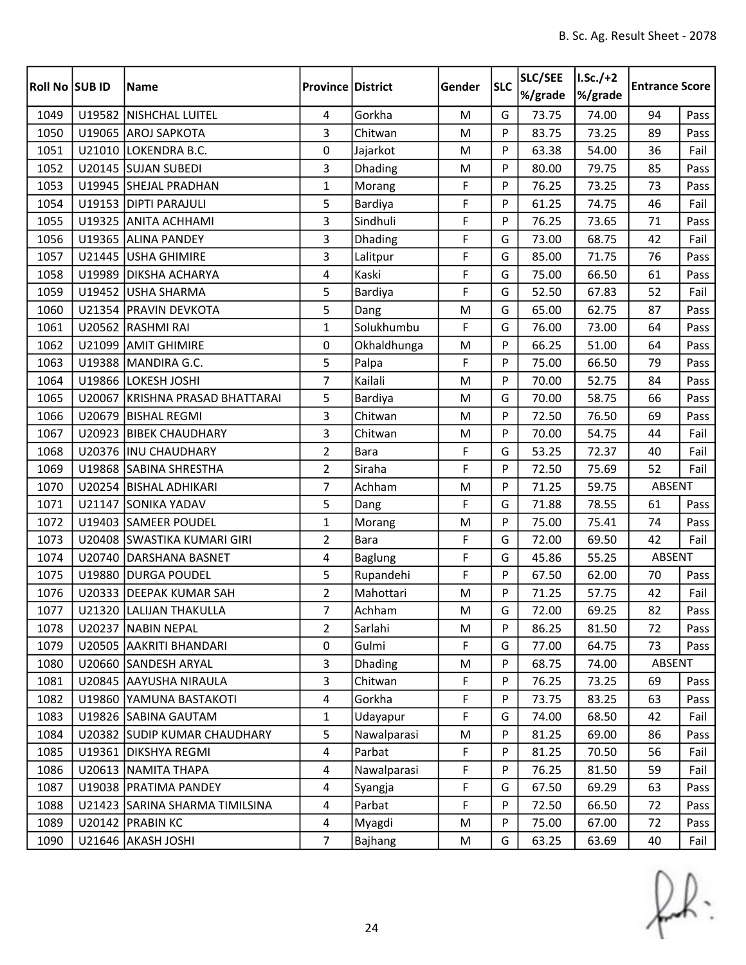| Roll No SUB ID |        | <b>Name</b>                    | <b>Province District</b> |                | Gender    | <b>SLC</b> | SLC/SEE<br>%/grade | $I.Sc./+2$<br>%/grade | <b>Entrance Score</b> |      |
|----------------|--------|--------------------------------|--------------------------|----------------|-----------|------------|--------------------|-----------------------|-----------------------|------|
| 1049           |        | U19582 NISHCHAL LUITEL         | 4                        | Gorkha         | ${\sf M}$ | G          | 73.75              | 74.00                 | 94                    | Pass |
| 1050           |        | U19065 AROJ SAPKOTA            | 3                        | Chitwan        | M         | P          | 83.75              | 73.25                 | 89                    | Pass |
| 1051           | U21010 | LOKENDRA B.C.                  | 0                        | Jajarkot       | M         | P          | 63.38              | 54.00                 | 36                    | Fail |
| 1052           |        | U20145 SUJAN SUBEDI            | 3                        | Dhading        | M         | P          | 80.00              | 79.75                 | 85                    | Pass |
| 1053           |        | U19945 SHEJAL PRADHAN          | 1                        | Morang         | F         | P          | 76.25              | 73.25                 | 73                    | Pass |
| 1054           |        | U19153 DIPTI PARAJULI          | 5                        | <b>Bardiya</b> | F         | P          | 61.25              | 74.75                 | 46                    | Fail |
| 1055           |        | U19325 ANITA ACHHAMI           | 3                        | Sindhuli       | F         | P          | 76.25              | 73.65                 | 71                    | Pass |
| 1056           |        | U19365 ALINA PANDEY            | 3                        | Dhading        | F         | G          | 73.00              | 68.75                 | 42                    | Fail |
| 1057           |        | U21445 USHA GHIMIRE            | 3                        | Lalitpur       | F         | G          | 85.00              | 71.75                 | 76                    | Pass |
| 1058           | U19989 | <b>DIKSHA ACHARYA</b>          | $\overline{4}$           | Kaski          | F         | G          | 75.00              | 66.50                 | 61                    | Pass |
| 1059           |        | U19452 USHA SHARMA             | 5                        | Bardiya        | F         | G          | 52.50              | 67.83                 | 52                    | Fail |
| 1060           |        | U21354 PRAVIN DEVKOTA          | 5                        | Dang           | M         | G          | 65.00              | 62.75                 | 87                    | Pass |
| 1061           |        | U20562 RASHMI RAI              | $\mathbf{1}$             | Solukhumbu     | F         | G          | 76.00              | 73.00                 | 64                    | Pass |
| 1062           | U21099 | <b>AMIT GHIMIRE</b>            | 0                        | Okhaldhunga    | M         | P          | 66.25              | 51.00                 | 64                    | Pass |
| 1063           |        | U19388 MANDIRA G.C.            | 5                        | Palpa          | F         | P          | 75.00              | 66.50                 | 79                    | Pass |
| 1064           |        | U19866 LOKESH JOSHI            | $\overline{7}$           | Kailali        | M         | P          | 70.00              | 52.75                 | 84                    | Pass |
| 1065           | U20067 | KRISHNA PRASAD BHATTARAI       | 5                        | Bardiya        | M         | G          | 70.00              | 58.75                 | 66                    | Pass |
| 1066           | U20679 | <b>BISHAL REGMI</b>            | 3                        | Chitwan        | M         | P          | 72.50              | 76.50                 | 69                    | Pass |
| 1067           | U20923 | <b>BIBEK CHAUDHARY</b>         | 3                        | Chitwan        | M         | P          | 70.00              | 54.75                 | 44                    | Fail |
| 1068           |        | U20376  INU CHAUDHARY          | $\overline{2}$           | Bara           | F         | G          | 53.25              | 72.37                 | 40                    | Fail |
| 1069           |        | U19868 SABINA SHRESTHA         | $\overline{2}$           | Siraha         | F         | P          | 72.50              | 75.69                 | 52                    | Fail |
| 1070           |        | U20254 BISHAL ADHIKARI         | $\overline{7}$           | Achham         | M         | P          | 71.25              | 59.75                 | ABSENT                |      |
| 1071           |        | U21147 SONIKA YADAV            | 5                        | Dang           | F         | G          | 71.88              | 78.55                 | 61                    | Pass |
| 1072           |        | U19403 SAMEER POUDEL           | 1                        | Morang         | M         | P          | 75.00              | 75.41                 | 74                    | Pass |
| 1073           |        | U20408 SWASTIKA KUMARI GIRI    | $\overline{2}$           | <b>Bara</b>    | F         | G          | 72.00              | 69.50                 | 42                    | Fail |
| 1074           |        | U20740   DARSHANA BASNET       | 4                        | Baglung        | F         | G          | 45.86              | 55.25                 | ABSENT                |      |
| 1075           | U19880 | <b>DURGA POUDEL</b>            | 5                        | Rupandehi      | F         | P          | 67.50              | 62.00                 | 70                    | Pass |
| 1076           |        | U20333 DEEPAK KUMAR SAH        | $\overline{2}$           | Mahottari      | M         | P          | 71.25              | 57.75                 | 42                    | Fail |
| 1077           |        | U21320 LALIJAN THAKULLA        | $\overline{7}$           | Achham         | M         | G          | 72.00              | 69.25                 | 82                    | Pass |
| 1078           |        | U20237 NABIN NEPAL             | 2                        | Sarlahi        | M         | P          | 86.25              | 81.50                 | 72                    | Pass |
| 1079           |        | U20505 AAKRITI BHANDARI        | 0                        | Gulmi          | F         | G          | 77.00              | 64.75                 | 73                    | Pass |
| 1080           |        | U20660 SANDESH ARYAL           | 3                        | Dhading        | M         | P          | 68.75              | 74.00                 | ABSENT                |      |
| 1081           |        | U20845 AAYUSHA NIRAULA         | 3                        | Chitwan        | F         | P          | 76.25              | 73.25                 | 69                    | Pass |
| 1082           |        | U19860 YAMUNA BASTAKOTI        | $\overline{4}$           | Gorkha         | F         | P          | 73.75              | 83.25                 | 63                    | Pass |
| 1083           |        | U19826 SABINA GAUTAM           | $\mathbf{1}$             | Udayapur       | F         | G          | 74.00              | 68.50                 | 42                    | Fail |
| 1084           |        | U20382 SUDIP KUMAR CHAUDHARY   | 5                        | Nawalparasi    | M         | P          | 81.25              | 69.00                 | 86                    | Pass |
| 1085           |        | U19361 DIKSHYA REGMI           | $\overline{4}$           | Parbat         | F         | P          | 81.25              | 70.50                 | 56                    | Fail |
| 1086           |        | U20613 NAMITA THAPA            | 4                        | Nawalparasi    | F         | P          | 76.25              | 81.50                 | 59                    | Fail |
| 1087           |        | U19038   PRATIMA PANDEY        | 4                        | Syangja        | F         | G          | 67.50              | 69.29                 | 63                    | Pass |
| 1088           |        | U21423 SARINA SHARMA TIMILSINA | 4                        | Parbat         | F         | P          | 72.50              | 66.50                 | 72                    | Pass |
| 1089           |        | U20142 PRABIN KC               | 4                        | Myagdi         | M         | P          | 75.00              | 67.00                 | 72                    | Pass |
| 1090           |        | U21646 AKASH JOSHI             | $\overline{7}$           | Bajhang        | M         | G          | 63.25              | 63.69                 | 40                    | Fail |

 $f(x)$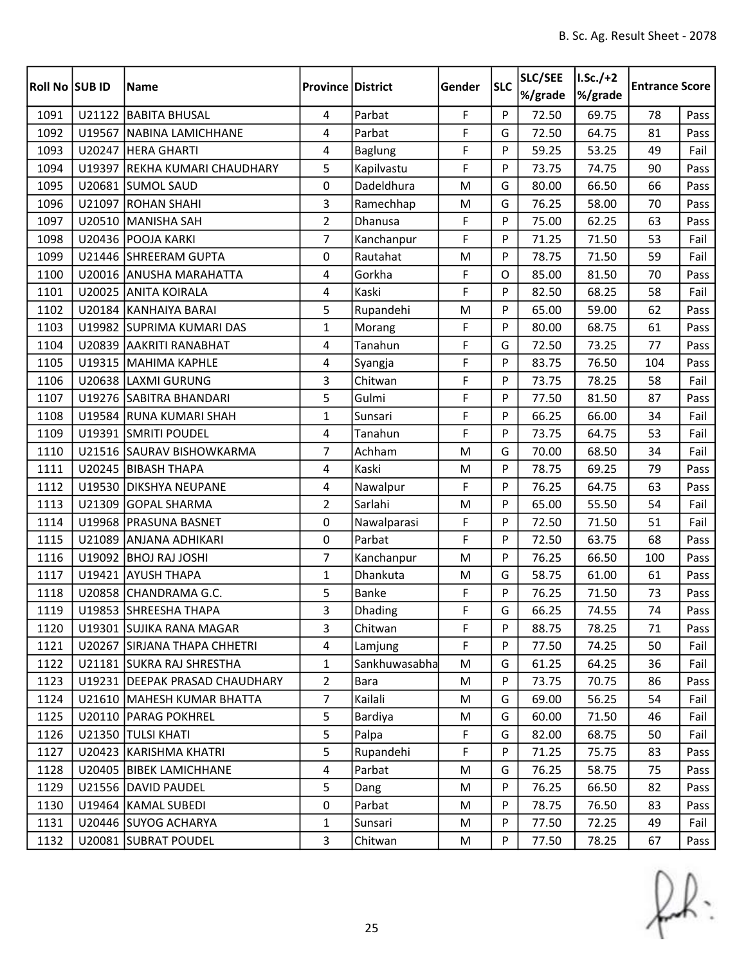| <b>Roll No SUB ID</b> |        | <b>Name</b>                      | <b>Province District</b> |                | Gender | <b>SLC</b> | SLC/SEE<br>%/grade | $1.5c./+2$<br>%/grade | <b>Entrance Score</b> |      |
|-----------------------|--------|----------------------------------|--------------------------|----------------|--------|------------|--------------------|-----------------------|-----------------------|------|
| 1091                  |        | U21122 BABITA BHUSAL             | 4                        | Parbat         | F      | P          | 72.50              | 69.75                 | 78                    | Pass |
| 1092                  | U19567 | NABINA LAMICHHANE                | 4                        | Parbat         | F      | G          | 72.50              | 64.75                 | 81                    | Pass |
| 1093                  |        | U20247 HERA GHARTI               | 4                        | <b>Baglung</b> | F      | P          | 59.25              | 53.25                 | 49                    | Fail |
| 1094                  | U19397 | REKHA KUMARI CHAUDHARY           | 5                        | Kapilvastu     | F      | P          | 73.75              | 74.75                 | 90                    | Pass |
| 1095                  | U20681 | <b>SUMOL SAUD</b>                | 0                        | Dadeldhura     | M      | G          | 80.00              | 66.50                 | 66                    | Pass |
| 1096                  |        | U21097 ROHAN SHAHI               | 3                        | Ramechhap      | M      | G          | 76.25              | 58.00                 | 70                    | Pass |
| 1097                  |        | U20510 MANISHA SAH               | $\overline{2}$           | Dhanusa        | F      | P          | 75.00              | 62.25                 | 63                    | Pass |
| 1098                  |        | U20436 POOJA KARKI               | $\overline{7}$           | Kanchanpur     | F      | P          | 71.25              | 71.50                 | 53                    | Fail |
| 1099                  |        | U21446 SHREERAM GUPTA            | 0                        | Rautahat       | M      | P          | 78.75              | 71.50                 | 59                    | Fail |
| 1100                  |        | U20016 ANUSHA MARAHATTA          | 4                        | Gorkha         | F      | $\Omega$   | 85.00              | 81.50                 | 70                    | Pass |
| 1101                  |        | U20025 ANITA KOIRALA             | 4                        | Kaski          | F      | P          | 82.50              | 68.25                 | 58                    | Fail |
| 1102                  |        | U20184 KANHAIYA BARAI            | 5                        | Rupandehi      | M      | P          | 65.00              | 59.00                 | 62                    | Pass |
| 1103                  |        | U19982 SUPRIMA KUMARI DAS        | $\mathbf{1}$             | Morang         | F      | P          | 80.00              | 68.75                 | 61                    | Pass |
| 1104                  |        | U20839 AAKRITI RANABHAT          | 4                        | Tanahun        | F      | G          | 72.50              | 73.25                 | 77                    | Pass |
| 1105                  |        | U19315 MAHIMA KAPHLE             | 4                        | Syangja        | F      | P          | 83.75              | 76.50                 | 104                   | Pass |
| 1106                  |        | U20638 LAXMI GURUNG              | 3                        | Chitwan        | F      | P          | 73.75              | 78.25                 | 58                    | Fail |
| 1107                  |        | U19276 SABITRA BHANDARI          | 5                        | Gulmi          | F      | P          | 77.50              | 81.50                 | 87                    | Pass |
| 1108                  |        | U19584 RUNA KUMARI SHAH          | $\mathbf{1}$             | Sunsari        | F      | P          | 66.25              | 66.00                 | 34                    | Fail |
| 1109                  |        | U19391 SMRITI POUDEL             | 4                        | Tanahun        | F      | P          | 73.75              | 64.75                 | 53                    | Fail |
| 1110                  |        | U21516 SAURAV BISHOWKARMA        | $\overline{7}$           | Achham         | M      | G          | 70.00              | 68.50                 | 34                    | Fail |
| 1111                  |        | U20245 BIBASH THAPA              | 4                        | Kaski          | M      | P          | 78.75              | 69.25                 | 79                    | Pass |
| 1112                  |        | U19530 DIKSHYA NEUPANE           | 4                        | Nawalpur       | F      | P          | 76.25              | 64.75                 | 63                    | Pass |
| 1113                  | U21309 | <b>GOPAL SHARMA</b>              | $\overline{2}$           | Sarlahi        | M      | P          | 65.00              | 55.50                 | 54                    | Fail |
| 1114                  | U19968 | <b>PRASUNA BASNET</b>            | 0                        | Nawalparasi    | F      | P          | 72.50              | 71.50                 | 51                    | Fail |
| 1115                  |        | U21089 ANJANA ADHIKARI           | 0                        | Parbat         | F      | P          | 72.50              | 63.75                 | 68                    | Pass |
| 1116                  |        | U19092 BHOJ RAJ JOSHI            | $\overline{7}$           | Kanchanpur     | M      | P          | 76.25              | 66.50                 | 100                   | Pass |
| 1117                  |        | U19421 AYUSH THAPA               | $\mathbf{1}$             | Dhankuta       | M      | G          | 58.75              | 61.00                 | 61                    | Pass |
| 1118                  |        | U20858 CHANDRAMA G.C.            | 5                        | <b>Banke</b>   | F      | P          | 76.25              | 71.50                 | 73                    | Pass |
| 1119                  |        | U19853 SHREESHA THAPA            | 3                        | Dhading        | F      | G          | 66.25              | 74.55                 | 74                    | Pass |
| 1120                  |        | U19301 SUJIKA RANA MAGAR         | 3                        | Chitwan        | F      | P          | 88.75              | 78.25                 | 71                    | Pass |
| 1121                  |        | U20267 SIRJANA THAPA CHHETRI     | 4                        | Lamjung        | F      | P          | 77.50              | 74.25                 | 50                    | Fail |
| 1122                  |        | U21181 SUKRA RAJ SHRESTHA        | $\mathbf{1}$             | Sankhuwasabha  | M      | G          | 61.25              | 64.25                 | 36                    | Fail |
| 1123                  |        | U19231   DEEPAK PRASAD CHAUDHARY | $\overline{2}$           | Bara           | M      | P          | 73.75              | 70.75                 | 86                    | Pass |
| 1124                  |        | U21610 MAHESH KUMAR BHATTA       | $\overline{7}$           | Kailali        | M      | G          | 69.00              | 56.25                 | 54                    | Fail |
| 1125                  |        | U20110   PARAG POKHREL           | 5                        | Bardiya        | M      | G          | 60.00              | 71.50                 | 46                    | Fail |
| 1126                  |        | U21350 TULSI KHATI               | 5                        | Palpa          | F      | G          | 82.00              | 68.75                 | 50                    | Fail |
| 1127                  |        | U20423 KARISHMA KHATRI           | 5                        | Rupandehi      | F      | P          | 71.25              | 75.75                 | 83                    | Pass |
| 1128                  |        | U20405 BIBEK LAMICHHANE          | 4                        | Parbat         | M      | G          | 76.25              | 58.75                 | 75                    | Pass |
| 1129                  |        | U21556 DAVID PAUDEL              | 5                        | Dang           | M      | P          | 76.25              | 66.50                 | 82                    | Pass |
| 1130                  |        | U19464 KAMAL SUBEDI              | 0                        | Parbat         | M      | P          | 78.75              | 76.50                 | 83                    | Pass |
| 1131                  |        | U20446 SUYOG ACHARYA             | 1                        | Sunsari        | M      | P          | 77.50              | 72.25                 | 49                    | Fail |
| 1132                  |        | U20081 SUBRAT POUDEL             | 3                        | Chitwan        | M      | P          | 77.50              | 78.25                 | 67                    | Pass |

 $f(x)$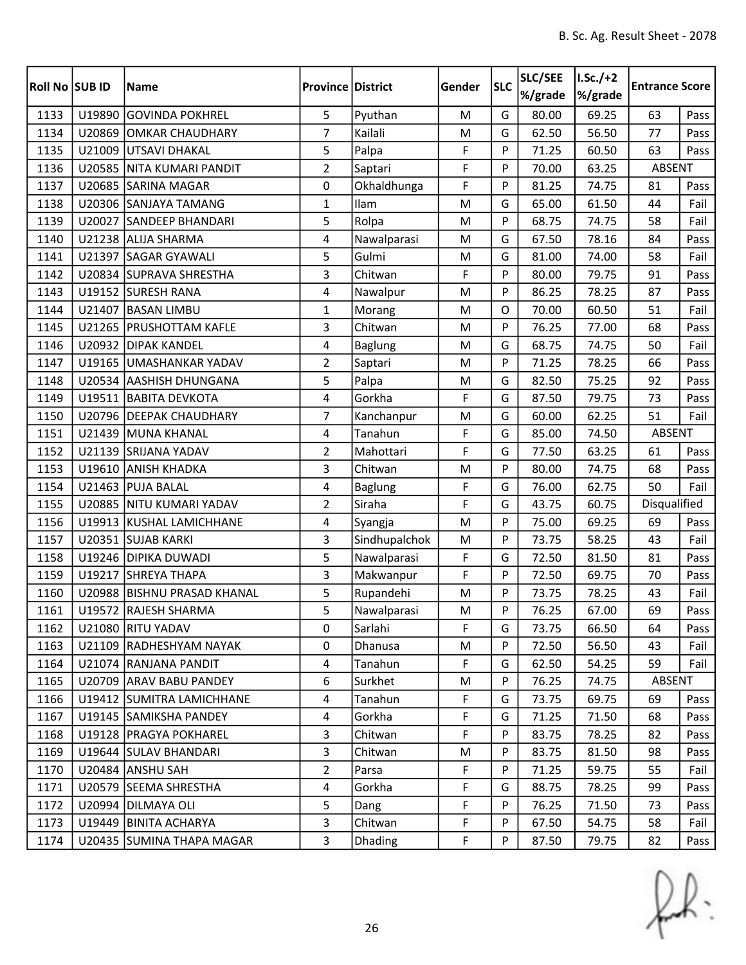| <b>Roll No SUB ID</b> |        | <b>Name</b>                 | <b>Province District</b> |                | Gender | <b>SLC</b> | SLC/SEE<br>%/grade | $I.Sc./+2$<br>%/grade | <b>Entrance Score</b> |      |
|-----------------------|--------|-----------------------------|--------------------------|----------------|--------|------------|--------------------|-----------------------|-----------------------|------|
| 1133                  | U19890 | <b>GOVINDA POKHREL</b>      | 5                        | Pyuthan        | M      | G          | 80.00              | 69.25                 | 63                    | Pass |
| 1134                  | U20869 | OMKAR CHAUDHARY             | $\overline{7}$           | Kailali        | M      | G          | 62.50              | 56.50                 | 77                    | Pass |
| 1135                  | U21009 | UTSAVI DHAKAL               | 5                        | Palpa          | F      | P          | 71.25              | 60.50                 | 63                    | Pass |
| 1136                  |        | U20585 NITA KUMARI PANDIT   | $\overline{2}$           | Saptari        | F      | P          | 70.00              | 63.25                 | ABSENT                |      |
| 1137                  |        | U20685 SARINA MAGAR         | 0                        | Okhaldhunga    | F      | P          | 81.25              | 74.75                 | 81                    | Pass |
| 1138                  |        | U20306 SANJAYA TAMANG       | $\mathbf{1}$             | Ilam           | M      | G          | 65.00              | 61.50                 | 44                    | Fail |
| 1139                  |        | U20027 SANDEEP BHANDARI     | 5                        | Rolpa          | M      | P          | 68.75              | 74.75                 | 58                    | Fail |
| 1140                  |        | U21238 ALIJA SHARMA         | 4                        | Nawalparasi    | M      | G          | 67.50              | 78.16                 | 84                    | Pass |
| 1141                  |        | U21397 SAGAR GYAWALI        | 5                        | Gulmi          | M      | G          | 81.00              | 74.00                 | 58                    | Fail |
| 1142                  |        | U20834 SUPRAVA SHRESTHA     | 3                        | Chitwan        | F      | P          | 80.00              | 79.75                 | 91                    | Pass |
| 1143                  |        | U19152 SURESH RANA          | 4                        | Nawalpur       | M      | P          | 86.25              | 78.25                 | 87                    | Pass |
| 1144                  | U21407 | <b>BASAN LIMBU</b>          | $\mathbf{1}$             | Morang         | M      | $\Omega$   | 70.00              | 60.50                 | 51                    | Fail |
| 1145                  | U21265 | <b>PRUSHOTTAM KAFLE</b>     | 3                        | Chitwan        | M      | P          | 76.25              | 77.00                 | 68                    | Pass |
| 1146                  |        | U20932 DIPAK KANDEL         | 4                        | Baglung        | M      | G          | 68.75              | 74.75                 | 50                    | Fail |
| 1147                  |        | U19165 UMASHANKAR YADAV     | $\overline{2}$           | Saptari        | M      | P          | 71.25              | 78.25                 | 66                    | Pass |
| 1148                  |        | U20534 AASHISH DHUNGANA     | 5                        | Palpa          | M      | G          | 82.50              | 75.25                 | 92                    | Pass |
| 1149                  |        | U19511 BABITA DEVKOTA       | 4                        | Gorkha         | F      | G          | 87.50              | 79.75                 | 73                    | Pass |
| 1150                  |        | U20796   DEEPAK CHAUDHARY   | $\overline{7}$           | Kanchanpur     | M      | G          | 60.00              | 62.25                 | 51                    | Fail |
| 1151                  |        | U21439 MUNA KHANAL          | 4                        | Tanahun        | F      | G          | 85.00              | 74.50                 | <b>ABSENT</b>         |      |
| 1152                  |        | U21139 SRIJANA YADAV        | $\overline{2}$           | Mahottari      | F      | G          | 77.50              | 63.25                 | 61                    | Pass |
| 1153                  |        | U19610 ANISH KHADKA         | 3                        | Chitwan        | M      | P          | 80.00              | 74.75                 | 68                    | Pass |
| 1154                  | U21463 | <b>PUJA BALAL</b>           | 4                        | <b>Baglung</b> | F      | G          | 76.00              | 62.75                 | 50                    | Fail |
| 1155                  |        | U20885 NITU KUMARI YADAV    | $\overline{2}$           | Siraha         | F      | G          | 43.75              | 60.75                 | Disqualified          |      |
| 1156                  | U19913 | KUSHAL LAMICHHANE           | 4                        | Syangja        | M      | P          | 75.00              | 69.25                 | 69                    | Pass |
| 1157                  |        | U20351 SUJAB KARKI          | 3                        | Sindhupalchok  | M      | P          | 73.75              | 58.25                 | 43                    | Fail |
| 1158                  |        | U19246 DIPIKA DUWADI        | 5                        | Nawalparasi    | F      | G          | 72.50              | 81.50                 | 81                    | Pass |
| 1159                  | U19217 | <b>SHREYA THAPA</b>         | 3                        | Makwanpur      | F      | P          | 72.50              | 69.75                 | 70                    | Pass |
| 1160                  |        | U20988 BISHNU PRASAD KHANAL | 5                        | Rupandehi      | M      | P          | 73.75              | 78.25                 | 43                    | Fail |
| 1161                  |        | U19572 RAJESH SHARMA        | 5                        | Nawalparasi    | M      | Þ          | 76.25              | 67.00                 | 69                    | Pass |
| 1162                  |        | U21080 RITU YADAV           | 0                        | Sarlahi        | F      | G          | 73.75              | 66.50                 | 64                    | Pass |
| 1163                  |        | U21109 RADHESHYAM NAYAK     | 0                        | Dhanusa        | M      | P          | 72.50              | 56.50                 | 43                    | Fail |
| 1164                  |        | U21074 RANJANA PANDIT       | 4                        | Tanahun        | F      | G          | 62.50              | 54.25                 | 59                    | Fail |
| 1165                  |        | U20709 ARAV BABU PANDEY     | 6                        | Surkhet        | M      | P          | 76.25              | 74.75                 | ABSENT                |      |
| 1166                  |        | U19412 SUMITRA LAMICHHANE   | $\overline{4}$           | Tanahun        | F      | G          | 73.75              | 69.75                 | 69                    | Pass |
| 1167                  |        | U19145 SAMIKSHA PANDEY      | 4                        | Gorkha         | F      | G          | 71.25              | 71.50                 | 68                    | Pass |
| 1168                  |        | U19128   PRAGYA POKHAREL    | 3                        | Chitwan        | F      | P          | 83.75              | 78.25                 | 82                    | Pass |
| 1169                  |        | U19644 SULAV BHANDARI       | 3                        | Chitwan        | M      | P          | 83.75              | 81.50                 | 98                    | Pass |
| 1170                  |        | U20484 ANSHU SAH            | $\overline{2}$           | Parsa          | F      | P          | 71.25              | 59.75                 | 55                    | Fail |
| 1171                  |        | U20579 SEEMA SHRESTHA       | 4                        | Gorkha         | F      | G          | 88.75              | 78.25                 | 99                    | Pass |
| 1172                  |        | U20994 DILMAYA OLI          | 5                        | Dang           | F      | P          | 76.25              | 71.50                 | 73                    | Pass |
| 1173                  |        | U19449 BINITA ACHARYA       | 3                        | Chitwan        | F      | P          | 67.50              | 54.75                 | 58                    | Fail |
| 1174                  |        | U20435 SUMINA THAPA MAGAR   | 3                        | <b>Dhading</b> | F      | P          | 87.50              | 79.75                 | 82                    | Pass |

 $f(x)$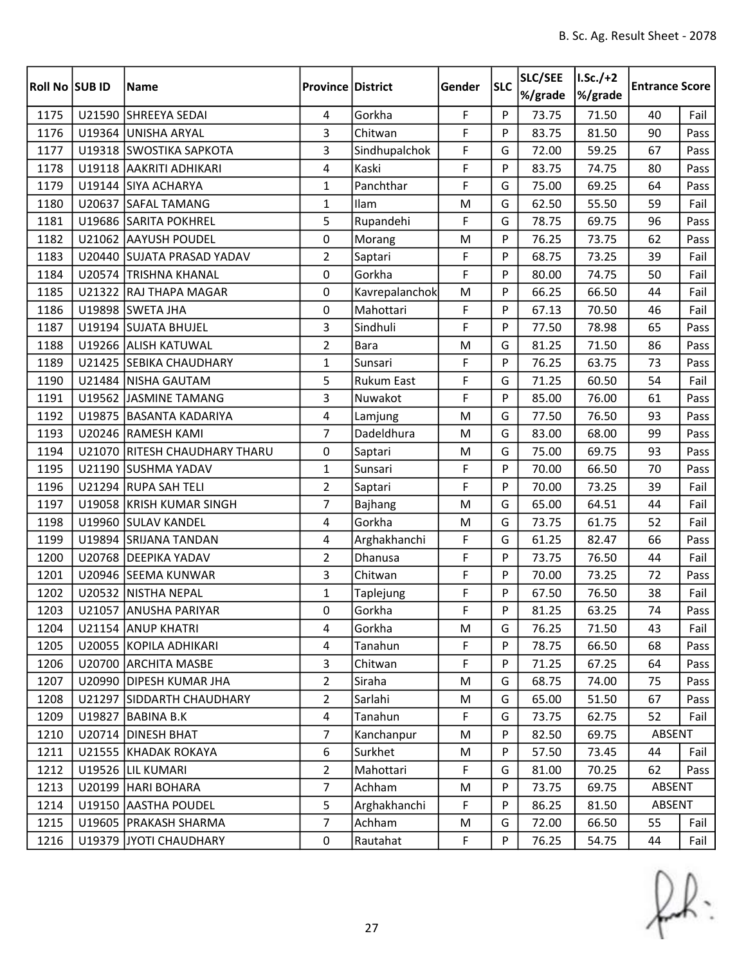| Roll No SUB ID |        | <b>Name</b>                   | <b>Province District</b> |                   | Gender | <b>SLC</b> | SLC/SEE<br>%/grade | $I.Sc./+2$<br>%/grade | <b>Entrance Score</b> |      |
|----------------|--------|-------------------------------|--------------------------|-------------------|--------|------------|--------------------|-----------------------|-----------------------|------|
| 1175           |        | U21590 SHREEYA SEDAI          | 4                        | Gorkha            | F      | P          | 73.75              | 71.50                 | 40                    | Fail |
| 1176           |        | U19364 UNISHA ARYAL           | 3                        | Chitwan           | F      | P          | 83.75              | 81.50                 | 90                    | Pass |
| 1177           |        | U19318 SWOSTIKA SAPKOTA       | 3                        | Sindhupalchok     | F      | G          | 72.00              | 59.25                 | 67                    | Pass |
| 1178           |        | U19118 AAKRITI ADHIKARI       | 4                        | Kaski             | F      | P          | 83.75              | 74.75                 | 80                    | Pass |
| 1179           |        | U19144 SIYA ACHARYA           | $\mathbf{1}$             | Panchthar         | F      | G          | 75.00              | 69.25                 | 64                    | Pass |
| 1180           |        | U20637 SAFAL TAMANG           | $\mathbf{1}$             | Ilam              | M      | G          | 62.50              | 55.50                 | 59                    | Fail |
| 1181           |        | U19686 SARITA POKHREL         | 5                        | Rupandehi         | F      | G          | 78.75              | 69.75                 | 96                    | Pass |
| 1182           |        | U21062 AAYUSH POUDEL          | 0                        | Morang            | M      | P          | 76.25              | 73.75                 | 62                    | Pass |
| 1183           |        | U20440 SUJATA PRASAD YADAV    | $\overline{2}$           | Saptari           | F      | P          | 68.75              | 73.25                 | 39                    | Fail |
| 1184           |        | U20574 TRISHNA KHANAL         | 0                        | Gorkha            | F      | P          | 80.00              | 74.75                 | 50                    | Fail |
| 1185           |        | U21322 RAJ THAPA MAGAR        | 0                        | Kavrepalanchok    | M      | P          | 66.25              | 66.50                 | 44                    | Fail |
| 1186           |        | U19898 SWETA JHA              | 0                        | Mahottari         | F      | P          | 67.13              | 70.50                 | 46                    | Fail |
| 1187           |        | U19194 SUJATA BHUJEL          | $\overline{3}$           | Sindhuli          | F      | P          | 77.50              | 78.98                 | 65                    | Pass |
| 1188           |        | U19266 ALISH KATUWAL          | $\overline{2}$           | <b>Bara</b>       | M      | G          | 81.25              | 71.50                 | 86                    | Pass |
| 1189           |        | U21425 SEBIKA CHAUDHARY       | $\mathbf{1}$             | Sunsari           | F      | P          | 76.25              | 63.75                 | 73                    | Pass |
| 1190           |        | U21484 NISHA GAUTAM           | 5                        | <b>Rukum East</b> | F      | G          | 71.25              | 60.50                 | 54                    | Fail |
| 1191           |        | U19562 JASMINE TAMANG         | 3                        | Nuwakot           | F      | P          | 85.00              | 76.00                 | 61                    | Pass |
| 1192           |        | U19875 BASANTA KADARIYA       | 4                        | Lamjung           | M      | G          | 77.50              | 76.50                 | 93                    | Pass |
| 1193           |        | U20246 RAMESH KAMI            | 7                        | Dadeldhura        | M      | G          | 83.00              | 68.00                 | 99                    | Pass |
| 1194           |        | U21070 RITESH CHAUDHARY THARU | 0                        | Saptari           | M      | G          | 75.00              | 69.75                 | 93                    | Pass |
| 1195           |        | U21190 SUSHMA YADAV           | $\mathbf{1}$             | Sunsari           | F      | P          | 70.00              | 66.50                 | 70                    | Pass |
| 1196           |        | U21294 RUPA SAH TELI          | $\overline{2}$           | Saptari           | F      | P          | 70.00              | 73.25                 | 39                    | Fail |
| 1197           |        | U19058 KRISH KUMAR SINGH      | 7                        | <b>Bajhang</b>    | M      | G          | 65.00              | 64.51                 | 44                    | Fail |
| 1198           |        | U19960 SULAV KANDEL           | 4                        | Gorkha            | M      | G          | 73.75              | 61.75                 | 52                    | Fail |
| 1199           |        | U19894 SRIJANA TANDAN         | 4                        | Arghakhanchi      | F      | G          | 61.25              | 82.47                 | 66                    | Pass |
| 1200           |        | U20768 DEEPIKA YADAV          | $\overline{2}$           | Dhanusa           | F      | P          | 73.75              | 76.50                 | 44                    | Fail |
| 1201           |        | U20946 SEEMA KUNWAR           | 3                        | Chitwan           | F      | P          | 70.00              | 73.25                 | 72                    | Pass |
| 1202           |        | U20532 NISTHA NEPAL           | $\mathbf{1}$             | Taplejung         | F      | P          | 67.50              | 76.50                 | 38                    | Fail |
| 1203           |        | U21057 ANUSHA PARIYAR         | 0                        | Gorkha            | F      | P          | 81.25              | 63.25                 | 74                    | Pass |
| 1204           |        | U21154 ANUP KHATRI            | 4                        | Gorkha            | M      | G          | 76.25              | 71.50                 | 43                    | Fail |
| 1205           |        | U20055 KOPILA ADHIKARI        | 4                        | Tanahun           | F      | P          | 78.75              | 66.50                 | 68                    | Pass |
| 1206           |        | U20700 ARCHITA MASBE          | $\overline{3}$           | Chitwan           | F      | P          | 71.25              | 67.25                 | 64                    | Pass |
| 1207           | U20990 | <b>DIPESH KUMAR JHA</b>       | $\overline{2}$           | Siraha            | M      | G          | 68.75              | 74.00                 | 75                    | Pass |
| 1208           |        | U21297 SIDDARTH CHAUDHARY     | $\overline{2}$           | Sarlahi           | M      | G          | 65.00              | 51.50                 | 67                    | Pass |
| 1209           |        | U19827 BABINA B.K             | $\overline{4}$           | Tanahun           | F      | G          | 73.75              | 62.75                 | 52                    | Fail |
| 1210           |        | U20714 DINESH BHAT            | $\overline{7}$           | Kanchanpur        | M      | P          | 82.50              | 69.75                 | ABSENT                |      |
| 1211           |        | U21555 KHADAK ROKAYA          | 6                        | Surkhet           | M      | P          | 57.50              | 73.45                 | 44                    | Fail |
| 1212           |        | U19526 LIL KUMARI             | $\overline{2}$           | Mahottari         | F      | G          | 81.00              | 70.25                 | 62                    | Pass |
| 1213           |        | U20199   HARI BOHARA          | $\overline{7}$           | Achham            | M      | P          | 73.75              | 69.75                 | ABSENT                |      |
| 1214           |        | U19150 AASTHA POUDEL          | 5                        | Arghakhanchi      | F      | P          | 86.25              | 81.50                 | ABSENT                |      |
| 1215           |        | U19605   PRAKASH SHARMA       | $\overline{7}$           | Achham            | M      | G          | 72.00              | 66.50                 | 55                    | Fail |
| 1216           |        | U19379 JYOTI CHAUDHARY        | $\pmb{0}$                | Rautahat          | F      | P          | 76.25              | 54.75                 | 44                    | Fail |

 $f(x)$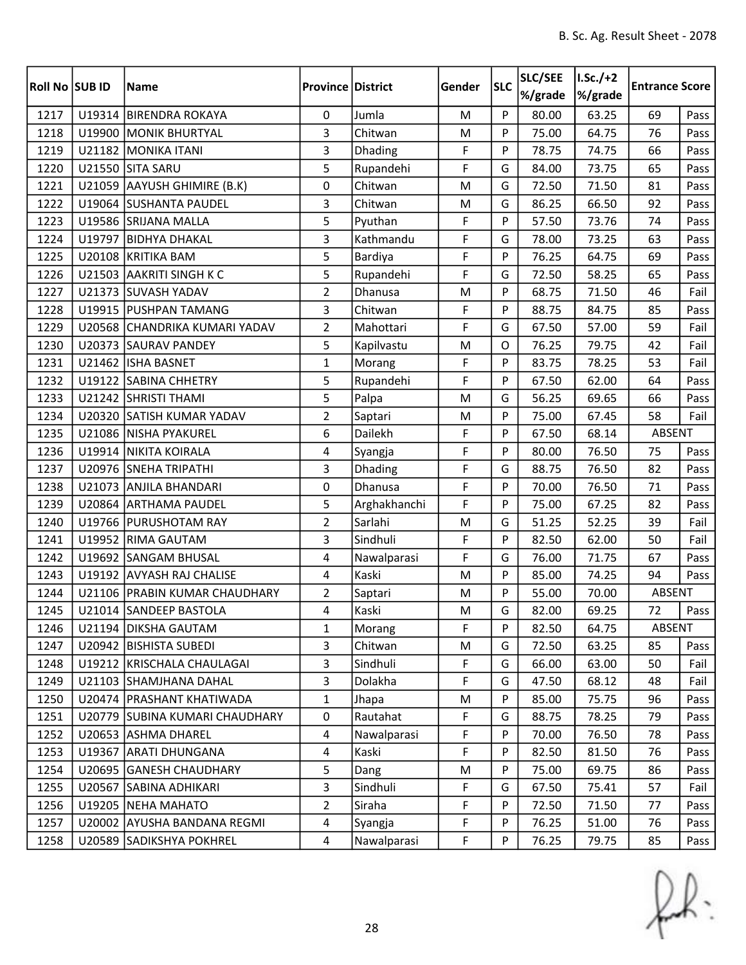| <b>Roll No SUB ID</b> |        | <b>Name</b>                    | <b>Province District</b> |              | Gender    | <b>SLC</b> | SLC/SEE<br>%/grade | $1.5c./+2$<br>%/grade | <b>Entrance Score</b> |      |
|-----------------------|--------|--------------------------------|--------------------------|--------------|-----------|------------|--------------------|-----------------------|-----------------------|------|
| 1217                  |        | U19314 BIRENDRA ROKAYA         | 0                        | Jumla        | ${\sf M}$ | P          | 80.00              | 63.25                 | 69                    | Pass |
| 1218                  |        | U19900 MONIK BHURTYAL          | 3                        | Chitwan      | ${\sf M}$ | P          | 75.00              | 64.75                 | 76                    | Pass |
| 1219                  |        | U21182 MONIKA ITANI            | 3                        | Dhading      | F         | P          | 78.75              | 74.75                 | 66                    | Pass |
| 1220                  |        | U21550 SITA SARU               | 5                        | Rupandehi    | F         | G          | 84.00              | 73.75                 | 65                    | Pass |
| 1221                  | U21059 | AAYUSH GHIMIRE (B.K)           | 0                        | Chitwan      | M         | G          | 72.50              | 71.50                 | 81                    | Pass |
| 1222                  |        | U19064 SUSHANTA PAUDEL         | 3                        | Chitwan      | M         | G          | 86.25              | 66.50                 | 92                    | Pass |
| 1223                  |        | U19586 SRIJANA MALLA           | 5                        | Pyuthan      | F         | P          | 57.50              | 73.76                 | 74                    | Pass |
| 1224                  |        | U19797 BIDHYA DHAKAL           | 3                        | Kathmandu    | F         | G          | 78.00              | 73.25                 | 63                    | Pass |
| 1225                  |        | U20108 KRITIKA BAM             | 5                        | Bardiya      | F         | P          | 76.25              | 64.75                 | 69                    | Pass |
| 1226                  |        | U21503 AAKRITI SINGH K C       | 5                        | Rupandehi    | F         | G          | 72.50              | 58.25                 | 65                    | Pass |
| 1227                  |        | U21373 SUVASH YADAV            | $\overline{2}$           | Dhanusa      | M         | P          | 68.75              | 71.50                 | 46                    | Fail |
| 1228                  |        | U19915 PUSHPAN TAMANG          | 3                        | Chitwan      | F         | P          | 88.75              | 84.75                 | 85                    | Pass |
| 1229                  |        | U20568 CHANDRIKA KUMARI YADAV  | $\overline{2}$           | Mahottari    | F         | G          | 67.50              | 57.00                 | 59                    | Fail |
| 1230                  |        | U20373 SAURAV PANDEY           | 5                        | Kapilvastu   | M         | O          | 76.25              | 79.75                 | 42                    | Fail |
| 1231                  |        | U21462 ISHA BASNET             | $\mathbf{1}$             | Morang       | F         | P          | 83.75              | 78.25                 | 53                    | Fail |
| 1232                  |        | U19122 SABINA CHHETRY          | 5                        | Rupandehi    | F         | P          | 67.50              | 62.00                 | 64                    | Pass |
| 1233                  |        | U21242 SHRISTI THAMI           | 5                        | Palpa        | M         | G          | 56.25              | 69.65                 | 66                    | Pass |
| 1234                  |        | U20320 SATISH KUMAR YADAV      | $\overline{2}$           | Saptari      | M         | P          | 75.00              | 67.45                 | 58                    | Fail |
| 1235                  |        | U21086 NISHA PYAKUREL          | 6                        | Dailekh      | F         | P          | 67.50              | 68.14                 | <b>ABSENT</b>         |      |
| 1236                  |        | U19914 NIKITA KOIRALA          | 4                        | Syangja      | F         | P          | 80.00              | 76.50                 | 75                    | Pass |
| 1237                  |        | U20976 SNEHA TRIPATHI          | 3                        | Dhading      | F         | G          | 88.75              | 76.50                 | 82                    | Pass |
| 1238                  | U21073 | <b>ANJILA BHANDARI</b>         | 0                        | Dhanusa      | F         | P          | 70.00              | 76.50                 | 71                    | Pass |
| 1239                  |        | U20864 ARTHAMA PAUDEL          | 5                        | Arghakhanchi | F         | P          | 75.00              | 67.25                 | 82                    | Pass |
| 1240                  |        | U19766 PURUSHOTAM RAY          | $\overline{2}$           | Sarlahi      | M         | G          | 51.25              | 52.25                 | 39                    | Fail |
| 1241                  |        | U19952 RIMA GAUTAM             | 3                        | Sindhuli     | F         | P          | 82.50              | 62.00                 | 50                    | Fail |
| 1242                  |        | U19692 SANGAM BHUSAL           | 4                        | Nawalparasi  | F         | G          | 76.00              | 71.75                 | 67                    | Pass |
| 1243                  |        | U19192 AVYASH RAJ CHALISE      | 4                        | Kaski        | ${\sf M}$ | P          | 85.00              | 74.25                 | 94                    | Pass |
| 1244                  |        | U21106 PRABIN KUMAR CHAUDHARY  | $\overline{2}$           | Saptari      | M         | P          | 55.00              | 70.00                 | <b>ABSENT</b>         |      |
| 1245                  |        | U21014 SANDEEP BASTOLA         | 4                        | Kaski        | M         | G          | 82.00              | 69.25                 | 72                    | Pass |
| 1246                  |        | U21194 DIKSHA GAUTAM           | $\mathbf{1}$             | Morang       | F         | P          | 82.50              | 64.75                 | ABSENT                |      |
| 1247                  |        | U20942 BISHISTA SUBEDI         | 3                        | Chitwan      | M         | G          | 72.50              | 63.25                 | 85                    | Pass |
| 1248                  |        | U19212 KRISCHALA CHAULAGAI     | $\overline{3}$           | Sindhuli     | F         | G          | 66.00              | 63.00                 | 50                    | Fail |
| 1249                  |        | U21103 SHAMJHANA DAHAL         | 3                        | Dolakha      | F         | G          | 47.50              | 68.12                 | 48                    | Fail |
| 1250                  |        | U20474 PRASHANT KHATIWADA      | $\mathbf{1}$             | Jhapa        | M         | P          | 85.00              | 75.75                 | 96                    | Pass |
| 1251                  |        | U20779 SUBINA KUMARI CHAUDHARY | 0                        | Rautahat     | F         | G          | 88.75              | 78.25                 | 79                    | Pass |
| 1252                  |        | U20653 ASHMA DHAREL            | $\overline{4}$           | Nawalparasi  | F         | P          | 70.00              | 76.50                 | 78                    | Pass |
| 1253                  |        | U19367 ARATI DHUNGANA          | 4                        | Kaski        | F         | P          | 82.50              | 81.50                 | 76                    | Pass |
| 1254                  |        | U20695 GANESH CHAUDHARY        | 5                        | Dang         | M         | P          | 75.00              | 69.75                 | 86                    | Pass |
| 1255                  |        | U20567 SABINA ADHIKARI         | $\overline{3}$           | Sindhuli     | F         | G          | 67.50              | 75.41                 | 57                    | Fail |
| 1256                  |        | U19205 NEHA MAHATO             | 2                        | Siraha       | F         | P          | 72.50              | 71.50                 | 77                    | Pass |
| 1257                  |        | U20002 AYUSHA BANDANA REGMI    | $\overline{4}$           | Syangja      | F         | P          | 76.25              | 51.00                 | 76                    | Pass |
| 1258                  |        | U20589 SADIKSHYA POKHREL       | $\overline{4}$           | Nawalparasi  | F         | P          | 76.25              | 79.75                 | 85                    | Pass |

 $f(x)$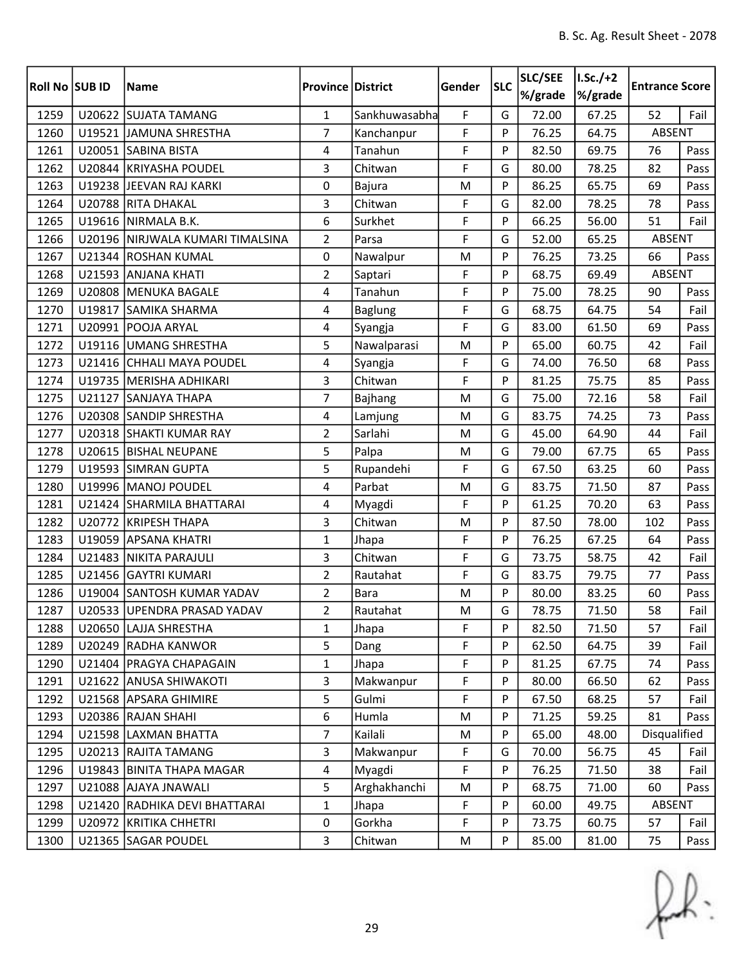| Roll No SUB ID |        | <b>Name</b>                      | <b>Province District</b> |                | Gender | <b>SLC</b> | SLC/SEE<br>%/grade | $I.Sc./+2$<br>%/grade | <b>Entrance Score</b> |      |
|----------------|--------|----------------------------------|--------------------------|----------------|--------|------------|--------------------|-----------------------|-----------------------|------|
| 1259           |        | U20622 SUJATA TAMANG             | $\mathbf{1}$             | Sankhuwasabha  | F      | G          | 72.00              | 67.25                 | 52                    | Fail |
| 1260           |        | U19521 JAMUNA SHRESTHA           | 7                        | Kanchanpur     | F      | P          | 76.25              | 64.75                 | ABSENT                |      |
| 1261           |        | U20051 SABINA BISTA              | $\overline{4}$           | Tanahun        | F      | P          | 82.50              | 69.75                 | 76                    | Pass |
| 1262           |        | U20844 KRIYASHA POUDEL           | 3                        | Chitwan        | F      | G          | 80.00              | 78.25                 | 82                    | Pass |
| 1263           |        | U19238 JEEVAN RAJ KARKI          | 0                        | Bajura         | M      | P          | 86.25              | 65.75                 | 69                    | Pass |
| 1264           |        | U20788 RITA DHAKAL               | 3                        | Chitwan        | F      | G          | 82.00              | 78.25                 | 78                    | Pass |
| 1265           |        | U19616 NIRMALA B.K.              | 6                        | Surkhet        | F      | P          | 66.25              | 56.00                 | 51                    | Fail |
| 1266           |        | U20196 NIRJWALA KUMARI TIMALSINA | $\overline{2}$           | Parsa          | F      | G          | 52.00              | 65.25                 | ABSENT                |      |
| 1267           |        | U21344 ROSHAN KUMAL              | 0                        | Nawalpur       | M      | P          | 76.25              | 73.25                 | 66                    | Pass |
| 1268           | U21593 | <b>ANJANA KHATI</b>              | $\overline{2}$           | Saptari        | F      | P          | 68.75              | 69.49                 | ABSENT                |      |
| 1269           |        | U20808   MENUKA BAGALE           | 4                        | Tanahun        | F      | P          | 75.00              | 78.25                 | 90                    | Pass |
| 1270           | U19817 | <b>SAMIKA SHARMA</b>             | 4                        | <b>Baglung</b> | F      | G          | 68.75              | 64.75                 | 54                    | Fail |
| 1271           |        | U20991 POOJA ARYAL               | 4                        | Syangja        | F      | G          | 83.00              | 61.50                 | 69                    | Pass |
| 1272           |        | U19116 UMANG SHRESTHA            | 5                        | Nawalparasi    | M      | P          | 65.00              | 60.75                 | 42                    | Fail |
| 1273           |        | U21416 CHHALI MAYA POUDEL        | 4                        | Syangja        | F      | G          | 74.00              | 76.50                 | 68                    | Pass |
| 1274           |        | U19735   MERISHA ADHIKARI        | $\overline{3}$           | Chitwan        | F      | P          | 81.25              | 75.75                 | 85                    | Pass |
| 1275           |        | U21127 SANJAYA THAPA             | $\overline{7}$           | Bajhang        | M      | G          | 75.00              | 72.16                 | 58                    | Fail |
| 1276           |        | U20308 SANDIP SHRESTHA           | 4                        | Lamjung        | M      | G          | 83.75              | 74.25                 | 73                    | Pass |
| 1277           |        | U20318 SHAKTI KUMAR RAY          | $\overline{2}$           | Sarlahi        | M      | G          | 45.00              | 64.90                 | 44                    | Fail |
| 1278           |        | U20615 BISHAL NEUPANE            | 5                        | Palpa          | M      | G          | 79.00              | 67.75                 | 65                    | Pass |
| 1279           |        | U19593 SIMRAN GUPTA              | 5                        | Rupandehi      | F      | G          | 67.50              | 63.25                 | 60                    | Pass |
| 1280           |        | U19996 MANOJ POUDEL              | 4                        | Parbat         | M      | G          | 83.75              | 71.50                 | 87                    | Pass |
| 1281           |        | U21424 SHARMILA BHATTARAI        | 4                        | Myagdi         | F      | P          | 61.25              | 70.20                 | 63                    | Pass |
| 1282           | U20772 | <b>KRIPESH THAPA</b>             | 3                        | Chitwan        | M      | P          | 87.50              | 78.00                 | 102                   | Pass |
| 1283           |        | U19059 APSANA KHATRI             | $\mathbf{1}$             | Jhapa          | F      | P          | 76.25              | 67.25                 | 64                    | Pass |
| 1284           |        | U21483   NIKITA PARAJULI         | 3                        | Chitwan        | F      | G          | 73.75              | 58.75                 | 42                    | Fail |
| 1285           | U21456 | <b>GAYTRI KUMARI</b>             | $\overline{2}$           | Rautahat       | F      | G          | 83.75              | 79.75                 | 77                    | Pass |
| 1286           |        | U19004 SANTOSH KUMAR YADAV       | $\overline{2}$           | <b>Bara</b>    | M      | P          | 80.00              | 83.25                 | 60                    | Pass |
| 1287           |        | U20533 UPENDRA PRASAD YADAV      | $\overline{2}$           | Rautahat       | M      | G          | 78.75              | 71.50                 | 58                    | Fail |
| 1288           |        | U20650 LAJJA SHRESTHA            | 1                        | Jhapa          | F      | P          | 82.50              | 71.50                 | 57                    | Fail |
| 1289           |        | U20249 RADHA KANWOR              | 5                        | Dang           | F      | P          | 62.50              | 64.75                 | 39                    | Fail |
| 1290           |        | U21404 PRAGYA CHAPAGAIN          | $\mathbf{1}$             | Jhapa          | F      | P          | 81.25              | 67.75                 | 74                    | Pass |
| 1291           |        | U21622 ANUSA SHIWAKOTI           | 3                        | Makwanpur      | F      | P          | 80.00              | 66.50                 | 62                    | Pass |
| 1292           |        | U21568 APSARA GHIMIRE            | 5                        | Gulmi          | F      | P          | 67.50              | 68.25                 | 57                    | Fail |
| 1293           |        | U20386 RAJAN SHAHI               | 6                        | Humla          | M      | P          | 71.25              | 59.25                 | 81                    | Pass |
| 1294           |        | U21598 LAXMAN BHATTA             | $\overline{7}$           | Kailali        | M      | P          | 65.00              | 48.00                 | Disqualified          |      |
| 1295           |        | U20213 RAJITA TAMANG             | 3                        | Makwanpur      | F      | G          | 70.00              | 56.75                 | 45                    | Fail |
| 1296           |        | U19843 BINITA THAPA MAGAR        | 4                        | Myagdi         | F      | P          | 76.25              | 71.50                 | 38                    | Fail |
| 1297           |        | U21088 AJAYA JNAWALI             | 5                        | Arghakhanchi   | M      | P          | 68.75              | 71.00                 | 60                    | Pass |
| 1298           |        | U21420 RADHIKA DEVI BHATTARAI    | $\mathbf{1}$             | Jhapa          | F      | P          | 60.00              | 49.75                 | ABSENT                |      |
| 1299           |        | U20972 KRITIKA CHHETRI           | $\mathbf 0$              | Gorkha         | F      | P          | 73.75              | 60.75                 | 57                    | Fail |
| 1300           |        | U21365 SAGAR POUDEL              | 3                        | Chitwan        | M      | P          | 85.00              | 81.00                 | 75                    | Pass |

 $f(x)$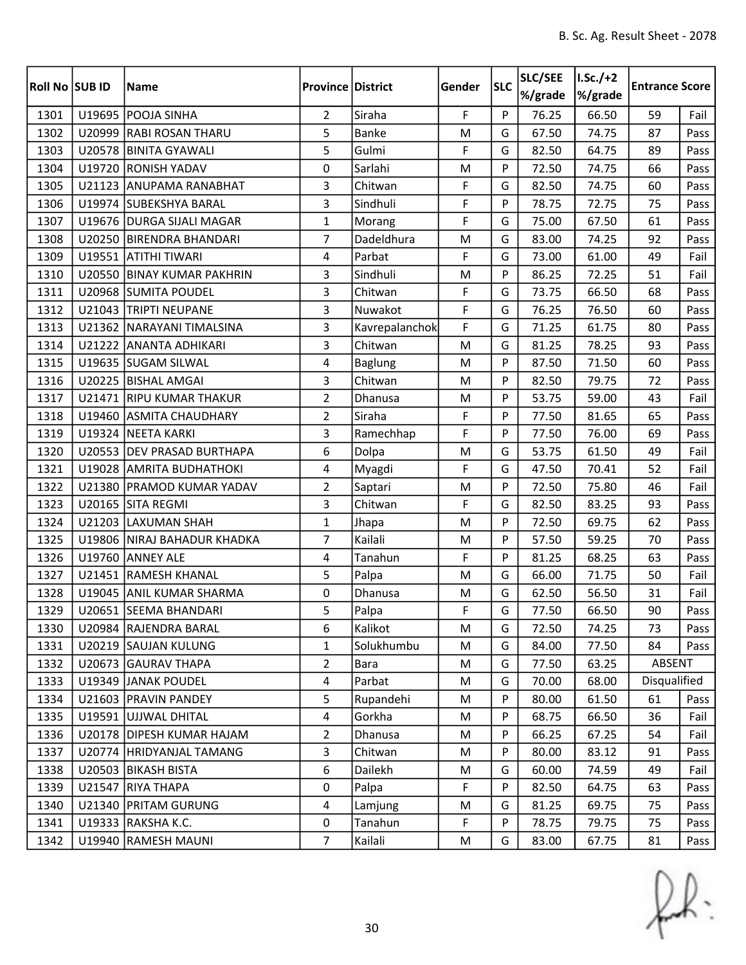| Roll No SUB ID |        | <b>Name</b>                 | <b>Province District</b> |                | Gender      | <b>SLC</b> | SLC/SEE<br>%/grade | $I.Sc./+2$<br>%/grade | <b>Entrance Score</b> |      |
|----------------|--------|-----------------------------|--------------------------|----------------|-------------|------------|--------------------|-----------------------|-----------------------|------|
| 1301           |        | U19695 POOJA SINHA          | $\overline{2}$           | Siraha         | F           | P          | 76.25              | 66.50                 | 59                    | Fail |
| 1302           |        | U20999 RABI ROSAN THARU     | 5                        | <b>Banke</b>   | M           | G          | 67.50              | 74.75                 | 87                    | Pass |
| 1303           |        | U20578 BINITA GYAWALI       | 5                        | Gulmi          | F           | G          | 82.50              | 64.75                 | 89                    | Pass |
| 1304           |        | U19720 RONISH YADAV         | 0                        | Sarlahi        | M           | P          | 72.50              | 74.75                 | 66                    | Pass |
| 1305           | U21123 | <b>ANUPAMA RANABHAT</b>     | 3                        | Chitwan        | F           | G          | 82.50              | 74.75                 | 60                    | Pass |
| 1306           |        | U19974 SUBEKSHYA BARAL      | 3                        | Sindhuli       | F           | P          | 78.75              | 72.75                 | 75                    | Pass |
| 1307           |        | U19676   DURGA SIJALI MAGAR | $\mathbf{1}$             | Morang         | F           | G          | 75.00              | 67.50                 | 61                    | Pass |
| 1308           |        | U20250 BIRENDRA BHANDARI    | $\overline{7}$           | Dadeldhura     | M           | G          | 83.00              | 74.25                 | 92                    | Pass |
| 1309           |        | U19551 ATITHI TIWARI        | $\overline{4}$           | Parbat         | F           | G          | 73.00              | 61.00                 | 49                    | Fail |
| 1310           | U20550 | <b>BINAY KUMAR PAKHRIN</b>  | 3                        | Sindhuli       | M           | P          | 86.25              | 72.25                 | 51                    | Fail |
| 1311           |        | U20968 SUMITA POUDEL        | 3                        | Chitwan        | F           | G          | 73.75              | 66.50                 | 68                    | Pass |
| 1312           |        | U21043 TRIPTI NEUPANE       | 3                        | Nuwakot        | F           | G          | 76.25              | 76.50                 | 60                    | Pass |
| 1313           |        | U21362 NARAYANI TIMALSINA   | 3                        | Kavrepalanchok | F           | G          | 71.25              | 61.75                 | 80                    | Pass |
| 1314           |        | U21222 ANANTA ADHIKARI      | 3                        | Chitwan        | M           | G          | 81.25              | 78.25                 | 93                    | Pass |
| 1315           |        | U19635 SUGAM SILWAL         | 4                        | <b>Baglung</b> | M           | P          | 87.50              | 71.50                 | 60                    | Pass |
| 1316           |        | U20225 BISHAL AMGAI         | 3                        | Chitwan        | M           | P          | 82.50              | 79.75                 | 72                    | Pass |
| 1317           | U21471 | <b>RIPU KUMAR THAKUR</b>    | $\overline{2}$           | Dhanusa        | M           | P          | 53.75              | 59.00                 | 43                    | Fail |
| 1318           | U19460 | <b>ASMITA CHAUDHARY</b>     | $\overline{2}$           | Siraha         | F           | P          | 77.50              | 81.65                 | 65                    | Pass |
| 1319           |        | U19324 NEETA KARKI          | 3                        | Ramechhap      | F           | P          | 77.50              | 76.00                 | 69                    | Pass |
| 1320           |        | U20553 DEV PRASAD BURTHAPA  | 6                        | Dolpa          | M           | G          | 53.75              | 61.50                 | 49                    | Fail |
| 1321           |        | U19028 AMRITA BUDHATHOKI    | 4                        | Myagdi         | F           | G          | 47.50              | 70.41                 | 52                    | Fail |
| 1322           | U21380 | <b>PRAMOD KUMAR YADAV</b>   | $\overline{2}$           | Saptari        | M           | P          | 72.50              | 75.80                 | 46                    | Fail |
| 1323           |        | U20165 SITA REGMI           | 3                        | Chitwan        | F           | G          | 82.50              | 83.25                 | 93                    | Pass |
| 1324           | U21203 | <b>LAXUMAN SHAH</b>         | $\mathbf{1}$             | Jhapa          | M           | P          | 72.50              | 69.75                 | 62                    | Pass |
| 1325           |        | U19806 NIRAJ BAHADUR KHADKA | $\overline{7}$           | Kailali        | M           | P          | 57.50              | 59.25                 | 70                    | Pass |
| 1326           | U19760 | <b>ANNEY ALE</b>            | 4                        | Tanahun        | F           | P          | 81.25              | 68.25                 | 63                    | Pass |
| 1327           | U21451 | <b>RAMESH KHANAL</b>        | 5                        | Palpa          | M           | G          | 66.00              | 71.75                 | 50                    | Fail |
| 1328           |        | U19045 ANIL KUMAR SHARMA    | 0                        | Dhanusa        | M           | G          | 62.50              | 56.50                 | 31                    | Fail |
| 1329           |        | U20651 SEEMA BHANDARI       | 5                        | Palpa          | $\mathsf F$ | G          | 77.50              | 66.50                 | 90                    | Pass |
| 1330           |        | U20984 RAJENDRA BARAL       | 6                        | Kalikot        | M           | G          | 72.50              | 74.25                 | 73                    | Pass |
| 1331           |        | U20219 SAUJAN KULUNG        | 1                        | Solukhumbu     | M           | G          | 84.00              | 77.50                 | 84                    | Pass |
| 1332           |        | U20673 GAURAV THAPA         | $\overline{2}$           | Bara           | M           | G          | 77.50              | 63.25                 | ABSENT                |      |
| 1333           |        | U19349 JANAK POUDEL         | $\overline{4}$           | Parbat         | M           | G          | 70.00              | 68.00                 | Disqualified          |      |
| 1334           |        | U21603 PRAVIN PANDEY        | 5                        | Rupandehi      | M           | P          | 80.00              | 61.50                 | 61                    | Pass |
| 1335           |        | U19591 UJJWAL DHITAL        | $\overline{4}$           | Gorkha         | M           | P          | 68.75              | 66.50                 | 36                    | Fail |
| 1336           |        | U20178 DIPESH KUMAR HAJAM   | $\overline{2}$           | Dhanusa        | M           | P          | 66.25              | 67.25                 | 54                    | Fail |
| 1337           |        | U20774 HRIDYANJAL TAMANG    | 3                        | Chitwan        | M           | P          | 80.00              | 83.12                 | 91                    | Pass |
| 1338           |        | U20503 BIKASH BISTA         | 6                        | Dailekh        | M           | G          | 60.00              | 74.59                 | 49                    | Fail |
| 1339           |        | U21547 RIYA THAPA           | 0                        | Palpa          | F           | P          | 82.50              | 64.75                 | 63                    | Pass |
| 1340           |        | U21340 PRITAM GURUNG        | 4                        | Lamjung        | M           | G          | 81.25              | 69.75                 | 75                    | Pass |
| 1341           |        | U19333 RAKSHA K.C.          | $\mathbf 0$              | Tanahun        | F           | P          | 78.75              | 79.75                 | 75                    | Pass |
| 1342           |        | U19940 RAMESH MAUNI         | $\overline{7}$           | Kailali        | M           | G          | 83.00              | 67.75                 | 81                    | Pass |

 $f(x)$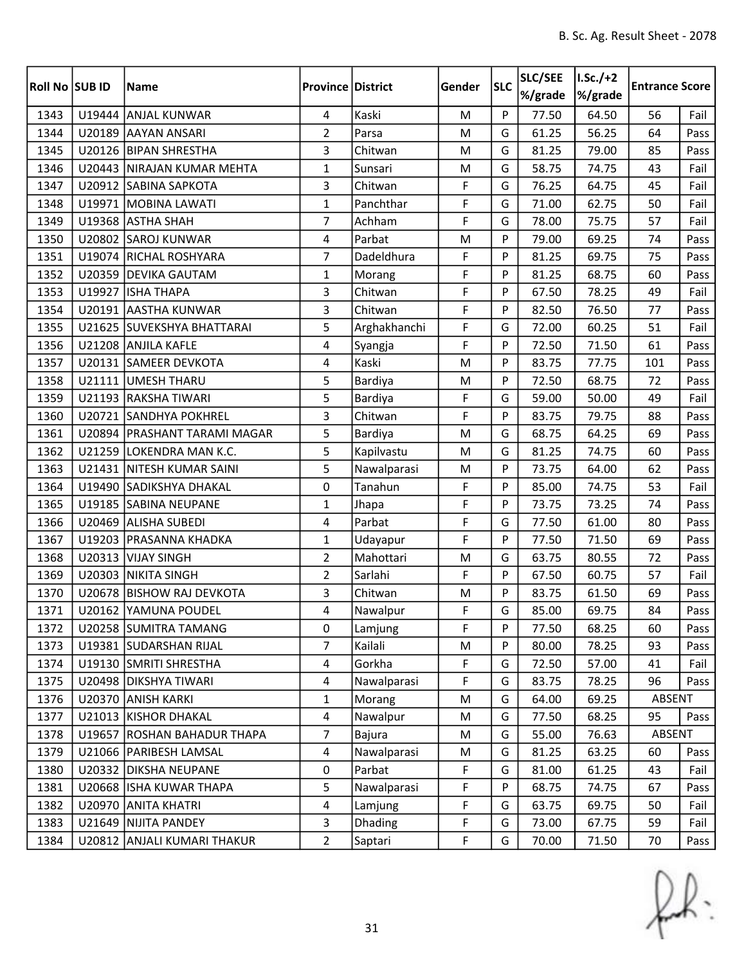| Roll No SUB ID |        | <b>Name</b>                    | <b>Province District</b> |              | Gender | <b>SLC</b> | SLC/SEE<br>%/grade | $I.Sc./+2$<br>%/grade | <b>Entrance Score</b> |      |
|----------------|--------|--------------------------------|--------------------------|--------------|--------|------------|--------------------|-----------------------|-----------------------|------|
| 1343           |        | U19444 ANJAL KUNWAR            | 4                        | Kaski        | M      | P          | 77.50              | 64.50                 | 56                    | Fail |
| 1344           |        | U20189 AAYAN ANSARI            | $\overline{2}$           | Parsa        | M      | G          | 61.25              | 56.25                 | 64                    | Pass |
| 1345           |        | U20126 BIPAN SHRESTHA          | 3                        | Chitwan      | M      | G          | 81.25              | 79.00                 | 85                    | Pass |
| 1346           |        | U20443 NIRAJAN KUMAR MEHTA     | $\mathbf{1}$             | Sunsari      | M      | G          | 58.75              | 74.75                 | 43                    | Fail |
| 1347           |        | U20912 SABINA SAPKOTA          | 3                        | Chitwan      | F      | G          | 76.25              | 64.75                 | 45                    | Fail |
| 1348           |        | U19971 MOBINA LAWATI           | $\mathbf{1}$             | Panchthar    | F      | G          | 71.00              | 62.75                 | 50                    | Fail |
| 1349           |        | U19368 ASTHA SHAH              | 7                        | Achham       | F      | G          | 78.00              | 75.75                 | 57                    | Fail |
| 1350           |        | U20802 SAROJ KUNWAR            | $\overline{4}$           | Parbat       | M      | P          | 79.00              | 69.25                 | 74                    | Pass |
| 1351           |        | U19074 RICHAL ROSHYARA         | $\overline{7}$           | Dadeldhura   | F      | P          | 81.25              | 69.75                 | 75                    | Pass |
| 1352           |        | U20359 DEVIKA GAUTAM           | $\mathbf{1}$             | Morang       | F      | P          | 81.25              | 68.75                 | 60                    | Pass |
| 1353           |        | U19927 ISHA THAPA              | 3                        | Chitwan      | F      | P          | 67.50              | 78.25                 | 49                    | Fail |
| 1354           |        | U20191 AASTHA KUNWAR           | 3                        | Chitwan      | F      | P          | 82.50              | 76.50                 | 77                    | Pass |
| 1355           |        | U21625 SUVEKSHYA BHATTARAI     | 5                        | Arghakhanchi | F      | G          | 72.00              | 60.25                 | 51                    | Fail |
| 1356           |        | U21208 ANJILA KAFLE            | 4                        | Syangja      | F      | P          | 72.50              | 71.50                 | 61                    | Pass |
| 1357           |        | U20131 SAMEER DEVKOTA          | $\overline{4}$           | Kaski        | M      | P          | 83.75              | 77.75                 | 101                   | Pass |
| 1358           |        | U21111 UMESH THARU             | 5                        | Bardiya      | M      | P          | 72.50              | 68.75                 | 72                    | Pass |
| 1359           |        | U21193 RAKSHA TIWARI           | 5                        | Bardiya      | F      | G          | 59.00              | 50.00                 | 49                    | Fail |
| 1360           |        | U20721 SANDHYA POKHREL         | 3                        | Chitwan      | F      | P          | 83.75              | 79.75                 | 88                    | Pass |
| 1361           |        | U20894   PRASHANT TARAMI MAGAR | 5                        | Bardiya      | M      | G          | 68.75              | 64.25                 | 69                    | Pass |
| 1362           |        | U21259 LOKENDRA MAN K.C.       | 5                        | Kapilvastu   | M      | G          | 81.25              | 74.75                 | 60                    | Pass |
| 1363           |        | U21431 NITESH KUMAR SAINI      | 5                        | Nawalparasi  | M      | P          | 73.75              | 64.00                 | 62                    | Pass |
| 1364           |        | U19490 SADIKSHYA DHAKAL        | 0                        | Tanahun      | F      | P          | 85.00              | 74.75                 | 53                    | Fail |
| 1365           |        | U19185 SABINA NEUPANE          | $\mathbf{1}$             | Jhapa        | F      | P          | 73.75              | 73.25                 | 74                    | Pass |
| 1366           | U20469 | <b>ALISHA SUBEDI</b>           | 4                        | Parbat       | F      | G          | 77.50              | 61.00                 | 80                    | Pass |
| 1367           |        | U19203 PRASANNA KHADKA         | $\mathbf{1}$             | Udayapur     | F      | P          | 77.50              | 71.50                 | 69                    | Pass |
| 1368           |        | U20313 VIJAY SINGH             | $\overline{2}$           | Mahottari    | M      | G          | 63.75              | 80.55                 | 72                    | Pass |
| 1369           |        | U20303 NIKITA SINGH            | $\overline{2}$           | Sarlahi      | F      | P          | 67.50              | 60.75                 | 57                    | Fail |
| 1370           |        | U20678 BISHOW RAJ DEVKOTA      | 3                        | Chitwan      | M      | P          | 83.75              | 61.50                 | 69                    | Pass |
| 1371           |        | U20162 YAMUNA POUDEL           | 4                        | Nawalpur     | F      | G          | 85.00              | 69.75                 | 84                    | Pass |
| 1372           |        | U20258 SUMITRA TAMANG          | 0                        | Lamjung      | F      | P          | 77.50              | 68.25                 | 60                    | Pass |
| 1373           |        | U19381 SUDARSHAN RIJAL         | 7                        | Kailali      | M      | P          | 80.00              | 78.25                 | 93                    | Pass |
| 1374           |        | U19130 SMRITI SHRESTHA         | 4                        | Gorkha       | F      | G          | 72.50              | 57.00                 | 41                    | Fail |
| 1375           |        | U20498 DIKSHYA TIWARI          | $\overline{4}$           | Nawalparasi  | F      | G          | 83.75              | 78.25                 | 96                    | Pass |
| 1376           |        | U20370 ANISH KARKI             | 1                        | Morang       | M      | G          | 64.00              | 69.25                 | ABSENT                |      |
| 1377           |        | U21013   KISHOR DHAKAL         | $\overline{4}$           | Nawalpur     | M      | G          | 77.50              | 68.25                 | 95                    | Pass |
| 1378           |        | U19657 ROSHAN BAHADUR THAPA    | $\overline{7}$           | Bajura       | M      | G          | 55.00              | 76.63                 | ABSENT                |      |
| 1379           |        | U21066 PARIBESH LAMSAL         | $\overline{4}$           | Nawalparasi  | M      | G          | 81.25              | 63.25                 | 60                    | Pass |
| 1380           |        | U20332 DIKSHA NEUPANE          | 0                        | Parbat       | F      | G          | 81.00              | 61.25                 | 43                    | Fail |
| 1381           |        | U20668 ISHA KUWAR THAPA        | 5                        | Nawalparasi  | F      | P          | 68.75              | 74.75                 | 67                    | Pass |
| 1382           |        | U20970 ANITA KHATRI            | $\overline{4}$           | Lamjung      | F      | G          | 63.75              | 69.75                 | 50                    | Fail |
| 1383           | U21649 | NIJITA PANDEY                  | 3                        | Dhading      | F      | G          | 73.00              | 67.75                 | 59                    | Fail |
| 1384           |        | U20812 ANJALI KUMARI THAKUR    | $\overline{2}$           | Saptari      | F      | G          | 70.00              | 71.50                 | 70                    | Pass |

 $f(x)$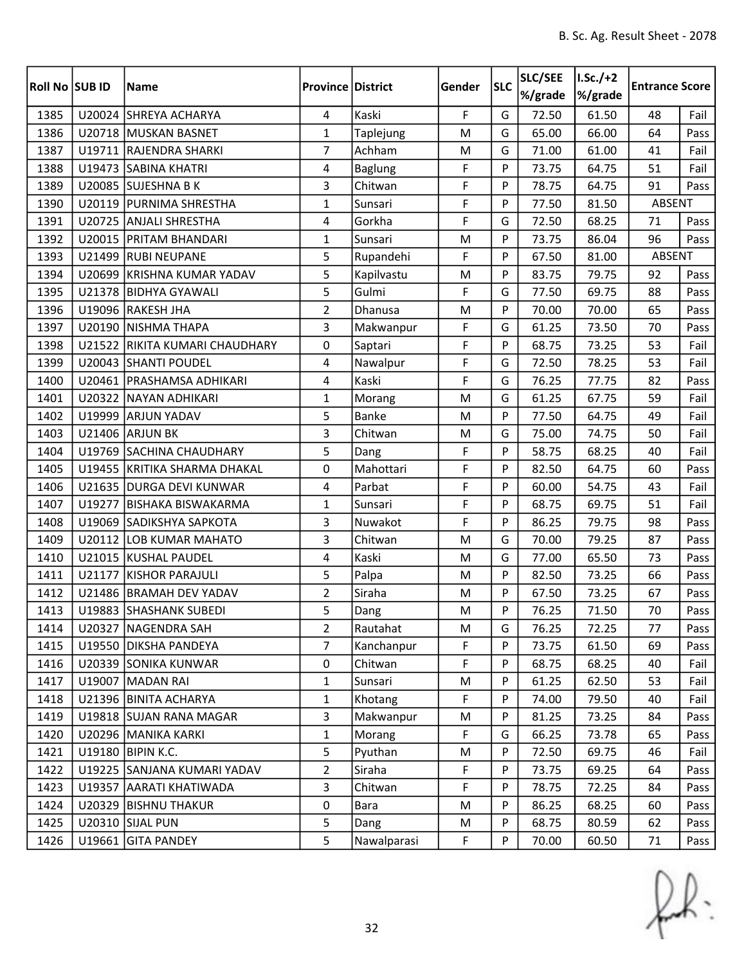| Roll No SUB ID |        | <b>Name</b>                  | <b>Province District</b> |                | Gender      | <b>SLC</b> | SLC/SEE<br>%/grade | $ I.Sc./+2 $<br>%/grade | <b>Entrance Score</b> |      |
|----------------|--------|------------------------------|--------------------------|----------------|-------------|------------|--------------------|-------------------------|-----------------------|------|
| 1385           |        | U20024 SHREYA ACHARYA        | $\overline{4}$           | Kaski          | $\mathsf F$ | G          | 72.50              | 61.50                   | 48                    | Fail |
| 1386           |        | U20718 MUSKAN BASNET         | $\mathbf{1}$             | Taplejung      | M           | G          | 65.00              | 66.00                   | 64                    | Pass |
| 1387           |        | U19711 RAJENDRA SHARKI       | $\overline{7}$           | Achham         | M           | G          | 71.00              | 61.00                   | 41                    | Fail |
| 1388           |        | U19473 SABINA KHATRI         | 4                        | <b>Baglung</b> | F           | P          | 73.75              | 64.75                   | 51                    | Fail |
| 1389           |        | U20085 SUJESHNA B K          | 3                        | Chitwan        | F           | P          | 78.75              | 64.75                   | 91                    | Pass |
| 1390           |        | U20119 PURNIMA SHRESTHA      | $\mathbf{1}$             | Sunsari        | F           | P          | 77.50              | 81.50                   | <b>ABSENT</b>         |      |
| 1391           |        | U20725 ANJALI SHRESTHA       | 4                        | Gorkha         | F           | G          | 72.50              | 68.25                   | 71                    | Pass |
| 1392           |        | U20015 PRITAM BHANDARI       | $\mathbf{1}$             | Sunsari        | M           | P          | 73.75              | 86.04                   | 96                    | Pass |
| 1393           |        | U21499 RUBI NEUPANE          | 5                        | Rupandehi      | F           | P          | 67.50              | 81.00                   | <b>ABSENT</b>         |      |
| 1394           |        | U20699 KRISHNA KUMAR YADAV   | 5                        | Kapilvastu     | M           | P          | 83.75              | 79.75                   | 92                    | Pass |
| 1395           |        | U21378 BIDHYA GYAWALI        | 5                        | Gulmi          | F           | G          | 77.50              | 69.75                   | 88                    | Pass |
| 1396           |        | U19096 RAKESH JHA            | $\overline{2}$           | Dhanusa        | M           | P          | 70.00              | 70.00                   | 65                    | Pass |
| 1397           |        | U20190 NISHMA THAPA          | 3                        | Makwanpur      | F           | G          | 61.25              | 73.50                   | 70                    | Pass |
| 1398           | U21522 | RIKITA KUMARI CHAUDHARY      | 0                        | Saptari        | F           | P          | 68.75              | 73.25                   | 53                    | Fail |
| 1399           |        | U20043 SHANTI POUDEL         | 4                        | Nawalpur       | F           | G          | 72.50              | 78.25                   | 53                    | Fail |
| 1400           |        | U20461   PRASHAMSA ADHIKARI  | $\overline{\mathbf{4}}$  | Kaski          | F           | G          | 76.25              | 77.75                   | 82                    | Pass |
| 1401           |        | U20322 NAYAN ADHIKARI        | $\mathbf{1}$             | Morang         | M           | G          | 61.25              | 67.75                   | 59                    | Fail |
| 1402           |        | U19999 ARJUN YADAV           | 5                        | <b>Banke</b>   | M           | P          | 77.50              | 64.75                   | 49                    | Fail |
| 1403           |        | U21406 ARJUN BK              | 3                        | Chitwan        | M           | G          | 75.00              | 74.75                   | 50                    | Fail |
| 1404           |        | U19769 SACHINA CHAUDHARY     | 5                        | Dang           | F           | P          | 58.75              | 68.25                   | 40                    | Fail |
| 1405           |        | U19455 KRITIKA SHARMA DHAKAL | 0                        | Mahottari      | F           | P          | 82.50              | 64.75                   | 60                    | Pass |
| 1406           |        | U21635 DURGA DEVI KUNWAR     | 4                        | Parbat         | F           | P          | 60.00              | 54.75                   | 43                    | Fail |
| 1407           |        | U19277 BISHAKA BISWAKARMA    | $\mathbf{1}$             | Sunsari        | F           | P          | 68.75              | 69.75                   | 51                    | Fail |
| 1408           | U19069 | SADIKSHYA SAPKOTA            | 3                        | Nuwakot        | F           | P          | 86.25              | 79.75                   | 98                    | Pass |
| 1409           |        | U20112 LOB KUMAR MAHATO      | 3                        | Chitwan        | M           | G          | 70.00              | 79.25                   | 87                    | Pass |
| 1410           |        | U21015 KUSHAL PAUDEL         | 4                        | Kaski          | M           | G          | 77.00              | 65.50                   | 73                    | Pass |
| 1411           | U21177 | KISHOR PARAJULI              | 5                        | Palpa          | M           | P          | 82.50              | 73.25                   | 66                    | Pass |
| 1412           |        | U21486 BRAMAH DEV YADAV      | $\overline{2}$           | Siraha         | ${\sf M}$   | P          | 67.50              | 73.25                   | 67                    | Pass |
| 1413           |        | U19883 SHASHANK SUBEDI       | 5                        | Dang           | M           | P          | 76.25              | 71.50                   | 70                    | Pass |
| 1414           |        | U20327   NAGENDRA SAH        | 2                        | Rautahat       | M           | G          | 76.25              | 72.25                   | 77                    | Pass |
| 1415           |        | U19550   DIKSHA PANDEYA      | $\overline{7}$           | Kanchanpur     | F           | P          | 73.75              | 61.50                   | 69                    | Pass |
| 1416           |        | U20339 SONIKA KUNWAR         | 0                        | Chitwan        | F           | P          | 68.75              | 68.25                   | 40                    | Fail |
| 1417           |        | U19007 MADAN RAI             | $\mathbf{1}$             | Sunsari        | M           | P          | 61.25              | 62.50                   | 53                    | Fail |
| 1418           |        | U21396 BINITA ACHARYA        | $\mathbf{1}$             | Khotang        | $\mathsf F$ | P          | 74.00              | 79.50                   | 40                    | Fail |
| 1419           |        | U19818 SUJAN RANA MAGAR      | $\overline{3}$           | Makwanpur      | M           | P          | 81.25              | 73.25                   | 84                    | Pass |
| 1420           |        | U20296 MANIKA KARKI          | $\mathbf{1}$             | Morang         | F           | G          | 66.25              | 73.78                   | 65                    | Pass |
| 1421           |        | U19180 BIPIN K.C.            | 5                        | Pyuthan        | M           | P          | 72.50              | 69.75                   | 46                    | Fail |
| 1422           |        | U19225 SANJANA KUMARI YADAV  | $\overline{2}$           | Siraha         | F           | P          | 73.75              | 69.25                   | 64                    | Pass |
| 1423           |        | U19357 AARATI KHATIWADA      | $\overline{3}$           | Chitwan        | F           | P          | 78.75              | 72.25                   | 84                    | Pass |
| 1424           |        | U20329 BISHNU THAKUR         | 0                        | Bara           | M           | P          | 86.25              | 68.25                   | 60                    | Pass |
| 1425           |        | U20310 SIJAL PUN             | 5                        | Dang           | M           | P          | 68.75              | 80.59                   | 62                    | Pass |
| 1426           |        | U19661 GITA PANDEY           | 5                        | Nawalparasi    | F           | P          | 70.00              | 60.50                   | 71                    | Pass |

 $f(x)$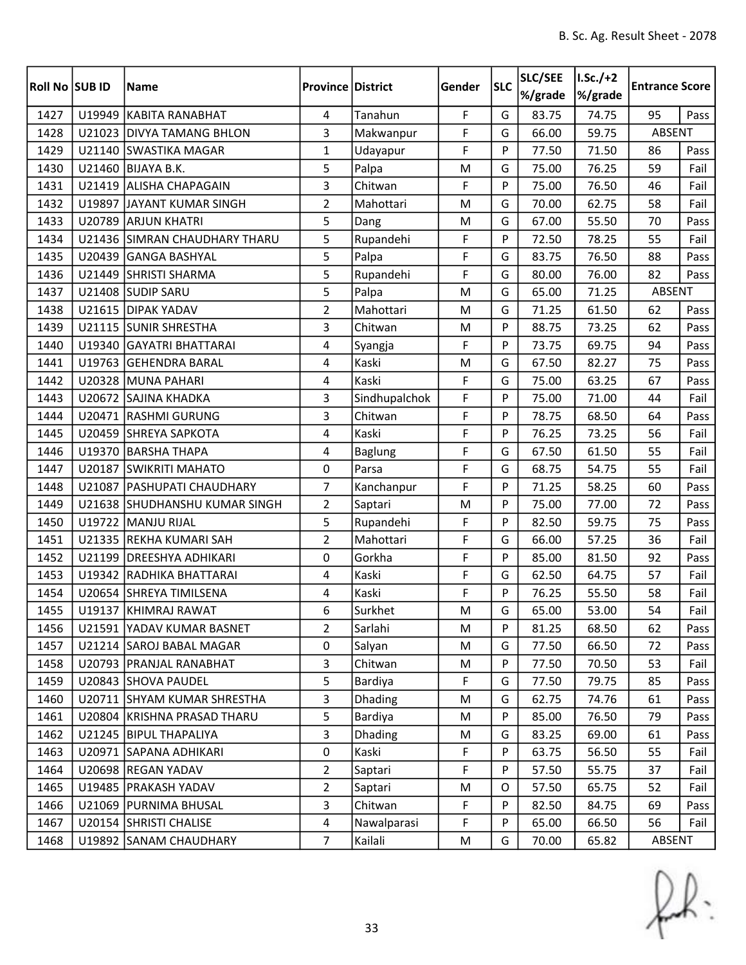| <b>Roll No SUB ID</b> |        | <b>Name</b>                   | <b>Province District</b> |                | Gender | <b>SLC</b> | SLC/SEE<br>%/grade | $I.Sc./+2$<br>%/grade | <b>Entrance Score</b> |      |
|-----------------------|--------|-------------------------------|--------------------------|----------------|--------|------------|--------------------|-----------------------|-----------------------|------|
| 1427                  | U19949 | KABITA RANABHAT               | $\overline{4}$           | Tanahun        | F      | G          | 83.75              | 74.75                 | 95                    | Pass |
| 1428                  |        | U21023 DIVYA TAMANG BHLON     | 3                        | Makwanpur      | F      | G          | 66.00              | 59.75                 | ABSENT                |      |
| 1429                  |        | U21140 SWASTIKA MAGAR         | $\mathbf{1}$             | Udayapur       | F      | P          | 77.50              | 71.50                 | 86                    | Pass |
| 1430                  | U21460 | <b>BIJAYA B.K.</b>            | 5                        | Palpa          | M      | G          | 75.00              | 76.25                 | 59                    | Fail |
| 1431                  | U21419 | <b>ALISHA CHAPAGAIN</b>       | 3                        | Chitwan        | F      | P          | 75.00              | 76.50                 | 46                    | Fail |
| 1432                  |        | U19897 JAYANT KUMAR SINGH     | $\overline{2}$           | Mahottari      | M      | G          | 70.00              | 62.75                 | 58                    | Fail |
| 1433                  | U20789 | <b>ARJUN KHATRI</b>           | 5                        | Dang           | M      | G          | 67.00              | 55.50                 | 70                    | Pass |
| 1434                  |        | U21436 SIMRAN CHAUDHARY THARU | 5                        | Rupandehi      | F      | P          | 72.50              | 78.25                 | 55                    | Fail |
| 1435                  | U20439 | <b>GANGA BASHYAL</b>          | 5                        | Palpa          | F      | G          | 83.75              | 76.50                 | 88                    | Pass |
| 1436                  |        | U21449 SHRISTI SHARMA         | 5                        | Rupandehi      | F      | G          | 80.00              | 76.00                 | 82                    | Pass |
| 1437                  |        | U21408 SUDIP SARU             | 5                        | Palpa          | M      | G          | 65.00              | 71.25                 | <b>ABSENT</b>         |      |
| 1438                  |        | U21615 DIPAK YADAV            | $\overline{2}$           | Mahottari      | M      | G          | 71.25              | 61.50                 | 62                    | Pass |
| 1439                  |        | U21115 SUNIR SHRESTHA         | 3                        | Chitwan        | M      | P          | 88.75              | 73.25                 | 62                    | Pass |
| 1440                  | U19340 | <b>GAYATRI BHATTARAI</b>      | 4                        | Syangja        | F      | P          | 73.75              | 69.75                 | 94                    | Pass |
| 1441                  |        | U19763 GEHENDRA BARAL         | 4                        | Kaski          | M      | G          | 67.50              | 82.27                 | 75                    | Pass |
| 1442                  |        | U20328 MUNA PAHARI            | 4                        | Kaski          | F      | G          | 75.00              | 63.25                 | 67                    | Pass |
| 1443                  |        | U20672 SAJINA KHADKA          | 3                        | Sindhupalchok  | F      | P          | 75.00              | 71.00                 | 44                    | Fail |
| 1444                  |        | U20471 RASHMI GURUNG          | 3                        | Chitwan        | F      | P          | 78.75              | 68.50                 | 64                    | Pass |
| 1445                  |        | U20459 SHREYA SAPKOTA         | 4                        | Kaski          | F      | P          | 76.25              | 73.25                 | 56                    | Fail |
| 1446                  |        | U19370 BARSHA THAPA           | 4                        | <b>Baglung</b> | F      | G          | 67.50              | 61.50                 | 55                    | Fail |
| 1447                  | U20187 | <b>SWIKRITI MAHATO</b>        | 0                        | Parsa          | F      | G          | 68.75              | 54.75                 | 55                    | Fail |
| 1448                  | U21087 | <b>PASHUPATI CHAUDHARY</b>    | $\overline{7}$           | Kanchanpur     | F      | P          | 71.25              | 58.25                 | 60                    | Pass |
| 1449                  |        | U21638 SHUDHANSHU KUMAR SINGH | $\overline{2}$           | Saptari        | M      | P          | 75.00              | 77.00                 | 72                    | Pass |
| 1450                  | U19722 | MANJU RIJAL                   | 5                        | Rupandehi      | F      | P          | 82.50              | 59.75                 | 75                    | Pass |
| 1451                  |        | U21335 REKHA KUMARI SAH       | $\overline{2}$           | Mahottari      | F      | G          | 66.00              | 57.25                 | 36                    | Fail |
| 1452                  | U21199 | <b>DREESHYA ADHIKARI</b>      | 0                        | Gorkha         | F      | P          | 85.00              | 81.50                 | 92                    | Pass |
| 1453                  |        | U19342 RADHIKA BHATTARAI      | 4                        | Kaski          | F      | G          | 62.50              | 64.75                 | 57                    | Fail |
| 1454                  |        | U20654 SHREYA TIMILSENA       | 4                        | Kaski          | F      | P          | 76.25              | 55.50                 | 58                    | Fail |
| 1455                  |        | U19137 KHIMRAJ RAWAT          | 6                        | Surkhet        | M      | G          | 65.00              | 53.00                 | 54                    | Fail |
| 1456                  |        | U21591 YADAV KUMAR BASNET     | 2                        | Sarlahi        | M      | P          | 81.25              | 68.50                 | 62                    | Pass |
| 1457                  |        | U21214 SAROJ BABAL MAGAR      | 0                        | Salyan         | M      | G          | 77.50              | 66.50                 | 72                    | Pass |
| 1458                  |        | U20793   PRANJAL RANABHAT     | 3                        | Chitwan        | M      | P          | 77.50              | 70.50                 | 53                    | Fail |
| 1459                  |        | U20843 SHOVA PAUDEL           | 5                        | Bardiya        | F      | G          | 77.50              | 79.75                 | 85                    | Pass |
| 1460                  |        | U20711 SHYAM KUMAR SHRESTHA   | 3                        | Dhading        | M      | G          | 62.75              | 74.76                 | 61                    | Pass |
| 1461                  |        | U20804 KRISHNA PRASAD THARU   | 5                        | Bardiya        | M      | P          | 85.00              | 76.50                 | 79                    | Pass |
| 1462                  |        | U21245 BIPUL THAPALIYA        | 3                        | <b>Dhading</b> | M      | G          | 83.25              | 69.00                 | 61                    | Pass |
| 1463                  |        | U20971 SAPANA ADHIKARI        | $\mathsf 0$              | Kaski          | F      | P          | 63.75              | 56.50                 | 55                    | Fail |
| 1464                  |        | U20698 REGAN YADAV            | $\overline{2}$           | Saptari        | F      | P          | 57.50              | 55.75                 | 37                    | Fail |
| 1465                  |        | U19485   PRAKASH YADAV        | $\overline{2}$           | Saptari        | M      | 0          | 57.50              | 65.75                 | 52                    | Fail |
| 1466                  |        | U21069 PURNIMA BHUSAL         | 3                        | Chitwan        | F      | P          | 82.50              | 84.75                 | 69                    | Pass |
| 1467                  |        | U20154 SHRISTI CHALISE        | $\overline{\mathbf{4}}$  | Nawalparasi    | F      | P          | 65.00              | 66.50                 | 56                    | Fail |
| 1468                  |        | U19892 SANAM CHAUDHARY        | $\overline{7}$           | Kailali        | M      | G          | 70.00              | 65.82                 | ABSENT                |      |

 $f(x)$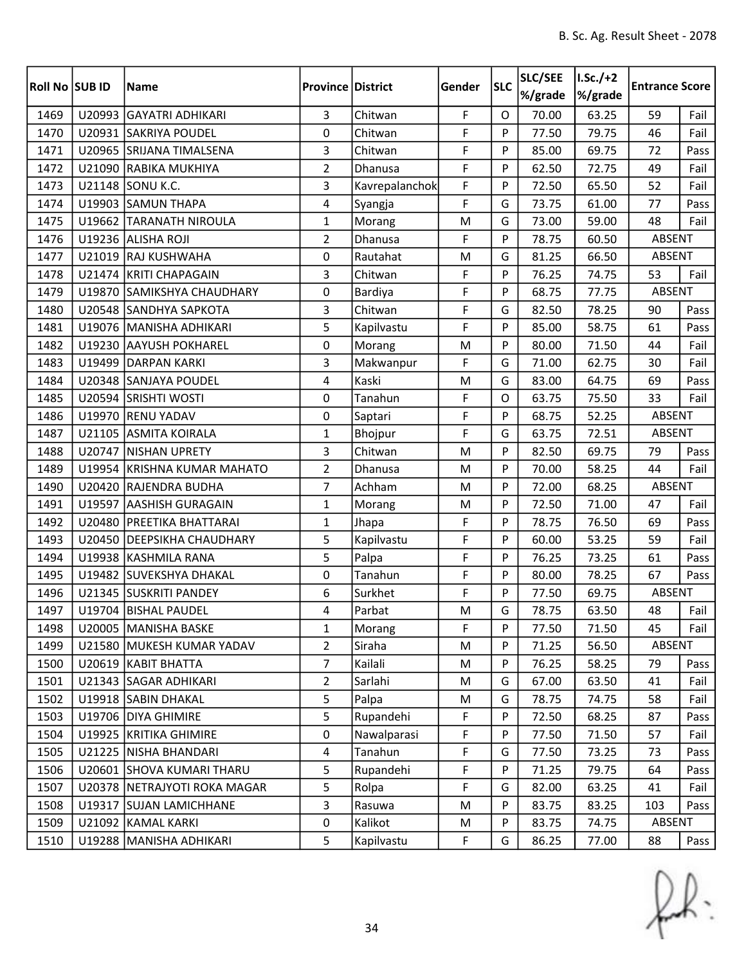| Roll No SUB ID |        | <b>Name</b>                  | <b>Province District</b> |                | Gender | <b>SLC</b> | SLC/SEE<br>%/grade | $I.Sc./+2$<br>%/grade | <b>Entrance Score</b> |      |
|----------------|--------|------------------------------|--------------------------|----------------|--------|------------|--------------------|-----------------------|-----------------------|------|
| 1469           |        | U20993 GAYATRI ADHIKARI      | $\overline{3}$           | Chitwan        | F      | $\Omega$   | 70.00              | 63.25                 | 59                    | Fail |
| 1470           |        | U20931 SAKRIYA POUDEL        | 0                        | Chitwan        | F      | P          | 77.50              | 79.75                 | 46                    | Fail |
| 1471           |        | U20965 SRIJANA TIMALSENA     | 3                        | Chitwan        | F      | P          | 85.00              | 69.75                 | 72                    | Pass |
| 1472           |        | U21090 RABIKA MUKHIYA        | $\overline{2}$           | Dhanusa        | F      | P          | 62.50              | 72.75                 | 49                    | Fail |
| 1473           |        | U21148 SONU K.C.             | 3                        | Kavrepalanchok | F      | P          | 72.50              | 65.50                 | 52                    | Fail |
| 1474           |        | U19903 SAMUN THAPA           | 4                        | Syangja        | F      | G          | 73.75              | 61.00                 | 77                    | Pass |
| 1475           |        | U19662 TARANATH NIROULA      | $\mathbf{1}$             | Morang         | M      | G          | 73.00              | 59.00                 | 48                    | Fail |
| 1476           |        | U19236 ALISHA ROJI           | $\overline{2}$           | Dhanusa        | F      | P          | 78.75              | 60.50                 | ABSENT                |      |
| 1477           |        | U21019 RAJ KUSHWAHA          | 0                        | Rautahat       | M      | G          | 81.25              | 66.50                 | ABSENT                |      |
| 1478           |        | U21474 KRITI CHAPAGAIN       | 3                        | Chitwan        | F      | P          | 76.25              | 74.75                 | 53                    | Fail |
| 1479           |        | U19870 SAMIKSHYA CHAUDHARY   | 0                        | Bardiya        | F      | P          | 68.75              | 77.75                 | ABSENT                |      |
| 1480           |        | U20548 SANDHYA SAPKOTA       | 3                        | Chitwan        | F      | G          | 82.50              | 78.25                 | 90                    | Pass |
| 1481           |        | U19076   MANISHA ADHIKARI    | 5                        | Kapilvastu     | F      | P          | 85.00              | 58.75                 | 61                    | Pass |
| 1482           |        | U19230 AAYUSH POKHAREL       | $\mathbf 0$              | Morang         | M      | P          | 80.00              | 71.50                 | 44                    | Fail |
| 1483           |        | U19499 DARPAN KARKI          | 3                        | Makwanpur      | F      | G          | 71.00              | 62.75                 | 30                    | Fail |
| 1484           |        | U20348 SANJAYA POUDEL        | $\overline{4}$           | Kaski          | M      | G          | 83.00              | 64.75                 | 69                    | Pass |
| 1485           |        | U20594 SRISHTI WOSTI         | 0                        | Tanahun        | F      | $\Omega$   | 63.75              | 75.50                 | 33                    | Fail |
| 1486           |        | U19970 RENU YADAV            | 0                        | Saptari        | F      | P          | 68.75              | 52.25                 | ABSENT                |      |
| 1487           |        | U21105 ASMITA KOIRALA        | $\mathbf{1}$             | Bhojpur        | F      | G          | 63.75              | 72.51                 | ABSENT                |      |
| 1488           |        | U20747 NISHAN UPRETY         | 3                        | Chitwan        | M      | P          | 82.50              | 69.75                 | 79                    | Pass |
| 1489           |        | U19954 KRISHNA KUMAR MAHATO  | $\overline{2}$           | Dhanusa        | M      | P          | 70.00              | 58.25                 | 44                    | Fail |
| 1490           | U20420 | <b>RAJENDRA BUDHA</b>        | $\overline{7}$           | Achham         | M      | P          | 72.00              | 68.25                 | ABSENT                |      |
| 1491           |        | U19597 AASHISH GURAGAIN      | $\mathbf{1}$             | Morang         | M      | P          | 72.50              | 71.00                 | 47                    | Fail |
| 1492           | U20480 | <b>PREETIKA BHATTARAI</b>    | $\mathbf{1}$             | Jhapa          | F      | P          | 78.75              | 76.50                 | 69                    | Pass |
| 1493           |        | U20450 DEEPSIKHA CHAUDHARY   | 5                        | Kapilvastu     | F      | P          | 60.00              | 53.25                 | 59                    | Fail |
| 1494           |        | U19938 KASHMILA RANA         | 5                        | Palpa          | F      | P          | 76.25              | 73.25                 | 61                    | Pass |
| 1495           |        | U19482 SUVEKSHYA DHAKAL      | 0                        | Tanahun        | F      | P          | 80.00              | 78.25                 | 67                    | Pass |
| 1496           |        | U21345 SUSKRITI PANDEY       | 6                        | Surkhet        | F      | P          | 77.50              | 69.75                 | <b>ABSENT</b>         |      |
| 1497           |        | U19704 BISHAL PAUDEL         | 4                        | Parbat         | M      | G          | 78.75              | 63.50                 | 48                    | Fail |
| 1498           |        | U20005   MANISHA BASKE       | 1                        | Morang         | F      | P          | 77.50              | 71.50                 | 45                    | Fail |
| 1499           |        | U21580 MUKESH KUMAR YADAV    | $\overline{2}$           | Siraha         | M      | P          | 71.25              | 56.50                 | ABSENT                |      |
| 1500           |        | U20619 KABIT BHATTA          | $\overline{7}$           | Kailali        | M      | P          | 76.25              | 58.25                 | 79                    | Pass |
| 1501           |        | U21343 SAGAR ADHIKARI        | $\overline{2}$           | Sarlahi        | M      | G          | 67.00              | 63.50                 | 41                    | Fail |
| 1502           |        | U19918 SABIN DHAKAL          | 5                        | Palpa          | M      | G          | 78.75              | 74.75                 | 58                    | Fail |
| 1503           |        | U19706   DIYA GHIMIRE        | 5                        | Rupandehi      | F      | P          | 72.50              | 68.25                 | 87                    | Pass |
| 1504           |        | U19925 KRITIKA GHIMIRE       | $\pmb{0}$                | Nawalparasi    | F      | P          | 77.50              | 71.50                 | 57                    | Fail |
| 1505           |        | U21225 NISHA BHANDARI        | 4                        | Tanahun        | F      | G          | 77.50              | 73.25                 | 73                    | Pass |
| 1506           |        | U20601 SHOVA KUMARI THARU    | 5                        | Rupandehi      | F      | P          | 71.25              | 79.75                 | 64                    | Pass |
| 1507           |        | U20378 NETRAJYOTI ROKA MAGAR | 5                        | Rolpa          | F      | G          | 82.00              | 63.25                 | 41                    | Fail |
| 1508           |        | U19317 SUJAN LAMICHHANE      | 3                        | Rasuwa         | M      | P          | 83.75              | 83.25                 | 103                   | Pass |
| 1509           |        | U21092 KAMAL KARKI           | 0                        | Kalikot        | M      | P          | 83.75              | 74.75                 | ABSENT                |      |
| 1510           |        | U19288   MANISHA ADHIKARI    | 5                        | Kapilvastu     | F      | G          | 86.25              | 77.00                 | 88                    | Pass |

 $f(x)$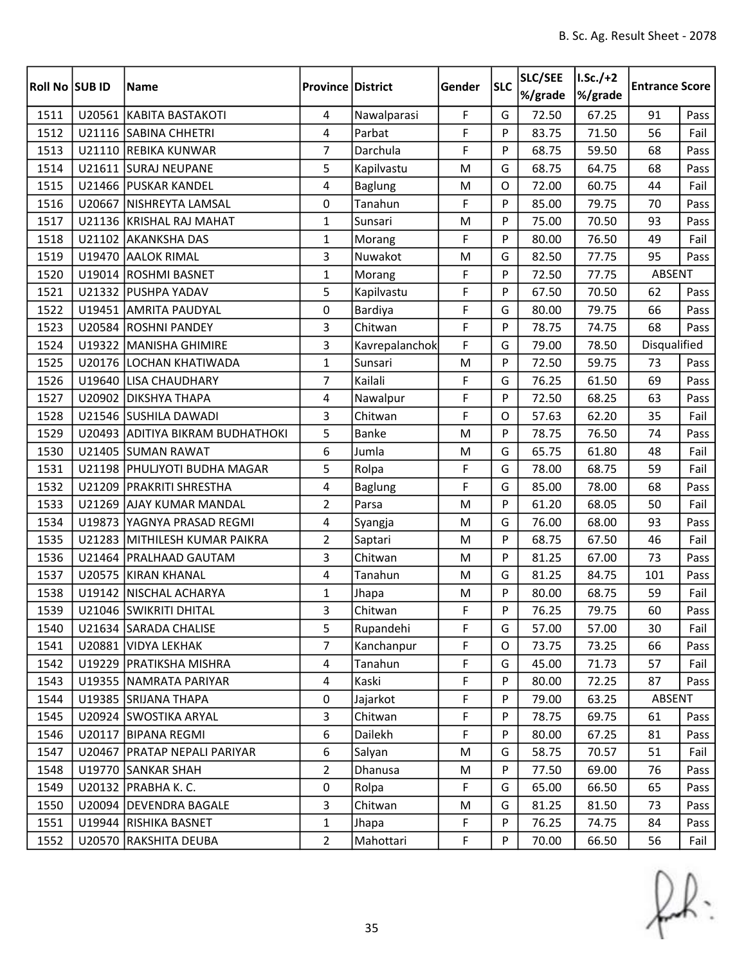| Roll No SUB ID | <b>Name</b>                      | <b>Province District</b> |                | Gender      | <b>SLC</b> | SLC/SEE<br>%/grade | $I.Sc./+2$<br>%/grade | <b>Entrance Score</b> |      |
|----------------|----------------------------------|--------------------------|----------------|-------------|------------|--------------------|-----------------------|-----------------------|------|
| 1511           | U20561 KABITA BASTAKOTI          | 4                        | Nawalparasi    | F           | G          | 72.50              | 67.25                 | 91                    | Pass |
| 1512           | U21116 SABINA CHHETRI            | 4                        | Parbat         | F           | P          | 83.75              | 71.50                 | 56                    | Fail |
| 1513           | U21110 REBIKA KUNWAR             | $\overline{7}$           | Darchula       | F           | P          | 68.75              | 59.50                 | 68                    | Pass |
| 1514           | U21611 SURAJ NEUPANE             | 5                        | Kapilvastu     | M           | G          | 68.75              | 64.75                 | 68                    | Pass |
| 1515           | U21466 PUSKAR KANDEL             | 4                        | <b>Baglung</b> | M           | O          | 72.00              | 60.75                 | 44                    | Fail |
| 1516           | U20667 NISHREYTA LAMSAL          | 0                        | Tanahun        | F           | P          | 85.00              | 79.75                 | 70                    | Pass |
| 1517           | U21136 KRISHAL RAJ MAHAT         | $\mathbf{1}$             | Sunsari        | M           | P          | 75.00              | 70.50                 | 93                    | Pass |
| 1518           | U21102 AKANKSHA DAS              | $\mathbf{1}$             | Morang         | F           | P          | 80.00              | 76.50                 | 49                    | Fail |
| 1519           | U19470 AALOK RIMAL               | 3                        | Nuwakot        | M           | G          | 82.50              | 77.75                 | 95                    | Pass |
| 1520           | U19014 ROSHMI BASNET             | $\mathbf{1}$             | Morang         | F           | P          | 72.50              | 77.75                 | ABSENT                |      |
| 1521           | U21332 PUSHPA YADAV              | 5                        | Kapilvastu     | F           | P          | 67.50              | 70.50                 | 62                    | Pass |
| 1522           | U19451 AMRITA PAUDYAL            | 0                        | Bardiya        | F           | G          | 80.00              | 79.75                 | 66                    | Pass |
| 1523           | U20584 ROSHNI PANDEY             | 3                        | Chitwan        | F           | P          | 78.75              | 74.75                 | 68                    | Pass |
| 1524           | U19322 MANISHA GHIMIRE           | 3                        | Kavrepalanchok | F           | G          | 79.00              | 78.50                 | Disqualified          |      |
| 1525           | U20176 LOCHAN KHATIWADA          | $\mathbf{1}$             | Sunsari        | M           | P          | 72.50              | 59.75                 | 73                    | Pass |
| 1526           | U19640 LISA CHAUDHARY            | $\overline{7}$           | Kailali        | F           | G          | 76.25              | 61.50                 | 69                    | Pass |
| 1527           | U20902 DIKSHYA THAPA             | 4                        | Nawalpur       | F           | P          | 72.50              | 68.25                 | 63                    | Pass |
| 1528           | U21546 SUSHILA DAWADI            | 3                        | Chitwan        | F           | O          | 57.63              | 62.20                 | 35                    | Fail |
| 1529           | U20493 ADITIYA BIKRAM BUDHATHOKI | 5                        | <b>Banke</b>   | M           | P          | 78.75              | 76.50                 | 74                    | Pass |
| 1530           | U21405 SUMAN RAWAT               | 6                        | Jumla          | M           | G          | 65.75              | 61.80                 | 48                    | Fail |
| 1531           | U21198 PHULJYOTI BUDHA MAGAR     | 5                        | Rolpa          | F           | G          | 78.00              | 68.75                 | 59                    | Fail |
| 1532           | U21209 PRAKRITI SHRESTHA         | 4                        | <b>Baglung</b> | F           | G          | 85.00              | 78.00                 | 68                    | Pass |
| 1533           | U21269 AJAY KUMAR MANDAL         | $\overline{2}$           | Parsa          | M           | P          | 61.20              | 68.05                 | 50                    | Fail |
| 1534           | U19873 YAGNYA PRASAD REGMI       | 4                        | Syangja        | M           | G          | 76.00              | 68.00                 | 93                    | Pass |
| 1535           | U21283 MITHILESH KUMAR PAIKRA    | $\overline{2}$           | Saptari        | M           | P          | 68.75              | 67.50                 | 46                    | Fail |
| 1536           | U21464   PRALHAAD GAUTAM         | 3                        | Chitwan        | M           | P          | 81.25              | 67.00                 | 73                    | Pass |
| 1537           | U20575 KIRAN KHANAL              | 4                        | Tanahun        | M           | G          | 81.25              | 84.75                 | 101                   | Pass |
| 1538           | U19142   NISCHAL ACHARYA         | $\mathbf{1}$             | Jhapa          | M           | P          | 80.00              | 68.75                 | 59                    | Fail |
| 1539           | U21046 SWIKRITI DHITAL           | 3                        | Chitwan        | F           | P          | 76.25              | 79.75                 | 60                    | Pass |
| 1540           | U21634 SARADA CHALISE            | 5                        | Rupandehi      | F           | G          | 57.00              | 57.00                 | 30                    | Fail |
| 1541           | U20881 VIDYA LEKHAK              | $\overline{7}$           | Kanchanpur     | F           | 0          | 73.75              | 73.25                 | 66                    | Pass |
| 1542           | U19229 PRATIKSHA MISHRA          | 4                        | Tanahun        | F           | G          | 45.00              | 71.73                 | 57                    | Fail |
| 1543           | U19355 NAMRATA PARIYAR           | $\overline{4}$           | Kaski          | F           | P          | 80.00              | 72.25                 | 87                    | Pass |
| 1544           | U19385 SRIJANA THAPA             | $\mathbf 0$              | Jajarkot       | F           | P          | 79.00              | 63.25                 | ABSENT                |      |
| 1545           | U20924 SWOSTIKA ARYAL            | $\overline{3}$           | Chitwan        | F           | P          | 78.75              | 69.75                 | 61                    | Pass |
| 1546           | U20117 BIPANA REGMI              | 6                        | Dailekh        | F           | P          | 80.00              | 67.25                 | 81                    | Pass |
| 1547           | U20467   PRATAP NEPALI PARIYAR   | 6                        | Salyan         | M           | G          | 58.75              | 70.57                 | 51                    | Fail |
| 1548           | U19770 SANKAR SHAH               | $\overline{2}$           | Dhanusa        | M           | P          | 77.50              | 69.00                 | 76                    | Pass |
| 1549           | U20132   PRABHA K. C.            | $\mathbf 0$              | Rolpa          | $\mathsf F$ | G          | 65.00              | 66.50                 | 65                    | Pass |
| 1550           | U20094   DEVENDRA BAGALE         | 3                        | Chitwan        | M           | G          | 81.25              | 81.50                 | 73                    | Pass |
| 1551           | U19944 RISHIKA BASNET            | $\mathbf{1}$             | Jhapa          | F           | P          | 76.25              | 74.75                 | 84                    | Pass |
| 1552           | U20570 RAKSHITA DEUBA            | $\overline{2}$           | Mahottari      | F           | P          | 70.00              | 66.50                 | 56                    | Fail |

 $f(x)$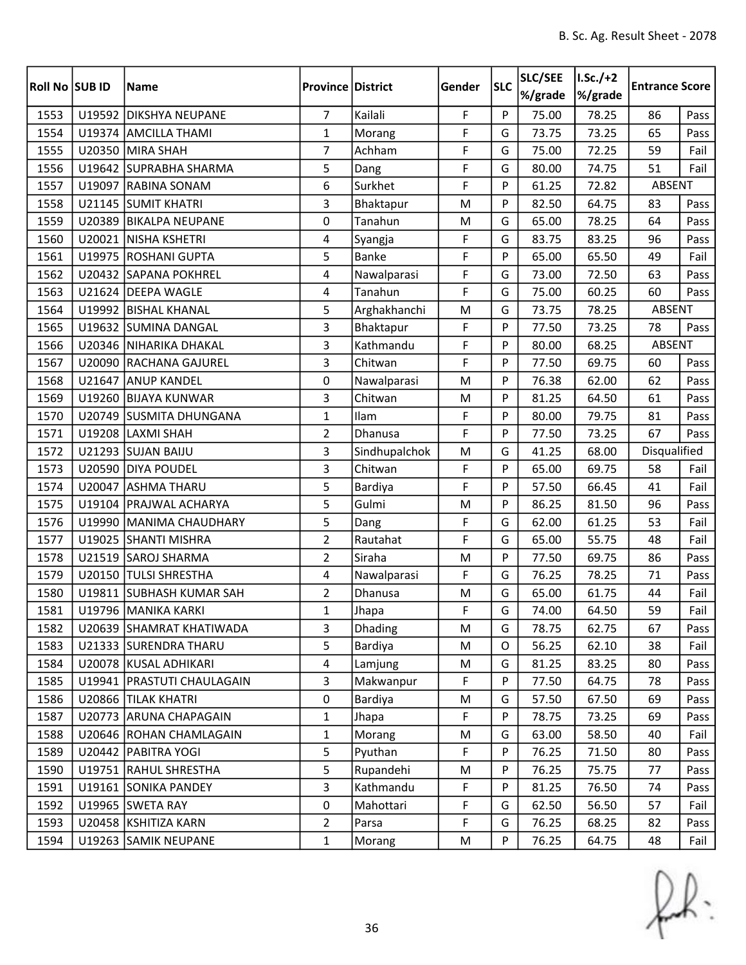| Roll No SUB ID |        | <b>Name</b>                  | <b>Province District</b> |                | Gender      | <b>SLC</b> | SLC/SEE<br>%/grade | $I.Sc./+2$<br>%/grade | <b>Entrance Score</b> |      |
|----------------|--------|------------------------------|--------------------------|----------------|-------------|------------|--------------------|-----------------------|-----------------------|------|
| 1553           |        | U19592 DIKSHYA NEUPANE       | $\overline{7}$           | Kailali        | F           | P          | 75.00              | 78.25                 | 86                    | Pass |
| 1554           |        | U19374 AMCILLA THAMI         | $\mathbf{1}$             | Morang         | F           | G          | 73.75              | 73.25                 | 65                    | Pass |
| 1555           |        | U20350 MIRA SHAH             | $\overline{7}$           | Achham         | F           | G          | 75.00              | 72.25                 | 59                    | Fail |
| 1556           |        | U19642 SUPRABHA SHARMA       | 5                        | Dang           | F           | G          | 80.00              | 74.75                 | 51                    | Fail |
| 1557           | U19097 | <b>RABINA SONAM</b>          | $\boldsymbol{6}$         | Surkhet        | F           | P          | 61.25              | 72.82                 | <b>ABSENT</b>         |      |
| 1558           |        | U21145 SUMIT KHATRI          | 3                        | Bhaktapur      | M           | P          | 82.50              | 64.75                 | 83                    | Pass |
| 1559           |        | U20389 BIKALPA NEUPANE       | $\mathbf 0$              | Tanahun        | M           | G          | 65.00              | 78.25                 | 64                    | Pass |
| 1560           |        | U20021 NISHA KSHETRI         | 4                        | Syangja        | F           | G          | 83.75              | 83.25                 | 96                    | Pass |
| 1561           |        | U19975 ROSHANI GUPTA         | 5                        | <b>Banke</b>   | F           | P          | 65.00              | 65.50                 | 49                    | Fail |
| 1562           |        | U20432 SAPANA POKHREL        | 4                        | Nawalparasi    | F           | G          | 73.00              | 72.50                 | 63                    | Pass |
| 1563           |        | U21624 DEEPA WAGLE           | $\overline{4}$           | Tanahun        | F           | G          | 75.00              | 60.25                 | 60                    | Pass |
| 1564           |        | U19992 BISHAL KHANAL         | 5                        | Arghakhanchi   | M           | G          | 73.75              | 78.25                 | ABSENT                |      |
| 1565           |        | U19632 SUMINA DANGAL         | 3                        | Bhaktapur      | F           | P          | 77.50              | 73.25                 | 78                    | Pass |
| 1566           |        | U20346 NIHARIKA DHAKAL       | 3                        | Kathmandu      | F           | P          | 80.00              | 68.25                 | ABSENT                |      |
| 1567           | U20090 | <b>RACHANA GAJUREL</b>       | 3                        | Chitwan        | F           | P          | 77.50              | 69.75                 | 60                    | Pass |
| 1568           |        | U21647 ANUP KANDEL           | 0                        | Nawalparasi    | M           | P          | 76.38              | 62.00                 | 62                    | Pass |
| 1569           | U19260 | <b>BIJAYA KUNWAR</b>         | 3                        | Chitwan        | M           | P          | 81.25              | 64.50                 | 61                    | Pass |
| 1570           |        | U20749 SUSMITA DHUNGANA      | $\mathbf{1}$             | Ilam           | F           | P          | 80.00              | 79.75                 | 81                    | Pass |
| 1571           |        | U19208 LAXMI SHAH            | $\mathbf 2$              | Dhanusa        | F           | P          | 77.50              | 73.25                 | 67                    | Pass |
| 1572           |        | U21293 SUJAN BAIJU           | 3                        | Sindhupalchok  | M           | G          | 41.25              | 68.00                 | Disqualified          |      |
| 1573           |        | U20590 DIYA POUDEL           | 3                        | Chitwan        | F           | P          | 65.00              | 69.75                 | 58                    | Fail |
| 1574           | U20047 | <b>ASHMA THARU</b>           | 5                        | Bardiya        | F           | P          | 57.50              | 66.45                 | 41                    | Fail |
| 1575           |        | U19104   PRAJWAL ACHARYA     | 5                        | Gulmi          | M           | P          | 86.25              | 81.50                 | 96                    | Pass |
| 1576           | U19990 | MANIMA CHAUDHARY             | 5                        | Dang           | F           | G          | 62.00              | 61.25                 | 53                    | Fail |
| 1577           |        | U19025 SHANTI MISHRA         | $\overline{2}$           | Rautahat       | F           | G          | 65.00              | 55.75                 | 48                    | Fail |
| 1578           |        | U21519 SAROJ SHARMA          | $\overline{2}$           | Siraha         | M           | P          | 77.50              | 69.75                 | 86                    | Pass |
| 1579           | U20150 | <b>TULSI SHRESTHA</b>        | $\overline{4}$           | Nawalparasi    | F           | G          | 76.25              | 78.25                 | 71                    | Pass |
| 1580           |        | U19811 SUBHASH KUMAR SAH     | $\overline{2}$           | Dhanusa        | M           | G          | 65.00              | 61.75                 | 44                    | Fail |
| 1581           |        | U19796 MANIKA KARKI          | $\mathbf{1}$             | Jhapa          | $\mathsf F$ | G          | 74.00              | 64.50                 | 59                    | Fail |
| 1582           |        | U20639 SHAMRAT KHATIWADA     | 3                        | <b>Dhading</b> | M           | G          | 78.75              | 62.75                 | 67                    | Pass |
| 1583           |        | U21333 SURENDRA THARU        | 5                        | Bardiya        | M           | O          | 56.25              | 62.10                 | 38                    | Fail |
| 1584           |        | U20078 KUSAL ADHIKARI        | 4                        | Lamjung        | M           | G          | 81.25              | 83.25                 | 80                    | Pass |
| 1585           |        | U19941   PRASTUTI CHAULAGAIN | 3                        | Makwanpur      | F           | P          | 77.50              | 64.75                 | 78                    | Pass |
| 1586           |        | U20866 TILAK KHATRI          | $\mathbf 0$              | Bardiya        | M           | G          | 57.50              | 67.50                 | 69                    | Pass |
| 1587           |        | U20773 ARUNA CHAPAGAIN       | $\mathbf{1}$             | Jhapa          | F           | P          | 78.75              | 73.25                 | 69                    | Pass |
| 1588           |        | U20646 ROHAN CHAMLAGAIN      | $\mathbf{1}$             | Morang         | M           | G          | 63.00              | 58.50                 | 40                    | Fail |
| 1589           |        | U20442 PABITRA YOGI          | 5                        | Pyuthan        | F           | P          | 76.25              | 71.50                 | 80                    | Pass |
| 1590           |        | U19751 RAHUL SHRESTHA        | 5                        | Rupandehi      | M           | P          | 76.25              | 75.75                 | 77                    | Pass |
| 1591           |        | U19161 SONIKA PANDEY         | $\overline{3}$           | Kathmandu      | F           | P          | 81.25              | 76.50                 | 74                    | Pass |
| 1592           |        | U19965 SWETA RAY             | 0                        | Mahottari      | F           | G          | 62.50              | 56.50                 | 57                    | Fail |
| 1593           |        | U20458 KSHITIZA KARN         | $\overline{2}$           | Parsa          | F           | G          | 76.25              | 68.25                 | 82                    | Pass |
| 1594           |        | U19263 SAMIK NEUPANE         | $\mathbf{1}$             | Morang         | M           | P          | 76.25              | 64.75                 | 48                    | Fail |

 $f(x)$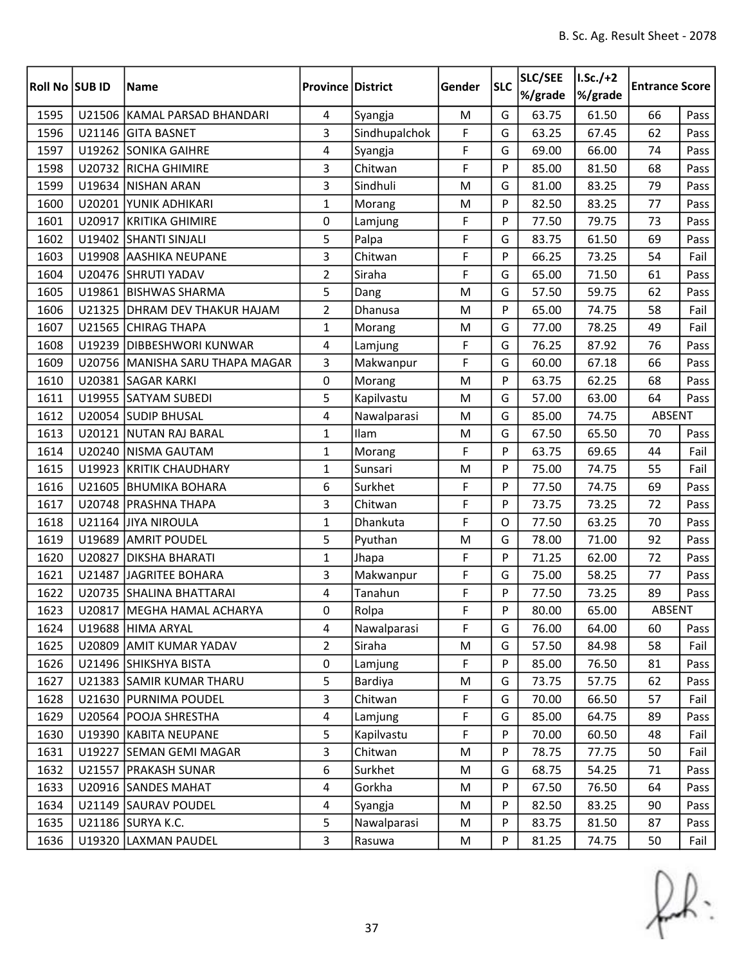| Roll No SUB ID |        | <b>Name</b>                     | <b>Province District</b> |               | Gender | <b>SLC</b> | SLC/SEE<br>%/grade | $I.Sc./+2$<br>%/grade | <b>Entrance Score</b> |      |
|----------------|--------|---------------------------------|--------------------------|---------------|--------|------------|--------------------|-----------------------|-----------------------|------|
| 1595           |        | U21506 KAMAL PARSAD BHANDARI    | 4                        | Syangja       | M      | G          | 63.75              | 61.50                 | 66                    | Pass |
| 1596           |        | U21146 GITA BASNET              | 3                        | Sindhupalchok | F      | G          | 63.25              | 67.45                 | 62                    | Pass |
| 1597           |        | U19262 SONIKA GAIHRE            | 4                        | Syangja       | F      | G          | 69.00              | 66.00                 | 74                    | Pass |
| 1598           |        | U20732 RICHA GHIMIRE            | 3                        | Chitwan       | F      | P          | 85.00              | 81.50                 | 68                    | Pass |
| 1599           | U19634 | <b>NISHAN ARAN</b>              | 3                        | Sindhuli      | M      | G          | 81.00              | 83.25                 | 79                    | Pass |
| 1600           |        | U20201 YUNIK ADHIKARI           | $\mathbf{1}$             | Morang        | M      | P          | 82.50              | 83.25                 | 77                    | Pass |
| 1601           |        | U20917 KRITIKA GHIMIRE          | 0                        | Lamjung       | F      | P          | 77.50              | 79.75                 | 73                    | Pass |
| 1602           |        | U19402 SHANTI SINJALI           | 5                        | Palpa         | F      | G          | 83.75              | 61.50                 | 69                    | Pass |
| 1603           |        | U19908 AASHIKA NEUPANE          | 3                        | Chitwan       | F      | P          | 66.25              | 73.25                 | 54                    | Fail |
| 1604           |        | U20476 SHRUTI YADAV             | $\overline{2}$           | Siraha        | F      | G          | 65.00              | 71.50                 | 61                    | Pass |
| 1605           |        | U19861 BISHWAS SHARMA           | 5                        | Dang          | M      | G          | 57.50              | 59.75                 | 62                    | Pass |
| 1606           |        | U21325 DHRAM DEV THAKUR HAJAM   | $\overline{2}$           | Dhanusa       | M      | P          | 65.00              | 74.75                 | 58                    | Fail |
| 1607           |        | U21565 CHIRAG THAPA             | $\mathbf{1}$             | Morang        | M      | G          | 77.00              | 78.25                 | 49                    | Fail |
| 1608           | U19239 | <b>DIBBESHWORI KUNWAR</b>       | 4                        | Lamjung       | F      | G          | 76.25              | 87.92                 | 76                    | Pass |
| 1609           |        | U20756 MANISHA SARU THAPA MAGAR | 3                        | Makwanpur     | F      | G          | 60.00              | 67.18                 | 66                    | Pass |
| 1610           |        | U20381 SAGAR KARKI              | 0                        | Morang        | M      | P          | 63.75              | 62.25                 | 68                    | Pass |
| 1611           |        | U19955 SATYAM SUBEDI            | 5                        | Kapilvastu    | M      | G          | 57.00              | 63.00                 | 64                    | Pass |
| 1612           |        | U20054 SUDIP BHUSAL             | 4                        | Nawalparasi   | M      | G          | 85.00              | 74.75                 | <b>ABSENT</b>         |      |
| 1613           |        | U20121 NUTAN RAJ BARAL          | $\mathbf{1}$             | Ilam          | M      | G          | 67.50              | 65.50                 | 70                    | Pass |
| 1614           |        | U20240 NISMA GAUTAM             | $\mathbf{1}$             | Morang        | F      | P          | 63.75              | 69.65                 | 44                    | Fail |
| 1615           |        | U19923 KRITIK CHAUDHARY         | $\mathbf{1}$             | Sunsari       | M      | P          | 75.00              | 74.75                 | 55                    | Fail |
| 1616           | U21605 | <b>BHUMIKA BOHARA</b>           | 6                        | Surkhet       | F      | P          | 77.50              | 74.75                 | 69                    | Pass |
| 1617           |        | U20748 PRASHNA THAPA            | 3                        | Chitwan       | F      | P          | 73.75              | 73.25                 | 72                    | Pass |
| 1618           |        | U21164 JJIYA NIROULA            | $\mathbf{1}$             | Dhankuta      | F      | $\Omega$   | 77.50              | 63.25                 | 70                    | Pass |
| 1619           |        | U19689 AMRIT POUDEL             | 5                        | Pyuthan       | M      | G          | 78.00              | 71.00                 | 92                    | Pass |
| 1620           | U20827 | <b>DIKSHA BHARATI</b>           | $\mathbf{1}$             | Jhapa         | F      | P          | 71.25              | 62.00                 | 72                    | Pass |
| 1621           | U21487 | JAGRITEE BOHARA                 | 3                        | Makwanpur     | F      | G          | 75.00              | 58.25                 | 77                    | Pass |
| 1622           |        | U20735 SHALINA BHATTARAI        | 4                        | Tanahun       | F      | P          | 77.50              | 73.25                 | 89                    | Pass |
| 1623           |        | U20817 MEGHA HAMAL ACHARYA      | 0                        | Rolpa         | F      | Þ          | 80.00              | 65.00                 | ABSENT                |      |
| 1624           |        | U19688 HIMA ARYAL               | 4                        | Nawalparasi   | F      | G          | 76.00              | 64.00                 | 60                    | Pass |
| 1625           |        | U20809 AMIT KUMAR YADAV         | $\overline{2}$           | Siraha        | M      | G          | 57.50              | 84.98                 | 58                    | Fail |
| 1626           |        | U21496 SHIKSHYA BISTA           | 0                        | Lamjung       | F      | P          | 85.00              | 76.50                 | 81                    | Pass |
| 1627           |        | U21383 SAMIR KUMAR THARU        | 5                        | Bardiya       | M      | G          | 73.75              | 57.75                 | 62                    | Pass |
| 1628           |        | U21630 PURNIMA POUDEL           | 3                        | Chitwan       | F      | G          | 70.00              | 66.50                 | 57                    | Fail |
| 1629           |        | U20564   POOJA SHRESTHA         | $\overline{4}$           | Lamjung       | F      | G          | 85.00              | 64.75                 | 89                    | Pass |
| 1630           |        | U19390 KABITA NEUPANE           | 5                        | Kapilvastu    | F      | P          | 70.00              | 60.50                 | 48                    | Fail |
| 1631           |        | U19227 SEMAN GEMI MAGAR         | 3                        | Chitwan       | M      | P          | 78.75              | 77.75                 | 50                    | Fail |
| 1632           |        | U21557   PRAKASH SUNAR          | 6                        | Surkhet       | M      | G          | 68.75              | 54.25                 | 71                    | Pass |
| 1633           |        | U20916 SANDES MAHAT             | 4                        | Gorkha        | M      | P          | 67.50              | 76.50                 | 64                    | Pass |
| 1634           |        | U21149 SAURAV POUDEL            | 4                        | Syangja       | M      | P          | 82.50              | 83.25                 | 90                    | Pass |
| 1635           |        | U21186 SURYA K.C.               | 5                        | Nawalparasi   | M      | P          | 83.75              | 81.50                 | 87                    | Pass |
| 1636           |        | U19320 LAXMAN PAUDEL            | 3                        | Rasuwa        | M      | P          | 81.25              | 74.75                 | 50                    | Fail |

 $f(x)$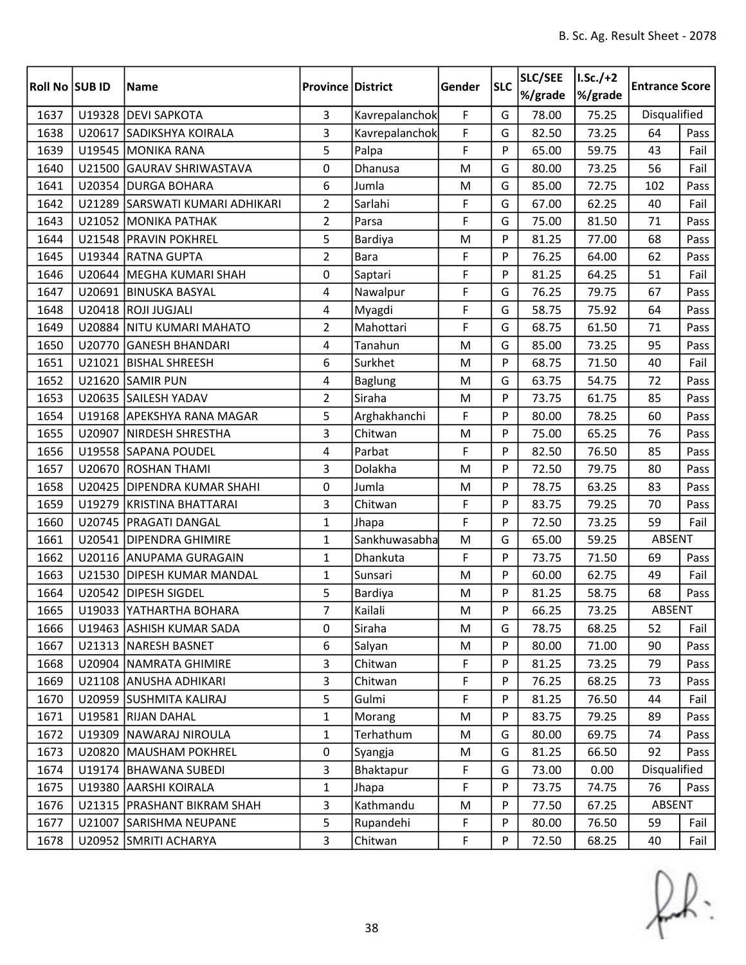| <b>Roll No SUB ID</b> |        | <b>Name</b>                     | <b>Province District</b> |                | Gender    | <b>SLC</b> | SLC/SEE<br>%/grade | $I.Sc./+2$<br>%/grade | <b>Entrance Score</b> |      |
|-----------------------|--------|---------------------------------|--------------------------|----------------|-----------|------------|--------------------|-----------------------|-----------------------|------|
| 1637                  |        | U19328 DEVI SAPKOTA             | $\overline{3}$           | Kavrepalanchok | F         | G          | 78.00              | 75.25                 | Disqualified          |      |
| 1638                  | U20617 | SADIKSHYA KOIRALA               | 3                        | Kavrepalanchok | F         | G          | 82.50              | 73.25                 | 64                    | Pass |
| 1639                  |        | U19545 MONIKA RANA              | 5                        | Palpa          | F         | P          | 65.00              | 59.75                 | 43                    | Fail |
| 1640                  | U21500 | <b>GAURAV SHRIWASTAVA</b>       | 0                        | Dhanusa        | M         | G          | 80.00              | 73.25                 | 56                    | Fail |
| 1641                  |        | U20354   DURGA BOHARA           | 6                        | Jumla          | M         | G          | 85.00              | 72.75                 | 102                   | Pass |
| 1642                  |        | U21289 SARSWATI KUMARI ADHIKARI | $\overline{2}$           | Sarlahi        | F         | G          | 67.00              | 62.25                 | 40                    | Fail |
| 1643                  |        | U21052 MONIKA PATHAK            | $\overline{2}$           | Parsa          | F         | G          | 75.00              | 81.50                 | 71                    | Pass |
| 1644                  |        | U21548 PRAVIN POKHREL           | 5                        | Bardiya        | M         | P          | 81.25              | 77.00                 | 68                    | Pass |
| 1645                  |        | U19344 RATNA GUPTA              | $\overline{2}$           | <b>Bara</b>    | F         | P          | 76.25              | 64.00                 | 62                    | Pass |
| 1646                  |        | U20644   MEGHA KUMARI SHAH      | $\mathbf 0$              | Saptari        | F         | P          | 81.25              | 64.25                 | 51                    | Fail |
| 1647                  |        | U20691 BINUSKA BASYAL           | 4                        | Nawalpur       | F         | G          | 76.25              | 79.75                 | 67                    | Pass |
| 1648                  |        | U20418 ROJI JUGJALI             | 4                        | Myagdi         | F         | G          | 58.75              | 75.92                 | 64                    | Pass |
| 1649                  |        | U20884 NITU KUMARI MAHATO       | $\overline{2}$           | Mahottari      | F         | G          | 68.75              | 61.50                 | 71                    | Pass |
| 1650                  | U20770 | <b>GANESH BHANDARI</b>          | 4                        | Tanahun        | M         | G          | 85.00              | 73.25                 | 95                    | Pass |
| 1651                  |        | U21021 BISHAL SHREESH           | 6                        | Surkhet        | M         | P          | 68.75              | 71.50                 | 40                    | Fail |
| 1652                  |        | U21620 SAMIR PUN                | 4                        | <b>Baglung</b> | M         | G          | 63.75              | 54.75                 | 72                    | Pass |
| 1653                  |        | U20635 SAILESH YADAV            | $\overline{2}$           | Siraha         | M         | P          | 73.75              | 61.75                 | 85                    | Pass |
| 1654                  |        | U19168 APEKSHYA RANA MAGAR      | 5                        | Arghakhanchi   | F         | P          | 80.00              | 78.25                 | 60                    | Pass |
| 1655                  | U20907 | <b>NIRDESH SHRESTHA</b>         | 3                        | Chitwan        | M         | P          | 75.00              | 65.25                 | 76                    | Pass |
| 1656                  |        | U19558 SAPANA POUDEL            | 4                        | Parbat         | F         | P          | 82.50              | 76.50                 | 85                    | Pass |
| 1657                  |        | U20670 ROSHAN THAMI             | 3                        | Dolakha        | M         | P          | 72.50              | 79.75                 | 80                    | Pass |
| 1658                  |        | U20425   DIPENDRA KUMAR SHAHI   | $\pmb{0}$                | Jumla          | M         | P          | 78.75              | 63.25                 | 83                    | Pass |
| 1659                  |        | U19279 KRISTINA BHATTARAI       | 3                        | Chitwan        | F         | P          | 83.75              | 79.25                 | 70                    | Pass |
| 1660                  | U20745 | <b>PRAGATI DANGAL</b>           | $\mathbf{1}$             | Jhapa          | F         | P          | 72.50              | 73.25                 | 59                    | Fail |
| 1661                  |        | U20541 DIPENDRA GHIMIRE         | $\mathbf{1}$             | Sankhuwasabha  | M         | G          | 65.00              | 59.25                 | ABSENT                |      |
| 1662                  |        | U20116 ANUPAMA GURAGAIN         | $\mathbf{1}$             | Dhankuta       | F         | P          | 73.75              | 71.50                 | 69                    | Pass |
| 1663                  | U21530 | <b>DIPESH KUMAR MANDAL</b>      | $\mathbf{1}$             | Sunsari        | ${\sf M}$ | P          | 60.00              | 62.75                 | 49                    | Fail |
| 1664                  |        | U20542 DIPESH SIGDEL            | 5                        | Bardiya        | M         | P          | 81.25              | 58.75                 | 68                    | Pass |
| 1665                  |        | U19033 YATHARTHA BOHARA         | $\overline{7}$           | Kailali        | M         | Þ          | 66.25              | 73.25                 | ABSENT                |      |
| 1666                  |        | U19463 ASHISH KUMAR SADA        | 0                        | Siraha         | M         | G          | 78.75              | 68.25                 | 52                    | Fail |
| 1667                  |        | U21313   NARESH BASNET          | 6                        | Salyan         | M         | P          | 80.00              | 71.00                 | 90                    | Pass |
| 1668                  |        | U20904 NAMRATA GHIMIRE          | 3                        | Chitwan        | F         | P          | 81.25              | 73.25                 | 79                    | Pass |
| 1669                  |        | U21108 ANUSHA ADHIKARI          | 3                        | Chitwan        | F         | P          | 76.25              | 68.25                 | 73                    | Pass |
| 1670                  |        | U20959 SUSHMITA KALIRAJ         | 5                        | Gulmi          | F         | P          | 81.25              | 76.50                 | 44                    | Fail |
| 1671                  |        | U19581 RIJAN DAHAL              | $\mathbf{1}$             | Morang         | M         | P          | 83.75              | 79.25                 | 89                    | Pass |
| 1672                  | U19309 | NAWARAJ NIROULA                 | $\mathbf{1}$             | Terhathum      | M         | G          | 80.00              | 69.75                 | 74                    | Pass |
| 1673                  | U20820 | <b>MAUSHAM POKHREL</b>          | $\mathsf 0$              | Syangja        | M         | G          | 81.25              | 66.50                 | 92                    | Pass |
| 1674                  |        | U19174   BHAWANA SUBEDI         | 3                        | Bhaktapur      | F         | G          | 73.00              | 0.00                  | Disqualified          |      |
| 1675                  |        | U19380 AARSHI KOIRALA           | $\mathbf{1}$             | Jhapa          | F         | P          | 73.75              | 74.75                 | 76                    | Pass |
| 1676                  |        | U21315   PRASHANT BIKRAM SHAH   | $\overline{3}$           | Kathmandu      | M         | P          | 77.50              | 67.25                 | ABSENT                |      |
| 1677                  |        | U21007 SARISHMA NEUPANE         | 5                        | Rupandehi      | F         | P          | 80.00              | 76.50                 | 59                    | Fail |
| 1678                  |        | U20952 SMRITI ACHARYA           | 3                        | Chitwan        | F         | P          | 72.50              | 68.25                 | 40                    | Fail |

 $f(x)$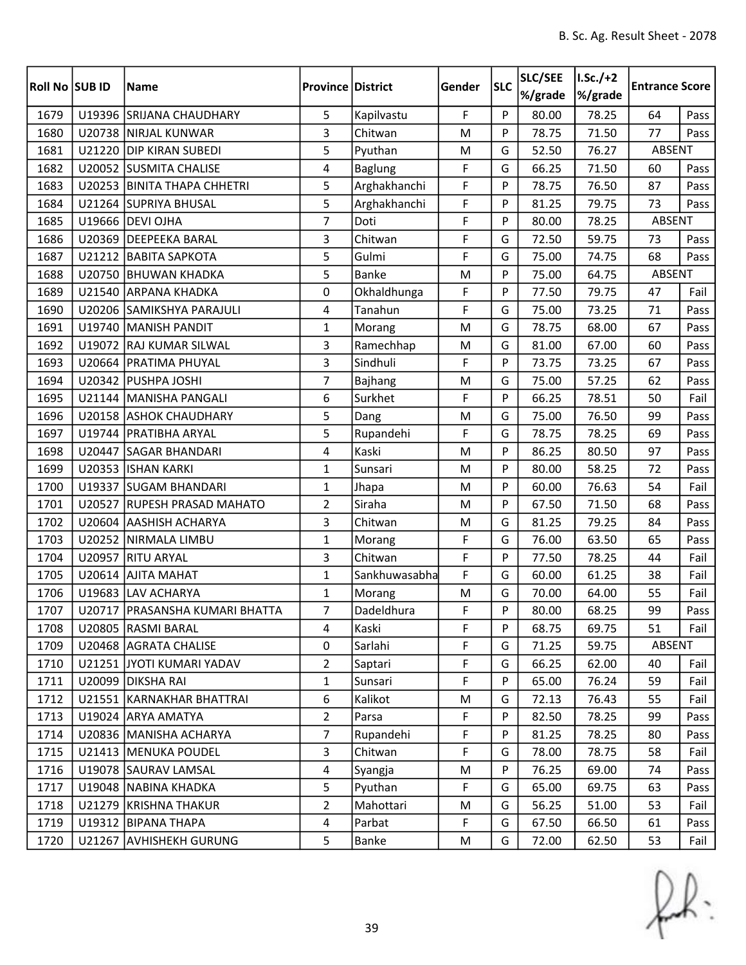| Roll No SUB ID |        | <b>Name</b>                      | <b>Province District</b> |                | Gender | <b>SLC</b> | SLC/SEE<br>%/grade | $I.Sc./+2$<br>%/grade | <b>Entrance Score</b> |      |
|----------------|--------|----------------------------------|--------------------------|----------------|--------|------------|--------------------|-----------------------|-----------------------|------|
| 1679           |        | U19396 SRIJANA CHAUDHARY         | 5                        | Kapilvastu     | F      | P          | 80.00              | 78.25                 | 64                    | Pass |
| 1680           |        | U20738 NIRJAL KUNWAR             | 3                        | Chitwan        | M      | P          | 78.75              | 71.50                 | 77                    | Pass |
| 1681           |        | U21220 DIP KIRAN SUBEDI          | 5                        | Pyuthan        | M      | G          | 52.50              | 76.27                 | ABSENT                |      |
| 1682           |        | U20052 SUSMITA CHALISE           | 4                        | <b>Baglung</b> | F      | G          | 66.25              | 71.50                 | 60                    | Pass |
| 1683           |        | U20253 BINITA THAPA CHHETRI      | 5                        | Arghakhanchi   | F      | P          | 78.75              | 76.50                 | 87                    | Pass |
| 1684           |        | U21264 SUPRIYA BHUSAL            | 5                        | Arghakhanchi   | F      | P          | 81.25              | 79.75                 | 73                    | Pass |
| 1685           |        | U19666 DEVI OJHA                 | $\overline{7}$           | Doti           | F      | P          | 80.00              | 78.25                 | ABSENT                |      |
| 1686           |        | U20369 DEEPEEKA BARAL            | 3                        | Chitwan        | F      | G          | 72.50              | 59.75                 | 73                    | Pass |
| 1687           |        | U21212 BABITA SAPKOTA            | 5                        | Gulmi          | F      | G          | 75.00              | 74.75                 | 68                    | Pass |
| 1688           | U20750 | <b>BHUWAN KHADKA</b>             | 5                        | <b>Banke</b>   | M      | P          | 75.00              | 64.75                 | ABSENT                |      |
| 1689           |        | U21540 ARPANA KHADKA             | 0                        | Okhaldhunga    | F      | P          | 77.50              | 79.75                 | 47                    | Fail |
| 1690           |        | U20206 SAMIKSHYA PARAJULI        | 4                        | Tanahun        | F      | G          | 75.00              | 73.25                 | 71                    | Pass |
| 1691           |        | U19740 MANISH PANDIT             | $\mathbf{1}$             | Morang         | M      | G          | 78.75              | 68.00                 | 67                    | Pass |
| 1692           |        | U19072 RAJ KUMAR SILWAL          | 3                        | Ramechhap      | M      | G          | 81.00              | 67.00                 | 60                    | Pass |
| 1693           |        | U20664 PRATIMA PHUYAL            | 3                        | Sindhuli       | F      | P          | 73.75              | 73.25                 | 67                    | Pass |
| 1694           |        | U20342 PUSHPA JOSHI              | $\overline{7}$           | Bajhang        | M      | G          | 75.00              | 57.25                 | 62                    | Pass |
| 1695           |        | U21144 MANISHA PANGALI           | 6                        | Surkhet        | F      | P          | 66.25              | 78.51                 | 50                    | Fail |
| 1696           |        | U20158 ASHOK CHAUDHARY           | 5                        | Dang           | M      | G          | 75.00              | 76.50                 | 99                    | Pass |
| 1697           |        | U19744   PRATIBHA ARYAL          | 5                        | Rupandehi      | F      | G          | 78.75              | 78.25                 | 69                    | Pass |
| 1698           |        | U20447 SAGAR BHANDARI            | 4                        | Kaski          | M      | P          | 86.25              | 80.50                 | 97                    | Pass |
| 1699           |        | U20353 ISHAN KARKI               | $\mathbf{1}$             | Sunsari        | M      | P          | 80.00              | 58.25                 | 72                    | Pass |
| 1700           |        | U19337 SUGAM BHANDARI            | $\mathbf{1}$             | Jhapa          | M      | P          | 60.00              | 76.63                 | 54                    | Fail |
| 1701           | U20527 | <b>RUPESH PRASAD MAHATO</b>      | $\overline{2}$           | Siraha         | M      | P          | 67.50              | 71.50                 | 68                    | Pass |
| 1702           | U20604 | <b>AASHISH ACHARYA</b>           | 3                        | Chitwan        | M      | G          | 81.25              | 79.25                 | 84                    | Pass |
| 1703           |        | U20252 NIRMALA LIMBU             | $\mathbf{1}$             | Morang         | F      | G          | 76.00              | 63.50                 | 65                    | Pass |
| 1704           | U20957 | <b>RITU ARYAL</b>                | 3                        | Chitwan        | F      | P          | 77.50              | 78.25                 | 44                    | Fail |
| 1705           | U20614 | <b>AJITA MAHAT</b>               | 1                        | Sankhuwasabha  | F      | G          | 60.00              | 61.25                 | 38                    | Fail |
| 1706           |        | U19683 LAV ACHARYA               | $\mathbf{1}$             | Morang         | M      | G          | 70.00              | 64.00                 | 55                    | Fail |
| 1707           |        | U20717   PRASANSHA KUMARI BHATTA | $\overline{7}$           | Dadeldhura     | F      | P          | 80.00              | 68.25                 | 99                    | Pass |
| 1708           |        | U20805 RASMI BARAL               | 4                        | Kaski          | F      | P          | 68.75              | 69.75                 | 51                    | Fail |
| 1709           |        | U20468 AGRATA CHALISE            | 0                        | Sarlahi        | F      | G          | 71.25              | 59.75                 | ABSENT                |      |
| 1710           |        | U21251 JYOTI KUMARI YADAV        | $\overline{2}$           | Saptari        | F      | G          | 66.25              | 62.00                 | 40                    | Fail |
| 1711           | U20099 | <b>DIKSHA RAI</b>                | $\mathbf{1}$             | Sunsari        | F      | P          | 65.00              | 76.24                 | 59                    | Fail |
| 1712           |        | U21551 KARNAKHAR BHATTRAI        | 6                        | Kalikot        | M      | G          | 72.13              | 76.43                 | 55                    | Fail |
| 1713           |        | U19024 ARYA AMATYA               | $\overline{2}$           | Parsa          | F      | P          | 82.50              | 78.25                 | 99                    | Pass |
| 1714           |        | U20836   MANISHA ACHARYA         | $\overline{7}$           | Rupandehi      | F      | P          | 81.25              | 78.25                 | 80                    | Pass |
| 1715           |        | U21413 MENUKA POUDEL             | 3                        | Chitwan        | F      | G          | 78.00              | 78.75                 | 58                    | Fail |
| 1716           |        | U19078 SAURAV LAMSAL             | 4                        | Syangja        | M      | P          | 76.25              | 69.00                 | 74                    | Pass |
| 1717           |        | U19048   NABINA KHADKA           | 5                        | Pyuthan        | F      | G          | 65.00              | 69.75                 | 63                    | Pass |
| 1718           |        | U21279 KRISHNA THAKUR            | $\overline{2}$           | Mahottari      | M      | G          | 56.25              | 51.00                 | 53                    | Fail |
| 1719           |        | U19312 BIPANA THAPA              | 4                        | Parbat         | F      | G          | 67.50              | 66.50                 | 61                    | Pass |
| 1720           |        | U21267 AVHISHEKH GURUNG          | 5                        | Banke          | M      | G          | 72.00              | 62.50                 | 53                    | Fail |

 $f(x)$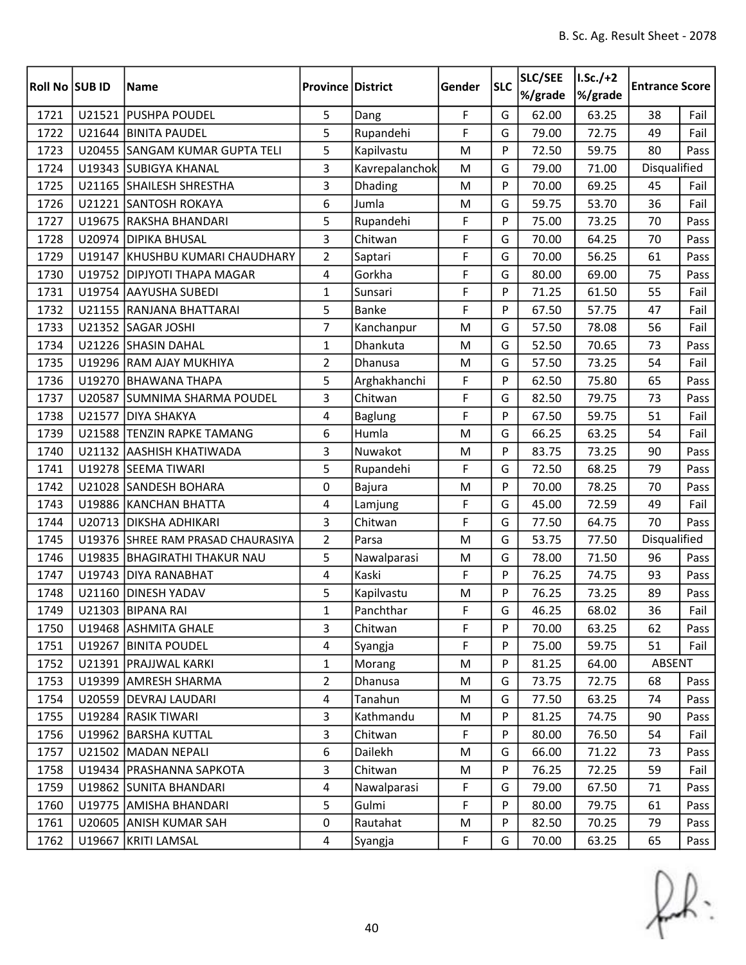| Roll No SUB ID |        | <b>Name</b>                        | <b>Province District</b> |                | Gender | <b>SLC</b> | SLC/SEE<br>%/grade | $I.Sc./+2$<br>%/grade | <b>Entrance Score</b> |      |
|----------------|--------|------------------------------------|--------------------------|----------------|--------|------------|--------------------|-----------------------|-----------------------|------|
| 1721           |        | U21521 PUSHPA POUDEL               | 5                        | Dang           | F      | G          | 62.00              | 63.25                 | 38                    | Fail |
| 1722           |        | U21644 BINITA PAUDEL               | 5                        | Rupandehi      | F      | G          | 79.00              | 72.75                 | 49                    | Fail |
| 1723           |        | U20455 SANGAM KUMAR GUPTA TELI     | 5                        | Kapilvastu     | M      | P          | 72.50              | 59.75                 | 80                    | Pass |
| 1724           |        | U19343 SUBIGYA KHANAL              | 3                        | Kavrepalanchok | M      | G          | 79.00              | 71.00                 | Disqualified          |      |
| 1725           |        | U21165 SHAILESH SHRESTHA           | 3                        | Dhading        | M      | P          | 70.00              | 69.25                 | 45                    | Fail |
| 1726           |        | U21221 SANTOSH ROKAYA              | 6                        | Jumla          | M      | G          | 59.75              | 53.70                 | 36                    | Fail |
| 1727           |        | U19675 RAKSHA BHANDARI             | 5                        | Rupandehi      | F      | P          | 75.00              | 73.25                 | 70                    | Pass |
| 1728           |        | U20974 DIPIKA BHUSAL               | 3                        | Chitwan        | F      | G          | 70.00              | 64.25                 | 70                    | Pass |
| 1729           |        | U19147 KHUSHBU KUMARI CHAUDHARY    | $\overline{2}$           | Saptari        | F      | G          | 70.00              | 56.25                 | 61                    | Pass |
| 1730           |        | U19752 DIPJYOTI THAPA MAGAR        | $\overline{4}$           | Gorkha         | F      | G          | 80.00              | 69.00                 | 75                    | Pass |
| 1731           |        | U19754 AAYUSHA SUBEDI              | $\mathbf{1}$             | Sunsari        | F      | P          | 71.25              | 61.50                 | 55                    | Fail |
| 1732           |        | U21155 RANJANA BHATTARAI           | 5                        | Banke          | F      | P          | 67.50              | 57.75                 | 47                    | Fail |
| 1733           |        | U21352 SAGAR JOSHI                 | 7                        | Kanchanpur     | M      | G          | 57.50              | 78.08                 | 56                    | Fail |
| 1734           |        | U21226 SHASIN DAHAL                | $\mathbf{1}$             | Dhankuta       | M      | G          | 52.50              | 70.65                 | 73                    | Pass |
| 1735           |        | U19296 RAM AJAY MUKHIYA            | $\overline{2}$           | Dhanusa        | M      | G          | 57.50              | 73.25                 | 54                    | Fail |
| 1736           |        | U19270 BHAWANA THAPA               | 5                        | Arghakhanchi   | F      | P          | 62.50              | 75.80                 | 65                    | Pass |
| 1737           |        | U20587 SUMNIMA SHARMA POUDEL       | 3                        | Chitwan        | F      | G          | 82.50              | 79.75                 | 73                    | Pass |
| 1738           | U21577 | <b>DIYA SHAKYA</b>                 | 4                        | <b>Baglung</b> | F      | P          | 67.50              | 59.75                 | 51                    | Fail |
| 1739           |        | U21588 TENZIN RAPKE TAMANG         | 6                        | Humla          | M      | G          | 66.25              | 63.25                 | 54                    | Fail |
| 1740           |        | U21132 AASHISH KHATIWADA           | 3                        | Nuwakot        | M      | P          | 83.75              | 73.25                 | 90                    | Pass |
| 1741           |        | U19278 SEEMA TIWARI                | 5                        | Rupandehi      | F      | G          | 72.50              | 68.25                 | 79                    | Pass |
| 1742           |        | U21028 SANDESH BOHARA              | 0                        | Bajura         | M      | P          | 70.00              | 78.25                 | 70                    | Pass |
| 1743           |        | U19886 KANCHAN BHATTA              | 4                        | Lamjung        | F      | G          | 45.00              | 72.59                 | 49                    | Fail |
| 1744           | U20713 | <b>DIKSHA ADHIKARI</b>             | 3                        | Chitwan        | F      | G          | 77.50              | 64.75                 | 70                    | Pass |
| 1745           |        | U19376 SHREE RAM PRASAD CHAURASIYA | $\overline{2}$           | Parsa          | M      | G          | 53.75              | 77.50                 | Disqualified          |      |
| 1746           | U19835 | <b>BHAGIRATHI THAKUR NAU</b>       | 5                        | Nawalparasi    | M      | G          | 78.00              | 71.50                 | 96                    | Pass |
| 1747           | U19743 | <b>DIYA RANABHAT</b>               | 4                        | Kaski          | F      | P          | 76.25              | 74.75                 | 93                    | Pass |
| 1748           | U21160 | <b>DINESH YADAV</b>                | 5                        | Kapilvastu     | M      | P          | 76.25              | 73.25                 | 89                    | Pass |
| 1749           |        | U21303 BIPANA RAI                  | $\mathbf{1}$             | Panchthar      | F      | G          | 46.25              | 68.02                 | 36                    | Fail |
| 1750           |        | U19468 ASHMITA GHALE               | 3                        | Chitwan        | F      | P          | 70.00              | 63.25                 | 62                    | Pass |
| 1751           |        | U19267 BINITA POUDEL               | 4                        | Syangja        | F      | P          | 75.00              | 59.75                 | 51                    | Fail |
| 1752           |        | U21391 PRAJJWAL KARKI              | $\mathbf{1}$             | Morang         | M      | P          | 81.25              | 64.00                 | ABSENT                |      |
| 1753           |        | U19399 AMRESH SHARMA               | $\overline{2}$           | Dhanusa        | M      | G          | 73.75              | 72.75                 | 68                    | Pass |
| 1754           |        | U20559 DEVRAJ LAUDARI              | $\overline{4}$           | Tanahun        | M      | G          | 77.50              | 63.25                 | 74                    | Pass |
| 1755           |        | U19284 RASIK TIWARI                | 3                        | Kathmandu      | M      | P          | 81.25              | 74.75                 | 90                    | Pass |
| 1756           |        | U19962 BARSHA KUTTAL               | 3                        | Chitwan        | F      | P          | 80.00              | 76.50                 | 54                    | Fail |
| 1757           |        | U21502 MADAN NEPALI                | 6                        | Dailekh        | M      | G          | 66.00              | 71.22                 | 73                    | Pass |
| 1758           |        | U19434   PRASHANNA SAPKOTA         | 3                        | Chitwan        | M      | P          | 76.25              | 72.25                 | 59                    | Fail |
| 1759           |        | U19862 SUNITA BHANDARI             | 4                        | Nawalparasi    | F      | G          | 79.00              | 67.50                 | 71                    | Pass |
| 1760           |        | U19775 AMISHA BHANDARI             | 5                        | Gulmi          | F      | P          | 80.00              | 79.75                 | 61                    | Pass |
| 1761           |        | U20605 ANISH KUMAR SAH             | $\mathbf 0$              | Rautahat       | M      | P          | 82.50              | 70.25                 | 79                    | Pass |
| 1762           |        | U19667 KRITI LAMSAL                | $\overline{4}$           | Syangja        | F      | G          | 70.00              | 63.25                 | 65                    | Pass |

 $f(x)$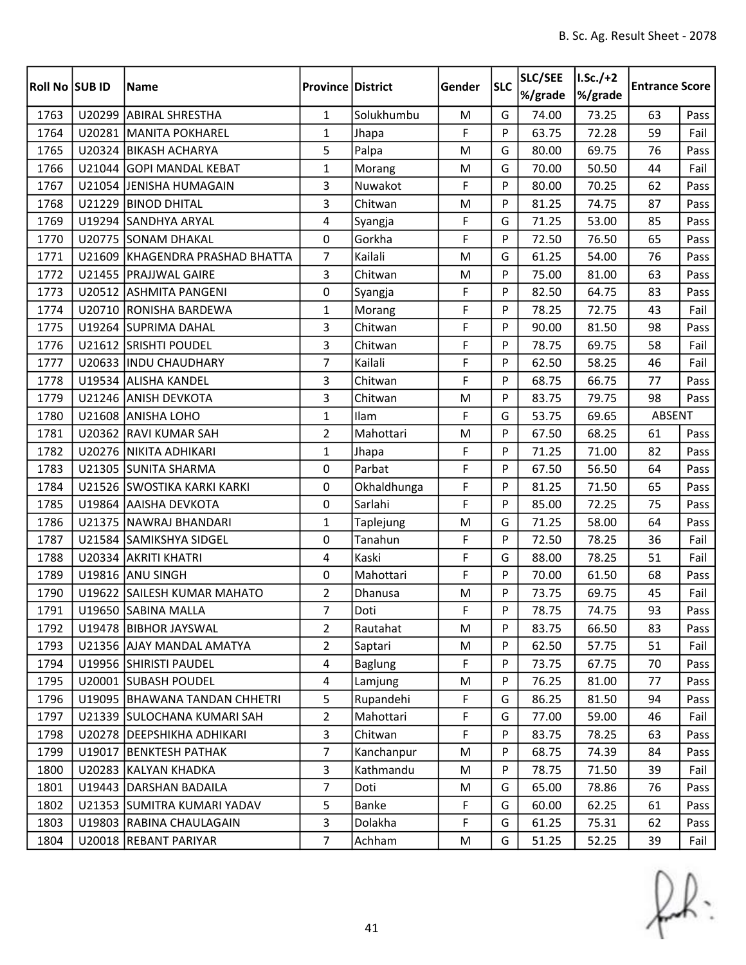| Roll No SUB ID |        | <b>Name</b>                   | <b>Province District</b> |                | Gender | <b>SLC</b> | SLC/SEE<br>%/grade | $I.Sc./+2$<br>%/grade | <b>Entrance Score</b> |      |
|----------------|--------|-------------------------------|--------------------------|----------------|--------|------------|--------------------|-----------------------|-----------------------|------|
| 1763           |        | U20299 ABIRAL SHRESTHA        | $\mathbf{1}$             | Solukhumbu     | M      | G          | 74.00              | 73.25                 | 63                    | Pass |
| 1764           |        | U20281 MANITA POKHAREL        | $\mathbf{1}$             | Jhapa          | F      | P          | 63.75              | 72.28                 | 59                    | Fail |
| 1765           |        | U20324 BIKASH ACHARYA         | 5                        | Palpa          | M      | G          | 80.00              | 69.75                 | 76                    | Pass |
| 1766           |        | U21044 GOPI MANDAL KEBAT      | $\mathbf{1}$             | Morang         | M      | G          | 70.00              | 50.50                 | 44                    | Fail |
| 1767           |        | U21054 JENISHA HUMAGAIN       | 3                        | Nuwakot        | F      | P          | 80.00              | 70.25                 | 62                    | Pass |
| 1768           |        | U21229 BINOD DHITAL           | 3                        | Chitwan        | M      | P          | 81.25              | 74.75                 | 87                    | Pass |
| 1769           |        | U19294 SANDHYA ARYAL          | 4                        | Syangja        | F      | G          | 71.25              | 53.00                 | 85                    | Pass |
| 1770           |        | U20775 SONAM DHAKAL           | 0                        | Gorkha         | F      | P          | 72.50              | 76.50                 | 65                    | Pass |
| 1771           | U21609 | KHAGENDRA PRASHAD BHATTA      | 7                        | Kailali        | M      | G          | 61.25              | 54.00                 | 76                    | Pass |
| 1772           |        | U21455 PRAJJWAL GAIRE         | $\mathbf{3}$             | Chitwan        | M      | P          | 75.00              | 81.00                 | 63                    | Pass |
| 1773           |        | U20512 ASHMITA PANGENI        | $\mathbf 0$              | Syangja        | F      | P          | 82.50              | 64.75                 | 83                    | Pass |
| 1774           |        | U20710 RONISHA BARDEWA        | $\mathbf{1}$             | Morang         | F      | P          | 78.25              | 72.75                 | 43                    | Fail |
| 1775           |        | U19264 SUPRIMA DAHAL          | 3                        | Chitwan        | F      | P          | 90.00              | 81.50                 | 98                    | Pass |
| 1776           |        | U21612 SRISHTI POUDEL         | $\mathbf{3}$             | Chitwan        | F      | P          | 78.75              | 69.75                 | 58                    | Fail |
| 1777           |        | U20633  INDU CHAUDHARY        | $\overline{7}$           | Kailali        | F      | P          | 62.50              | 58.25                 | 46                    | Fail |
| 1778           |        | U19534 ALISHA KANDEL          | 3                        | Chitwan        | F      | P          | 68.75              | 66.75                 | 77                    | Pass |
| 1779           |        | U21246 ANISH DEVKOTA          | 3                        | Chitwan        | M      | P          | 83.75              | 79.75                 | 98                    | Pass |
| 1780           |        | U21608 ANISHA LOHO            | $\mathbf{1}$             | Ilam           | F      | G          | 53.75              | 69.65                 | <b>ABSENT</b>         |      |
| 1781           |        | U20362 RAVI KUMAR SAH         | $\overline{2}$           | Mahottari      | M      | P          | 67.50              | 68.25                 | 61                    | Pass |
| 1782           |        | U20276 NIKITA ADHIKARI        | $\mathbf{1}$             | Jhapa          | F      | P          | 71.25              | 71.00                 | 82                    | Pass |
| 1783           |        | U21305 SUNITA SHARMA          | 0                        | Parbat         | F      | P          | 67.50              | 56.50                 | 64                    | Pass |
| 1784           |        | U21526 SWOSTIKA KARKI KARKI   | 0                        | Okhaldhunga    | F      | P          | 81.25              | 71.50                 | 65                    | Pass |
| 1785           |        | U19864 AAISHA DEVKOTA         | 0                        | Sarlahi        | F      | P          | 85.00              | 72.25                 | 75                    | Pass |
| 1786           |        | U21375 NAWRAJ BHANDARI        | $\mathbf{1}$             | Taplejung      | M      | G          | 71.25              | 58.00                 | 64                    | Pass |
| 1787           |        | U21584 SAMIKSHYA SIDGEL       | 0                        | Tanahun        | F      | P          | 72.50              | 78.25                 | 36                    | Fail |
| 1788           |        | U20334 AKRITI KHATRI          | 4                        | Kaski          | F      | G          | 88.00              | 78.25                 | 51                    | Fail |
| 1789           |        | U19816 ANU SINGH              | 0                        | Mahottari      | F      | P          | 70.00              | 61.50                 | 68                    | Pass |
| 1790           |        | U19622 SAILESH KUMAR MAHATO   | $\overline{2}$           | Dhanusa        | M      | P          | 73.75              | 69.75                 | 45                    | Fail |
| 1791           |        | U19650 SABINA MALLA           | $\overline{7}$           | Doti           | F      | <b>D</b>   | 78.75              | 74.75                 | 93                    | Pass |
| 1792           |        | U19478 BIBHOR JAYSWAL         | $\overline{2}$           | Rautahat       | M      | P          | 83.75              | 66.50                 | 83                    | Pass |
| 1793           |        | U21356 AJAY MANDAL AMATYA     | $\overline{2}$           | Saptari        | M      | P          | 62.50              | 57.75                 | 51                    | Fail |
| 1794           |        | U19956 SHIRISTI PAUDEL        | 4                        | <b>Baglung</b> | F      | P          | 73.75              | 67.75                 | 70                    | Pass |
| 1795           |        | U20001 SUBASH POUDEL          | 4                        | Lamjung        | M      | P          | 76.25              | 81.00                 | 77                    | Pass |
| 1796           |        | U19095 BHAWANA TANDAN CHHETRI | 5                        | Rupandehi      | F      | G          | 86.25              | 81.50                 | 94                    | Pass |
| 1797           |        | U21339 SULOCHANA KUMARI SAH   | $\overline{2}$           | Mahottari      | F      | G          | 77.00              | 59.00                 | 46                    | Fail |
| 1798           |        | U20278 DEEPSHIKHA ADHIKARI    | 3                        | Chitwan        | F      | P          | 83.75              | 78.25                 | 63                    | Pass |
| 1799           |        | U19017 BENKTESH PATHAK        | 7                        | Kanchanpur     | M      | P          | 68.75              | 74.39                 | 84                    | Pass |
| 1800           |        | U20283 KALYAN KHADKA          | 3                        | Kathmandu      | M      | P          | 78.75              | 71.50                 | 39                    | Fail |
| 1801           |        | U19443 DARSHAN BADAILA        | $\overline{7}$           | Doti           | M      | G          | 65.00              | 78.86                 | 76                    | Pass |
| 1802           |        | U21353 SUMITRA KUMARI YADAV   | 5                        | Banke          | F      | G          | 60.00              | 62.25                 | 61                    | Pass |
| 1803           |        | U19803 RABINA CHAULAGAIN      | 3                        | Dolakha        | F      | G          | 61.25              | 75.31                 | 62                    | Pass |
| 1804           |        | U20018 REBANT PARIYAR         | $\overline{7}$           | Achham         | M      | G          | 51.25              | 52.25                 | 39                    | Fail |

 $f(x)$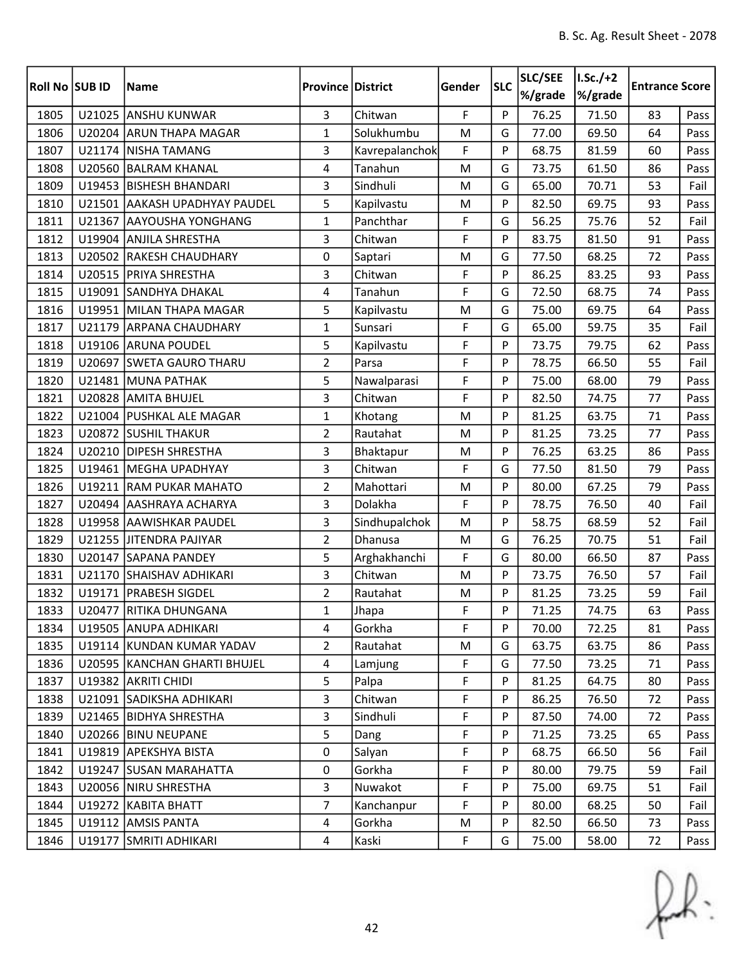| Roll No SUB ID |        | Name                          | <b>Province District</b> |                | Gender | <b>SLC</b> | SLC/SEE<br>%/grade | $I.Sc./+2$<br>%/grade | <b>Entrance Score</b> |      |
|----------------|--------|-------------------------------|--------------------------|----------------|--------|------------|--------------------|-----------------------|-----------------------|------|
| 1805           |        | U21025 ANSHU KUNWAR           | $\overline{3}$           | Chitwan        | F      | P          | 76.25              | 71.50                 | 83                    | Pass |
| 1806           |        | U20204 ARUN THAPA MAGAR       | $\mathbf{1}$             | Solukhumbu     | M      | G          | 77.00              | 69.50                 | 64                    | Pass |
| 1807           |        | U21174 NISHA TAMANG           | 3                        | Kavrepalanchok | F      | P          | 68.75              | 81.59                 | 60                    | Pass |
| 1808           | U20560 | <b>BALRAM KHANAL</b>          | 4                        | Tanahun        | M      | G          | 73.75              | 61.50                 | 86                    | Pass |
| 1809           |        | U19453 BISHESH BHANDARI       | 3                        | Sindhuli       | M      | G          | 65.00              | 70.71                 | 53                    | Fail |
| 1810           |        | U21501 AAKASH UPADHYAY PAUDEL | 5                        | Kapilvastu     | M      | P          | 82.50              | 69.75                 | 93                    | Pass |
| 1811           | U21367 | <b>AAYOUSHA YONGHANG</b>      | $\mathbf{1}$             | Panchthar      | F      | G          | 56.25              | 75.76                 | 52                    | Fail |
| 1812           |        | U19904 ANJILA SHRESTHA        | $\overline{3}$           | Chitwan        | F      | P          | 83.75              | 81.50                 | 91                    | Pass |
| 1813           |        | U20502 RAKESH CHAUDHARY       | 0                        | Saptari        | M      | G          | 77.50              | 68.25                 | 72                    | Pass |
| 1814           |        | U20515   PRIYA SHRESTHA       | 3                        | Chitwan        | F      | P          | 86.25              | 83.25                 | 93                    | Pass |
| 1815           |        | U19091 SANDHYA DHAKAL         | 4                        | Tanahun        | F      | G          | 72.50              | 68.75                 | 74                    | Pass |
| 1816           |        | U19951 MILAN THAPA MAGAR      | 5                        | Kapilvastu     | M      | G          | 75.00              | 69.75                 | 64                    | Pass |
| 1817           |        | U21179 ARPANA CHAUDHARY       | $\mathbf{1}$             | Sunsari        | F      | G          | 65.00              | 59.75                 | 35                    | Fail |
| 1818           |        | U19106 ARUNA POUDEL           | 5                        | Kapilvastu     | F      | P          | 73.75              | 79.75                 | 62                    | Pass |
| 1819           |        | U20697 SWETA GAURO THARU      | $\overline{2}$           | Parsa          | F      | P          | 78.75              | 66.50                 | 55                    | Fail |
| 1820           |        | U21481 MUNA PATHAK            | 5                        | Nawalparasi    | F      | P          | 75.00              | 68.00                 | 79                    | Pass |
| 1821           |        | U20828 AMITA BHUJEL           | 3                        | Chitwan        | F      | P          | 82.50              | 74.75                 | 77                    | Pass |
| 1822           |        | U21004 PUSHKAL ALE MAGAR      | $\mathbf{1}$             | Khotang        | M      | P          | 81.25              | 63.75                 | 71                    | Pass |
| 1823           |        | U20872 SUSHIL THAKUR          | $\overline{2}$           | Rautahat       | M      | P          | 81.25              | 73.25                 | 77                    | Pass |
| 1824           |        | U20210 DIPESH SHRESTHA        | 3                        | Bhaktapur      | M      | P          | 76.25              | 63.25                 | 86                    | Pass |
| 1825           |        | U19461   MEGHA UPADHYAY       | 3                        | Chitwan        | F      | G          | 77.50              | 81.50                 | 79                    | Pass |
| 1826           |        | U19211 RAM PUKAR MAHATO       | $\overline{2}$           | Mahottari      | M      | P          | 80.00              | 67.25                 | 79                    | Pass |
| 1827           |        | U20494 AASHRAYA ACHARYA       | $\overline{\mathbf{3}}$  | Dolakha        | F      | P          | 78.75              | 76.50                 | 40                    | Fail |
| 1828           |        | U19958 AAWISHKAR PAUDEL       | 3                        | Sindhupalchok  | M      | P          | 58.75              | 68.59                 | 52                    | Fail |
| 1829           |        | U21255 JITENDRA PAJIYAR       | $\overline{2}$           | Dhanusa        | M      | G          | 76.25              | 70.75                 | 51                    | Fail |
| 1830           |        | U20147 SAPANA PANDEY          | 5                        | Arghakhanchi   | F      | G          | 80.00              | 66.50                 | 87                    | Pass |
| 1831           |        | U21170 SHAISHAV ADHIKARI      | 3                        | Chitwan        | M      | P          | 73.75              | 76.50                 | 57                    | Fail |
| 1832           |        | U19171   PRABESH SIGDEL       | $\overline{2}$           | Rautahat       | M      | P          | 81.25              | 73.25                 | 59                    | Fail |
| 1833           |        | U20477 RITIKA DHUNGANA        | $\mathbf{1}$             | Jhapa          | F      | P          | 71.25              | 74.75                 | 63                    | Pass |
| 1834           |        | U19505 ANUPA ADHIKARI         | 4                        | Gorkha         | F      | P          | 70.00              | 72.25                 | 81                    | Pass |
| 1835           |        | U19114 KUNDAN KUMAR YADAV     | $\overline{2}$           | Rautahat       | M      | G          | 63.75              | 63.75                 | 86                    | Pass |
| 1836           |        | U20595 KANCHAN GHARTI BHUJEL  | 4                        | Lamjung        | F      | G          | 77.50              | 73.25                 | 71                    | Pass |
| 1837           |        | U19382 AKRITI CHIDI           | 5                        | Palpa          | F      | P          | 81.25              | 64.75                 | 80                    | Pass |
| 1838           |        | U21091 SADIKSHA ADHIKARI      | 3                        | Chitwan        | F      | P          | 86.25              | 76.50                 | 72                    | Pass |
| 1839           |        | U21465 BIDHYA SHRESTHA        | 3                        | Sindhuli       | F      | P          | 87.50              | 74.00                 | 72                    | Pass |
| 1840           |        | U20266 BINU NEUPANE           | 5                        | Dang           | F      | P          | 71.25              | 73.25                 | 65                    | Pass |
| 1841           |        | U19819 APEKSHYA BISTA         | 0                        | Salyan         | F      | P          | 68.75              | 66.50                 | 56                    | Fail |
| 1842           |        | U19247 SUSAN MARAHATTA        | 0                        | Gorkha         | F      | P          | 80.00              | 79.75                 | 59                    | Fail |
| 1843           |        | U20056 NIRU SHRESTHA          | 3                        | Nuwakot        | F      | P          | 75.00              | 69.75                 | 51                    | Fail |
| 1844           |        | U19272 KABITA BHATT           | $\overline{7}$           | Kanchanpur     | F      | P          | 80.00              | 68.25                 | 50                    | Fail |
| 1845           |        | U19112 AMSIS PANTA            | $\overline{a}$           | Gorkha         | M      | P          | 82.50              | 66.50                 | 73                    | Pass |
| 1846           |        | U19177 SMRITI ADHIKARI        | $\overline{a}$           | Kaski          | F      | G          | 75.00              | 58.00                 | 72                    | Pass |

 $f(x)$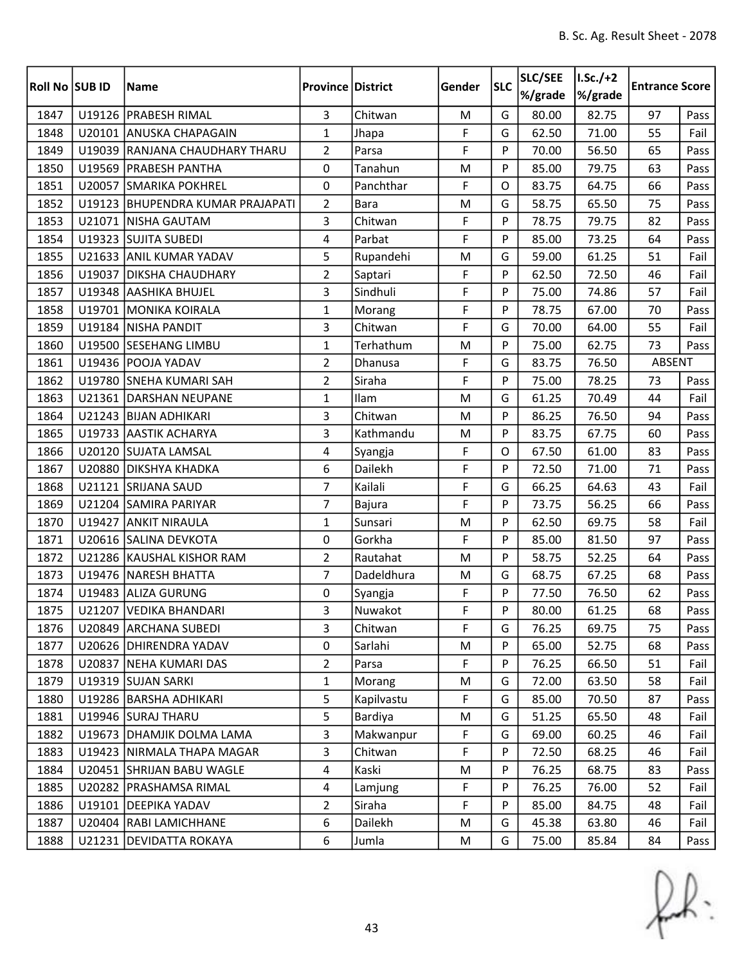| Roll No SUB ID |        | <b>Name</b>                      | <b>Province District</b> |               | Gender | <b>SLC</b> | SLC/SEE<br>%/grade | $I.Sc./+2$<br>%/grade | <b>Entrance Score</b> |      |
|----------------|--------|----------------------------------|--------------------------|---------------|--------|------------|--------------------|-----------------------|-----------------------|------|
| 1847           |        | U19126 PRABESH RIMAL             | $\overline{3}$           | Chitwan       | M      | G          | 80.00              | 82.75                 | 97                    | Pass |
| 1848           |        | U20101 ANUSKA CHAPAGAIN          | $\mathbf{1}$             | Jhapa         | F      | G          | 62.50              | 71.00                 | 55                    | Fail |
| 1849           |        | U19039 RANJANA CHAUDHARY THARU   | $\overline{2}$           | Parsa         | F      | P          | 70.00              | 56.50                 | 65                    | Pass |
| 1850           |        | U19569   PRABESH PANTHA          | 0                        | Tanahun       | M      | P          | 85.00              | 79.75                 | 63                    | Pass |
| 1851           |        | U20057 SMARIKA POKHREL           | 0                        | Panchthar     | F      | $\Omega$   | 83.75              | 64.75                 | 66                    | Pass |
| 1852           |        | U19123 BHUPENDRA KUMAR PRAJAPATI | $\overline{2}$           | <b>Bara</b>   | M      | G          | 58.75              | 65.50                 | 75                    | Pass |
| 1853           |        | U21071   NISHA GAUTAM            | 3                        | Chitwan       | F      | P          | 78.75              | 79.75                 | 82                    | Pass |
| 1854           |        | U19323 SUJITA SUBEDI             | $\overline{4}$           | Parbat        | F      | P          | 85.00              | 73.25                 | 64                    | Pass |
| 1855           |        | U21633 ANIL KUMAR YADAV          | 5                        | Rupandehi     | M      | G          | 59.00              | 61.25                 | 51                    | Fail |
| 1856           | U19037 | <b>DIKSHA CHAUDHARY</b>          | $\overline{2}$           | Saptari       | F      | P          | 62.50              | 72.50                 | 46                    | Fail |
| 1857           |        | U19348 AASHIKA BHUJEL            | 3                        | Sindhuli      | F      | P          | 75.00              | 74.86                 | 57                    | Fail |
| 1858           |        | U19701 MONIKA KOIRALA            | $\mathbf{1}$             | Morang        | F      | P          | 78.75              | 67.00                 | 70                    | Pass |
| 1859           |        | U19184 NISHA PANDIT              | 3                        | Chitwan       | F      | G          | 70.00              | 64.00                 | 55                    | Fail |
| 1860           | U19500 | <b>SESEHANG LIMBU</b>            | $\mathbf{1}$             | Terhathum     | M      | P          | 75.00              | 62.75                 | 73                    | Pass |
| 1861           |        | U19436 POOJA YADAV               | $\overline{2}$           | Dhanusa       | F      | G          | 83.75              | 76.50                 | ABSENT                |      |
| 1862           |        | U19780 SNEHA KUMARI SAH          | $\overline{2}$           | Siraha        | F      | P          | 75.00              | 78.25                 | 73                    | Pass |
| 1863           |        | U21361 DARSHAN NEUPANE           | $\mathbf{1}$             | Ilam          | M      | G          | 61.25              | 70.49                 | 44                    | Fail |
| 1864           |        | U21243 BIJAN ADHIKARI            | 3                        | Chitwan       | M      | P          | 86.25              | 76.50                 | 94                    | Pass |
| 1865           |        | U19733 AASTIK ACHARYA            | 3                        | Kathmandu     | M      | P          | 83.75              | 67.75                 | 60                    | Pass |
| 1866           |        | U20120 SUJATA LAMSAL             | 4                        | Syangja       | F      | $\Omega$   | 67.50              | 61.00                 | 83                    | Pass |
| 1867           | U20880 | <b>DIKSHYA KHADKA</b>            | 6                        | Dailekh       | F      | P          | 72.50              | 71.00                 | 71                    | Pass |
| 1868           | U21121 | <b>SRIJANA SAUD</b>              | $\overline{7}$           | Kailali       | F      | G          | 66.25              | 64.63                 | 43                    | Fail |
| 1869           |        | U21204 SAMIRA PARIYAR            | 7                        | <b>Bajura</b> | F      | P          | 73.75              | 56.25                 | 66                    | Pass |
| 1870           | U19427 | <b>ANKIT NIRAULA</b>             | $\mathbf{1}$             | Sunsari       | M      | P          | 62.50              | 69.75                 | 58                    | Fail |
| 1871           |        | U20616 SALINA DEVKOTA            | 0                        | Gorkha        | F      | P          | 85.00              | 81.50                 | 97                    | Pass |
| 1872           |        | U21286 KAUSHAL KISHOR RAM        | $\overline{2}$           | Rautahat      | M      | P          | 58.75              | 52.25                 | 64                    | Pass |
| 1873           |        | U19476 NARESH BHATTA             | $\overline{7}$           | Dadeldhura    | M      | G          | 68.75              | 67.25                 | 68                    | Pass |
| 1874           |        | U19483 ALIZA GURUNG              | 0                        | Syangja       | F      | P          | 77.50              | 76.50                 | 62                    | Pass |
| 1875           |        | U21207 VEDIKA BHANDARI           | 3                        | Nuwakot       | F      | Þ          | 80.00              | 61.25                 | 68                    | Pass |
| 1876           |        | U20849 ARCHANA SUBEDI            | 3                        | Chitwan       | F      | G          | 76.25              | 69.75                 | 75                    | Pass |
| 1877           |        | U20626 DHIRENDRA YADAV           | 0                        | Sarlahi       | M      | P          | 65.00              | 52.75                 | 68                    | Pass |
| 1878           |        | U20837 NEHA KUMARI DAS           | $\overline{2}$           | Parsa         | F      | P          | 76.25              | 66.50                 | 51                    | Fail |
| 1879           |        | U19319 SUJAN SARKI               | $\mathbf{1}$             | Morang        | M      | G          | 72.00              | 63.50                 | 58                    | Fail |
| 1880           |        | U19286 BARSHA ADHIKARI           | 5                        | Kapilvastu    | F      | G          | 85.00              | 70.50                 | 87                    | Pass |
| 1881           |        | U19946 SURAJ THARU               | 5                        | Bardiya       | M      | G          | 51.25              | 65.50                 | 48                    | Fail |
| 1882           |        | U19673 DHAMJIK DOLMA LAMA        | 3                        | Makwanpur     | F      | G          | 69.00              | 60.25                 | 46                    | Fail |
| 1883           |        | U19423 NIRMALA THAPA MAGAR       | 3                        | Chitwan       | F      | P          | 72.50              | 68.25                 | 46                    | Fail |
| 1884           |        | U20451 SHRIJAN BABU WAGLE        | 4                        | Kaski         | M      | P          | 76.25              | 68.75                 | 83                    | Pass |
| 1885           |        | U20282 PRASHAMSA RIMAL           | 4                        | Lamjung       | F      | P          | 76.25              | 76.00                 | 52                    | Fail |
| 1886           |        | U19101   DEEPIKA YADAV           | $\overline{2}$           | Siraha        | F      | P          | 85.00              | 84.75                 | 48                    | Fail |
| 1887           | U20404 | <b>RABI LAMICHHANE</b>           | 6                        | Dailekh       | M      | G          | 45.38              | 63.80                 | 46                    | Fail |
| 1888           |        | U21231   DEVIDATTA ROKAYA        | 6                        | Jumla         | M      | G          | 75.00              | 85.84                 | 84                    | Pass |

 $f(x)$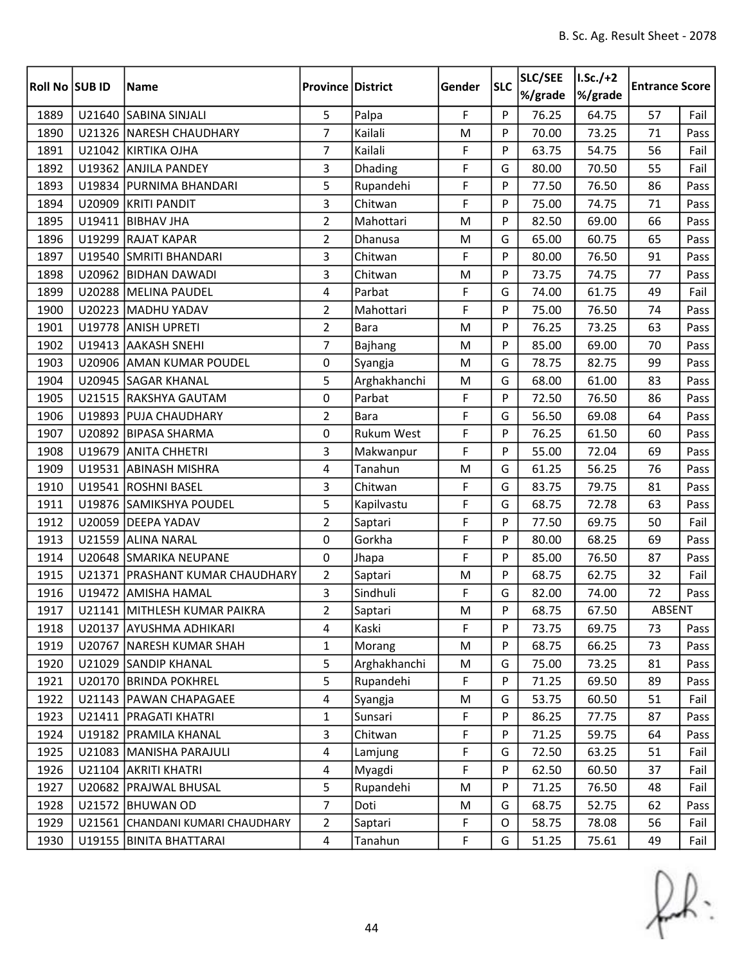| Roll No SUB ID |        | <b>Name</b>                     | <b>Province District</b> |                   | Gender | <b>SLC</b> | SLC/SEE<br>%/grade | $I.Sc./+2$<br>%/grade | <b>Entrance Score</b> |      |
|----------------|--------|---------------------------------|--------------------------|-------------------|--------|------------|--------------------|-----------------------|-----------------------|------|
| 1889           |        | U21640 SABINA SINJALI           | 5                        | Palpa             | F      | P          | 76.25              | 64.75                 | 57                    | Fail |
| 1890           |        | U21326 NARESH CHAUDHARY         | $\overline{7}$           | Kailali           | M      | P          | 70.00              | 73.25                 | 71                    | Pass |
| 1891           |        | U21042 KIRTIKA OJHA             | $\overline{7}$           | Kailali           | F      | P          | 63.75              | 54.75                 | 56                    | Fail |
| 1892           |        | U19362 ANJILA PANDEY            | 3                        | Dhading           | F      | G          | 80.00              | 70.50                 | 55                    | Fail |
| 1893           | U19834 | <b>PURNIMA BHANDARI</b>         | 5                        | Rupandehi         | F      | P          | 77.50              | 76.50                 | 86                    | Pass |
| 1894           |        | U20909 KRITI PANDIT             | 3                        | Chitwan           | F      | P          | 75.00              | 74.75                 | 71                    | Pass |
| 1895           | U19411 | <b>BIBHAV JHA</b>               | $\overline{2}$           | Mahottari         | M      | P          | 82.50              | 69.00                 | 66                    | Pass |
| 1896           |        | U19299 RAJAT KAPAR              | $\overline{2}$           | Dhanusa           | M      | G          | 65.00              | 60.75                 | 65                    | Pass |
| 1897           |        | U19540 SMRITI BHANDARI          | 3                        | Chitwan           | F      | P          | 80.00              | 76.50                 | 91                    | Pass |
| 1898           | U20962 | <b>BIDHAN DAWADI</b>            | 3                        | Chitwan           | M      | P          | 73.75              | 74.75                 | 77                    | Pass |
| 1899           |        | U20288 MELINA PAUDEL            | 4                        | Parbat            | F      | G          | 74.00              | 61.75                 | 49                    | Fail |
| 1900           |        | U20223 MADHU YADAV              | $\overline{2}$           | Mahottari         | F      | P          | 75.00              | 76.50                 | 74                    | Pass |
| 1901           |        | U19778 ANISH UPRETI             | $\overline{2}$           | <b>Bara</b>       | M      | P          | 76.25              | 73.25                 | 63                    | Pass |
| 1902           | U19413 | <b>AAKASH SNEHI</b>             | $\overline{7}$           | Bajhang           | M      | P          | 85.00              | 69.00                 | 70                    | Pass |
| 1903           |        | U20906 AMAN KUMAR POUDEL        | 0                        | Syangja           | M      | G          | 78.75              | 82.75                 | 99                    | Pass |
| 1904           |        | U20945 SAGAR KHANAL             | 5                        | Arghakhanchi      | M      | G          | 68.00              | 61.00                 | 83                    | Pass |
| 1905           |        | U21515 RAKSHYA GAUTAM           | 0                        | Parbat            | F      | P          | 72.50              | 76.50                 | 86                    | Pass |
| 1906           |        | U19893 PUJA CHAUDHARY           | $\overline{2}$           | <b>Bara</b>       | F      | G          | 56.50              | 69.08                 | 64                    | Pass |
| 1907           |        | U20892 BIPASA SHARMA            | 0                        | <b>Rukum West</b> | F      | P          | 76.25              | 61.50                 | 60                    | Pass |
| 1908           |        | U19679 ANITA CHHETRI            | 3                        | Makwanpur         | F      | P          | 55.00              | 72.04                 | 69                    | Pass |
| 1909           |        | U19531 ABINASH MISHRA           | 4                        | Tanahun           | M      | G          | 61.25              | 56.25                 | 76                    | Pass |
| 1910           |        | U19541 ROSHNI BASEL             | 3                        | Chitwan           | F      | G          | 83.75              | 79.75                 | 81                    | Pass |
| 1911           |        | U19876 SAMIKSHYA POUDEL         | 5                        | Kapilvastu        | F      | G          | 68.75              | 72.78                 | 63                    | Pass |
| 1912           | U20059 | <b>DEEPA YADAV</b>              | $\overline{2}$           | Saptari           | F      | P          | 77.50              | 69.75                 | 50                    | Fail |
| 1913           |        | U21559 ALINA NARAL              | 0                        | Gorkha            | F      | P          | 80.00              | 68.25                 | 69                    | Pass |
| 1914           |        | U20648 SMARIKA NEUPANE          | 0                        | Jhapa             | F      | P          | 85.00              | 76.50                 | 87                    | Pass |
| 1915           | U21371 | <b>PRASHANT KUMAR CHAUDHARY</b> | $\overline{2}$           | Saptari           | M      | P          | 68.75              | 62.75                 | 32                    | Fail |
| 1916           |        | U19472 AMISHA HAMAL             | 3                        | Sindhuli          | F      | G          | 82.00              | 74.00                 | 72                    | Pass |
| 1917           |        | U21141 MITHLESH KUMAR PAIKRA    | $\overline{2}$           | Saptari           | M      | Þ          | 68.75              | 67.50                 | ABSENT                |      |
| 1918           |        | U20137 AYUSHMA ADHIKARI         | 4                        | Kaski             | F      | P          | 73.75              | 69.75                 | 73                    | Pass |
| 1919           |        | U20767 NARESH KUMAR SHAH        | 1                        | Morang            | M      | P          | 68.75              | 66.25                 | 73                    | Pass |
| 1920           |        | U21029 SANDIP KHANAL            | 5                        | Arghakhanchi      | M      | G          | 75.00              | 73.25                 | 81                    | Pass |
| 1921           | U20170 | <b>BRINDA POKHREL</b>           | 5                        | Rupandehi         | F      | P          | 71.25              | 69.50                 | 89                    | Pass |
| 1922           |        | U21143   PAWAN CHAPAGAEE        | $\overline{4}$           | Syangja           | M      | G          | 53.75              | 60.50                 | 51                    | Fail |
| 1923           |        | U21411   PRAGATI KHATRI         | $\mathbf{1}$             | Sunsari           | F      | P          | 86.25              | 77.75                 | 87                    | Pass |
| 1924           |        | U19182 PRAMILA KHANAL           | 3                        | Chitwan           | F      | P          | 71.25              | 59.75                 | 64                    | Pass |
| 1925           |        | U21083 MANISHA PARAJULI         | $\overline{4}$           | Lamjung           | F      | G          | 72.50              | 63.25                 | 51                    | Fail |
| 1926           |        | U21104 AKRITI KHATRI            | 4                        | Myagdi            | F      | P          | 62.50              | 60.50                 | 37                    | Fail |
| 1927           |        | U20682   PRAJWAL BHUSAL         | 5                        | Rupandehi         | M      | P          | 71.25              | 76.50                 | 48                    | Fail |
| 1928           |        | U21572 BHUWAN OD                | $\overline{7}$           | Doti              | M      | G          | 68.75              | 52.75                 | 62                    | Pass |
| 1929           | U21561 | CHANDANI KUMARI CHAUDHARY       | $\overline{2}$           | Saptari           | F      | 0          | 58.75              | 78.08                 | 56                    | Fail |
| 1930           |        | U19155   BINITA BHATTARAI       | $\overline{4}$           | Tanahun           | F      | G          | 51.25              | 75.61                 | 49                    | Fail |

 $f(x)$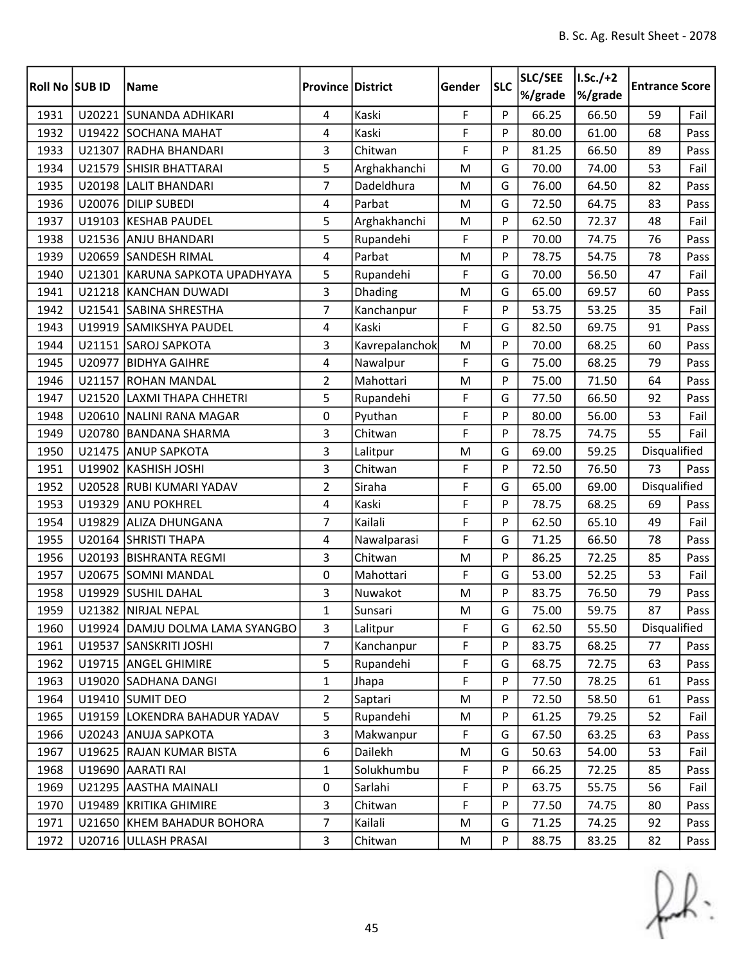| Roll No SUB ID |        | Name                            | <b>Province District</b> |                | Gender | <b>SLC</b> | SLC/SEE<br>%/grade | $I.Sc./+2$<br>%/grade | <b>Entrance Score</b> |      |
|----------------|--------|---------------------------------|--------------------------|----------------|--------|------------|--------------------|-----------------------|-----------------------|------|
| 1931           |        | U20221 SUNANDA ADHIKARI         | 4                        | Kaski          | F      | P          | 66.25              | 66.50                 | 59                    | Fail |
| 1932           |        | U19422 SOCHANA MAHAT            | 4                        | Kaski          | F      | P          | 80.00              | 61.00                 | 68                    | Pass |
| 1933           |        | U21307 RADHA BHANDARI           | 3                        | Chitwan        | F      | P          | 81.25              | 66.50                 | 89                    | Pass |
| 1934           | U21579 | <b>SHISIR BHATTARAI</b>         | 5                        | Arghakhanchi   | M      | G          | 70.00              | 74.00                 | 53                    | Fail |
| 1935           |        | U20198 LALIT BHANDARI           | $\overline{7}$           | Dadeldhura     | M      | G          | 76.00              | 64.50                 | 82                    | Pass |
| 1936           |        | U20076 DILIP SUBEDI             | 4                        | Parbat         | M      | G          | 72.50              | 64.75                 | 83                    | Pass |
| 1937           |        | U19103 KESHAB PAUDEL            | 5                        | Arghakhanchi   | M      | P          | 62.50              | 72.37                 | 48                    | Fail |
| 1938           |        | U21536 ANJU BHANDARI            | 5                        | Rupandehi      | F      | P          | 70.00              | 74.75                 | 76                    | Pass |
| 1939           |        | U20659 SANDESH RIMAL            | $\overline{4}$           | Parbat         | M      | P          | 78.75              | 54.75                 | 78                    | Pass |
| 1940           |        | U21301 KARUNA SAPKOTA UPADHYAYA | 5                        | Rupandehi      | F      | G          | 70.00              | 56.50                 | 47                    | Fail |
| 1941           |        | U21218 KANCHAN DUWADI           | 3                        | Dhading        | M      | G          | 65.00              | 69.57                 | 60                    | Pass |
| 1942           |        | U21541 SABINA SHRESTHA          | $\overline{7}$           | Kanchanpur     | F      | P          | 53.75              | 53.25                 | 35                    | Fail |
| 1943           |        | U19919 SAMIKSHYA PAUDEL         | 4                        | Kaski          | F      | G          | 82.50              | 69.75                 | 91                    | Pass |
| 1944           |        | U21151 SAROJ SAPKOTA            | 3                        | Kavrepalanchok | M      | P          | 70.00              | 68.25                 | 60                    | Pass |
| 1945           |        | U20977 BIDHYA GAIHRE            | 4                        | Nawalpur       | F      | G          | 75.00              | 68.25                 | 79                    | Pass |
| 1946           |        | U21157 ROHAN MANDAL             | $\overline{2}$           | Mahottari      | M      | P          | 75.00              | 71.50                 | 64                    | Pass |
| 1947           | U21520 | <b>LAXMI THAPA CHHETRI</b>      | 5                        | Rupandehi      | F      | G          | 77.50              | 66.50                 | 92                    | Pass |
| 1948           |        | U20610 NALINI RANA MAGAR        | 0                        | Pyuthan        | F      | P          | 80.00              | 56.00                 | 53                    | Fail |
| 1949           | U20780 | BANDANA SHARMA                  | 3                        | Chitwan        | F      | P          | 78.75              | 74.75                 | 55                    | Fail |
| 1950           |        | U21475 ANUP SAPKOTA             | 3                        | Lalitpur       | M      | G          | 69.00              | 59.25                 | Disqualified          |      |
| 1951           |        | U19902 KASHISH JOSHI            | 3                        | Chitwan        | F      | P          | 72.50              | 76.50                 | 73                    | Pass |
| 1952           |        | U20528 RUBI KUMARI YADAV        | $\overline{2}$           | Siraha         | F      | G          | 65.00              | 69.00                 | Disqualified          |      |
| 1953           |        | U19329 ANU POKHREL              | $\overline{4}$           | Kaski          | F      | P          | 78.75              | 68.25                 | 69                    | Pass |
| 1954           | U19829 | <b>ALIZA DHUNGANA</b>           | 7                        | Kailali        | F      | P          | 62.50              | 65.10                 | 49                    | Fail |
| 1955           |        | U20164 SHRISTI THAPA            | 4                        | Nawalparasi    | F      | G          | 71.25              | 66.50                 | 78                    | Pass |
| 1956           |        | U20193 BISHRANTA REGMI          | $\overline{3}$           | Chitwan        | M      | P          | 86.25              | 72.25                 | 85                    | Pass |
| 1957           |        | U20675 SOMNI MANDAL             | $\mathbf 0$              | Mahottari      | F      | G          | 53.00              | 52.25                 | 53                    | Fail |
| 1958           | U19929 | <b>SUSHIL DAHAL</b>             | 3                        | Nuwakot        | M      | P          | 83.75              | 76.50                 | 79                    | Pass |
| 1959           |        | U21382 NIRJAL NEPAL             | $\mathbf 1$              | Sunsari        | M      | G          | 75.00              | 59.75                 | 87                    | Pass |
| 1960           |        | U19924 DAMJU DOLMA LAMA SYANGBO | 3                        | Lalitpur       | F      | G          | 62.50              | 55.50                 | Disqualified          |      |
| 1961           |        | U19537 SANSKRITI JOSHI          | $\overline{7}$           | Kanchanpur     | F      | P          | 83.75              | 68.25                 | 77                    | Pass |
| 1962           |        | U19715 ANGEL GHIMIRE            | 5                        | Rupandehi      | F      | G          | 68.75              | 72.75                 | 63                    | Pass |
| 1963           |        | U19020 SADHANA DANGI            | $\mathbf{1}$             | Jhapa          | F      | P          | 77.50              | 78.25                 | 61                    | Pass |
| 1964           |        | U19410 SUMIT DEO                | $\overline{2}$           | Saptari        | M      | P          | 72.50              | 58.50                 | 61                    | Pass |
| 1965           |        | U19159 LOKENDRA BAHADUR YADAV   | 5                        | Rupandehi      | M      | P          | 61.25              | 79.25                 | 52                    | Fail |
| 1966           |        | U20243 ANUJA SAPKOTA            | 3                        | Makwanpur      | F      | G          | 67.50              | 63.25                 | 63                    | Pass |
| 1967           |        | U19625 RAJAN KUMAR BISTA        | 6                        | Dailekh        | M      | G          | 50.63              | 54.00                 | 53                    | Fail |
| 1968           |        | U19690 AARATI RAI               | $\mathbf{1}$             | Solukhumbu     | F      | P          | 66.25              | 72.25                 | 85                    | Pass |
| 1969           |        | U21295 AASTHA MAINALI           | 0                        | Sarlahi        | F      | P          | 63.75              | 55.75                 | 56                    | Fail |
| 1970           |        | U19489 KRITIKA GHIMIRE          | 3                        | Chitwan        | F      | P          | 77.50              | 74.75                 | 80                    | Pass |
| 1971           | U21650 | KHEM BAHADUR BOHORA             | $\overline{7}$           | Kailali        | M      | G          | 71.25              | 74.25                 | 92                    | Pass |
| 1972           |        | U20716 ULLASH PRASAI            | 3                        | Chitwan        | M      | P          | 88.75              | 83.25                 | 82                    | Pass |

 $f(x)$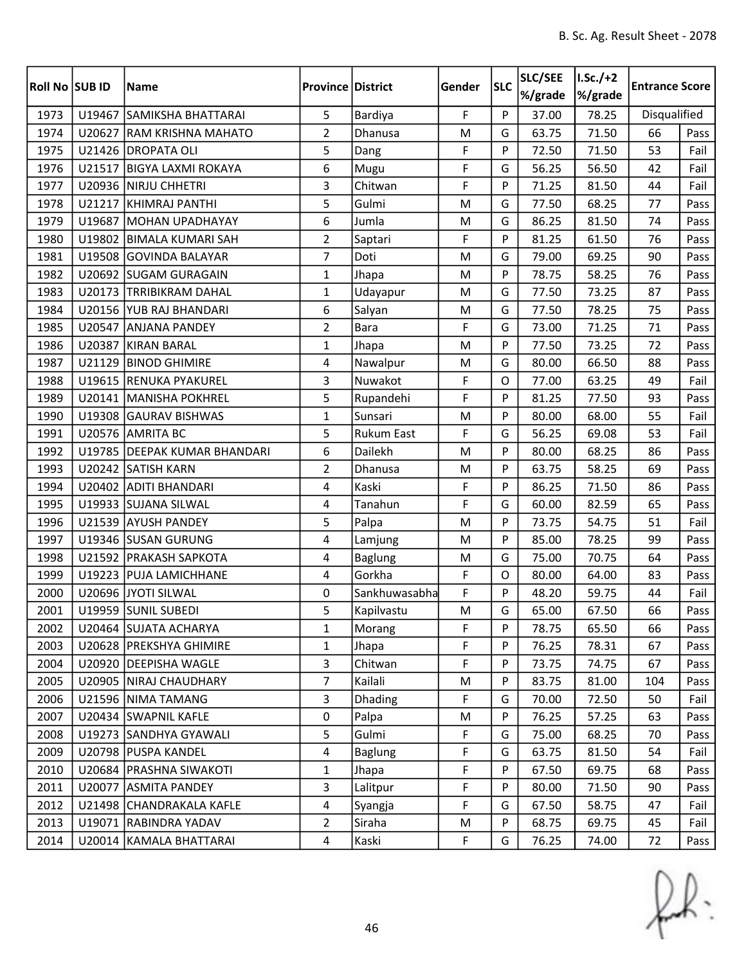| Roll No SUB ID |        | <b>Name</b>                  | <b>Province District</b> |                   | Gender | <b>SLC</b> | SLC/SEE<br>%/grade | $I.Sc./+2$<br>%/grade | <b>Entrance Score</b> |      |
|----------------|--------|------------------------------|--------------------------|-------------------|--------|------------|--------------------|-----------------------|-----------------------|------|
| 1973           | U19467 | SAMIKSHA BHATTARAI           | 5                        | Bardiya           | F      | P          | 37.00              | 78.25                 | Disqualified          |      |
| 1974           | U20627 | <b>RAM KRISHNA MAHATO</b>    | $\overline{2}$           | Dhanusa           | M      | G          | 63.75              | 71.50                 | 66                    | Pass |
| 1975           |        | U21426 DROPATA OLI           | 5                        | Dang              | F      | P          | 72.50              | 71.50                 | 53                    | Fail |
| 1976           |        | U21517 BIGYA LAXMI ROKAYA    | 6                        | Mugu              | F      | G          | 56.25              | 56.50                 | 42                    | Fail |
| 1977           | U20936 | NIRJU CHHETRI                | 3                        | Chitwan           | F      | P          | 71.25              | 81.50                 | 44                    | Fail |
| 1978           |        | U21217 KHIMRAJ PANTHI        | 5                        | Gulmi             | M      | G          | 77.50              | 68.25                 | 77                    | Pass |
| 1979           | U19687 | <b>MOHAN UPADHAYAY</b>       | 6                        | Jumla             | M      | G          | 86.25              | 81.50                 | 74                    | Pass |
| 1980           |        | U19802 BIMALA KUMARI SAH     | $\overline{2}$           | Saptari           | F      | P          | 81.25              | 61.50                 | 76                    | Pass |
| 1981           |        | U19508 GOVINDA BALAYAR       | $\overline{7}$           | Doti              | M      | G          | 79.00              | 69.25                 | 90                    | Pass |
| 1982           |        | U20692 SUGAM GURAGAIN        | $\mathbf{1}$             | Jhapa             | M      | P          | 78.75              | 58.25                 | 76                    | Pass |
| 1983           |        | U20173 TRRIBIKRAM DAHAL      | $\mathbf{1}$             | Udayapur          | M      | G          | 77.50              | 73.25                 | 87                    | Pass |
| 1984           |        | U20156 YUB RAJ BHANDARI      | 6                        | Salyan            | M      | G          | 77.50              | 78.25                 | 75                    | Pass |
| 1985           |        | U20547 ANJANA PANDEY         | $\overline{2}$           | <b>Bara</b>       | F      | G          | 73.00              | 71.25                 | 71                    | Pass |
| 1986           | U20387 | KIRAN BARAL                  | $\mathbf{1}$             | Jhapa             | M      | P          | 77.50              | 73.25                 | 72                    | Pass |
| 1987           | U21129 | <b>BINOD GHIMIRE</b>         | 4                        | Nawalpur          | M      | G          | 80.00              | 66.50                 | 88                    | Pass |
| 1988           |        | U19615 RENUKA PYAKUREL       | $\mathbf{3}$             | Nuwakot           | F      | O          | 77.00              | 63.25                 | 49                    | Fail |
| 1989           |        | U20141   MANISHA POKHREL     | 5                        | Rupandehi         | F      | P          | 81.25              | 77.50                 | 93                    | Pass |
| 1990           | U19308 | <b>GAURAV BISHWAS</b>        | $\mathbf{1}$             | Sunsari           | M      | P          | 80.00              | 68.00                 | 55                    | Fail |
| 1991           |        | U20576 AMRITA BC             | 5                        | <b>Rukum East</b> | F      | G          | 56.25              | 69.08                 | 53                    | Fail |
| 1992           |        | U19785 DEEPAK KUMAR BHANDARI | 6                        | Dailekh           | M      | P          | 80.00              | 68.25                 | 86                    | Pass |
| 1993           |        | U20242 SATISH KARN           | $\overline{2}$           | Dhanusa           | M      | P          | 63.75              | 58.25                 | 69                    | Pass |
| 1994           |        | U20402 ADITI BHANDARI        | 4                        | Kaski             | F      | P          | 86.25              | 71.50                 | 86                    | Pass |
| 1995           |        | U19933 SUJANA SILWAL         | 4                        | Tanahun           | F      | G          | 60.00              | 82.59                 | 65                    | Pass |
| 1996           |        | U21539 AYUSH PANDEY          | 5                        | Palpa             | M      | P          | 73.75              | 54.75                 | 51                    | Fail |
| 1997           |        | U19346 SUSAN GURUNG          | 4                        | Lamjung           | M      | P          | 85.00              | 78.25                 | 99                    | Pass |
| 1998           |        | U21592   PRAKASH SAPKOTA     | 4                        | <b>Baglung</b>    | M      | G          | 75.00              | 70.75                 | 64                    | Pass |
| 1999           |        | U19223 PUJA LAMICHHANE       | $\overline{4}$           | Gorkha            | F      | O          | 80.00              | 64.00                 | 83                    | Pass |
| 2000           |        | U20696 JYOTI SILWAL          | 0                        | Sankhuwasabha     | F      | P          | 48.20              | 59.75                 | 44                    | Fail |
| 2001           |        | U19959 SUNIL SUBEDI          | 5                        | Kapilvastu        | M      | G          | 65.00              | 67.50                 | 66                    | Pass |
| 2002           |        | U20464 SUJATA ACHARYA        | 1                        | Morang            | F      | P          | 78.75              | 65.50                 | 66                    | Pass |
| 2003           |        | U20628   PREKSHYA GHIMIRE    | 1                        | Jhapa             | F      | P          | 76.25              | 78.31                 | 67                    | Pass |
| 2004           |        | U20920 DEEPISHA WAGLE        | $\overline{3}$           | Chitwan           | F      | P          | 73.75              | 74.75                 | 67                    | Pass |
| 2005           |        | U20905 NIRAJ CHAUDHARY       | $\overline{7}$           | Kailali           | M      | P          | 83.75              | 81.00                 | 104                   | Pass |
| 2006           |        | U21596 NIMA TAMANG           | 3                        | <b>Dhading</b>    | F      | G          | 70.00              | 72.50                 | 50                    | Fail |
| 2007           |        | U20434 SWAPNIL KAFLE         | $\mathbf 0$              | Palpa             | M      | P          | 76.25              | 57.25                 | 63                    | Pass |
| 2008           |        | U19273 SANDHYA GYAWALI       | 5                        | Gulmi             | F      | G          | 75.00              | 68.25                 | 70                    | Pass |
| 2009           |        | U20798 PUSPA KANDEL          | 4                        | <b>Baglung</b>    | F      | G          | 63.75              | 81.50                 | 54                    | Fail |
| 2010           |        | U20684   PRASHNA SIWAKOTI    | $\mathbf{1}$             | Jhapa             | F      | P          | 67.50              | 69.75                 | 68                    | Pass |
| 2011           |        | U20077 ASMITA PANDEY         | 3                        | Lalitpur          | F      | P          | 80.00              | 71.50                 | 90                    | Pass |
| 2012           |        | U21498 CHANDRAKALA KAFLE     | 4                        | Syangja           | F      | G          | 67.50              | 58.75                 | 47                    | Fail |
| 2013           | U19071 | <b>RABINDRA YADAV</b>        | $\overline{2}$           | Siraha            | M      | P          | 68.75              | 69.75                 | 45                    | Fail |
| 2014           |        | U20014   KAMALA BHATTARAI    | $\overline{4}$           | Kaski             | F      | G          | 76.25              | 74.00                 | 72                    | Pass |

 $f(x)$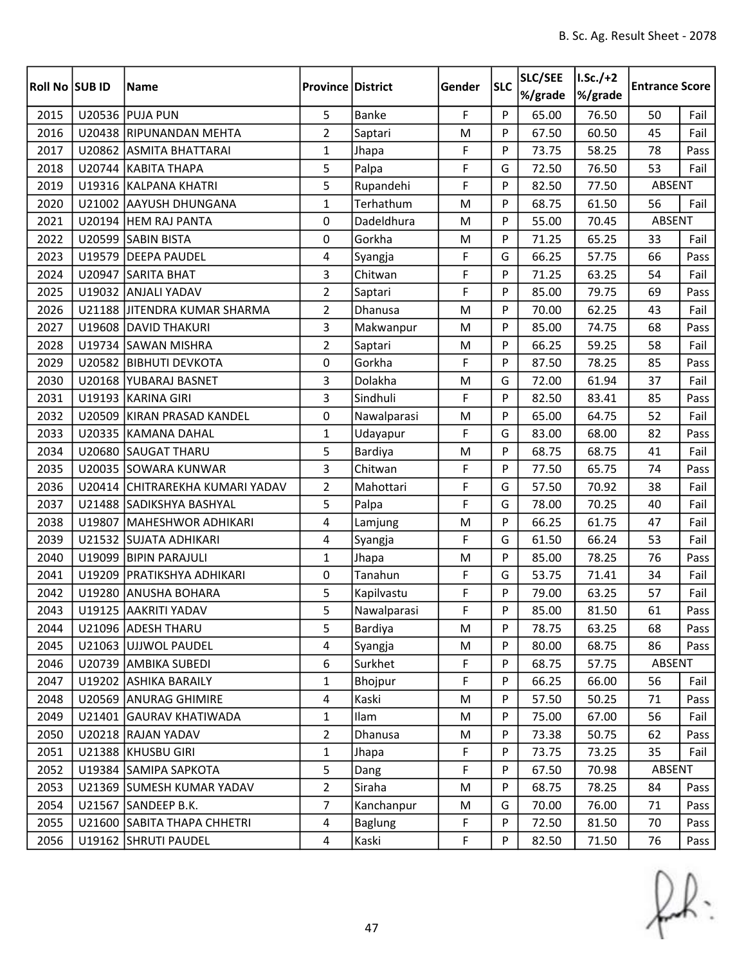| Roll No SUB ID |        | <b>Name</b>                     | <b>Province District</b> |                | Gender | <b>SLC</b> | SLC/SEE<br>%/grade | $I.Sc./+2$<br>%/grade | <b>Entrance Score</b> |      |
|----------------|--------|---------------------------------|--------------------------|----------------|--------|------------|--------------------|-----------------------|-----------------------|------|
| 2015           |        | <b>U20536 PUJA PUN</b>          | 5                        | Banke          | F      | P          | 65.00              | 76.50                 | 50                    | Fail |
| 2016           |        | U20438 RIPUNANDAN MEHTA         | $\overline{2}$           | Saptari        | M      | P          | 67.50              | 60.50                 | 45                    | Fail |
| 2017           |        | U20862 ASMITA BHATTARAI         | $\mathbf{1}$             | Jhapa          | F      | P          | 73.75              | 58.25                 | 78                    | Pass |
| 2018           |        | U20744 KABITA THAPA             | 5                        | Palpa          | F      | G          | 72.50              | 76.50                 | 53                    | Fail |
| 2019           |        | U19316 KALPANA KHATRI           | 5                        | Rupandehi      | F      | P          | 82.50              | 77.50                 | <b>ABSENT</b>         |      |
| 2020           |        | U21002 AAYUSH DHUNGANA          | $\mathbf{1}$             | Terhathum      | M      | P          | 68.75              | 61.50                 | 56                    | Fail |
| 2021           |        | U20194 HEM RAJ PANTA            | 0                        | Dadeldhura     | M      | P          | 55.00              | 70.45                 | ABSENT                |      |
| 2022           |        | U20599 SABIN BISTA              | 0                        | Gorkha         | M      | P          | 71.25              | 65.25                 | 33                    | Fail |
| 2023           | U19579 | <b>DEEPA PAUDEL</b>             | 4                        | Syangja        | F      | G          | 66.25              | 57.75                 | 66                    | Pass |
| 2024           | U20947 | <b>SARITA BHAT</b>              | $\overline{3}$           | Chitwan        | F      | P          | 71.25              | 63.25                 | 54                    | Fail |
| 2025           |        | U19032 ANJALI YADAV             | $\overline{2}$           | Saptari        | F      | P          | 85.00              | 79.75                 | 69                    | Pass |
| 2026           |        | U21188 JITENDRA KUMAR SHARMA    | $\overline{2}$           | Dhanusa        | M      | P          | 70.00              | 62.25                 | 43                    | Fail |
| 2027           |        | U19608 DAVID THAKURI            | 3                        | Makwanpur      | M      | P          | 85.00              | 74.75                 | 68                    | Pass |
| 2028           |        | U19734 SAWAN MISHRA             | $\overline{2}$           | Saptari        | M      | P          | 66.25              | 59.25                 | 58                    | Fail |
| 2029           |        | U20582 BIBHUTI DEVKOTA          | 0                        | Gorkha         | F      | P          | 87.50              | 78.25                 | 85                    | Pass |
| 2030           |        | U20168 YUBARAJ BASNET           | 3                        | Dolakha        | M      | G          | 72.00              | 61.94                 | 37                    | Fail |
| 2031           |        | U19193 KARINA GIRI              | 3                        | Sindhuli       | F      | P          | 82.50              | 83.41                 | 85                    | Pass |
| 2032           |        | U20509 KIRAN PRASAD KANDEL      | 0                        | Nawalparasi    | M      | P          | 65.00              | 64.75                 | 52                    | Fail |
| 2033           |        | U20335 KAMANA DAHAL             | $\mathbf{1}$             | Udayapur       | F      | G          | 83.00              | 68.00                 | 82                    | Pass |
| 2034           |        | U20680 SAUGAT THARU             | 5                        | Bardiya        | M      | P          | 68.75              | 68.75                 | 41                    | Fail |
| 2035           |        | U20035 SOWARA KUNWAR            | 3                        | Chitwan        | F      | P          | 77.50              | 65.75                 | 74                    | Pass |
| 2036           |        | U20414 CHITRAREKHA KUMARI YADAV | $\overline{2}$           | Mahottari      | F      | G          | 57.50              | 70.92                 | 38                    | Fail |
| 2037           |        | U21488 SADIKSHYA BASHYAL        | 5                        | Palpa          | F      | G          | 78.00              | 70.25                 | 40                    | Fail |
| 2038           | U19807 | MAHESHWOR ADHIKARI              | 4                        | Lamjung        | M      | P          | 66.25              | 61.75                 | 47                    | Fail |
| 2039           |        | U21532 SUJATA ADHIKARI          | 4                        | Syangja        | F      | G          | 61.50              | 66.24                 | 53                    | Fail |
| 2040           |        | U19099 BIPIN PARAJULI           | $\mathbf{1}$             | Jhapa          | M      | P          | 85.00              | 78.25                 | 76                    | Pass |
| 2041           | U19209 | <b>PRATIKSHYA ADHIKARI</b>      | 0                        | Tanahun        | F      | G          | 53.75              | 71.41                 | 34                    | Fail |
| 2042           |        | U19280 ANUSHA BOHARA            | 5                        | Kapilvastu     | F      | P          | 79.00              | 63.25                 | 57                    | Fail |
| 2043           |        | U19125 AAKRITI YADAV            | 5                        | Nawalparasi    | F      | Þ          | 85.00              | 81.50                 | 61                    | Pass |
| 2044           |        | U21096 ADESH THARU              | 5                        | Bardiya        | M      | P          | 78.75              | 63.25                 | 68                    | Pass |
| 2045           |        | U21063 UJJWOL PAUDEL            | 4                        | Syangja        | M      | P          | 80.00              | 68.75                 | 86                    | Pass |
| 2046           |        | U20739 AMBIKA SUBEDI            | 6                        | Surkhet        | F      | P          | 68.75              | 57.75                 | <b>ABSENT</b>         |      |
| 2047           |        | U19202 ASHIKA BARAILY           | $\mathbf{1}$             | Bhojpur        | F      | P          | 66.25              | 66.00                 | 56                    | Fail |
| 2048           |        | U20569 ANURAG GHIMIRE           | $\overline{4}$           | Kaski          | M      | P          | 57.50              | 50.25                 | 71                    | Pass |
| 2049           |        | U21401 GAURAV KHATIWADA         | $\mathbf{1}$             | Ilam           | M      | P          | 75.00              | 67.00                 | 56                    | Fail |
| 2050           |        | U20218 RAJAN YADAV              | $\overline{2}$           | Dhanusa        | M      | P          | 73.38              | 50.75                 | 62                    | Pass |
| 2051           |        | U21388 KHUSBU GIRI              | $\mathbf{1}$             | Jhapa          | F      | P          | 73.75              | 73.25                 | 35                    | Fail |
| 2052           |        | U19384 SAMIPA SAPKOTA           | 5                        | Dang           | F      | P          | 67.50              | 70.98                 | ABSENT                |      |
| 2053           |        | U21369 SUMESH KUMAR YADAV       | $\overline{2}$           | Siraha         | M      | P          | 68.75              | 78.25                 | 84                    | Pass |
| 2054           |        | U21567 SANDEEP B.K.             | $\overline{7}$           | Kanchanpur     | M      | G          | 70.00              | 76.00                 | 71                    | Pass |
| 2055           |        | U21600 SABITA THAPA CHHETRI     | $\overline{a}$           | <b>Baglung</b> | F      | P          | 72.50              | 81.50                 | 70                    | Pass |
| 2056           |        | U19162 SHRUTI PAUDEL            | $\overline{4}$           | Kaski          | F      | P          | 82.50              | 71.50                 | 76                    | Pass |

 $f(x)$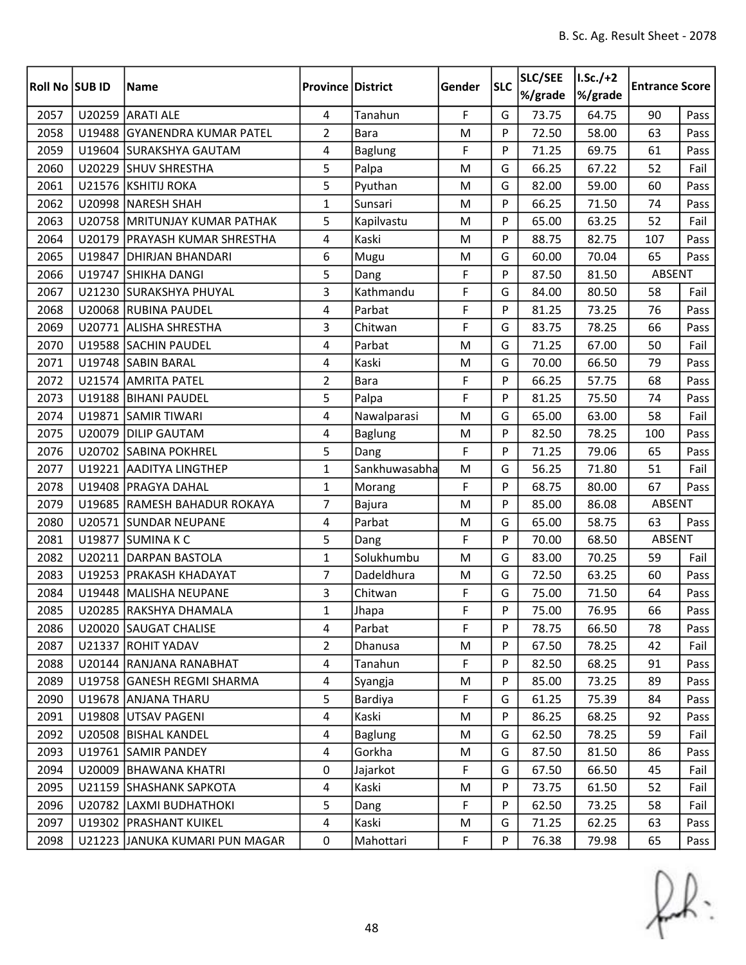| Roll No SUB ID |        | <b>Name</b>                     | <b>Province District</b> |                | Gender | <b>SLC</b> | SLC/SEE<br>%/grade | $I.Sc./+2$<br>%/grade | <b>Entrance Score</b> |      |
|----------------|--------|---------------------------------|--------------------------|----------------|--------|------------|--------------------|-----------------------|-----------------------|------|
| 2057           |        | U20259 ARATI ALE                | 4                        | Tanahun        | F      | G          | 73.75              | 64.75                 | 90                    | Pass |
| 2058           |        | U19488 GYANENDRA KUMAR PATEL    | $\overline{2}$           | <b>Bara</b>    | M      | P          | 72.50              | 58.00                 | 63                    | Pass |
| 2059           |        | U19604 SURAKSHYA GAUTAM         | 4                        | <b>Baglung</b> | F      | P          | 71.25              | 69.75                 | 61                    | Pass |
| 2060           |        | U20229 SHUV SHRESTHA            | 5                        | Palpa          | M      | G          | 66.25              | 67.22                 | 52                    | Fail |
| 2061           |        | U21576 KSHITIJ ROKA             | 5                        | Pyuthan        | M      | G          | 82.00              | 59.00                 | 60                    | Pass |
| 2062           |        | U20998 NARESH SHAH              | $\mathbf{1}$             | Sunsari        | M      | P          | 66.25              | 71.50                 | 74                    | Pass |
| 2063           |        | U20758 MRITUNJAY KUMAR PATHAK   | 5                        | Kapilvastu     | M      | P          | 65.00              | 63.25                 | 52                    | Fail |
| 2064           |        | U20179   PRAYASH KUMAR SHRESTHA | 4                        | Kaski          | M      | P          | 88.75              | 82.75                 | 107                   | Pass |
| 2065           |        | U19847 DHIRJAN BHANDARI         | 6                        | Mugu           | M      | G          | 60.00              | 70.04                 | 65                    | Pass |
| 2066           |        | U19747 SHIKHA DANGI             | 5                        | Dang           | F      | P          | 87.50              | 81.50                 | ABSENT                |      |
| 2067           |        | U21230 SURAKSHYA PHUYAL         | 3                        | Kathmandu      | F      | G          | 84.00              | 80.50                 | 58                    | Fail |
| 2068           |        | U20068 RUBINA PAUDEL            | 4                        | Parbat         | F      | P          | 81.25              | 73.25                 | 76                    | Pass |
| 2069           |        | U20771 ALISHA SHRESTHA          | 3                        | Chitwan        | F      | G          | 83.75              | 78.25                 | 66                    | Pass |
| 2070           |        | U19588 SACHIN PAUDEL            | 4                        | Parbat         | M      | G          | 71.25              | 67.00                 | 50                    | Fail |
| 2071           |        | U19748 SABIN BARAL              | 4                        | Kaski          | M      | G          | 70.00              | 66.50                 | 79                    | Pass |
| 2072           |        | U21574 AMRITA PATEL             | $\overline{2}$           | <b>Bara</b>    | F      | P          | 66.25              | 57.75                 | 68                    | Pass |
| 2073           |        | U19188 BIHANI PAUDEL            | 5                        | Palpa          | F      | P          | 81.25              | 75.50                 | 74                    | Pass |
| 2074           |        | U19871 SAMIR TIWARI             | 4                        | Nawalparasi    | M      | G          | 65.00              | 63.00                 | 58                    | Fail |
| 2075           | U20079 | <b>DILIP GAUTAM</b>             | 4                        | <b>Baglung</b> | M      | P          | 82.50              | 78.25                 | 100                   | Pass |
| 2076           |        | U20702 SABINA POKHREL           | 5                        | Dang           | F      | P          | 71.25              | 79.06                 | 65                    | Pass |
| 2077           |        | U19221 AADITYA LINGTHEP         | $\mathbf{1}$             | Sankhuwasabha  | M      | G          | 56.25              | 71.80                 | 51                    | Fail |
| 2078           |        | U19408 PRAGYA DAHAL             | $\mathbf{1}$             | Morang         | F      | P          | 68.75              | 80.00                 | 67                    | Pass |
| 2079           |        | U19685 RAMESH BAHADUR ROKAYA    | 7                        | Bajura         | M      | P          | 85.00              | 86.08                 | <b>ABSENT</b>         |      |
| 2080           |        | U20571 SUNDAR NEUPANE           | 4                        | Parbat         | M      | G          | 65.00              | 58.75                 | 63                    | Pass |
| 2081           |        | U19877 SUMINAKC                 | 5                        | Dang           | F      | P          | 70.00              | 68.50                 | ABSENT                |      |
| 2082           |        | U20211 DARPAN BASTOLA           | $\mathbf{1}$             | Solukhumbu     | M      | G          | 83.00              | 70.25                 | 59                    | Fail |
| 2083           |        | U19253 PRAKASH KHADAYAT         | 7                        | Dadeldhura     | M      | G          | 72.50              | 63.25                 | 60                    | Pass |
| 2084           |        | U19448   MALISHA NEUPANE        | 3                        | Chitwan        | F      | G          | 75.00              | 71.50                 | 64                    | Pass |
| 2085           |        | U20285 RAKSHYA DHAMALA          | $\mathbf{1}$             | Jhapa          | F      | Þ          | 75.00              | 76.95                 | 66                    | Pass |
| 2086           |        | U20020 SAUGAT CHALISE           | 4                        | Parbat         | F      | P          | 78.75              | 66.50                 | 78                    | Pass |
| 2087           |        | U21337 ROHIT YADAV              | $\overline{2}$           | Dhanusa        | M      | P          | 67.50              | 78.25                 | 42                    | Fail |
| 2088           |        | U20144 RANJANA RANABHAT         | 4                        | Tanahun        | F      | P          | 82.50              | 68.25                 | 91                    | Pass |
| 2089           |        | U19758 GANESH REGMI SHARMA      | $\overline{4}$           | Syangja        | M      | P          | 85.00              | 73.25                 | 89                    | Pass |
| 2090           |        | U19678 ANJANA THARU             | 5                        | Bardiya        | F      | G          | 61.25              | 75.39                 | 84                    | Pass |
| 2091           |        | U19808 UTSAV PAGENI             | $\overline{4}$           | Kaski          | M      | P          | 86.25              | 68.25                 | 92                    | Pass |
| 2092           |        | U20508 BISHAL KANDEL            | $\overline{4}$           | <b>Baglung</b> | M      | G          | 62.50              | 78.25                 | 59                    | Fail |
| 2093           |        | U19761 SAMIR PANDEY             | $\overline{4}$           | Gorkha         | M      | G          | 87.50              | 81.50                 | 86                    | Pass |
| 2094           |        | U20009   BHAWANA KHATRI         | 0                        | Jajarkot       | F      | G          | 67.50              | 66.50                 | 45                    | Fail |
| 2095           |        | U21159 SHASHANK SAPKOTA         | 4                        | Kaski          | M      | P          | 73.75              | 61.50                 | 52                    | Fail |
| 2096           |        | U20782 LAXMI BUDHATHOKI         | 5                        | Dang           | F      | P          | 62.50              | 73.25                 | 58                    | Fail |
| 2097           |        | U19302 PRASHANT KUIKEL          | 4                        | Kaski          | M      | G          | 71.25              | 62.25                 | 63                    | Pass |
| 2098           |        | U21223 JANUKA KUMARI PUN MAGAR  | $\mathbf 0$              | Mahottari      | F      | P          | 76.38              | 79.98                 | 65                    | Pass |

 $f(x)$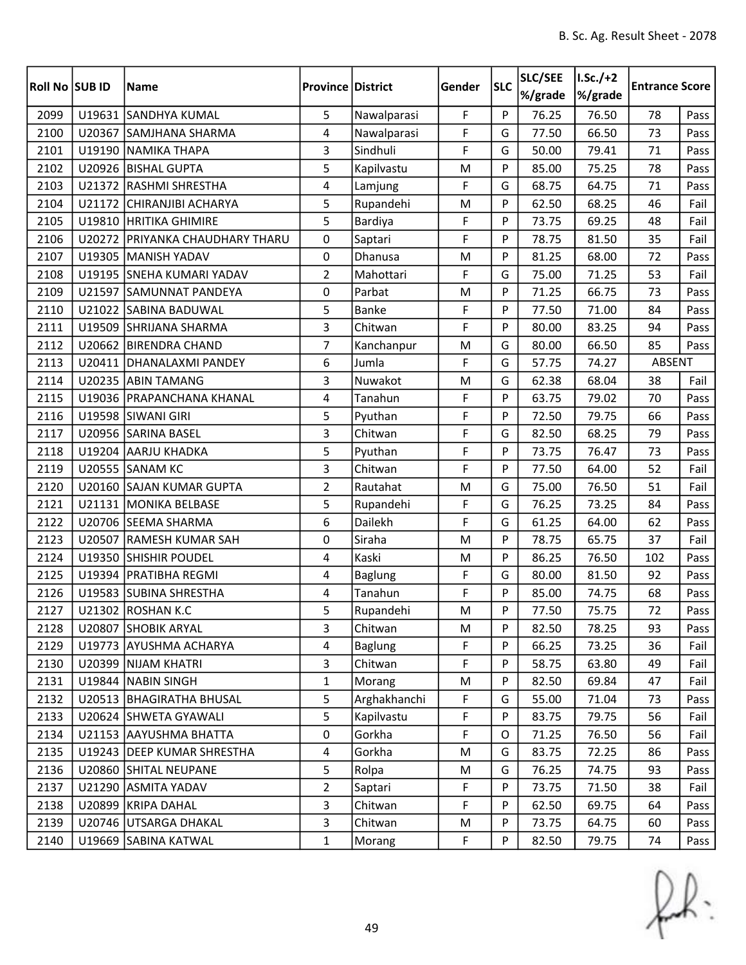| <b>Roll No SUB ID</b> |        | <b>Name</b>                     | <b>Province District</b> |                | Gender | <b>SLC</b> | SLC/SEE<br>%/grade | $I.Sc./+2$<br>%/grade | <b>Entrance Score</b> |      |
|-----------------------|--------|---------------------------------|--------------------------|----------------|--------|------------|--------------------|-----------------------|-----------------------|------|
| 2099                  | U19631 | <b>SANDHYA KUMAL</b>            | 5                        | Nawalparasi    | F      | P          | 76.25              | 76.50                 | 78                    | Pass |
| 2100                  | U20367 | SAMJHANA SHARMA                 | 4                        | Nawalparasi    | F      | G          | 77.50              | 66.50                 | 73                    | Pass |
| 2101                  |        | U19190 NAMIKA THAPA             | 3                        | Sindhuli       | F      | G          | 50.00              | 79.41                 | 71                    | Pass |
| 2102                  |        | U20926 BISHAL GUPTA             | 5                        | Kapilvastu     | M      | P          | 85.00              | 75.25                 | 78                    | Pass |
| 2103                  |        | U21372 RASHMI SHRESTHA          | 4                        | Lamjung        | F      | G          | 68.75              | 64.75                 | 71                    | Pass |
| 2104                  |        | U21172 CHIRANJIBI ACHARYA       | 5                        | Rupandehi      | M      | P          | 62.50              | 68.25                 | 46                    | Fail |
| 2105                  |        | U19810 HRITIKA GHIMIRE          | 5                        | Bardiya        | F      | P          | 73.75              | 69.25                 | 48                    | Fail |
| 2106                  |        | U20272 PRIYANKA CHAUDHARY THARU | 0                        | Saptari        | F      | P          | 78.75              | 81.50                 | 35                    | Fail |
| 2107                  |        | U19305 MANISH YADAV             | 0                        | Dhanusa        | M      | P          | 81.25              | 68.00                 | 72                    | Pass |
| 2108                  |        | U19195 SNEHA KUMARI YADAV       | $\overline{2}$           | Mahottari      | F      | G          | 75.00              | 71.25                 | 53                    | Fail |
| 2109                  |        | U21597 SAMUNNAT PANDEYA         | 0                        | Parbat         | M      | P          | 71.25              | 66.75                 | 73                    | Pass |
| 2110                  |        | U21022 SABINA BADUWAL           | 5                        | Banke          | F      | P          | 77.50              | 71.00                 | 84                    | Pass |
| 2111                  |        | U19509 SHRIJANA SHARMA          | 3                        | Chitwan        | F      | P          | 80.00              | 83.25                 | 94                    | Pass |
| 2112                  |        | U20662 BIRENDRA CHAND           | $\overline{7}$           | Kanchanpur     | M      | G          | 80.00              | 66.50                 | 85                    | Pass |
| 2113                  |        | U20411   DHANALAXMI PANDEY      | 6                        | Jumla          | F      | G          | 57.75              | 74.27                 | ABSENT                |      |
| 2114                  |        | U20235 ABIN TAMANG              | 3                        | Nuwakot        | M      | G          | 62.38              | 68.04                 | 38                    | Fail |
| 2115                  |        | U19036   PRAPANCHANA KHANAL     | 4                        | Tanahun        | F      | P          | 63.75              | 79.02                 | 70                    | Pass |
| 2116                  |        | U19598 SIWANI GIRI              | 5                        | Pyuthan        | F      | P          | 72.50              | 79.75                 | 66                    | Pass |
| 2117                  |        | U20956 SARINA BASEL             | 3                        | Chitwan        | F      | G          | 82.50              | 68.25                 | 79                    | Pass |
| 2118                  |        | U19204 AARJU KHADKA             | 5                        | Pyuthan        | F      | P          | 73.75              | 76.47                 | 73                    | Pass |
| 2119                  |        | <b>U20555 SANAM KC</b>          | 3                        | Chitwan        | F      | P          | 77.50              | 64.00                 | 52                    | Fail |
| 2120                  |        | U20160 SAJAN KUMAR GUPTA        | $\overline{2}$           | Rautahat       | M      | G          | 75.00              | 76.50                 | 51                    | Fail |
| 2121                  |        | U21131 MONIKA BELBASE           | 5                        | Rupandehi      | F      | G          | 76.25              | 73.25                 | 84                    | Pass |
| 2122                  |        | U20706 SEEMA SHARMA             | 6                        | Dailekh        | F      | G          | 61.25              | 64.00                 | 62                    | Pass |
| 2123                  |        | U20507 RAMESH KUMAR SAH         | 0                        | Siraha         | M      | P          | 78.75              | 65.75                 | 37                    | Fail |
| 2124                  |        | U19350 SHISHIR POUDEL           | 4                        | Kaski          | M      | P          | 86.25              | 76.50                 | 102                   | Pass |
| 2125                  |        | U19394 PRATIBHA REGMI           | 4                        | <b>Baglung</b> | F      | G          | 80.00              | 81.50                 | 92                    | Pass |
| 2126                  |        | U19583 SUBINA SHRESTHA          | 4                        | Tanahun        | F      | P          | 85.00              | 74.75                 | 68                    | Pass |
| 2127                  |        | U21302 ROSHAN K.C               | 5                        | Rupandehi      | M      | Þ          | 77.50              | 75.75                 | 72                    | Pass |
| 2128                  |        | U20807 SHOBIK ARYAL             | 3                        | Chitwan        | M      | P          | 82.50              | 78.25                 | 93                    | Pass |
| 2129                  |        | U19773 AYUSHMA ACHARYA          | $\overline{4}$           | <b>Baglung</b> | F      | P          | 66.25              | 73.25                 | 36                    | Fail |
| 2130                  |        | U20399 NIJAM KHATRI             | $\mathbf{3}$             | Chitwan        | F      | P          | 58.75              | 63.80                 | 49                    | Fail |
| 2131                  |        | U19844 NABIN SINGH              | $\mathbf{1}$             | Morang         | M      | P          | 82.50              | 69.84                 | 47                    | Fail |
| 2132                  |        | U20513 BHAGIRATHA BHUSAL        | 5                        | Arghakhanchi   | F      | G          | 55.00              | 71.04                 | 73                    | Pass |
| 2133                  |        | U20624 SHWETA GYAWALI           | 5                        | Kapilvastu     | F      | P          | 83.75              | 79.75                 | 56                    | Fail |
| 2134                  |        | U21153 AAYUSHMA BHATTA          | $\mathbf 0$              | Gorkha         | F      | 0          | 71.25              | 76.50                 | 56                    | Fail |
| 2135                  |        | U19243   DEEP KUMAR SHRESTHA    | $\overline{4}$           | Gorkha         | M      | G          | 83.75              | 72.25                 | 86                    | Pass |
| 2136                  |        | U20860 SHITAL NEUPANE           | 5                        | Rolpa          | M      | G          | 76.25              | 74.75                 | 93                    | Pass |
| 2137                  |        | U21290 ASMITA YADAV             | $\overline{2}$           | Saptari        | F      | P          | 73.75              | 71.50                 | 38                    | Fail |
| 2138                  |        | U20899 KRIPA DAHAL              | 3                        | Chitwan        | F      | P          | 62.50              | 69.75                 | 64                    | Pass |
| 2139                  |        | U20746 UTSARGA DHAKAL           | 3                        | Chitwan        | M      | P          | 73.75              | 64.75                 | 60                    | Pass |
| 2140                  |        | U19669 SABINA KATWAL            | $\mathbf{1}$             | Morang         | F      | P          | 82.50              | 79.75                 | 74                    | Pass |

 $f(x)$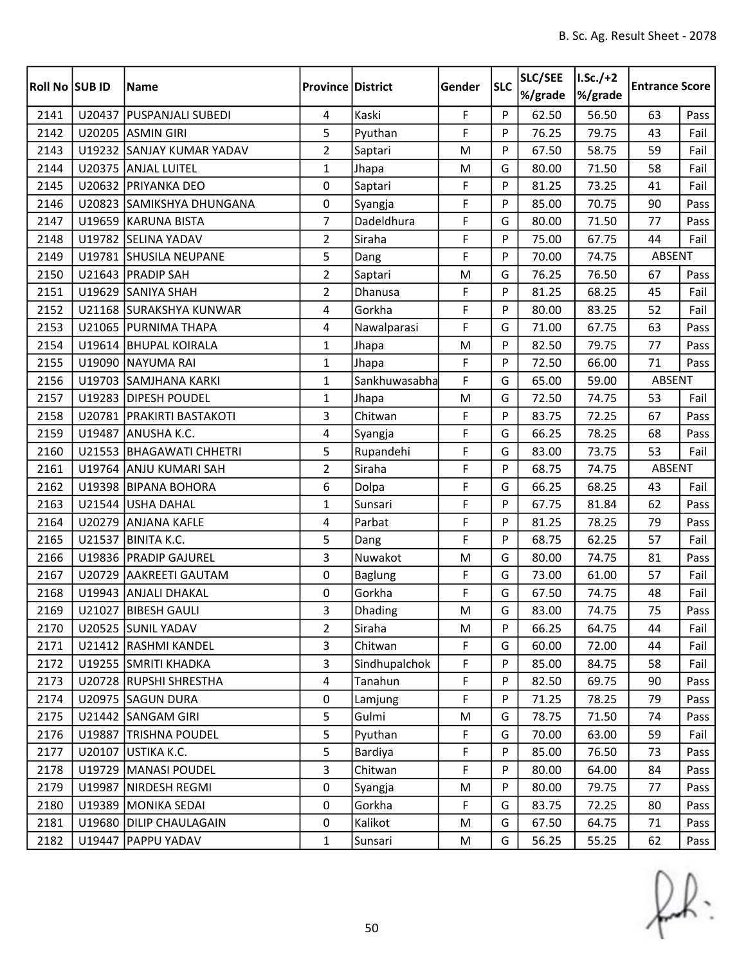| <b>Roll No SUB ID</b> |        | <b>Name</b>                 | <b>Province District</b> |                | Gender | <b>SLC</b> | <b>SLC/SEE</b><br>%/grade | $1.5c./+2$<br>%/grade | <b>Entrance Score</b> |      |
|-----------------------|--------|-----------------------------|--------------------------|----------------|--------|------------|---------------------------|-----------------------|-----------------------|------|
| 2141                  | U20437 | <b>PUSPANJALI SUBEDI</b>    | 4                        | Kaski          | F      | P          | 62.50                     | 56.50                 | 63                    | Pass |
| 2142                  |        | U20205 ASMIN GIRI           | 5                        | Pyuthan        | F      | P          | 76.25                     | 79.75                 | 43                    | Fail |
| 2143                  |        | U19232 SANJAY KUMAR YADAV   | $\overline{2}$           | Saptari        | M      | P          | 67.50                     | 58.75                 | 59                    | Fail |
| 2144                  |        | U20375 ANJAL LUITEL         | $\mathbf{1}$             | Jhapa          | M      | G          | 80.00                     | 71.50                 | 58                    | Fail |
| 2145                  |        | U20632 PRIYANKA DEO         | 0                        | Saptari        | F      | P          | 81.25                     | 73.25                 | 41                    | Fail |
| 2146                  |        | U20823 SAMIKSHYA DHUNGANA   | 0                        | Syangja        | F      | P          | 85.00                     | 70.75                 | 90                    | Pass |
| 2147                  |        | U19659 KARUNA BISTA         | $\overline{7}$           | Dadeldhura     | F      | G          | 80.00                     | 71.50                 | 77                    | Pass |
| 2148                  |        | U19782 SELINA YADAV         | $\overline{2}$           | Siraha         | F      | P          | 75.00                     | 67.75                 | 44                    | Fail |
| 2149                  |        | U19781 SHUSILA NEUPANE      | 5                        | Dang           | F      | P          | 70.00                     | 74.75                 | <b>ABSENT</b>         |      |
| 2150                  |        | U21643 PRADIP SAH           | $\overline{2}$           | Saptari        | M      | G          | 76.25                     | 76.50                 | 67                    | Pass |
| 2151                  |        | U19629 SANIYA SHAH          | $\overline{2}$           | Dhanusa        | F      | P          | 81.25                     | 68.25                 | 45                    | Fail |
| 2152                  |        | U21168 SURAKSHYA KUNWAR     | 4                        | Gorkha         | F      | P          | 80.00                     | 83.25                 | 52                    | Fail |
| 2153                  |        | U21065 PURNIMA THAPA        | 4                        | Nawalparasi    | F      | G          | 71.00                     | 67.75                 | 63                    | Pass |
| 2154                  |        | U19614 BHUPAL KOIRALA       | $\mathbf{1}$             | Jhapa          | M      | P          | 82.50                     | 79.75                 | 77                    | Pass |
| 2155                  |        | U19090 NAYUMA RAI           | $\mathbf{1}$             | Jhapa          | F      | P          | 72.50                     | 66.00                 | 71                    | Pass |
| 2156                  |        | U19703 SAMJHANA KARKI       | $\mathbf{1}$             | Sankhuwasabha  | F      | G          | 65.00                     | 59.00                 | ABSENT                |      |
| 2157                  |        | U19283 DIPESH POUDEL        | $\mathbf{1}$             | Jhapa          | M      | G          | 72.50                     | 74.75                 | 53                    | Fail |
| 2158                  |        | U20781   PRAKIRTI BASTAKOTI | 3                        | Chitwan        | F      | P          | 83.75                     | 72.25                 | 67                    | Pass |
| 2159                  | U19487 | ANUSHA K.C.                 | 4                        | Syangja        | F      | G          | 66.25                     | 78.25                 | 68                    | Pass |
| 2160                  |        | U21553 BHAGAWATI CHHETRI    | 5                        | Rupandehi      | F      | G          | 83.00                     | 73.75                 | 53                    | Fail |
| 2161                  |        | U19764 ANJU KUMARI SAH      | $\overline{2}$           | Siraha         | F      | P          | 68.75                     | 74.75                 | ABSENT                |      |
| 2162                  | U19398 | <b>BIPANA BOHORA</b>        | 6                        | Dolpa          | F      | G          | 66.25                     | 68.25                 | 43                    | Fail |
| 2163                  |        | U21544 USHA DAHAL           | $\mathbf{1}$             | Sunsari        | F      | P          | 67.75                     | 81.84                 | 62                    | Pass |
| 2164                  | U20279 | <b>ANJANA KAFLE</b>         | 4                        | Parbat         | F      | P          | 81.25                     | 78.25                 | 79                    | Pass |
| 2165                  |        | U21537 BINITA K.C.          | 5                        | Dang           | F      | P          | 68.75                     | 62.25                 | 57                    | Fail |
| 2166                  |        | U19836 PRADIP GAJUREL       | 3                        | Nuwakot        | M      | G          | 80.00                     | 74.75                 | 81                    | Pass |
| 2167                  | U20729 | <b>AAKREETI GAUTAM</b>      | 0                        | <b>Baglung</b> | F      | G          | 73.00                     | 61.00                 | 57                    | Fail |
| 2168                  |        | U19943 ANJALI DHAKAL        | 0                        | Gorkha         | F      | G          | 67.50                     | 74.75                 | 48                    | Fail |
| 2169                  |        | U21027 BIBESH GAULI         | 3                        | Dhading        | M      | G          | 83.00                     | 74.75                 | 75                    | Pass |
| 2170                  |        | U20525 SUNIL YADAV          | 2                        | Siraha         | M      | P          | 66.25                     | 64.75                 | 44                    | Fail |
| 2171                  |        | U21412 RASHMI KANDEL        | 3                        | Chitwan        | F      | G          | 60.00                     | 72.00                 | 44                    | Fail |
| 2172                  |        | U19255 SMRITI KHADKA        | $\overline{3}$           | Sindhupalchok  | F      | P          | 85.00                     | 84.75                 | 58                    | Fail |
| 2173                  |        | U20728 RUPSHI SHRESTHA      | $\overline{4}$           | Tanahun        | F      | P          | 82.50                     | 69.75                 | 90                    | Pass |
| 2174                  |        | U20975 SAGUN DURA           | $\mathbf 0$              | Lamjung        | F      | P          | 71.25                     | 78.25                 | 79                    | Pass |
| 2175                  |        | U21442 SANGAM GIRI          | 5                        | Gulmi          | M      | G          | 78.75                     | 71.50                 | 74                    | Pass |
| 2176                  |        | U19887 TRISHNA POUDEL       | 5                        | Pyuthan        | F      | G          | 70.00                     | 63.00                 | 59                    | Fail |
| 2177                  | U20107 | USTIKA K.C.                 | 5                        | Bardiya        | F      | P          | 85.00                     | 76.50                 | 73                    | Pass |
| 2178                  | U19729 | MANASI POUDEL               | $\mathbf{3}$             | Chitwan        | F      | P          | 80.00                     | 64.00                 | 84                    | Pass |
| 2179                  | U19987 | NIRDESH REGMI               | 0                        | Syangja        | M      | P          | 80.00                     | 79.75                 | 77                    | Pass |
| 2180                  | U19389 | MONIKA SEDAI                | 0                        | Gorkha         | F      | G          | 83.75                     | 72.25                 | 80                    | Pass |
| 2181                  | U19680 | <b>DILIP CHAULAGAIN</b>     | $\pmb{0}$                | Kalikot        | M      | G          | 67.50                     | 64.75                 | 71                    | Pass |
| 2182                  | U19447 | <b>PAPPU YADAV</b>          | $\mathbf{1}$             | Sunsari        | M      | G          | 56.25                     | 55.25                 | 62                    | Pass |

 $f(x)$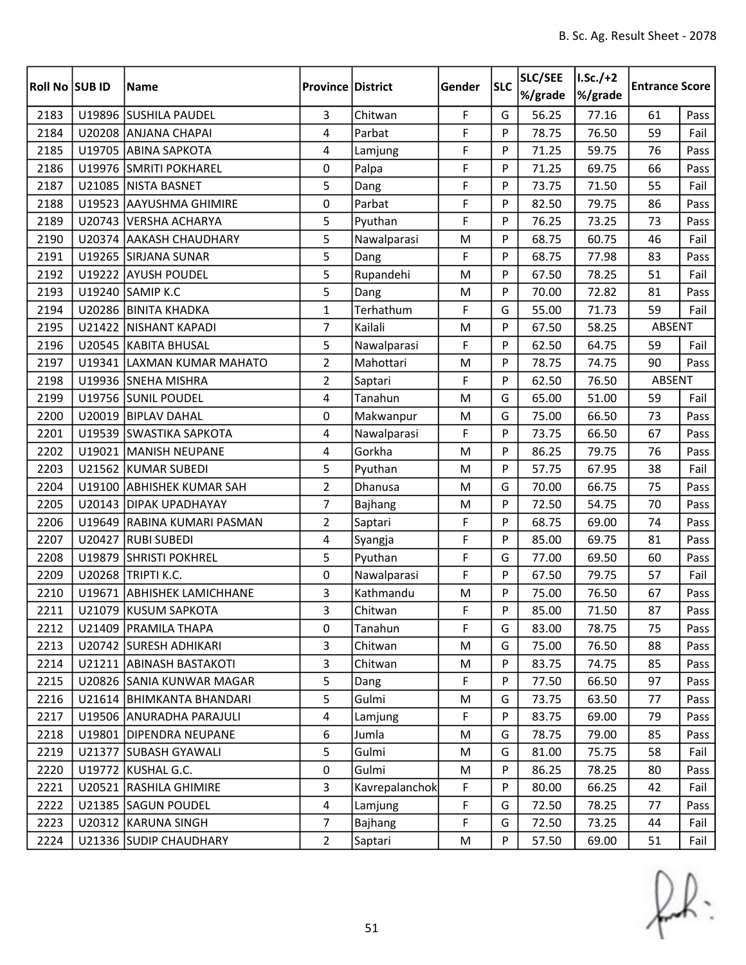| <b>Roll No SUB ID</b> |        | <b>Name</b>                | <b>Province District</b> |                | Gender    | <b>SLC</b> | SLC/SEE<br>%/grade | $1.5c./+2$<br>%/grade | <b>Entrance Score</b> |      |
|-----------------------|--------|----------------------------|--------------------------|----------------|-----------|------------|--------------------|-----------------------|-----------------------|------|
| 2183                  |        | U19896 SUSHILA PAUDEL      | 3                        | Chitwan        | F         | G          | 56.25              | 77.16                 | 61                    | Pass |
| 2184                  |        | U20208 ANJANA CHAPAI       | 4                        | Parbat         | F         | P          | 78.75              | 76.50                 | 59                    | Fail |
| 2185                  |        | U19705 ABINA SAPKOTA       | 4                        | Lamjung        | F         | P          | 71.25              | 59.75                 | 76                    | Pass |
| 2186                  |        | U19976 SMRITI POKHAREL     | 0                        | Palpa          | F         | P          | 71.25              | 69.75                 | 66                    | Pass |
| 2187                  | U21085 | <b>NISTA BASNET</b>        | 5                        | Dang           | F         | P          | 73.75              | 71.50                 | 55                    | Fail |
| 2188                  |        | U19523 AAYUSHMA GHIMIRE    | 0                        | Parbat         | F         | P          | 82.50              | 79.75                 | 86                    | Pass |
| 2189                  |        | U20743 VERSHA ACHARYA      | 5                        | Pyuthan        | F         | P          | 76.25              | 73.25                 | 73                    | Pass |
| 2190                  |        | U20374 AAKASH CHAUDHARY    | 5                        | Nawalparasi    | M         | P          | 68.75              | 60.75                 | 46                    | Fail |
| 2191                  |        | U19265 SIRJANA SUNAR       | 5                        | Dang           | F         | P          | 68.75              | 77.98                 | 83                    | Pass |
| 2192                  |        | U19222 AYUSH POUDEL        | 5                        | Rupandehi      | M         | P          | 67.50              | 78.25                 | 51                    | Fail |
| 2193                  |        | U19240 SAMIP K.C           | 5                        | Dang           | M         | P          | 70.00              | 72.82                 | 81                    | Pass |
| 2194                  |        | U20286 BINITA KHADKA       | $\mathbf{1}$             | Terhathum      | F         | G          | 55.00              | 71.73                 | 59                    | Fail |
| 2195                  |        | U21422 NISHANT KAPADI      | $\overline{7}$           | Kailali        | M         | P          | 67.50              | 58.25                 | ABSENT                |      |
| 2196                  |        | U20545 KABITA BHUSAL       | 5                        | Nawalparasi    | F         | P          | 62.50              | 64.75                 | 59                    | Fail |
| 2197                  |        | U19341 LAXMAN KUMAR MAHATO | $\overline{2}$           | Mahottari      | M         | P          | 78.75              | 74.75                 | 90                    | Pass |
| 2198                  |        | U19936 SNEHA MISHRA        | $\overline{2}$           | Saptari        | F         | P          | 62.50              | 76.50                 | ABSENT                |      |
| 2199                  |        | U19756 SUNIL POUDEL        | 4                        | Tanahun        | M         | G          | 65.00              | 51.00                 | 59                    | Fail |
| 2200                  |        | U20019 BIPLAV DAHAL        | 0                        | Makwanpur      | M         | G          | 75.00              | 66.50                 | 73                    | Pass |
| 2201                  |        | U19539 SWASTIKA SAPKOTA    | 4                        | Nawalparasi    | F         | P          | 73.75              | 66.50                 | 67                    | Pass |
| 2202                  |        | U19021 MANISH NEUPANE      | 4                        | Gorkha         | M         | P          | 86.25              | 79.75                 | 76                    | Pass |
| 2203                  |        | U21562 KUMAR SUBEDI        | 5                        | Pyuthan        | ${\sf M}$ | P          | 57.75              | 67.95                 | 38                    | Fail |
| 2204                  |        | U19100 ABHISHEK KUMAR SAH  | $\overline{2}$           | Dhanusa        | M         | G          | 70.00              | 66.75                 | 75                    | Pass |
| 2205                  |        | U20143 DIPAK UPADHAYAY     | 7                        | Bajhang        | M         | P          | 72.50              | 54.75                 | 70                    | Pass |
| 2206                  | U19649 | RABINA KUMARI PASMAN       | $\overline{2}$           | Saptari        | F         | P          | 68.75              | 69.00                 | 74                    | Pass |
| 2207                  |        | U20427 RUBI SUBEDI         | 4                        | Syangja        | F         | P          | 85.00              | 69.75                 | 81                    | Pass |
| 2208                  | U19879 | <b>SHRISTI POKHREL</b>     | 5                        | Pyuthan        | F         | G          | 77.00              | 69.50                 | 60                    | Pass |
| 2209                  |        | U20268 TRIPTI K.C.         | 0                        | Nawalparasi    | F         | P          | 67.50              | 79.75                 | 57                    | Fail |
| 2210                  | U19671 | <b>ABHISHEK LAMICHHANE</b> | 3                        | Kathmandu      | M         | P          | 75.00              | 76.50                 | 67                    | Pass |
| 2211                  |        | U21079 KUSUM SAPKOTA       | 3                        | Chitwan        | F         | Þ          | 85.00              | 71.50                 | 87                    | Pass |
| 2212                  |        | U21409   PRAMILA THAPA     | 0                        | Tanahun        | F         | G          | 83.00              | 78.75                 | 75                    | Pass |
| 2213                  |        | U20742 SURESH ADHIKARI     | 3                        | Chitwan        | M         | G          | 75.00              | 76.50                 | 88                    | Pass |
| 2214                  |        | U21211 ABINASH BASTAKOTI   | 3                        | Chitwan        | M         | P          | 83.75              | 74.75                 | 85                    | Pass |
| 2215                  |        | U20826 SANIA KUNWAR MAGAR  | 5                        | Dang           | F         | P          | 77.50              | 66.50                 | 97                    | Pass |
| 2216                  |        | U21614 BHIMKANTA BHANDARI  | 5                        | Gulmi          | M         | G          | 73.75              | 63.50                 | 77                    | Pass |
| 2217                  |        | U19506 ANURADHA PARAJULI   | 4                        | Lamjung        | F         | P          | 83.75              | 69.00                 | 79                    | Pass |
| 2218                  |        | U19801 DIPENDRA NEUPANE    | 6                        | Jumla          | M         | G          | 78.75              | 79.00                 | 85                    | Pass |
| 2219                  |        | U21377 SUBASH GYAWALI      | 5                        | Gulmi          | M         | G          | 81.00              | 75.75                 | 58                    | Fail |
| 2220                  |        | U19772   KUSHAL G.C.       | 0                        | Gulmi          | M         | P          | 86.25              | 78.25                 | 80                    | Pass |
| 2221                  |        | U20521 RASHILA GHIMIRE     | $\overline{3}$           | Kavrepalanchok | F         | P          | 80.00              | 66.25                 | 42                    | Fail |
| 2222                  |        | U21385 SAGUN POUDEL        | $\overline{4}$           | Lamjung        | F         | G          | 72.50              | 78.25                 | 77                    | Pass |
| 2223                  |        | U20312 KARUNA SINGH        | $\overline{7}$           | Bajhang        | F         | G          | 72.50              | 73.25                 | 44                    | Fail |
| 2224                  |        | U21336 SUDIP CHAUDHARY     | $\overline{2}$           | Saptari        | M         | P          | 57.50              | 69.00                 | 51                    | Fail |

 $f(x)$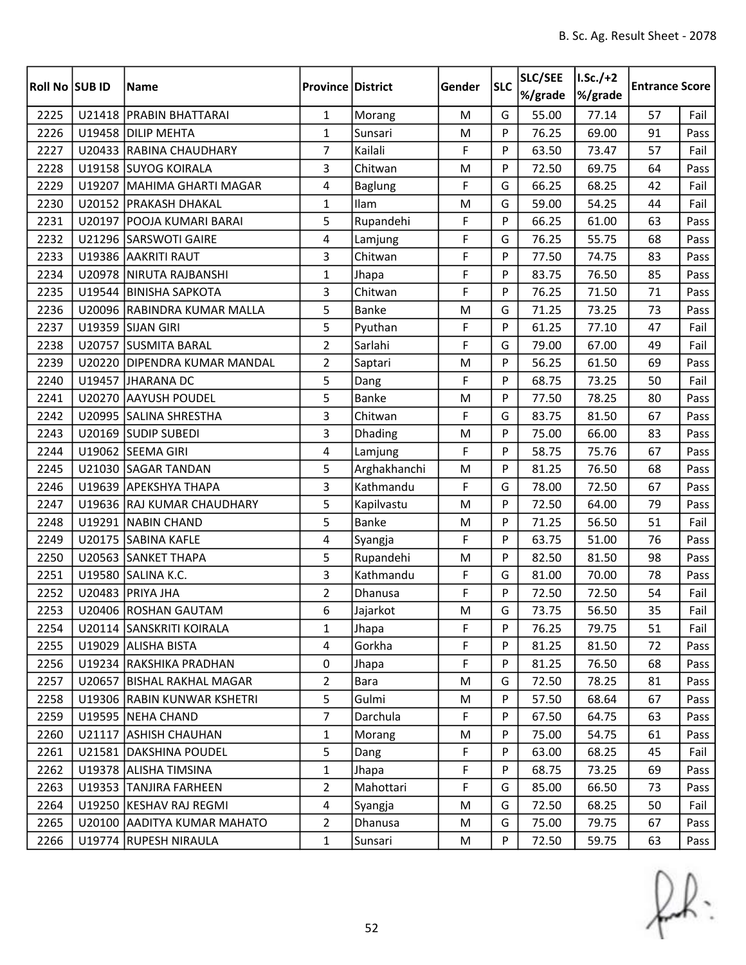| <b>Roll No SUB ID</b> |        | <b>Name</b>                  | <b>Province District</b> |                | Gender    | <b>SLC</b> | SLC/SEE<br>%/grade | $I.Sc./+2$<br>%/grade | <b>Entrance Score</b> |      |
|-----------------------|--------|------------------------------|--------------------------|----------------|-----------|------------|--------------------|-----------------------|-----------------------|------|
| 2225                  |        | U21418 PRABIN BHATTARAI      | $\mathbf{1}$             | Morang         | M         | G          | 55.00              | 77.14                 | 57                    | Fail |
| 2226                  |        | U19458 DILIP MEHTA           | $\mathbf{1}$             | Sunsari        | ${\sf M}$ | P          | 76.25              | 69.00                 | 91                    | Pass |
| 2227                  |        | U20433 RABINA CHAUDHARY      | $\overline{7}$           | Kailali        | F         | P          | 63.50              | 73.47                 | 57                    | Fail |
| 2228                  |        | U19158 SUYOG KOIRALA         | 3                        | Chitwan        | M         | P          | 72.50              | 69.75                 | 64                    | Pass |
| 2229                  | U19207 | MAHIMA GHARTI MAGAR          | 4                        | <b>Baglung</b> | F         | G          | 66.25              | 68.25                 | 42                    | Fail |
| 2230                  |        | U20152 PRAKASH DHAKAL        | $\mathbf{1}$             | Ilam           | M         | G          | 59.00              | 54.25                 | 44                    | Fail |
| 2231                  |        | U20197 POOJA KUMARI BARAI    | 5                        | Rupandehi      | F         | P          | 66.25              | 61.00                 | 63                    | Pass |
| 2232                  |        | U21296 SARSWOTI GAIRE        | 4                        | Lamjung        | F         | G          | 76.25              | 55.75                 | 68                    | Pass |
| 2233                  |        | U19386 AAKRITI RAUT          | 3                        | Chitwan        | F         | P          | 77.50              | 74.75                 | 83                    | Pass |
| 2234                  |        | U20978 NIRUTA RAJBANSHI      | $\mathbf{1}$             | Jhapa          | F         | P          | 83.75              | 76.50                 | 85                    | Pass |
| 2235                  |        | U19544 BINISHA SAPKOTA       | 3                        | Chitwan        | F         | P          | 76.25              | 71.50                 | 71                    | Pass |
| 2236                  |        | U20096 RABINDRA KUMAR MALLA  | 5                        | <b>Banke</b>   | M         | G          | 71.25              | 73.25                 | 73                    | Pass |
| 2237                  |        | U19359 SIJAN GIRI            | 5                        | Pyuthan        | F         | P          | 61.25              | 77.10                 | 47                    | Fail |
| 2238                  | U20757 | <b>SUSMITA BARAL</b>         | $\overline{2}$           | Sarlahi        | F         | G          | 79.00              | 67.00                 | 49                    | Fail |
| 2239                  |        | U20220 DIPENDRA KUMAR MANDAL | $\overline{2}$           | Saptari        | M         | P          | 56.25              | 61.50                 | 69                    | Pass |
| 2240                  |        | U19457 JHARANA DC            | 5                        | Dang           | F         | P          | 68.75              | 73.25                 | 50                    | Fail |
| 2241                  |        | U20270 AAYUSH POUDEL         | 5                        | Banke          | M         | P          | 77.50              | 78.25                 | 80                    | Pass |
| 2242                  |        | U20995 SALINA SHRESTHA       | 3                        | Chitwan        | F         | G          | 83.75              | 81.50                 | 67                    | Pass |
| 2243                  |        | U20169 SUDIP SUBEDI          | 3                        | Dhading        | M         | P          | 75.00              | 66.00                 | 83                    | Pass |
| 2244                  |        | U19062 SEEMA GIRI            | 4                        | Lamjung        | F         | P          | 58.75              | 75.76                 | 67                    | Pass |
| 2245                  |        | U21030 SAGAR TANDAN          | 5                        | Arghakhanchi   | M         | P          | 81.25              | 76.50                 | 68                    | Pass |
| 2246                  |        | U19639 APEKSHYA THAPA        | 3                        | Kathmandu      | F         | G          | 78.00              | 72.50                 | 67                    | Pass |
| 2247                  |        | U19636 RAJ KUMAR CHAUDHARY   | 5                        | Kapilvastu     | M         | P          | 72.50              | 64.00                 | 79                    | Pass |
| 2248                  | U19291 | NABIN CHAND                  | 5                        | <b>Banke</b>   | M         | P          | 71.25              | 56.50                 | 51                    | Fail |
| 2249                  |        | U20175 SABINA KAFLE          | 4                        | Syangja        | F         | P          | 63.75              | 51.00                 | 76                    | Pass |
| 2250                  |        | U20563 SANKET THAPA          | 5                        | Rupandehi      | M         | P          | 82.50              | 81.50                 | 98                    | Pass |
| 2251                  | U19580 | SALINA K.C.                  | 3                        | Kathmandu      | F         | G          | 81.00              | 70.00                 | 78                    | Pass |
| 2252                  |        | U20483 PRIYA JHA             | $\overline{2}$           | Dhanusa        | F         | P          | 72.50              | 72.50                 | 54                    | Fail |
| 2253                  |        | U20406 ROSHAN GAUTAM         | 6                        | Jajarkot       | M         | G          | 73.75              | 56.50                 | 35                    | Fail |
| 2254                  |        | U20114 SANSKRITI KOIRALA     | $\mathbf{1}$             | Jhapa          | F         | P          | 76.25              | 79.75                 | 51                    | Fail |
| 2255                  |        | U19029 ALISHA BISTA          | 4                        | Gorkha         | F         | P          | 81.25              | 81.50                 | 72                    | Pass |
| 2256                  |        | U19234 RAKSHIKA PRADHAN      | 0                        | Jhapa          | F         | P          | 81.25              | 76.50                 | 68                    | Pass |
| 2257                  |        | U20657 BISHAL RAKHAL MAGAR   | $\overline{2}$           | Bara           | M         | G          | 72.50              | 78.25                 | 81                    | Pass |
| 2258                  |        | U19306 RABIN KUNWAR KSHETRI  | 5                        | Gulmi          | M         | P          | 57.50              | 68.64                 | 67                    | Pass |
| 2259                  |        | U19595 NEHA CHAND            | $\overline{7}$           | Darchula       | F         | P          | 67.50              | 64.75                 | 63                    | Pass |
| 2260                  | U21117 | <b>ASHISH CHAUHAN</b>        | $\mathbf{1}$             | Morang         | M         | P          | 75.00              | 54.75                 | 61                    | Pass |
| 2261                  |        | U21581 DAKSHINA POUDEL       | 5                        | Dang           | F         | P          | 63.00              | 68.25                 | 45                    | Fail |
| 2262                  |        | U19378 ALISHA TIMSINA        | $\mathbf{1}$             | Jhapa          | F         | P          | 68.75              | 73.25                 | 69                    | Pass |
| 2263                  |        | U19353 TANJIRA FARHEEN       | $\overline{2}$           | Mahottari      | F         | G          | 85.00              | 66.50                 | 73                    | Pass |
| 2264                  |        | U19250 KESHAV RAJ REGMI      | $\overline{4}$           | Syangja        | M         | G          | 72.50              | 68.25                 | 50                    | Fail |
| 2265                  |        | U20100 AADITYA KUMAR MAHATO  | $\overline{2}$           | Dhanusa        | M         | G          | 75.00              | 79.75                 | 67                    | Pass |
| 2266                  |        | U19774 RUPESH NIRAULA        | $\mathbf{1}$             | Sunsari        | M         | P          | 72.50              | 59.75                 | 63                    | Pass |

 $f(x)$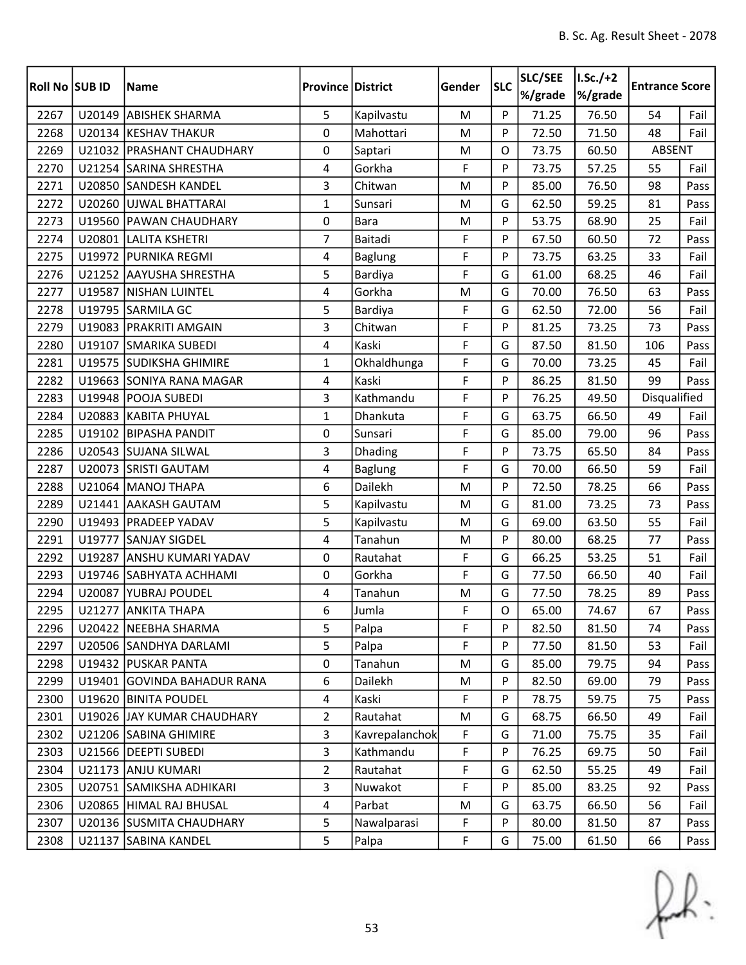| <b>Roll No SUB ID</b> |        | <b>Name</b>                 | <b>Province District</b> |                | Gender    | <b>SLC</b>  | SLC/SEE<br>%/grade | $1.5c./+2$<br>%/grade | <b>Entrance Score</b> |      |
|-----------------------|--------|-----------------------------|--------------------------|----------------|-----------|-------------|--------------------|-----------------------|-----------------------|------|
| 2267                  | U20149 | <b>ABISHEK SHARMA</b>       | 5                        | Kapilvastu     | M         | P           | 71.25              | 76.50                 | 54                    | Fail |
| 2268                  |        | U20134 KESHAV THAKUR        | 0                        | Mahottari      | ${\sf M}$ | P           | 72.50              | 71.50                 | 48                    | Fail |
| 2269                  |        | U21032 PRASHANT CHAUDHARY   | 0                        | Saptari        | ${\sf M}$ | O           | 73.75              | 60.50                 | ABSENT                |      |
| 2270                  |        | U21254 SARINA SHRESTHA      | 4                        | Gorkha         | F         | P           | 73.75              | 57.25                 | 55                    | Fail |
| 2271                  |        | U20850 SANDESH KANDEL       | 3                        | Chitwan        | M         | P           | 85.00              | 76.50                 | 98                    | Pass |
| 2272                  |        | U20260 UJWAL BHATTARAI      | $\mathbf{1}$             | Sunsari        | M         | G           | 62.50              | 59.25                 | 81                    | Pass |
| 2273                  |        | U19560 PAWAN CHAUDHARY      | 0                        | <b>Bara</b>    | M         | P           | 53.75              | 68.90                 | 25                    | Fail |
| 2274                  |        | U20801 LALITA KSHETRI       | $\overline{7}$           | Baitadi        | F         | P           | 67.50              | 60.50                 | 72                    | Pass |
| 2275                  |        | U19972 PURNIKA REGMI        | 4                        | <b>Baglung</b> | F         | P           | 73.75              | 63.25                 | 33                    | Fail |
| 2276                  |        | U21252 AAYUSHA SHRESTHA     | 5                        | Bardiya        | F         | G           | 61.00              | 68.25                 | 46                    | Fail |
| 2277                  |        | U19587 NISHAN LUINTEL       | 4                        | Gorkha         | M         | G           | 70.00              | 76.50                 | 63                    | Pass |
| 2278                  |        | U19795 SARMILA GC           | 5                        | Bardiya        | F         | G           | 62.50              | 72.00                 | 56                    | Fail |
| 2279                  |        | U19083   PRAKRITI AMGAIN    | 3                        | Chitwan        | F         | P           | 81.25              | 73.25                 | 73                    | Pass |
| 2280                  | U19107 | <b>SMARIKA SUBEDI</b>       | 4                        | Kaski          | F         | G           | 87.50              | 81.50                 | 106                   | Pass |
| 2281                  |        | U19575 SUDIKSHA GHIMIRE     | $\mathbf{1}$             | Okhaldhunga    | F         | G           | 70.00              | 73.25                 | 45                    | Fail |
| 2282                  |        | U19663 SONIYA RANA MAGAR    | 4                        | Kaski          | F         | P           | 86.25              | 81.50                 | 99                    | Pass |
| 2283                  |        | U19948 POOJA SUBEDI         | 3                        | Kathmandu      | F         | P           | 76.25              | 49.50                 | Disqualified          |      |
| 2284                  |        | U20883 KABITA PHUYAL        | $\mathbf{1}$             | Dhankuta       | F         | G           | 63.75              | 66.50                 | 49                    | Fail |
| 2285                  |        | U19102 BIPASHA PANDIT       | 0                        | Sunsari        | F         | G           | 85.00              | 79.00                 | 96                    | Pass |
| 2286                  |        | U20543 SUJANA SILWAL        | 3                        | Dhading        | F         | P           | 73.75              | 65.50                 | 84                    | Pass |
| 2287                  | U20073 | <b>SRISTI GAUTAM</b>        | 4                        | <b>Baglung</b> | F         | G           | 70.00              | 66.50                 | 59                    | Fail |
| 2288                  |        | U21064 MANOJ THAPA          | 6                        | Dailekh        | M         | P           | 72.50              | 78.25                 | 66                    | Pass |
| 2289                  |        | U21441 AAKASH GAUTAM        | 5                        | Kapilvastu     | M         | G           | 81.00              | 73.25                 | 73                    | Pass |
| 2290                  |        | U19493   PRADEEP YADAV      | 5                        | Kapilvastu     | M         | G           | 69.00              | 63.50                 | 55                    | Fail |
| 2291                  |        | U19777 SANJAY SIGDEL        | 4                        | Tanahun        | M         | P           | 80.00              | 68.25                 | 77                    | Pass |
| 2292                  | U19287 | <b>ANSHU KUMARI YADAV</b>   | 0                        | Rautahat       | F         | G           | 66.25              | 53.25                 | 51                    | Fail |
| 2293                  |        | U19746 SABHYATA ACHHAMI     | 0                        | Gorkha         | F         | G           | 77.50              | 66.50                 | 40                    | Fail |
| 2294                  |        | U20087 YUBRAJ POUDEL        | 4                        | Tanahun        | M         | G           | 77.50              | 78.25                 | 89                    | Pass |
| 2295                  |        | U21277 ANKITA THAPA         | 6                        | Jumla          | F         | $\mathsf O$ | 65.00              | 74.67                 | 67                    | Pass |
| 2296                  |        | U20422   NEEBHA SHARMA      | 5                        | Palpa          | F         | P           | 82.50              | 81.50                 | 74                    | Pass |
| 2297                  |        | U20506 SANDHYA DARLAMI      | 5                        | Palpa          | F         | P           | 77.50              | 81.50                 | 53                    | Fail |
| 2298                  |        | U19432 PUSKAR PANTA         | 0                        | Tanahun        | M         | G           | 85.00              | 79.75                 | 94                    | Pass |
| 2299                  |        | U19401 GOVINDA BAHADUR RANA | 6                        | Dailekh        | M         | P           | 82.50              | 69.00                 | 79                    | Pass |
| 2300                  |        | U19620 BINITA POUDEL        | $\overline{4}$           | Kaski          | F         | P           | 78.75              | 59.75                 | 75                    | Pass |
| 2301                  |        | U19026 JAY KUMAR CHAUDHARY  | $\overline{2}$           | Rautahat       | M         | G           | 68.75              | 66.50                 | 49                    | Fail |
| 2302                  |        | U21206 SABINA GHIMIRE       | 3                        | Kavrepalanchok | F         | G           | 71.00              | 75.75                 | 35                    | Fail |
| 2303                  |        | U21566   DEEPTI SUBEDI      | 3                        | Kathmandu      | F         | P           | 76.25              | 69.75                 | 50                    | Fail |
| 2304                  |        | U21173 ANJU KUMARI          | $\overline{2}$           | Rautahat       | F         | G           | 62.50              | 55.25                 | 49                    | Fail |
| 2305                  |        | U20751 SAMIKSHA ADHIKARI    | 3                        | Nuwakot        | F         | P           | 85.00              | 83.25                 | 92                    | Pass |
| 2306                  |        | U20865  HIMAL RAJ BHUSAL    | 4                        | Parbat         | M         | G           | 63.75              | 66.50                 | 56                    | Fail |
| 2307                  |        | U20136 SUSMITA CHAUDHARY    | 5                        | Nawalparasi    | F         | P           | 80.00              | 81.50                 | 87                    | Pass |
| 2308                  |        | U21137 SABINA KANDEL        | 5                        | Palpa          | F         | G           | 75.00              | 61.50                 | 66                    | Pass |

 $f(x)$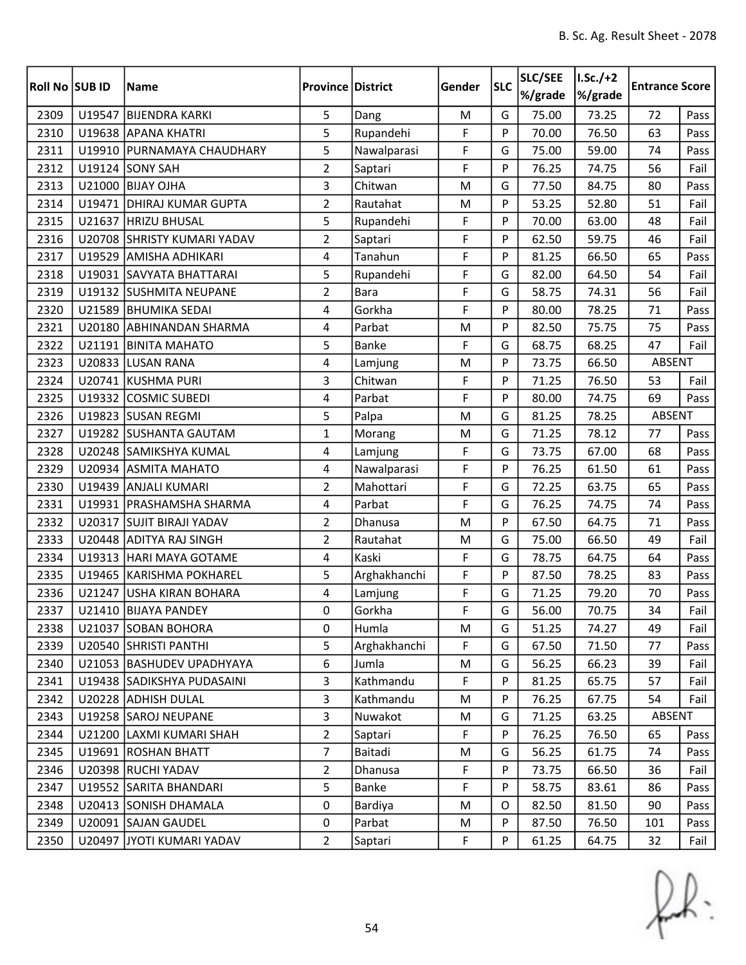| Roll No SUB ID |        | <b>Name</b>                 | <b>Province District</b> |              | Gender      | <b>SLC</b> | SLC/SEE<br>%/grade | $I.Sc./+2$<br>%/grade | <b>Entrance Score</b> |      |
|----------------|--------|-----------------------------|--------------------------|--------------|-------------|------------|--------------------|-----------------------|-----------------------|------|
| 2309           |        | U19547 BIJENDRA KARKI       | 5                        | Dang         | M           | G          | 75.00              | 73.25                 | 72                    | Pass |
| 2310           |        | U19638 APANA KHATRI         | 5                        | Rupandehi    | F           | P          | 70.00              | 76.50                 | 63                    | Pass |
| 2311           |        | U19910 PURNAMAYA CHAUDHARY  | 5                        | Nawalparasi  | F           | G          | 75.00              | 59.00                 | 74                    | Pass |
| 2312           |        | <b>U19124 SONY SAH</b>      | $\overline{2}$           | Saptari      | F           | P          | 76.25              | 74.75                 | 56                    | Fail |
| 2313           | U21000 | <b>BIJAY OJHA</b>           | 3                        | Chitwan      | M           | G          | 77.50              | 84.75                 | 80                    | Pass |
| 2314           |        | U19471   DHIRAJ KUMAR GUPTA | $\overline{2}$           | Rautahat     | M           | P          | 53.25              | 52.80                 | 51                    | Fail |
| 2315           |        | U21637 HRIZU BHUSAL         | 5                        | Rupandehi    | F           | P          | 70.00              | 63.00                 | 48                    | Fail |
| 2316           |        | U20708 SHRISTY KUMARI YADAV | $\overline{2}$           | Saptari      | F           | P          | 62.50              | 59.75                 | 46                    | Fail |
| 2317           | U19529 | <b>AMISHA ADHIKARI</b>      | $\overline{4}$           | Tanahun      | F           | P          | 81.25              | 66.50                 | 65                    | Pass |
| 2318           |        | U19031 SAVYATA BHATTARAI    | 5                        | Rupandehi    | F           | G          | 82.00              | 64.50                 | 54                    | Fail |
| 2319           |        | U19132 SUSHMITA NEUPANE     | $\overline{2}$           | <b>Bara</b>  | F           | G          | 58.75              | 74.31                 | 56                    | Fail |
| 2320           |        | U21589 BHUMIKA SEDAI        | 4                        | Gorkha       | F           | P          | 80.00              | 78.25                 | 71                    | Pass |
| 2321           | U20180 | <b>ABHINANDAN SHARMA</b>    | 4                        | Parbat       | M           | P          | 82.50              | 75.75                 | 75                    | Pass |
| 2322           |        | U21191 BINITA MAHATO        | 5                        | <b>Banke</b> | F           | G          | 68.75              | 68.25                 | 47                    | Fail |
| 2323           |        | U20833 LUSAN RANA           | 4                        | Lamjung      | M           | P          | 73.75              | 66.50                 | ABSENT                |      |
| 2324           |        | U20741 KUSHMA PURI          | 3                        | Chitwan      | F           | P          | 71.25              | 76.50                 | 53                    | Fail |
| 2325           |        | U19332 COSMIC SUBEDI        | 4                        | Parbat       | F           | P          | 80.00              | 74.75                 | 69                    | Pass |
| 2326           |        | U19823 SUSAN REGMI          | 5                        | Palpa        | M           | G          | 81.25              | 78.25                 | <b>ABSENT</b>         |      |
| 2327           |        | U19282 SUSHANTA GAUTAM      | $\mathbf{1}$             | Morang       | M           | G          | 71.25              | 78.12                 | 77                    | Pass |
| 2328           |        | U20248 SAMIKSHYA KUMAL      | 4                        | Lamjung      | F           | G          | 73.75              | 67.00                 | 68                    | Pass |
| 2329           |        | U20934 ASMITA MAHATO        | 4                        | Nawalparasi  | F           | P          | 76.25              | 61.50                 | 61                    | Pass |
| 2330           |        | U19439 ANJALI KUMARI        | $\overline{2}$           | Mahottari    | F           | G          | 72.25              | 63.75                 | 65                    | Pass |
| 2331           |        | U19931   PRASHAMSHA SHARMA  | 4                        | Parbat       | F           | G          | 76.25              | 74.75                 | 74                    | Pass |
| 2332           | U20317 | <b>SUJIT BIRAJI YADAV</b>   | $\overline{2}$           | Dhanusa      | M           | P          | 67.50              | 64.75                 | 71                    | Pass |
| 2333           |        | U20448 ADITYA RAJ SINGH     | $\overline{2}$           | Rautahat     | M           | G          | 75.00              | 66.50                 | 49                    | Fail |
| 2334           |        | U19313 HARI MAYA GOTAME     | 4                        | Kaski        | F           | G          | 78.75              | 64.75                 | 64                    | Pass |
| 2335           |        | U19465 KARISHMA POKHAREL    | 5                        | Arghakhanchi | F           | P          | 87.50              | 78.25                 | 83                    | Pass |
| 2336           |        | U21247 USHA KIRAN BOHARA    | 4                        | Lamjung      | F           | G          | 71.25              | 79.20                 | 70                    | Pass |
| 2337           |        | U21410 BIJAYA PANDEY        | 0                        | Gorkha       | $\mathsf F$ | G          | 56.00              | 70.75                 | 34                    | Fail |
| 2338           |        | U21037 SOBAN BOHORA         | 0                        | Humla        | M           | G          | 51.25              | 74.27                 | 49                    | Fail |
| 2339           |        | U20540 SHRISTI PANTHI       | 5                        | Arghakhanchi | F           | G          | 67.50              | 71.50                 | 77                    | Pass |
| 2340           |        | U21053 BASHUDEV UPADHYAYA   | 6                        | Jumla        | M           | G          | 56.25              | 66.23                 | 39                    | Fail |
| 2341           |        | U19438 SADIKSHYA PUDASAINI  | 3                        | Kathmandu    | F           | P          | 81.25              | 65.75                 | 57                    | Fail |
| 2342           |        | U20228 ADHISH DULAL         | 3                        | Kathmandu    | M           | P          | 76.25              | 67.75                 | 54                    | Fail |
| 2343           |        | U19258 SAROJ NEUPANE        | 3                        | Nuwakot      | M           | G          | 71.25              | 63.25                 | ABSENT                |      |
| 2344           |        | U21200 LAXMI KUMARI SHAH    | $\overline{2}$           | Saptari      | F           | P          | 76.25              | 76.50                 | 65                    | Pass |
| 2345           |        | U19691 ROSHAN BHATT         | $\overline{7}$           | Baitadi      | M           | G          | 56.25              | 61.75                 | 74                    | Pass |
| 2346           |        | U20398 RUCHI YADAV          | $\overline{2}$           | Dhanusa      | F           | P          | 73.75              | 66.50                 | 36                    | Fail |
| 2347           |        | U19552 SARITA BHANDARI      | 5                        | Banke        | F           | P          | 58.75              | 83.61                 | 86                    | Pass |
| 2348           |        | U20413 SONISH DHAMALA       | 0                        | Bardiya      | M           | O          | 82.50              | 81.50                 | 90                    | Pass |
| 2349           |        | U20091 SAJAN GAUDEL         | $\mathbf 0$              | Parbat       | M           | P          | 87.50              | 76.50                 | 101                   | Pass |
| 2350           |        | U20497 JYOTI KUMARI YADAV   | $\overline{2}$           | Saptari      | F           | P          | 61.25              | 64.75                 | 32                    | Fail |

 $f(x)$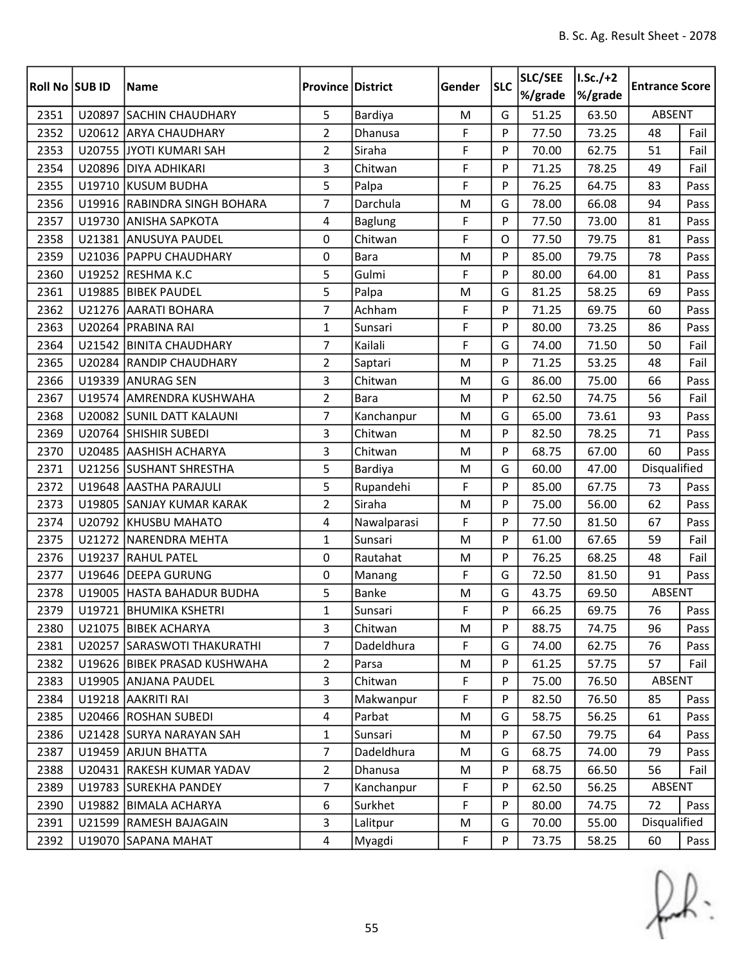| <b>Roll No SUB ID</b> |        | <b>Name</b>                  | <b>Province District</b> |                | Gender | <b>SLC</b> | SLC/SEE<br>%/grade | $LSc./+2$<br>%/grade | <b>Entrance Score</b> |      |
|-----------------------|--------|------------------------------|--------------------------|----------------|--------|------------|--------------------|----------------------|-----------------------|------|
| 2351                  | U20897 | <b>SACHIN CHAUDHARY</b>      | 5                        | Bardiya        | M      | G          | 51.25              | 63.50                | <b>ABSENT</b>         |      |
| 2352                  |        | U20612 ARYA CHAUDHARY        | $\overline{2}$           | Dhanusa        | F      | P          | 77.50              | 73.25                | 48                    | Fail |
| 2353                  |        | U20755 JYOTI KUMARI SAH      | $\overline{2}$           | Siraha         | F      | P          | 70.00              | 62.75                | 51                    | Fail |
| 2354                  |        | U20896 DIYA ADHIKARI         | 3                        | Chitwan        | F      | P          | 71.25              | 78.25                | 49                    | Fail |
| 2355                  |        | U19710 KUSUM BUDHA           | 5                        | Palpa          | F      | P          | 76.25              | 64.75                | 83                    | Pass |
| 2356                  |        | U19916 RABINDRA SINGH BOHARA | $\overline{7}$           | Darchula       | M      | G          | 78.00              | 66.08                | 94                    | Pass |
| 2357                  |        | U19730 ANISHA SAPKOTA        | 4                        | <b>Baglung</b> | F      | P          | 77.50              | 73.00                | 81                    | Pass |
| 2358                  |        | U21381 ANUSUYA PAUDEL        | 0                        | Chitwan        | F      | O          | 77.50              | 79.75                | 81                    | Pass |
| 2359                  |        | U21036 PAPPU CHAUDHARY       | 0                        | <b>Bara</b>    | M      | P          | 85.00              | 79.75                | 78                    | Pass |
| 2360                  |        | U19252 RESHMA K.C            | 5                        | Gulmi          | F      | P          | 80.00              | 64.00                | 81                    | Pass |
| 2361                  |        | U19885 BIBEK PAUDEL          | 5                        | Palpa          | M      | G          | 81.25              | 58.25                | 69                    | Pass |
| 2362                  | U21276 | <b>AARATI BOHARA</b>         | $\overline{7}$           | Achham         | F      | P          | 71.25              | 69.75                | 60                    | Pass |
| 2363                  |        | U20264 PRABINA RAI           | $\mathbf{1}$             | Sunsari        | F      | P          | 80.00              | 73.25                | 86                    | Pass |
| 2364                  |        | U21542 BINITA CHAUDHARY      | 7                        | Kailali        | F      | G          | 74.00              | 71.50                | 50                    | Fail |
| 2365                  |        | U20284 RANDIP CHAUDHARY      | $\overline{2}$           | Saptari        | M      | P          | 71.25              | 53.25                | 48                    | Fail |
| 2366                  |        | U19339 ANURAG SEN            | 3                        | Chitwan        | M      | G          | 86.00              | 75.00                | 66                    | Pass |
| 2367                  | U19574 | <b>AMRENDRA KUSHWAHA</b>     | $\overline{2}$           | Bara           | M      | P          | 62.50              | 74.75                | 56                    | Fail |
| 2368                  |        | U20082 SUNIL DATT KALAUNI    | $\overline{7}$           | Kanchanpur     | M      | G          | 65.00              | 73.61                | 93                    | Pass |
| 2369                  |        | U20764 SHISHIR SUBEDI        | 3                        | Chitwan        | M      | P          | 82.50              | 78.25                | 71                    | Pass |
| 2370                  |        | U20485 AASHISH ACHARYA       | 3                        | Chitwan        | M      | P          | 68.75              | 67.00                | 60                    | Pass |
| 2371                  |        | U21256 SUSHANT SHRESTHA      | 5                        | Bardiya        | M      | G          | 60.00              | 47.00                | Disqualified          |      |
| 2372                  |        | U19648 AASTHA PARAJULI       | 5                        | Rupandehi      | F      | P          | 85.00              | 67.75                | 73                    | Pass |
| 2373                  |        | U19805 SANJAY KUMAR KARAK    | $\overline{2}$           | Siraha         | M      | P          | 75.00              | 56.00                | 62                    | Pass |
| 2374                  |        | U20792 KHUSBU MAHATO         | 4                        | Nawalparasi    | F      | P          | 77.50              | 81.50                | 67                    | Pass |
| 2375                  |        | U21272 NARENDRA MEHTA        | $\mathbf{1}$             | Sunsari        | M      | P          | 61.00              | 67.65                | 59                    | Fail |
| 2376                  | U19237 | <b>RAHUL PATEL</b>           | 0                        | Rautahat       | M      | P          | 76.25              | 68.25                | 48                    | Fail |
| 2377                  |        | U19646 DEEPA GURUNG          | 0                        | Manang         | F      | G          | 72.50              | 81.50                | 91                    | Pass |
| 2378                  |        | U19005 HASTA BAHADUR BUDHA   | 5                        | <b>Banke</b>   | M      | G          | 43.75              | 69.50                | <b>ABSENT</b>         |      |
| 2379                  |        | U19721   BHUMIKA KSHETRI     | $\mathbf{1}$             | Sunsari        | F      | P          | 66.25              | 69.75                | 76                    | Pass |
| 2380                  |        | U21075 BIBEK ACHARYA         | 3                        | Chitwan        | M      | P          | 88.75              | 74.75                | 96                    | Pass |
| 2381                  |        | U20257 SARASWOTI THAKURATHI  | 7                        | Dadeldhura     | F      | G          | 74.00              | 62.75                | 76                    | Pass |
| 2382                  |        | U19626 BIBEK PRASAD KUSHWAHA | $\overline{2}$           | Parsa          | M      | P          | 61.25              | 57.75                | 57                    | Fail |
| 2383                  |        | U19905 ANJANA PAUDEL         | 3                        | Chitwan        | F      | P          | 75.00              | 76.50                | ABSENT                |      |
| 2384                  |        | U19218 AAKRITI RAI           | 3                        | Makwanpur      | F      | P          | 82.50              | 76.50                | 85                    | Pass |
| 2385                  |        | U20466 ROSHAN SUBEDI         | 4                        | Parbat         | M      | G          | 58.75              | 56.25                | 61                    | Pass |
| 2386                  |        | U21428 SURYA NARAYAN SAH     | $\mathbf{1}$             | Sunsari        | M      | P          | 67.50              | 79.75                | 64                    | Pass |
| 2387                  |        | U19459 ARJUN BHATTA          | 7                        | Dadeldhura     | M      | G          | 68.75              | 74.00                | 79                    | Pass |
| 2388                  |        | U20431 RAKESH KUMAR YADAV    | $\overline{2}$           | Dhanusa        | M      | P          | 68.75              | 66.50                | 56                    | Fail |
| 2389                  |        | U19783 SUREKHA PANDEY        | $\overline{7}$           | Kanchanpur     | F      | P          | 62.50              | 56.25                | ABSENT                |      |
| 2390                  |        | U19882 BIMALA ACHARYA        | 6                        | Surkhet        | F      | P          | 80.00              | 74.75                | 72                    | Pass |
| 2391                  |        | U21599 RAMESH BAJAGAIN       | 3                        | Lalitpur       | M      | G          | 70.00              | 55.00                | Disqualified          |      |
| 2392                  |        | U19070 SAPANA MAHAT          | $\overline{4}$           | Myagdi         | F      | P          | 73.75              | 58.25                | 60                    | Pass |

 $f(x)$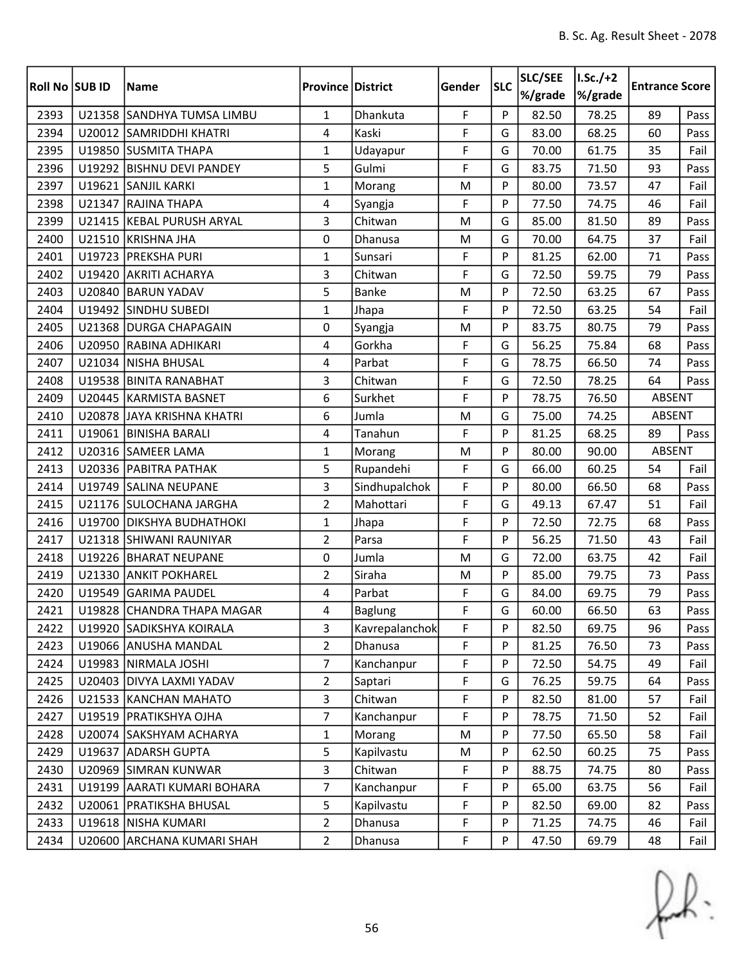| Roll No SUB ID |        | Name                        | <b>Province District</b> |                | Gender      | <b>SLC</b> | SLC/SEE<br>%/grade | $I.Sc./+2$<br>%/grade | <b>Entrance Score</b> |      |
|----------------|--------|-----------------------------|--------------------------|----------------|-------------|------------|--------------------|-----------------------|-----------------------|------|
| 2393           |        | U21358 SANDHYA TUMSA LIMBU  | $\mathbf{1}$             | Dhankuta       | F           | P          | 82.50              | 78.25                 | 89                    | Pass |
| 2394           |        | U20012 SAMRIDDHI KHATRI     | 4                        | Kaski          | F           | G          | 83.00              | 68.25                 | 60                    | Pass |
| 2395           |        | U19850 SUSMITA THAPA        | $\mathbf{1}$             | Udayapur       | F           | G          | 70.00              | 61.75                 | 35                    | Fail |
| 2396           |        | U19292 BISHNU DEVI PANDEY   | 5                        | Gulmi          | F           | G          | 83.75              | 71.50                 | 93                    | Pass |
| 2397           | U19621 | <b>SANJIL KARKI</b>         | $\mathbf{1}$             | Morang         | M           | P          | 80.00              | 73.57                 | 47                    | Fail |
| 2398           |        | U21347 RAJINA THAPA         | 4                        | Syangja        | F           | P          | 77.50              | 74.75                 | 46                    | Fail |
| 2399           |        | U21415 KEBAL PURUSH ARYAL   | 3                        | Chitwan        | M           | G          | 85.00              | 81.50                 | 89                    | Pass |
| 2400           |        | U21510 KRISHNA JHA          | $\mathbf 0$              | Dhanusa        | M           | G          | 70.00              | 64.75                 | 37                    | Fail |
| 2401           |        | U19723 PREKSHA PURI         | $\mathbf{1}$             | Sunsari        | F           | P          | 81.25              | 62.00                 | 71                    | Pass |
| 2402           | U19420 | <b>AKRITI ACHARYA</b>       | 3                        | Chitwan        | F           | G          | 72.50              | 59.75                 | 79                    | Pass |
| 2403           |        | U20840 BARUN YADAV          | 5                        | Banke          | M           | P          | 72.50              | 63.25                 | 67                    | Pass |
| 2404           |        | U19492 SINDHU SUBEDI        | $\mathbf{1}$             | Jhapa          | F           | P          | 72.50              | 63.25                 | 54                    | Fail |
| 2405           |        | U21368 DURGA CHAPAGAIN      | 0                        | Syangja        | M           | P          | 83.75              | 80.75                 | 79                    | Pass |
| 2406           | U20950 | <b>RABINA ADHIKARI</b>      | 4                        | Gorkha         | F           | G          | 56.25              | 75.84                 | 68                    | Pass |
| 2407           |        | U21034 NISHA BHUSAL         | 4                        | Parbat         | F           | G          | 78.75              | 66.50                 | 74                    | Pass |
| 2408           |        | U19538 BINITA RANABHAT      | 3                        | Chitwan        | F           | G          | 72.50              | 78.25                 | 64                    | Pass |
| 2409           |        | U20445 KARMISTA BASNET      | 6                        | Surkhet        | F           | P          | 78.75              | 76.50                 | ABSENT                |      |
| 2410           |        | U20878 JAYA KRISHNA KHATRI  | 6                        | Jumla          | M           | G          | 75.00              | 74.25                 | ABSENT                |      |
| 2411           |        | U19061 BINISHA BARALI       | 4                        | Tanahun        | F           | P          | 81.25              | 68.25                 | 89                    | Pass |
| 2412           |        | U20316 SAMEER LAMA          | $\mathbf{1}$             | Morang         | M           | P          | 80.00              | 90.00                 | <b>ABSENT</b>         |      |
| 2413           |        | U20336 PABITRA PATHAK       | 5                        | Rupandehi      | F           | G          | 66.00              | 60.25                 | 54                    | Fail |
| 2414           | U19749 | <b>SALINA NEUPANE</b>       | 3                        | Sindhupalchok  | F           | P          | 80.00              | 66.50                 | 68                    | Pass |
| 2415           |        | U21176 SULOCHANA JARGHA     | $\overline{2}$           | Mahottari      | F           | G          | 49.13              | 67.47                 | 51                    | Fail |
| 2416           | U19700 | <b>DIKSHYA BUDHATHOKI</b>   | $\mathbf{1}$             | Jhapa          | F           | P          | 72.50              | 72.75                 | 68                    | Pass |
| 2417           |        | U21318 SHIWANI RAUNIYAR     | $\overline{2}$           | Parsa          | F           | P          | 56.25              | 71.50                 | 43                    | Fail |
| 2418           |        | U19226 BHARAT NEUPANE       | 0                        | Jumla          | M           | G          | 72.00              | 63.75                 | 42                    | Fail |
| 2419           |        | U21330 ANKIT POKHAREL       | $\overline{2}$           | Siraha         | M           | P          | 85.00              | 79.75                 | 73                    | Pass |
| 2420           | U19549 | <b>GARIMA PAUDEL</b>        | 4                        | Parbat         | F           | G          | 84.00              | 69.75                 | 79                    | Pass |
| 2421           |        | U19828 CHANDRA THAPA MAGAR  | 4                        | Baglung        | $\mathsf F$ | G          | 60.00              | 66.50                 | 63                    | Pass |
| 2422           |        | U19920 SADIKSHYA KOIRALA    | 3                        | Kavrepalanchok | F           | P          | 82.50              | 69.75                 | 96                    | Pass |
| 2423           |        | U19066 ANUSHA MANDAL        | $\overline{2}$           | Dhanusa        | F           | P          | 81.25              | 76.50                 | 73                    | Pass |
| 2424           |        | U19983 NIRMALA JOSHI        | $\overline{7}$           | Kanchanpur     | F           | P          | 72.50              | 54.75                 | 49                    | Fail |
| 2425           |        | U20403 DIVYA LAXMI YADAV    | $\overline{2}$           | Saptari        | F           | G          | 76.25              | 59.75                 | 64                    | Pass |
| 2426           |        | U21533 KANCHAN MAHATO       | 3                        | Chitwan        | F           | P          | 82.50              | 81.00                 | 57                    | Fail |
| 2427           |        | U19519   PRATIKSHYA OJHA    | $\overline{7}$           | Kanchanpur     | F           | P          | 78.75              | 71.50                 | 52                    | Fail |
| 2428           |        | U20074 SAKSHYAM ACHARYA     | $\mathbf{1}$             | Morang         | M           | P          | 77.50              | 65.50                 | 58                    | Fail |
| 2429           |        | U19637 ADARSH GUPTA         | 5                        | Kapilvastu     | M           | P          | 62.50              | 60.25                 | 75                    | Pass |
| 2430           |        | U20969 SIMRAN KUNWAR        | 3                        | Chitwan        | F           | P          | 88.75              | 74.75                 | 80                    | Pass |
| 2431           |        | U19199 AARATI KUMARI BOHARA | $\overline{7}$           | Kanchanpur     | F           | P          | 65.00              | 63.75                 | 56                    | Fail |
| 2432           |        | U20061   PRATIKSHA BHUSAL   | 5                        | Kapilvastu     | F           | P          | 82.50              | 69.00                 | 82                    | Pass |
| 2433           |        | U19618 NISHA KUMARI         | $\overline{2}$           | Dhanusa        | F           | P          | 71.25              | 74.75                 | 46                    | Fail |
| 2434           |        | U20600 ARCHANA KUMARI SHAH  | $\overline{2}$           | Dhanusa        | F           | P          | 47.50              | 69.79                 | 48                    | Fail |

 $f(x)$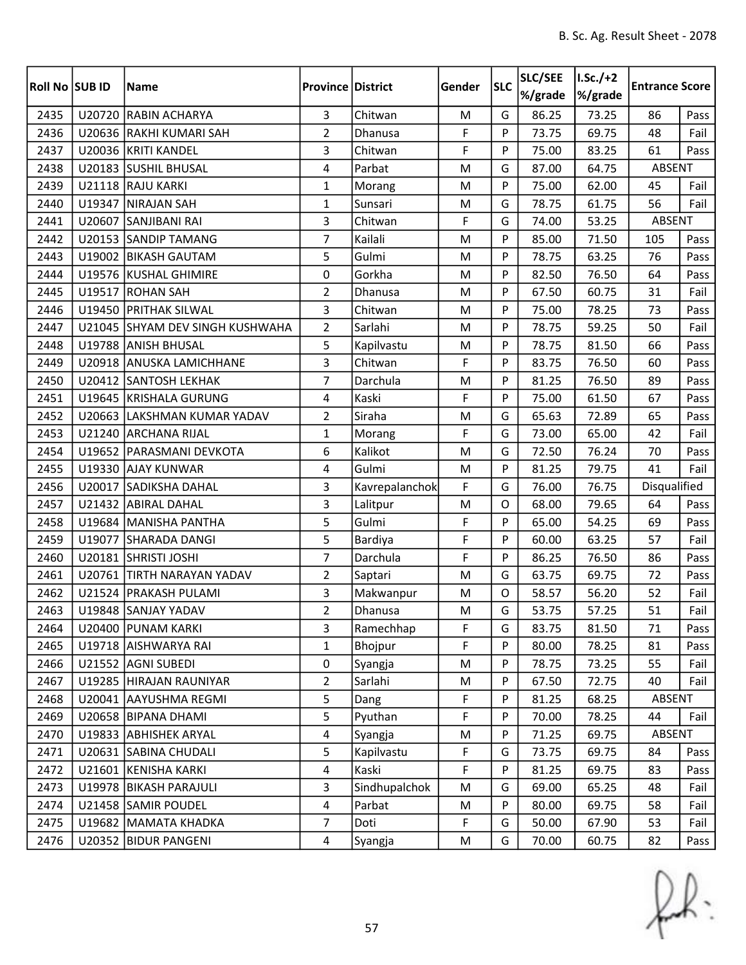| <b>Roll No SUB ID</b> |        | <b>Name</b>                     | <b>Province District</b> |                | Gender | <b>SLC</b>   | SLC/SEE<br>%/grade | $I.Sc./+2$<br>%/grade | <b>Entrance Score</b> |      |
|-----------------------|--------|---------------------------------|--------------------------|----------------|--------|--------------|--------------------|-----------------------|-----------------------|------|
| 2435                  | U20720 | <b>RABIN ACHARYA</b>            | $\overline{3}$           | Chitwan        | M      | G            | 86.25              | 73.25                 | 86                    | Pass |
| 2436                  |        | U20636 RAKHI KUMARI SAH         | $\overline{2}$           | Dhanusa        | F      | P            | 73.75              | 69.75                 | 48                    | Fail |
| 2437                  |        | U20036 KRITI KANDEL             | 3                        | Chitwan        | F      | P            | 75.00              | 83.25                 | 61                    | Pass |
| 2438                  |        | U20183 SUSHIL BHUSAL            | 4                        | Parbat         | M      | G            | 87.00              | 64.75                 | ABSENT                |      |
| 2439                  |        | U21118 RAJU KARKI               | $\mathbf{1}$             | Morang         | M      | P            | 75.00              | 62.00                 | 45                    | Fail |
| 2440                  |        | U19347 NIRAJAN SAH              | $\mathbf{1}$             | Sunsari        | M      | G            | 78.75              | 61.75                 | 56                    | Fail |
| 2441                  |        | U20607 SANJIBANI RAI            | 3                        | Chitwan        | F      | G            | 74.00              | 53.25                 | ABSENT                |      |
| 2442                  |        | U20153 SANDIP TAMANG            | $\overline{7}$           | Kailali        | M      | P            | 85.00              | 71.50                 | 105                   | Pass |
| 2443                  |        | U19002 BIKASH GAUTAM            | 5                        | Gulmi          | M      | P            | 78.75              | 63.25                 | 76                    | Pass |
| 2444                  |        | U19576 KUSHAL GHIMIRE           | 0                        | Gorkha         | M      | P            | 82.50              | 76.50                 | 64                    | Pass |
| 2445                  |        | U19517 ROHAN SAH                | $\overline{2}$           | Dhanusa        | M      | P            | 67.50              | 60.75                 | 31                    | Fail |
| 2446                  |        | U19450 PRITHAK SILWAL           | 3                        | Chitwan        | M      | P            | 75.00              | 78.25                 | 73                    | Pass |
| 2447                  |        | U21045 SHYAM DEV SINGH KUSHWAHA | $\overline{2}$           | Sarlahi        | M      | P            | 78.75              | 59.25                 | 50                    | Fail |
| 2448                  |        | U19788 ANISH BHUSAL             | 5                        | Kapilvastu     | M      | P            | 78.75              | 81.50                 | 66                    | Pass |
| 2449                  |        | U20918 ANUSKA LAMICHHANE        | 3                        | Chitwan        | F      | P            | 83.75              | 76.50                 | 60                    | Pass |
| 2450                  |        | U20412 SANTOSH LEKHAK           | $\overline{7}$           | Darchula       | M      | P            | 81.25              | 76.50                 | 89                    | Pass |
| 2451                  |        | U19645 KRISHALA GURUNG          | 4                        | Kaski          | F      | P            | 75.00              | 61.50                 | 67                    | Pass |
| 2452                  |        | U20663 LAKSHMAN KUMAR YADAV     | $\overline{2}$           | Siraha         | M      | G            | 65.63              | 72.89                 | 65                    | Pass |
| 2453                  |        | U21240 ARCHANA RIJAL            | $\mathbf{1}$             | Morang         | F      | G            | 73.00              | 65.00                 | 42                    | Fail |
| 2454                  |        | U19652 PARASMANI DEVKOTA        | 6                        | Kalikot        | M      | G            | 72.50              | 76.24                 | 70                    | Pass |
| 2455                  |        | U19330 AJAY KUNWAR              | 4                        | Gulmi          | M      | P            | 81.25              | 79.75                 | 41                    | Fail |
| 2456                  | U20017 | <b>SADIKSHA DAHAL</b>           | 3                        | Kavrepalanchok | F      | G            | 76.00              | 76.75                 | Disqualified          |      |
| 2457                  |        | U21432 ABIRAL DAHAL             | 3                        | Lalitpur       | M      | O            | 68.00              | 79.65                 | 64                    | Pass |
| 2458                  |        | U19684 MANISHA PANTHA           | 5                        | Gulmi          | F      | P            | 65.00              | 54.25                 | 69                    | Pass |
| 2459                  |        | U19077 SHARADA DANGI            | 5                        | Bardiya        | F      | P            | 60.00              | 63.25                 | 57                    | Fail |
| 2460                  |        | U20181 SHRISTI JOSHI            | $\overline{7}$           | Darchula       | F      | P            | 86.25              | 76.50                 | 86                    | Pass |
| 2461                  |        | U20761 TIRTH NARAYAN YADAV      | $\overline{2}$           | Saptari        | M      | G            | 63.75              | 69.75                 | 72                    | Pass |
| 2462                  |        | U21524 PRAKASH PULAMI           | 3                        | Makwanpur      | M      | $\mathsf{O}$ | 58.57              | 56.20                 | 52                    | Fail |
| 2463                  |        | U19848 SANJAY YADAV             | $\overline{2}$           | Dhanusa        | M      | G            | 53.75              | 57.25                 | 51                    | Fail |
| 2464                  |        | U20400 PUNAM KARKI              | 3                        | Ramechhap      | F      | G            | 83.75              | 81.50                 | 71                    | Pass |
| 2465                  |        | U19718 AISHWARYA RAI            | 1                        | Bhojpur        | F      | P            | 80.00              | 78.25                 | 81                    | Pass |
| 2466                  |        | U21552 AGNI SUBEDI              | 0                        | Syangja        | M      | P            | 78.75              | 73.25                 | 55                    | Fail |
| 2467                  |        | U19285 HIRAJAN RAUNIYAR         | $\overline{2}$           | Sarlahi        | M      | P            | 67.50              | 72.75                 | 40                    | Fail |
| 2468                  |        | U20041 AAYUSHMA REGMI           | 5                        | Dang           | F      | P            | 81.25              | 68.25                 | ABSENT                |      |
| 2469                  |        | U20658 BIPANA DHAMI             | 5                        | Pyuthan        | F      | P            | 70.00              | 78.25                 | 44                    | Fail |
| 2470                  |        | U19833 ABHISHEK ARYAL           | $\overline{4}$           | Syangja        | M      | P            | 71.25              | 69.75                 | ABSENT                |      |
| 2471                  |        | U20631 SABINA CHUDALI           | 5                        | Kapilvastu     | F      | G            | 73.75              | 69.75                 | 84                    | Pass |
| 2472                  |        | U21601 KENISHA KARKI            | 4                        | Kaski          | F      | P            | 81.25              | 69.75                 | 83                    | Pass |
| 2473                  |        | U19978 BIKASH PARAJULI          | $\overline{3}$           | Sindhupalchok  | M      | G            | 69.00              | 65.25                 | 48                    | Fail |
| 2474                  |        | U21458 SAMIR POUDEL             | $\overline{4}$           | Parbat         | M      | P            | 80.00              | 69.75                 | 58                    | Fail |
| 2475                  |        | U19682 MAMATA KHADKA            | $\overline{7}$           | Doti           | F      | G            | 50.00              | 67.90                 | 53                    | Fail |
| 2476                  |        | U20352 BIDUR PANGENI            | $\overline{4}$           | Syangja        | M      | G            | 70.00              | 60.75                 | 82                    | Pass |

 $f(x)$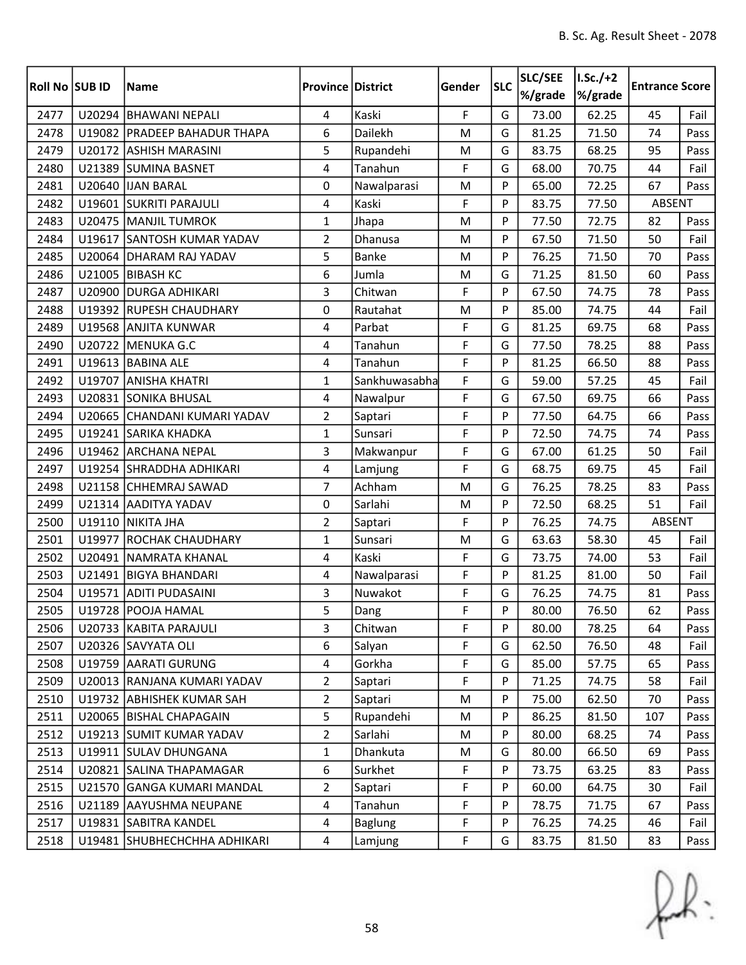| <b>Roll No SUB ID</b> |        | <b>Name</b>                    | <b>Province District</b> |                | Gender | <b>SLC</b> | SLC/SEE<br>%/grade | $I.Sc./+2$<br>%/grade | <b>Entrance Score</b> |      |
|-----------------------|--------|--------------------------------|--------------------------|----------------|--------|------------|--------------------|-----------------------|-----------------------|------|
| 2477                  |        | U20294 BHAWANI NEPALI          | 4                        | Kaski          | F      | G          | 73.00              | 62.25                 | 45                    | Fail |
| 2478                  |        | U19082   PRADEEP BAHADUR THAPA | 6                        | Dailekh        | M      | G          | 81.25              | 71.50                 | 74                    | Pass |
| 2479                  |        | U20172 ASHISH MARASINI         | 5                        | Rupandehi      | M      | G          | 83.75              | 68.25                 | 95                    | Pass |
| 2480                  |        | U21389 SUMINA BASNET           | 4                        | Tanahun        | F      | G          | 68.00              | 70.75                 | 44                    | Fail |
| 2481                  | U20640 | <b>IJAN BARAL</b>              | 0                        | Nawalparasi    | M      | P          | 65.00              | 72.25                 | 67                    | Pass |
| 2482                  |        | U19601 SUKRITI PARAJULI        | 4                        | Kaski          | F      | P          | 83.75              | 77.50                 | <b>ABSENT</b>         |      |
| 2483                  |        | U20475 MANJIL TUMROK           | $\mathbf{1}$             | Jhapa          | M      | P          | 77.50              | 72.75                 | 82                    | Pass |
| 2484                  |        | U19617 SANTOSH KUMAR YADAV     | $\overline{2}$           | Dhanusa        | M      | P          | 67.50              | 71.50                 | 50                    | Fail |
| 2485                  |        | U20064 DHARAM RAJ YADAV        | 5                        | <b>Banke</b>   | M      | P          | 76.25              | 71.50                 | 70                    | Pass |
| 2486                  | U21005 | <b>BIBASH KC</b>               | 6                        | Jumla          | M      | G          | 71.25              | 81.50                 | 60                    | Pass |
| 2487                  |        | U20900 DURGA ADHIKARI          | 3                        | Chitwan        | F      | P          | 67.50              | 74.75                 | 78                    | Pass |
| 2488                  |        | U19392 RUPESH CHAUDHARY        | 0                        | Rautahat       | M      | P          | 85.00              | 74.75                 | 44                    | Fail |
| 2489                  |        | U19568 ANJITA KUNWAR           | 4                        | Parbat         | F      | G          | 81.25              | 69.75                 | 68                    | Pass |
| 2490                  |        | U20722 MENUKA G.C              | 4                        | Tanahun        | F      | G          | 77.50              | 78.25                 | 88                    | Pass |
| 2491                  |        | U19613 BABINA ALE              | $\overline{4}$           | Tanahun        | F      | P          | 81.25              | 66.50                 | 88                    | Pass |
| 2492                  |        | U19707 ANISHA KHATRI           | $\mathbf{1}$             | Sankhuwasabha  | F      | G          | 59.00              | 57.25                 | 45                    | Fail |
| 2493                  |        | U20831 SONIKA BHUSAL           | 4                        | Nawalpur       | F      | G          | 67.50              | 69.75                 | 66                    | Pass |
| 2494                  |        | U20665 CHANDANI KUMARI YADAV   | $\overline{2}$           | Saptari        | F      | P          | 77.50              | 64.75                 | 66                    | Pass |
| 2495                  |        | U19241 SARIKA KHADKA           | $\mathbf{1}$             | Sunsari        | F      | P          | 72.50              | 74.75                 | 74                    | Pass |
| 2496                  |        | U19462 ARCHANA NEPAL           | 3                        | Makwanpur      | F      | G          | 67.00              | 61.25                 | 50                    | Fail |
| 2497                  |        | U19254 SHRADDHA ADHIKARI       | 4                        | Lamjung        | F      | G          | 68.75              | 69.75                 | 45                    | Fail |
| 2498                  |        | U21158 CHHEMRAJ SAWAD          | $\overline{7}$           | Achham         | M      | G          | 76.25              | 78.25                 | 83                    | Pass |
| 2499                  |        | U21314 AADITYA YADAV           | 0                        | Sarlahi        | M      | P          | 72.50              | 68.25                 | 51                    | Fail |
| 2500                  | U19110 | <b>NIKITA JHA</b>              | $\overline{2}$           | Saptari        | F      | P          | 76.25              | 74.75                 | ABSENT                |      |
| 2501                  |        | U19977 ROCHAK CHAUDHARY        | $\mathbf{1}$             | Sunsari        | M      | G          | 63.63              | 58.30                 | 45                    | Fail |
| 2502                  |        | U20491   NAMRATA KHANAL        | 4                        | Kaski          | F      | G          | 73.75              | 74.00                 | 53                    | Fail |
| 2503                  | U21491 | <b>BIGYA BHANDARI</b>          | 4                        | Nawalparasi    | F      | P          | 81.25              | 81.00                 | 50                    | Fail |
| 2504                  |        | U19571 ADITI PUDASAINI         | 3                        | Nuwakot        | F      | G          | 76.25              | 74.75                 | 81                    | Pass |
| 2505                  |        | U19728 POOJA HAMAL             | 5                        | Dang           | F      | Þ          | 80.00              | 76.50                 | 62                    | Pass |
| 2506                  |        | U20733 KABITA PARAJULI         | 3                        | Chitwan        | F      | P          | 80.00              | 78.25                 | 64                    | Pass |
| 2507                  |        | U20326 SAVYATA OLI             | 6                        | Salyan         | F      | G          | 62.50              | 76.50                 | 48                    | Fail |
| 2508                  |        | U19759 AARATI GURUNG           | 4                        | Gorkha         | F      | G          | 85.00              | 57.75                 | 65                    | Pass |
| 2509                  |        | U20013 RANJANA KUMARI YADAV    | $\overline{2}$           | Saptari        | F      | P          | 71.25              | 74.75                 | 58                    | Fail |
| 2510                  |        | U19732 ABHISHEK KUMAR SAH      | $\overline{2}$           | Saptari        | M      | P          | 75.00              | 62.50                 | 70                    | Pass |
| 2511                  |        | U20065   BISHAL CHAPAGAIN      | 5                        | Rupandehi      | M      | P          | 86.25              | 81.50                 | 107                   | Pass |
| 2512                  |        | U19213 SUMIT KUMAR YADAV       | $\overline{2}$           | Sarlahi        | M      | P          | 80.00              | 68.25                 | 74                    | Pass |
| 2513                  |        | U19911 SULAV DHUNGANA          | $\mathbf{1}$             | Dhankuta       | M      | G          | 80.00              | 66.50                 | 69                    | Pass |
| 2514                  |        | U20821 SALINA THAPAMAGAR       | 6                        | Surkhet        | F      | P          | 73.75              | 63.25                 | 83                    | Pass |
| 2515                  |        | U21570 GANGA KUMARI MANDAL     | $\overline{2}$           | Saptari        | F      | P          | 60.00              | 64.75                 | 30                    | Fail |
| 2516                  |        | U21189 AAYUSHMA NEUPANE        | 4                        | Tanahun        | F      | P          | 78.75              | 71.75                 | 67                    | Pass |
| 2517                  |        | U19831 SABITRA KANDEL          | 4                        | <b>Baglung</b> | F      | P          | 76.25              | 74.25                 | 46                    | Fail |
| 2518                  |        | U19481 SHUBHECHCHHA ADHIKARI   | $\overline{4}$           | Lamjung        | F      | G          | 83.75              | 81.50                 | 83                    | Pass |

 $f(x)$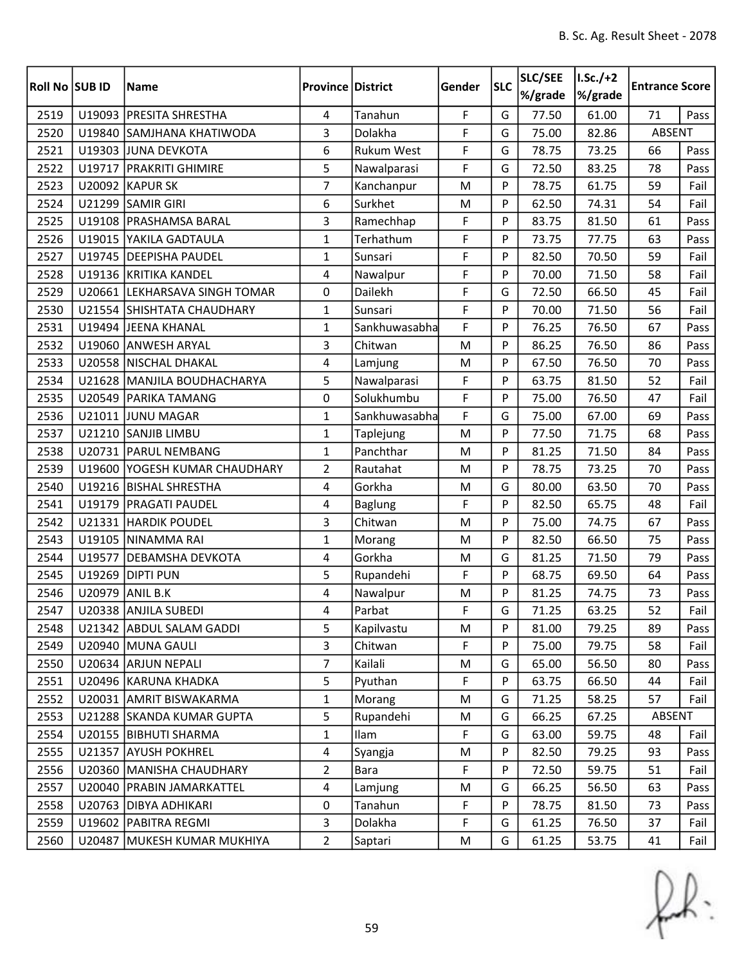| <b>Roll No SUB ID</b> |        | <b>Name</b>                   | <b>Province District</b> |                   | Gender      | <b>SLC</b> | SLC/SEE<br>%/grade | $1.5c./+2$<br>%/grade | <b>Entrance Score</b> |      |
|-----------------------|--------|-------------------------------|--------------------------|-------------------|-------------|------------|--------------------|-----------------------|-----------------------|------|
| 2519                  |        | U19093 PRESITA SHRESTHA       | 4                        | Tanahun           | F           | G          | 77.50              | 61.00                 | 71                    | Pass |
| 2520                  |        | U19840 SAMJHANA KHATIWODA     | 3                        | Dolakha           | F           | G          | 75.00              | 82.86                 | ABSENT                |      |
| 2521                  |        | U19303 JUNA DEVKOTA           | 6                        | <b>Rukum West</b> | F           | G          | 78.75              | 73.25                 | 66                    | Pass |
| 2522                  |        | U19717   PRAKRITI GHIMIRE     | 5                        | Nawalparasi       | F           | G          | 72.50              | 83.25                 | 78                    | Pass |
| 2523                  |        | U20092 KAPUR SK               | $\overline{7}$           | Kanchanpur        | M           | P          | 78.75              | 61.75                 | 59                    | Fail |
| 2524                  |        | U21299 SAMIR GIRI             | 6                        | Surkhet           | M           | P          | 62.50              | 74.31                 | 54                    | Fail |
| 2525                  |        | U19108   PRASHAMSA BARAL      | 3                        | Ramechhap         | F           | P          | 83.75              | 81.50                 | 61                    | Pass |
| 2526                  |        | U19015 YAKILA GADTAULA        | $\mathbf{1}$             | Terhathum         | F           | P          | 73.75              | 77.75                 | 63                    | Pass |
| 2527                  |        | U19745   DEEPISHA PAUDEL      | $\mathbf{1}$             | Sunsari           | F           | P          | 82.50              | 70.50                 | 59                    | Fail |
| 2528                  |        | U19136 KRITIKA KANDEL         | 4                        | Nawalpur          | F           | P          | 70.00              | 71.50                 | 58                    | Fail |
| 2529                  |        | U20661 LEKHARSAVA SINGH TOMAR | 0                        | Dailekh           | F           | G          | 72.50              | 66.50                 | 45                    | Fail |
| 2530                  |        | U21554 SHISHTATA CHAUDHARY    | $\mathbf{1}$             | Sunsari           | F           | P          | 70.00              | 71.50                 | 56                    | Fail |
| 2531                  |        | U19494 JEENA KHANAL           | $\mathbf{1}$             | Sankhuwasabha     | F           | P          | 76.25              | 76.50                 | 67                    | Pass |
| 2532                  |        | U19060 ANWESH ARYAL           | 3                        | Chitwan           | M           | P          | 86.25              | 76.50                 | 86                    | Pass |
| 2533                  |        | U20558 NISCHAL DHAKAL         | 4                        | Lamjung           | M           | P          | 67.50              | 76.50                 | 70                    | Pass |
| 2534                  |        | U21628 MANJILA BOUDHACHARYA   | 5                        | Nawalparasi       | F           | P          | 63.75              | 81.50                 | 52                    | Fail |
| 2535                  |        | U20549 PARIKA TAMANG          | 0                        | Solukhumbu        | F           | P          | 75.00              | 76.50                 | 47                    | Fail |
| 2536                  |        | U21011 JUNU MAGAR             | $\mathbf{1}$             | Sankhuwasabha     | F           | G          | 75.00              | 67.00                 | 69                    | Pass |
| 2537                  |        | U21210 SANJIB LIMBU           | $\mathbf{1}$             | Taplejung         | M           | P          | 77.50              | 71.75                 | 68                    | Pass |
| 2538                  |        | U20731   PARUL NEMBANG        | $\mathbf{1}$             | Panchthar         | M           | P          | 81.25              | 71.50                 | 84                    | Pass |
| 2539                  |        | U19600 YOGESH KUMAR CHAUDHARY | $\overline{2}$           | Rautahat          | ${\sf M}$   | P          | 78.75              | 73.25                 | 70                    | Pass |
| 2540                  |        | U19216 BISHAL SHRESTHA        | 4                        | Gorkha            | M           | G          | 80.00              | 63.50                 | 70                    | Pass |
| 2541                  |        | U19179   PRAGATI PAUDEL       | 4                        | Baglung           | F           | P          | 82.50              | 65.75                 | 48                    | Fail |
| 2542                  | U21331 | <b>HARDIK POUDEL</b>          | 3                        | Chitwan           | M           | P          | 75.00              | 74.75                 | 67                    | Pass |
| 2543                  |        | U19105 NINAMMA RAI            | $\mathbf{1}$             | Morang            | M           | P          | 82.50              | 66.50                 | 75                    | Pass |
| 2544                  | U19577 | <b>DEBAMSHA DEVKOTA</b>       | 4                        | Gorkha            | M           | G          | 81.25              | 71.50                 | 79                    | Pass |
| 2545                  | U19269 | <b>DIPTI PUN</b>              | 5                        | Rupandehi         | F           | P          | 68.75              | 69.50                 | 64                    | Pass |
| 2546                  | U20979 | ANIL B.K                      | 4                        | Nawalpur          | M           | P          | 81.25              | 74.75                 | 73                    | Pass |
| 2547                  |        | U20338 ANJILA SUBEDI          | 4                        | Parbat            | $\mathsf F$ | G          | 71.25              | 63.25                 | 52                    | Fail |
| 2548                  |        | U21342 ABDUL SALAM GADDI      | 5                        | Kapilvastu        | M           | P          | 81.00              | 79.25                 | 89                    | Pass |
| 2549                  |        | U20940 MUNA GAULI             | 3                        | Chitwan           | F           | P          | 75.00              | 79.75                 | 58                    | Fail |
| 2550                  |        | U20634 ARJUN NEPALI           | $\overline{7}$           | Kailali           | M           | G          | 65.00              | 56.50                 | 80                    | Pass |
| 2551                  |        | U20496 KARUNA KHADKA          | 5                        | Pyuthan           | F           | P          | 63.75              | 66.50                 | 44                    | Fail |
| 2552                  |        | U20031 AMRIT BISWAKARMA       | 1                        | Morang            | M           | G          | 71.25              | 58.25                 | 57                    | Fail |
| 2553                  |        | U21288 SKANDA KUMAR GUPTA     | 5                        | Rupandehi         | M           | G          | 66.25              | 67.25                 | ABSENT                |      |
| 2554                  |        | U20155   BIBHUTI SHARMA       | $\mathbf{1}$             | Ilam              | F           | G          | 63.00              | 59.75                 | 48                    | Fail |
| 2555                  |        | U21357 AYUSH POKHREL          | 4                        | Syangja           | M           | P          | 82.50              | 79.25                 | 93                    | Pass |
| 2556                  |        | U20360 MANISHA CHAUDHARY      | 2                        | Bara              | F           | P          | 72.50              | 59.75                 | 51                    | Fail |
| 2557                  |        | U20040   PRABIN JAMARKATTEL   | 4                        | Lamjung           | M           | G          | 66.25              | 56.50                 | 63                    | Pass |
| 2558                  |        | U20763 DIBYA ADHIKARI         | 0                        | Tanahun           | F           | P          | 78.75              | 81.50                 | 73                    | Pass |
| 2559                  |        | U19602 PABITRA REGMI          | 3                        | Dolakha           | F           | G          | 61.25              | 76.50                 | 37                    | Fail |
| 2560                  |        | U20487 MUKESH KUMAR MUKHIYA   | $\overline{2}$           | Saptari           | M           | G          | 61.25              | 53.75                 | 41                    | Fail |

 $f(x)$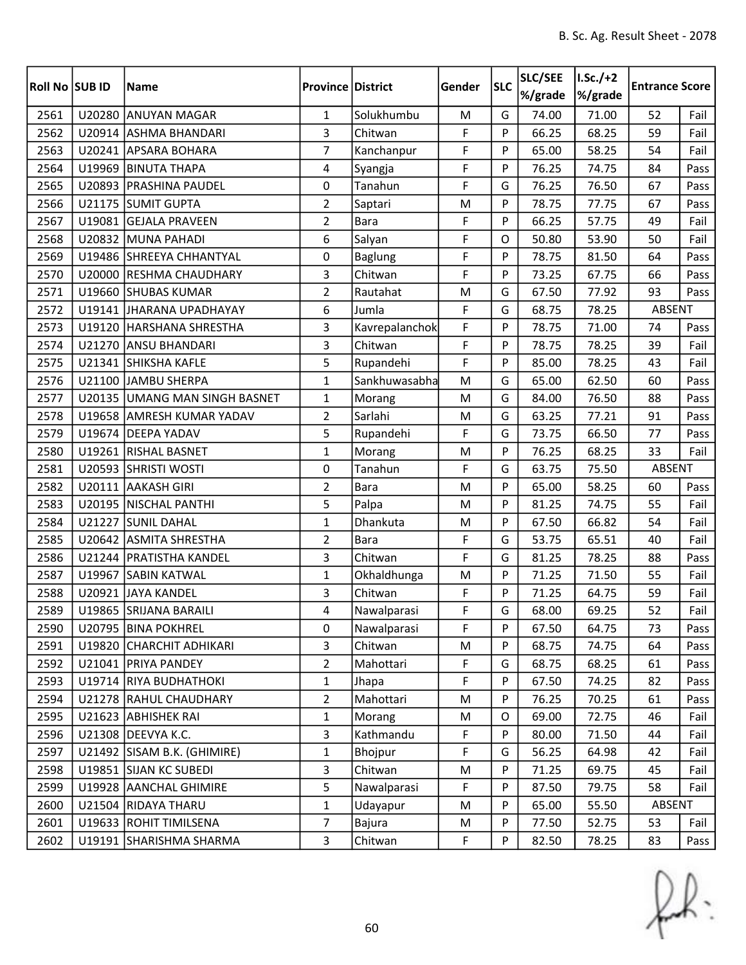| <b>Roll No SUB ID</b> |        | <b>Name</b>                   | <b>Province District</b> |                | Gender | <b>SLC</b> | SLC/SEE<br>%/grade | $I.Sc./+2$<br>%/grade | <b>Entrance Score</b> |      |
|-----------------------|--------|-------------------------------|--------------------------|----------------|--------|------------|--------------------|-----------------------|-----------------------|------|
| 2561                  | U20280 | <b>ANUYAN MAGAR</b>           | $\mathbf{1}$             | Solukhumbu     | M      | G          | 74.00              | 71.00                 | 52                    | Fail |
| 2562                  |        | U20914 ASHMA BHANDARI         | 3                        | Chitwan        | F      | P          | 66.25              | 68.25                 | 59                    | Fail |
| 2563                  |        | U20241 APSARA BOHARA          | $\overline{7}$           | Kanchanpur     | F      | P          | 65.00              | 58.25                 | 54                    | Fail |
| 2564                  |        | U19969 BINUTA THAPA           | 4                        | Syangja        | F      | P          | 76.25              | 74.75                 | 84                    | Pass |
| 2565                  | U20893 | <b>PRASHINA PAUDEL</b>        | 0                        | Tanahun        | F      | G          | 76.25              | 76.50                 | 67                    | Pass |
| 2566                  |        | U21175 SUMIT GUPTA            | $\overline{2}$           | Saptari        | M      | P          | 78.75              | 77.75                 | 67                    | Pass |
| 2567                  |        | U19081 GEJALA PRAVEEN         | $\overline{2}$           | <b>Bara</b>    | F      | P          | 66.25              | 57.75                 | 49                    | Fail |
| 2568                  |        | U20832 MUNA PAHADI            | 6                        | Salyan         | F      | O          | 50.80              | 53.90                 | 50                    | Fail |
| 2569                  |        | U19486 SHREEYA CHHANTYAL      | 0                        | Baglung        | F      | P          | 78.75              | 81.50                 | 64                    | Pass |
| 2570                  | U20000 | <b>RESHMA CHAUDHARY</b>       | 3                        | Chitwan        | F      | P          | 73.25              | 67.75                 | 66                    | Pass |
| 2571                  |        | U19660 SHUBAS KUMAR           | $\overline{2}$           | Rautahat       | M      | G          | 67.50              | 77.92                 | 93                    | Pass |
| 2572                  |        | U19141 JHARANA UPADHAYAY      | 6                        | Jumla          | F      | G          | 68.75              | 78.25                 | ABSENT                |      |
| 2573                  |        | U19120 HARSHANA SHRESTHA      | 3                        | Kavrepalanchok | F      | P          | 78.75              | 71.00                 | 74                    | Pass |
| 2574                  | U21270 | <b>ANSU BHANDARI</b>          | $\overline{3}$           | Chitwan        | F      | P          | 78.75              | 78.25                 | 39                    | Fail |
| 2575                  |        | U21341 SHIKSHA KAFLE          | 5                        | Rupandehi      | F      | P          | 85.00              | 78.25                 | 43                    | Fail |
| 2576                  |        | U21100 JAMBU SHERPA           | $\mathbf{1}$             | Sankhuwasabha  | M      | G          | 65.00              | 62.50                 | 60                    | Pass |
| 2577                  |        | U20135 UMANG MAN SINGH BASNET | $\mathbf{1}$             | Morang         | M      | G          | 84.00              | 76.50                 | 88                    | Pass |
| 2578                  |        | U19658 AMRESH KUMAR YADAV     | $\overline{2}$           | Sarlahi        | M      | G          | 63.25              | 77.21                 | 91                    | Pass |
| 2579                  |        | U19674 DEEPA YADAV            | 5                        | Rupandehi      | F      | G          | 73.75              | 66.50                 | 77                    | Pass |
| 2580                  |        | U19261 RISHAL BASNET          | $\mathbf{1}$             | Morang         | M      | P          | 76.25              | 68.25                 | 33                    | Fail |
| 2581                  |        | U20593 SHRISTI WOSTI          | 0                        | Tanahun        | F      | G          | 63.75              | 75.50                 | ABSENT                |      |
| 2582                  | U20111 | <b>AAKASH GIRI</b>            | $\overline{2}$           | <b>Bara</b>    | M      | P          | 65.00              | 58.25                 | 60                    | Pass |
| 2583                  |        | U20195   NISCHAL PANTHI       | 5                        | Palpa          | M      | P          | 81.25              | 74.75                 | 55                    | Fail |
| 2584                  | U21227 | <b>SUNIL DAHAL</b>            | 1                        | Dhankuta       | M      | P          | 67.50              | 66.82                 | 54                    | Fail |
| 2585                  |        | U20642 ASMITA SHRESTHA        | $\overline{2}$           | <b>Bara</b>    | F      | G          | 53.75              | 65.51                 | 40                    | Fail |
| 2586                  |        | U21244 PRATISTHA KANDEL       | 3                        | Chitwan        | F      | G          | 81.25              | 78.25                 | 88                    | Pass |
| 2587                  | U19967 | <b>SABIN KATWAL</b>           | $\mathbf{1}$             | Okhaldhunga    | M      | P          | 71.25              | 71.50                 | 55                    | Fail |
| 2588                  |        | U20921 JAYA KANDEL            | 3                        | Chitwan        | F      | P          | 71.25              | 64.75                 | 59                    | Fail |
| 2589                  |        | U19865 SRIJANA BARAILI        | 4                        | Nawalparasi    | F      | G          | 68.00              | 69.25                 | 52                    | Fail |
| 2590                  |        | U20795   BINA POKHREL         | 0                        | Nawalparasi    | F      | P          | 67.50              | 64.75                 | 73                    | Pass |
| 2591                  |        | U19820 CHARCHIT ADHIKARI      | 3                        | Chitwan        | M      | P          | 68.75              | 74.75                 | 64                    | Pass |
| 2592                  |        | U21041 PRIYA PANDEY           | $\overline{2}$           | Mahottari      | F      | G          | 68.75              | 68.25                 | 61                    | Pass |
| 2593                  |        | U19714 RIYA BUDHATHOKI        | $\mathbf 1$              | Jhapa          | F      | P          | 67.50              | 74.25                 | 82                    | Pass |
| 2594                  |        | U21278 RAHUL CHAUDHARY        | $\overline{2}$           | Mahottari      | M      | P          | 76.25              | 70.25                 | 61                    | Pass |
| 2595                  |        | U21623 ABHISHEK RAI           | $\mathbf{1}$             | Morang         | M      | O          | 69.00              | 72.75                 | 46                    | Fail |
| 2596                  |        | U21308   DEEVYA K.C.          | 3                        | Kathmandu      | F      | P          | 80.00              | 71.50                 | 44                    | Fail |
| 2597                  |        | U21492 SISAM B.K. (GHIMIRE)   | $\mathbf{1}$             | Bhojpur        | F      | G          | 56.25              | 64.98                 | 42                    | Fail |
| 2598                  |        | U19851 SIJAN KC SUBEDI        | $\overline{3}$           | Chitwan        | M      | P          | 71.25              | 69.75                 | 45                    | Fail |
| 2599                  |        | U19928 AANCHAL GHIMIRE        | 5                        | Nawalparasi    | F      | P          | 87.50              | 79.75                 | 58                    | Fail |
| 2600                  |        | U21504 RIDAYA THARU           | $\mathbf{1}$             | Udayapur       | M      | P          | 65.00              | 55.50                 | ABSENT                |      |
| 2601                  |        | U19633 ROHIT TIMILSENA        | $\overline{7}$           | Bajura         | M      | P          | 77.50              | 52.75                 | 53                    | Fail |
| 2602                  |        | U19191 SHARISHMA SHARMA       | 3                        | Chitwan        | F      | P          | 82.50              | 78.25                 | 83                    | Pass |

 $f(x)$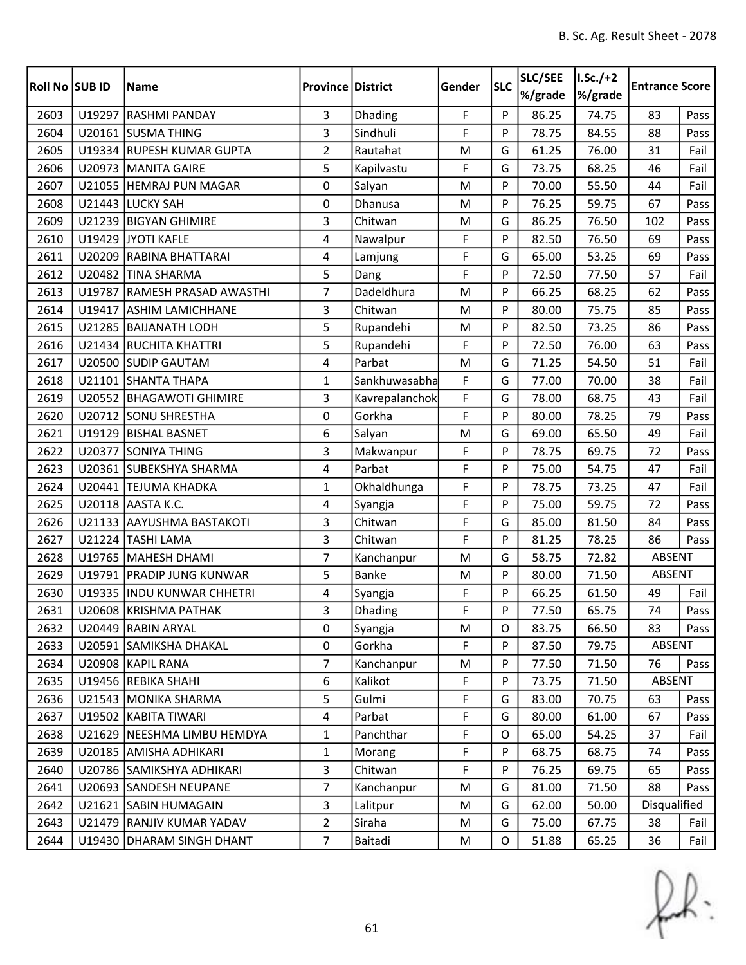| <b>Roll No SUB ID</b> |        | <b>Name</b>                  | <b>Province District</b> |                | Gender | <b>SLC</b> | SLC/SEE<br>%/grade | $I.Sc./+2$<br>%/grade | <b>Entrance Score</b> |      |
|-----------------------|--------|------------------------------|--------------------------|----------------|--------|------------|--------------------|-----------------------|-----------------------|------|
| 2603                  |        | U19297 RASHMI PANDAY         | $\overline{3}$           | Dhading        | F      | P          | 86.25              | 74.75                 | 83                    | Pass |
| 2604                  |        | U20161 SUSMA THING           | 3                        | Sindhuli       | F      | P          | 78.75              | 84.55                 | 88                    | Pass |
| 2605                  |        | U19334 RUPESH KUMAR GUPTA    | $\overline{2}$           | Rautahat       | M      | G          | 61.25              | 76.00                 | 31                    | Fail |
| 2606                  |        | U20973 MANITA GAIRE          | 5                        | Kapilvastu     | F      | G          | 73.75              | 68.25                 | 46                    | Fail |
| 2607                  |        | U21055 HEMRAJ PUN MAGAR      | 0                        | Salyan         | M      | P          | 70.00              | 55.50                 | 44                    | Fail |
| 2608                  |        | U21443 LUCKY SAH             | 0                        | Dhanusa        | M      | P          | 76.25              | 59.75                 | 67                    | Pass |
| 2609                  |        | U21239 BIGYAN GHIMIRE        | 3                        | Chitwan        | M      | G          | 86.25              | 76.50                 | 102                   | Pass |
| 2610                  |        | U19429 JYOTI KAFLE           | 4                        | Nawalpur       | F      | P          | 82.50              | 76.50                 | 69                    | Pass |
| 2611                  |        | U20209 RABINA BHATTARAI      | $\overline{4}$           | Lamjung        | F      | G          | 65.00              | 53.25                 | 69                    | Pass |
| 2612                  |        | U20482 TINA SHARMA           | 5                        | Dang           | F      | P          | 72.50              | 77.50                 | 57                    | Fail |
| 2613                  |        | U19787 RAMESH PRASAD AWASTHI | $\overline{7}$           | Dadeldhura     | M      | P          | 66.25              | 68.25                 | 62                    | Pass |
| 2614                  | U19417 | <b>ASHIM LAMICHHANE</b>      | 3                        | Chitwan        | M      | P          | 80.00              | 75.75                 | 85                    | Pass |
| 2615                  |        | U21285 BAIJANATH LODH        | 5                        | Rupandehi      | M      | P          | 82.50              | 73.25                 | 86                    | Pass |
| 2616                  |        | U21434 RUCHITA KHATTRI       | 5                        | Rupandehi      | F      | P          | 72.50              | 76.00                 | 63                    | Pass |
| 2617                  |        | U20500 SUDIP GAUTAM          | $\overline{4}$           | Parbat         | M      | G          | 71.25              | 54.50                 | 51                    | Fail |
| 2618                  |        | U21101 SHANTA THAPA          | $\mathbf{1}$             | Sankhuwasabha  | F      | G          | 77.00              | 70.00                 | 38                    | Fail |
| 2619                  |        | U20552 BHAGAWOTI GHIMIRE     | 3                        | Kavrepalanchok | F      | G          | 78.00              | 68.75                 | 43                    | Fail |
| 2620                  |        | U20712 SONU SHRESTHA         | 0                        | Gorkha         | F      | P          | 80.00              | 78.25                 | 79                    | Pass |
| 2621                  |        | U19129 BISHAL BASNET         | 6                        | Salyan         | M      | G          | 69.00              | 65.50                 | 49                    | Fail |
| 2622                  |        | U20377 SONIYA THING          | 3                        | Makwanpur      | F      | P          | 78.75              | 69.75                 | 72                    | Pass |
| 2623                  |        | U20361 SUBEKSHYA SHARMA      | 4                        | Parbat         | F      | P          | 75.00              | 54.75                 | 47                    | Fail |
| 2624                  |        | U20441 TEJUMA KHADKA         | $\mathbf{1}$             | Okhaldhunga    | F      | P          | 78.75              | 73.25                 | 47                    | Fail |
| 2625                  |        | U20118 AASTA K.C.            | 4                        | Syangja        | F      | P          | 75.00              | 59.75                 | 72                    | Pass |
| 2626                  | U21133 | <b>AAYUSHMA BASTAKOTI</b>    | 3                        | Chitwan        | F      | G          | 85.00              | 81.50                 | 84                    | Pass |
| 2627                  |        | U21224 TASHI LAMA            | 3                        | Chitwan        | F      | P          | 81.25              | 78.25                 | 86                    | Pass |
| 2628                  |        | U19765   MAHESH DHAMI        | $\overline{7}$           | Kanchanpur     | M      | G          | 58.75              | 72.82                 | ABSENT                |      |
| 2629                  |        | U19791 PRADIP JUNG KUNWAR    | 5                        | <b>Banke</b>   | M      | P          | 80.00              | 71.50                 | <b>ABSENT</b>         |      |
| 2630                  |        | U19335 INDU KUNWAR CHHETRI   | 4                        | Syangja        | F      | P          | 66.25              | 61.50                 | 49                    | Fail |
| 2631                  |        | U20608 KRISHMA PATHAK        | 3                        | Dhading        | F      | Þ          | 77.50              | 65.75                 | 74                    | Pass |
| 2632                  |        | U20449 RABIN ARYAL           | 0                        | Syangja        | M      | O          | 83.75              | 66.50                 | 83                    | Pass |
| 2633                  |        | U20591 SAMIKSHA DHAKAL       | 0                        | Gorkha         | F      | P          | 87.50              | 79.75                 | ABSENT                |      |
| 2634                  |        | U20908 KAPIL RANA            | $\overline{7}$           | Kanchanpur     | M      | P          | 77.50              | 71.50                 | 76                    | Pass |
| 2635                  |        | U19456 REBIKA SHAHI          | 6                        | Kalikot        | F      | P          | 73.75              | 71.50                 | ABSENT                |      |
| 2636                  |        | U21543 MONIKA SHARMA         | 5                        | Gulmi          | F      | G          | 83.00              | 70.75                 | 63                    | Pass |
| 2637                  |        | U19502 KABITA TIWARI         | $\overline{4}$           | Parbat         | F      | G          | 80.00              | 61.00                 | 67                    | Pass |
| 2638                  |        | U21629 NEESHMA LIMBU HEMDYA  | $\mathbf{1}$             | Panchthar      | F      | 0          | 65.00              | 54.25                 | 37                    | Fail |
| 2639                  |        | U20185 AMISHA ADHIKARI       | $\mathbf{1}$             | Morang         | F      | P          | 68.75              | 68.75                 | 74                    | Pass |
| 2640                  |        | U20786 SAMIKSHYA ADHIKARI    | 3                        | Chitwan        | F      | P          | 76.25              | 69.75                 | 65                    | Pass |
| 2641                  |        | U20693 SANDESH NEUPANE       | $\overline{7}$           | Kanchanpur     | M      | G          | 81.00              | 71.50                 | 88                    | Pass |
| 2642                  |        | U21621 SABIN HUMAGAIN        | 3                        | Lalitpur       | M      | G          | 62.00              | 50.00                 | Disqualified          |      |
| 2643                  | U21479 | <b>RANJIV KUMAR YADAV</b>    | $\overline{2}$           | Siraha         | M      | G          | 75.00              | 67.75                 | 38<br>Fail            |      |
| 2644                  |        | U19430 DHARAM SINGH DHANT    | $\overline{7}$           | Baitadi        | M      | $\circ$    | 51.88              | 65.25                 | 36                    | Fail |

 $f(x)$